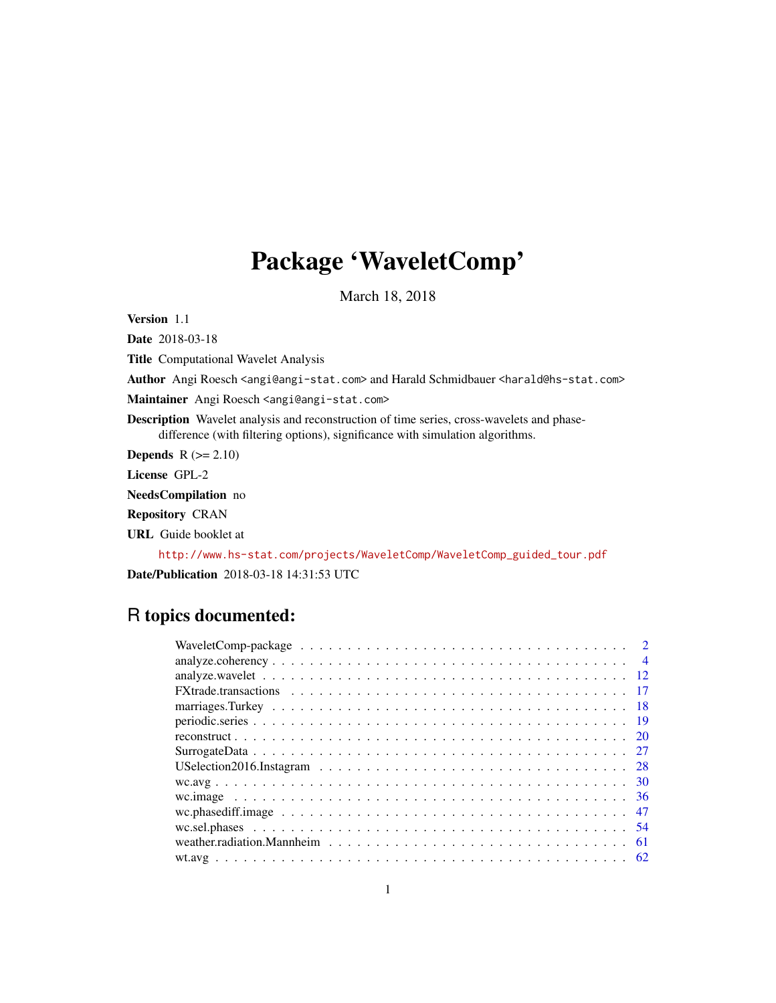# Package 'WaveletComp'

March 18, 2018

<span id="page-0-0"></span>Version 1.1

Date 2018-03-18

Title Computational Wavelet Analysis

Author Angi Roesch <angi@angi-stat.com> and Harald Schmidbauer <harald@hs-stat.com>

Maintainer Angi Roesch <angi@angi-stat.com>

Description Wavelet analysis and reconstruction of time series, cross-wavelets and phasedifference (with filtering options), significance with simulation algorithms.

**Depends**  $R$  ( $>= 2.10$ )

License GPL-2

NeedsCompilation no

Repository CRAN

URL Guide booklet at

[http://www.hs-stat.com/projects/WaveletComp/WaveletComp\\_guided\\_tour.pdf](http://www.hs-stat.com/projects/WaveletComp/WaveletComp_guided_tour.pdf)

Date/Publication 2018-03-18 14:31:53 UTC

# R topics documented:

| $\overline{4}$ |
|----------------|
|                |
|                |
|                |
|                |
|                |
|                |
|                |
|                |
|                |
|                |
|                |
|                |
|                |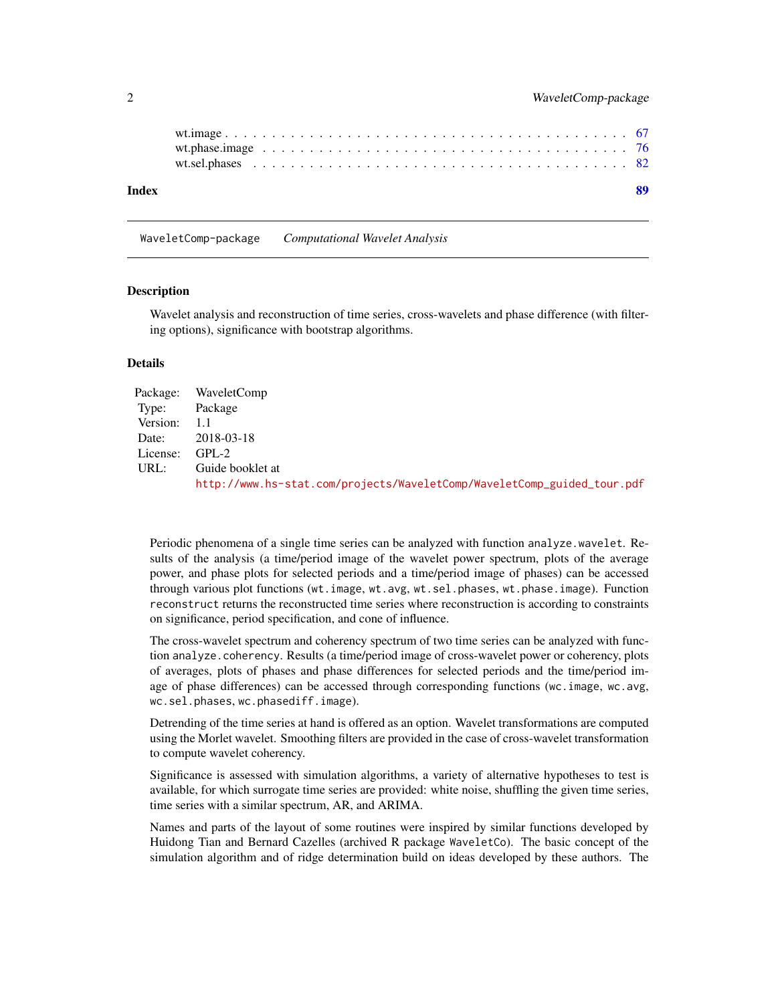<span id="page-1-0"></span>

| Index |  |  |  |  |  |  |  |  |  |  |  |  |  |  |  |  |  |  |
|-------|--|--|--|--|--|--|--|--|--|--|--|--|--|--|--|--|--|--|
|       |  |  |  |  |  |  |  |  |  |  |  |  |  |  |  |  |  |  |
|       |  |  |  |  |  |  |  |  |  |  |  |  |  |  |  |  |  |  |

WaveletComp-package *Computational Wavelet Analysis*

## Description

Wavelet analysis and reconstruction of time series, cross-wavelets and phase difference (with filtering options), significance with bootstrap algorithms.

## Details

|              | Package: WaveletComp                                                    |
|--------------|-------------------------------------------------------------------------|
| Type:        | Package                                                                 |
| Version: 1.1 |                                                                         |
|              | Date: 2018-03-18                                                        |
| License:     | $GPL-2$                                                                 |
| URL:         | Guide booklet at                                                        |
|              | http://www.hs-stat.com/projects/WaveletComp/WaveletComp_guided_tour.pdf |

Periodic phenomena of a single time series can be analyzed with function analyze.wavelet. Results of the analysis (a time/period image of the wavelet power spectrum, plots of the average power, and phase plots for selected periods and a time/period image of phases) can be accessed through various plot functions (wt.image, wt.avg, wt.sel.phases, wt.phase.image). Function reconstruct returns the reconstructed time series where reconstruction is according to constraints on significance, period specification, and cone of influence.

The cross-wavelet spectrum and coherency spectrum of two time series can be analyzed with function analyze.coherency. Results (a time/period image of cross-wavelet power or coherency, plots of averages, plots of phases and phase differences for selected periods and the time/period image of phase differences) can be accessed through corresponding functions (wc.image, wc.avg, wc.sel.phases, wc.phasediff.image).

Detrending of the time series at hand is offered as an option. Wavelet transformations are computed using the Morlet wavelet. Smoothing filters are provided in the case of cross-wavelet transformation to compute wavelet coherency.

Significance is assessed with simulation algorithms, a variety of alternative hypotheses to test is available, for which surrogate time series are provided: white noise, shuffling the given time series, time series with a similar spectrum, AR, and ARIMA.

Names and parts of the layout of some routines were inspired by similar functions developed by Huidong Tian and Bernard Cazelles (archived R package WaveletCo). The basic concept of the simulation algorithm and of ridge determination build on ideas developed by these authors. The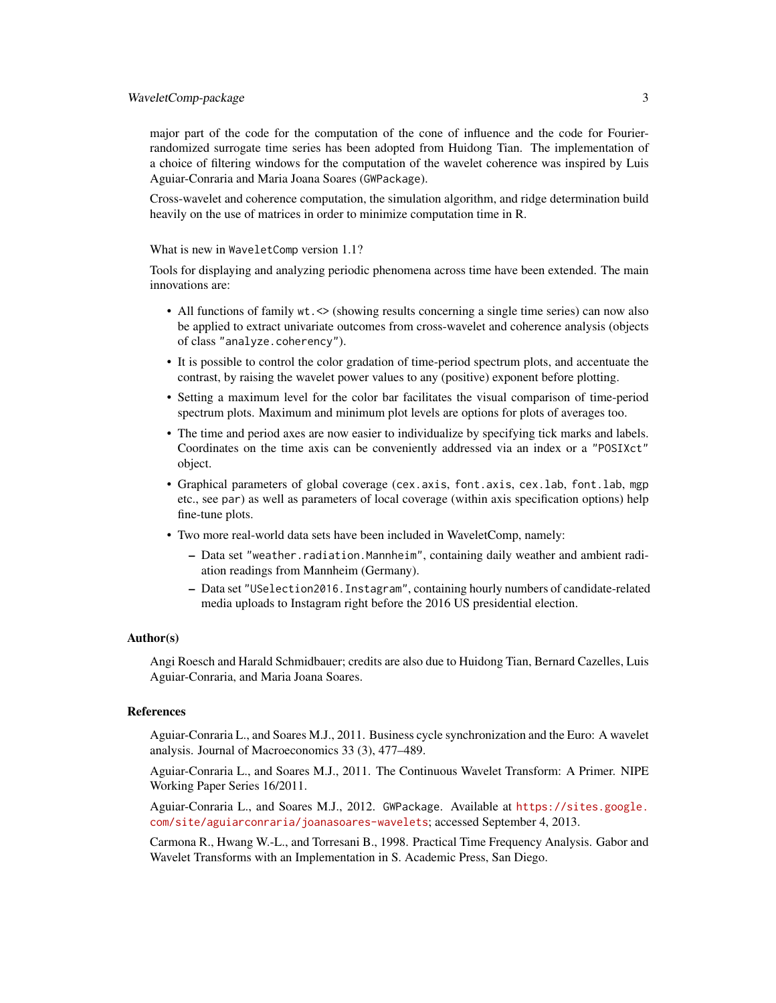major part of the code for the computation of the cone of influence and the code for Fourierrandomized surrogate time series has been adopted from Huidong Tian. The implementation of a choice of filtering windows for the computation of the wavelet coherence was inspired by Luis Aguiar-Conraria and Maria Joana Soares (GWPackage).

Cross-wavelet and coherence computation, the simulation algorithm, and ridge determination build heavily on the use of matrices in order to minimize computation time in R.

What is new in WaveletComp version 1.1?

Tools for displaying and analyzing periodic phenomena across time have been extended. The main innovations are:

- All functions of family wt. <> (showing results concerning a single time series) can now also be applied to extract univariate outcomes from cross-wavelet and coherence analysis (objects of class "analyze.coherency").
- It is possible to control the color gradation of time-period spectrum plots, and accentuate the contrast, by raising the wavelet power values to any (positive) exponent before plotting.
- Setting a maximum level for the color bar facilitates the visual comparison of time-period spectrum plots. Maximum and minimum plot levels are options for plots of averages too.
- The time and period axes are now easier to individualize by specifying tick marks and labels. Coordinates on the time axis can be conveniently addressed via an index or a "POSIXct" object.
- Graphical parameters of global coverage (cex.axis, font.axis, cex.lab, font.lab, mgp etc., see par) as well as parameters of local coverage (within axis specification options) help fine-tune plots.
- Two more real-world data sets have been included in WaveletComp, namely:
	- Data set "weather.radiation.Mannheim", containing daily weather and ambient radiation readings from Mannheim (Germany).
	- Data set "USelection2016.Instagram", containing hourly numbers of candidate-related media uploads to Instagram right before the 2016 US presidential election.

#### Author(s)

Angi Roesch and Harald Schmidbauer; credits are also due to Huidong Tian, Bernard Cazelles, Luis Aguiar-Conraria, and Maria Joana Soares.

## References

Aguiar-Conraria L., and Soares M.J., 2011. Business cycle synchronization and the Euro: A wavelet analysis. Journal of Macroeconomics 33 (3), 477–489.

Aguiar-Conraria L., and Soares M.J., 2011. The Continuous Wavelet Transform: A Primer. NIPE Working Paper Series 16/2011.

Aguiar-Conraria L., and Soares M.J., 2012. GWPackage. Available at [https://sites.google.](https://sites.google.com/site/aguiarconraria/joanasoares-wavelets) [com/site/aguiarconraria/joanasoares-wavelets](https://sites.google.com/site/aguiarconraria/joanasoares-wavelets); accessed September 4, 2013.

Carmona R., Hwang W.-L., and Torresani B., 1998. Practical Time Frequency Analysis. Gabor and Wavelet Transforms with an Implementation in S. Academic Press, San Diego.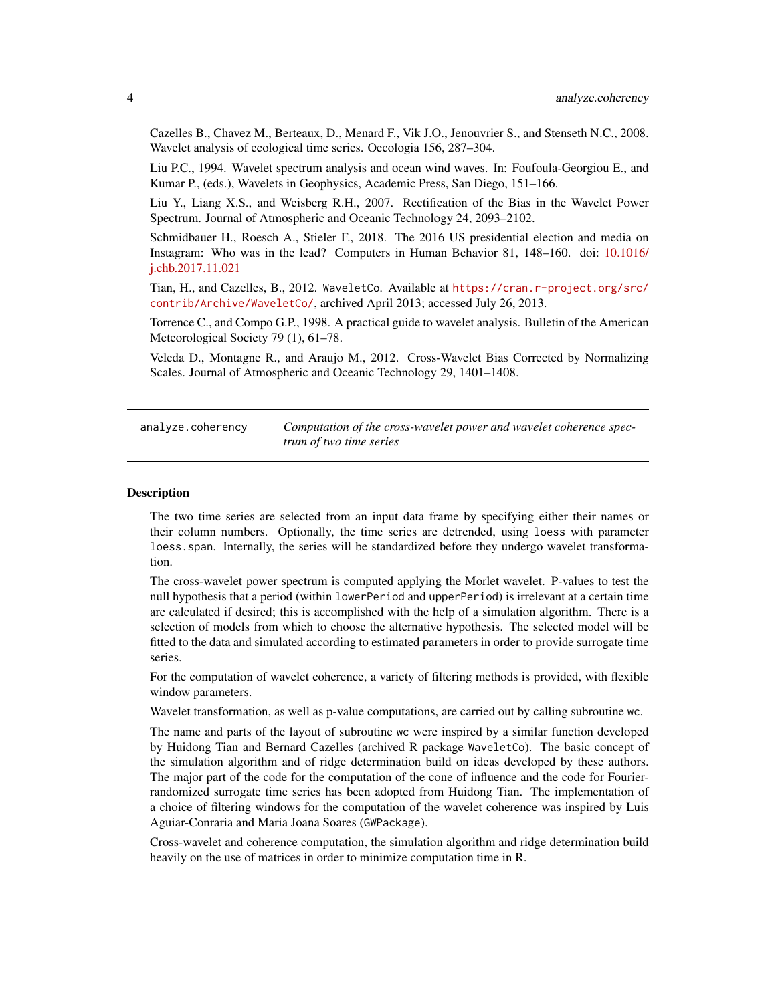<span id="page-3-0"></span>Cazelles B., Chavez M., Berteaux, D., Menard F., Vik J.O., Jenouvrier S., and Stenseth N.C., 2008. Wavelet analysis of ecological time series. Oecologia 156, 287–304.

Liu P.C., 1994. Wavelet spectrum analysis and ocean wind waves. In: Foufoula-Georgiou E., and Kumar P., (eds.), Wavelets in Geophysics, Academic Press, San Diego, 151–166.

Liu Y., Liang X.S., and Weisberg R.H., 2007. Rectification of the Bias in the Wavelet Power Spectrum. Journal of Atmospheric and Oceanic Technology 24, 2093–2102.

Schmidbauer H., Roesch A., Stieler F., 2018. The 2016 US presidential election and media on Instagram: Who was in the lead? Computers in Human Behavior 81, 148–160. doi: [10.1016/](http://doi.org/10.1016/j.chb.2017.11.021) [j.chb.2017.11.021](http://doi.org/10.1016/j.chb.2017.11.021)

Tian, H., and Cazelles, B., 2012. WaveletCo. Available at [https://cran.r-project.org/src/](https://cran.r-project.org/src/contrib/Archive/WaveletCo/) [contrib/Archive/WaveletCo/](https://cran.r-project.org/src/contrib/Archive/WaveletCo/), archived April 2013; accessed July 26, 2013.

Torrence C., and Compo G.P., 1998. A practical guide to wavelet analysis. Bulletin of the American Meteorological Society 79 (1), 61–78.

Veleda D., Montagne R., and Araujo M., 2012. Cross-Wavelet Bias Corrected by Normalizing Scales. Journal of Atmospheric and Oceanic Technology 29, 1401–1408.

<span id="page-3-1"></span>analyze.coherency *Computation of the cross-wavelet power and wavelet coherence spectrum of two time series*

## **Description**

The two time series are selected from an input data frame by specifying either their names or their column numbers. Optionally, the time series are detrended, using loess with parameter loess.span. Internally, the series will be standardized before they undergo wavelet transformation.

The cross-wavelet power spectrum is computed applying the Morlet wavelet. P-values to test the null hypothesis that a period (within lowerPeriod and upperPeriod) is irrelevant at a certain time are calculated if desired; this is accomplished with the help of a simulation algorithm. There is a selection of models from which to choose the alternative hypothesis. The selected model will be fitted to the data and simulated according to estimated parameters in order to provide surrogate time series.

For the computation of wavelet coherence, a variety of filtering methods is provided, with flexible window parameters.

Wavelet transformation, as well as p-value computations, are carried out by calling subroutine wc.

The name and parts of the layout of subroutine wc were inspired by a similar function developed by Huidong Tian and Bernard Cazelles (archived R package WaveletCo). The basic concept of the simulation algorithm and of ridge determination build on ideas developed by these authors. The major part of the code for the computation of the cone of influence and the code for Fourierrandomized surrogate time series has been adopted from Huidong Tian. The implementation of a choice of filtering windows for the computation of the wavelet coherence was inspired by Luis Aguiar-Conraria and Maria Joana Soares (GWPackage).

Cross-wavelet and coherence computation, the simulation algorithm and ridge determination build heavily on the use of matrices in order to minimize computation time in R.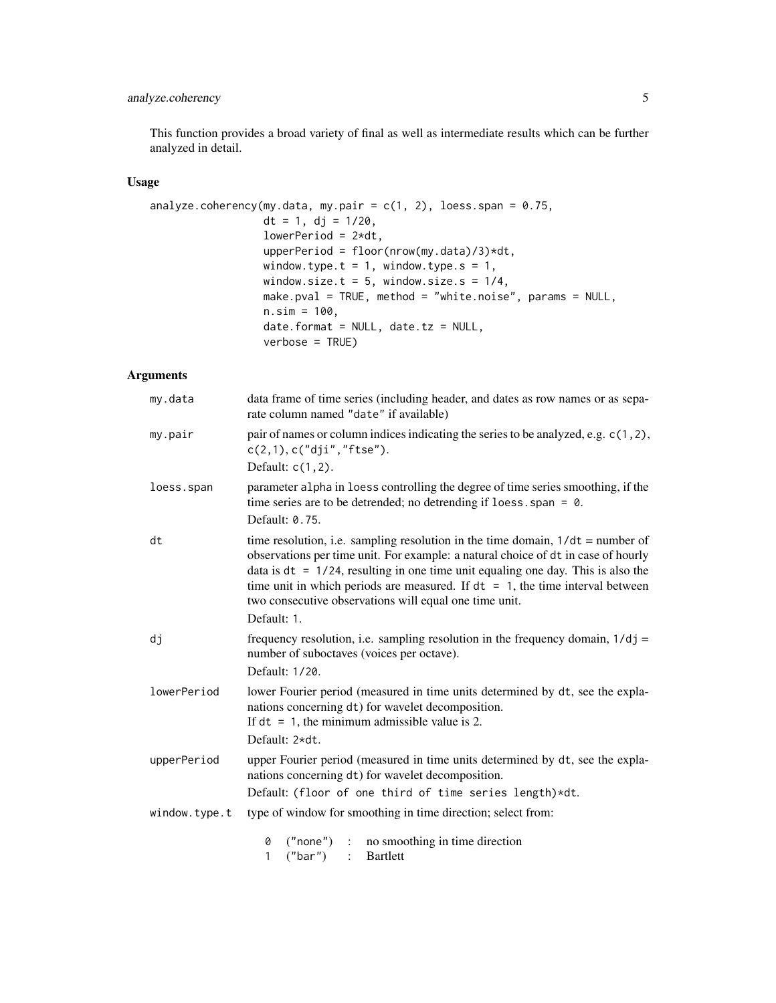## analyze.coherency 5

This function provides a broad variety of final as well as intermediate results which can be further analyzed in detail.

## Usage

```
analyze.coherency(my.data, my.pair = c(1, 2), loess.span = 0.75,
                  dt = 1, dj = 1/20,lowerPeriod = 2*dt,
                  upperPeriod = floor(nrow(my.data)/3)*dt,
                 window.type.t = 1, window.type.s = 1,
                 window.size.t = 5, window.size.s = 1/4,
                 make.pval = TRUE, method = "white.noise", params = NULL,
                  n.sim = 100,date.format = NULL, date.tz = NULL,verbose = TRUE)
```
## Arguments

| my.data       | data frame of time series (including header, and dates as row names or as sepa-<br>rate column named "date" if available)                                                                                                                                                                                                                                                                                                 |
|---------------|---------------------------------------------------------------------------------------------------------------------------------------------------------------------------------------------------------------------------------------------------------------------------------------------------------------------------------------------------------------------------------------------------------------------------|
| my.pair       | pair of names or column indices indicating the series to be analyzed, e.g. c(1,2),<br>c(2,1), c("dji", "ftse").<br>Default: $c(1, 2)$ .                                                                                                                                                                                                                                                                                   |
| loess.span    | parameter alpha in loess controlling the degree of time series smoothing, if the<br>time series are to be detrended; no detrending if loess. span = $\theta$ .<br>Default: 0.75.                                                                                                                                                                                                                                          |
| dt            | time resolution, i.e. sampling resolution in the time domain, $1/dt =$ number of<br>observations per time unit. For example: a natural choice of dt in case of hourly<br>data is $dt = 1/24$ , resulting in one time unit equaling one day. This is also the<br>time unit in which periods are measured. If $dt = 1$ , the time interval between<br>two consecutive observations will equal one time unit.<br>Default: 1. |
| dj            | frequency resolution, i.e. sampling resolution in the frequency domain, $1/dj =$<br>number of suboctaves (voices per octave).<br>Default: 1/20.                                                                                                                                                                                                                                                                           |
| lowerPeriod   | lower Fourier period (measured in time units determined by dt, see the expla-<br>nations concerning dt) for wavelet decomposition.<br>If $dt = 1$ , the minimum admissible value is 2.<br>Default: 2*dt.                                                                                                                                                                                                                  |
| upperPeriod   | upper Fourier period (measured in time units determined by dt, see the expla-<br>nations concerning dt) for wavelet decomposition.<br>Default: (floor of one third of time series length)*dt.                                                                                                                                                                                                                             |
| window.type.t | type of window for smoothing in time direction; select from:                                                                                                                                                                                                                                                                                                                                                              |
|               | 0<br>$("none")$ : no smoothing in time direction<br>$("bar")$ :<br><b>Bartlett</b><br>$\mathbf{1}$                                                                                                                                                                                                                                                                                                                        |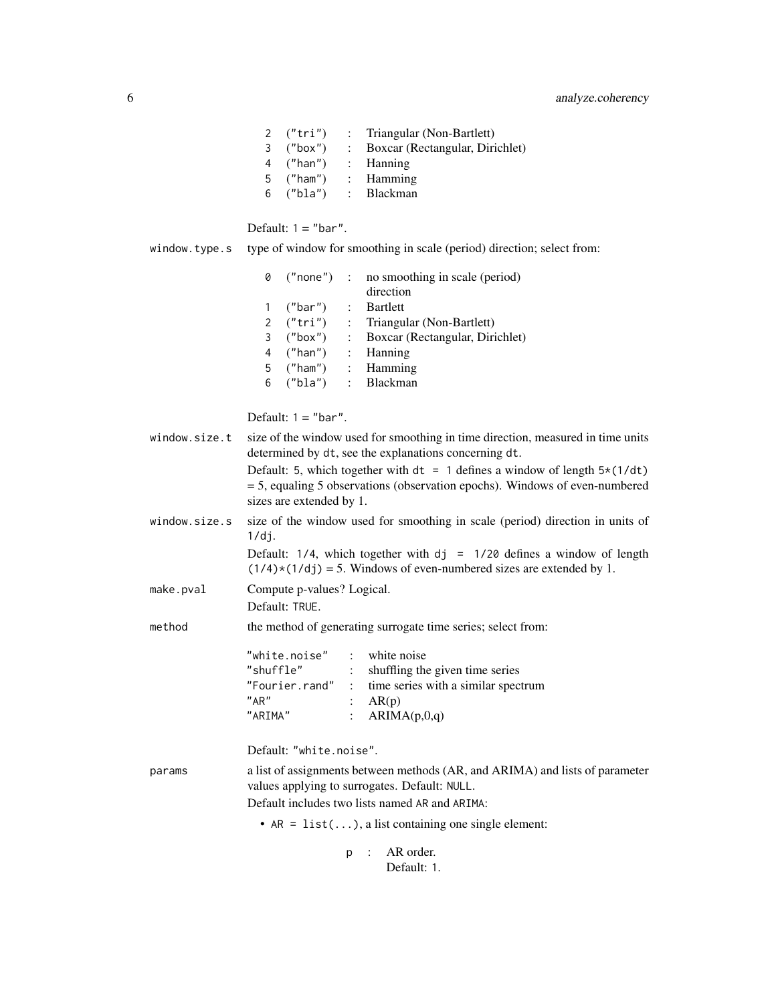| 2 $("tri")$  | : Triangular (Non-Bartlett)       |
|--------------|-----------------------------------|
| 3 $("box")$  | : Boxcar (Rectangular, Dirichlet) |
| 4 ("han")    | $\therefore$ Hanning              |
| 5 $(''ham')$ | $:$ Hamming                       |
| 6 ("bla")    | : Blackman                        |

|               | Default: $1 = "bar".$                                                                                                                                                                                                 |
|---------------|-----------------------------------------------------------------------------------------------------------------------------------------------------------------------------------------------------------------------|
| window.type.s | type of window for smoothing in scale (period) direction; select from:                                                                                                                                                |
|               | 0<br>("none")<br>$\mathbb{R}^{\mathbb{Z}}$<br>no smoothing in scale (period)<br>direction<br><b>Bartlett</b><br>("bar")<br>1                                                                                          |
|               | ("tri")<br>Triangular (Non-Bartlett)<br>$\mathbf{2}^{\prime}$                                                                                                                                                         |
|               | ("box")<br>: Boxcar (Rectangular, Dirichlet)<br>3                                                                                                                                                                     |
|               | ("han")<br>: Hanning<br>4                                                                                                                                                                                             |
|               | : Hamming<br>("ham")<br>5                                                                                                                                                                                             |
|               | ("bla")<br>$\mathbb{R}^{\mathbb{Z}}$<br>Blackman<br>6                                                                                                                                                                 |
|               | Default: $1 = "bar".$                                                                                                                                                                                                 |
| window.size.t | size of the window used for smoothing in time direction, measured in time units<br>determined by dt, see the explanations concerning dt.                                                                              |
|               | Default: 5, which together with $dt = 1$ defines a window of length $5*(1/dt)$<br>= 5, equaling 5 observations (observation epochs). Windows of even-numbered<br>sizes are extended by 1.                             |
| window.size.s | size of the window used for smoothing in scale (period) direction in units of<br>1/dj.                                                                                                                                |
|               | Default: $1/4$ , which together with $dj = 1/20$ defines a window of length<br>$(1/4)*(1/dj) = 5$ . Windows of even-numbered sizes are extended by 1.                                                                 |
| make.pval     | Compute p-values? Logical.                                                                                                                                                                                            |
|               | Default: TRUF.                                                                                                                                                                                                        |
| method        | the method of generating surrogate time series; select from:                                                                                                                                                          |
|               | : white noise<br>"white.noise"<br>"shuffle"<br>: shuffling the given time series<br>"Fourier.rand" : time series with a similar spectrum<br>"AR"<br>: $AR(p)$<br>"ARIMA"<br>ARIMA(p,0,q)<br>$\mathbb{R}^{\mathbb{Z}}$ |
|               | Default: "white.noise".                                                                                                                                                                                               |
| params        | a list of assignments between methods (AR, and ARIMA) and lists of parameter<br>values applying to surrogates. Default: NULL.                                                                                         |
|               | Default includes two lists named AR and ARIMA:                                                                                                                                                                        |
|               | • $AR = list()$ , a list containing one single element:                                                                                                                                                               |

p : AR order. Default: 1.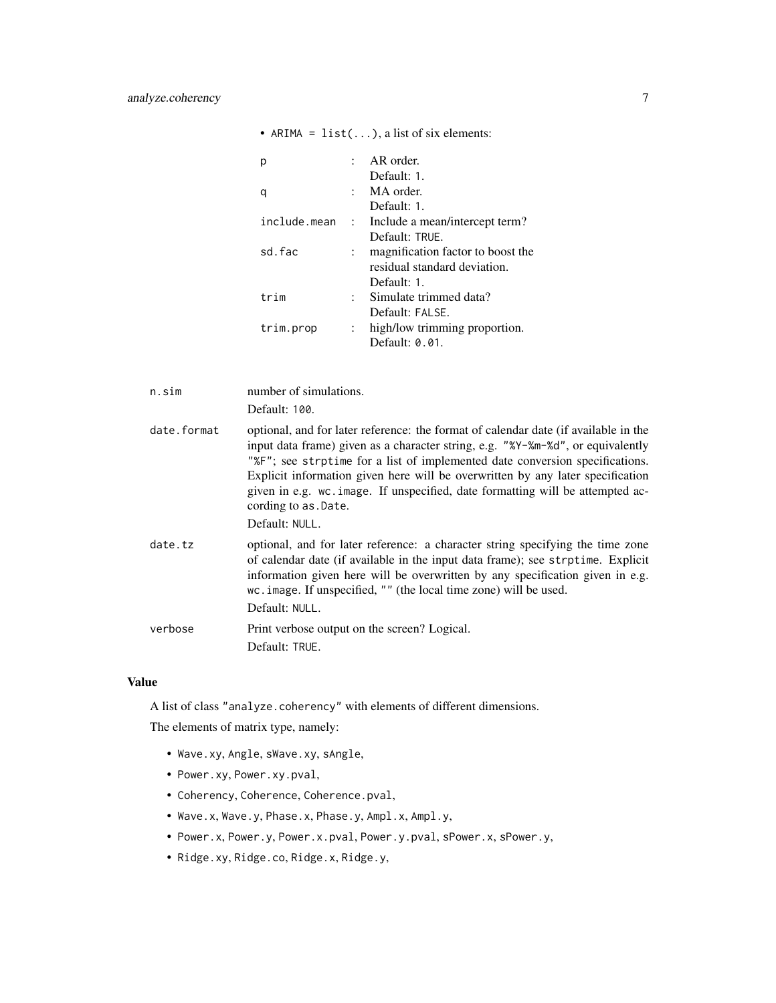|              |               | AR order.                         |
|--------------|---------------|-----------------------------------|
|              |               | Default: 1.                       |
| q            |               | MA order.                         |
|              |               | Default: 1.                       |
| include.mean |               | : Include a mean/intercept term?  |
|              |               | Default: TRUE.                    |
| sd. fac      |               | magnification factor to boost the |
|              |               | residual standard deviation.      |
|              |               | Default: 1.                       |
| trim         | t.            | Simulate trimmed data?            |
|              |               | Default: FALSE.                   |
| trim.prop    | $\mathcal{L}$ | high/low trimming proportion.     |
|              |               | Default: $0.01$ .                 |

• ARIMA =  $list(...)$ , a list of six elements:

| n.sim       | number of simulations.<br>Default: 100.                                                                                                                                                                                                                                                                                                                                                                                                                               |
|-------------|-----------------------------------------------------------------------------------------------------------------------------------------------------------------------------------------------------------------------------------------------------------------------------------------------------------------------------------------------------------------------------------------------------------------------------------------------------------------------|
| date.format | optional, and for later reference: the format of calendar date (if available in the<br>input data frame) given as a character string, e.g. "%Y-%m-%d", or equivalently<br>"%F"; see strptime for a list of implemented date conversion specifications.<br>Explicit information given here will be overwritten by any later specification<br>given in e.g. wc. image. If unspecified, date formatting will be attempted ac-<br>cording to as . Date.<br>Default: NULL. |
| date.tz     | optional, and for later reference: a character string specifying the time zone<br>of calendar date (if available in the input data frame); see strptime. Explicit<br>information given here will be overwritten by any specification given in e.g.<br>w.c. image. If unspecified, "" (the local time zone) will be used.<br>Default: NULL.                                                                                                                            |
| verbose     | Print verbose output on the screen? Logical.<br>Default: TRUE.                                                                                                                                                                                                                                                                                                                                                                                                        |

## Value

A list of class "analyze.coherency" with elements of different dimensions.

The elements of matrix type, namely:

- Wave.xy, Angle, sWave.xy, sAngle,
- Power.xy, Power.xy.pval,
- Coherency, Coherence, Coherence.pval,
- Wave.x, Wave.y, Phase.x, Phase.y, Ampl.x, Ampl.y,
- Power.x, Power.y, Power.x.pval, Power.y.pval, sPower.x, sPower.y,
- Ridge.xy, Ridge.co, Ridge.x, Ridge.y,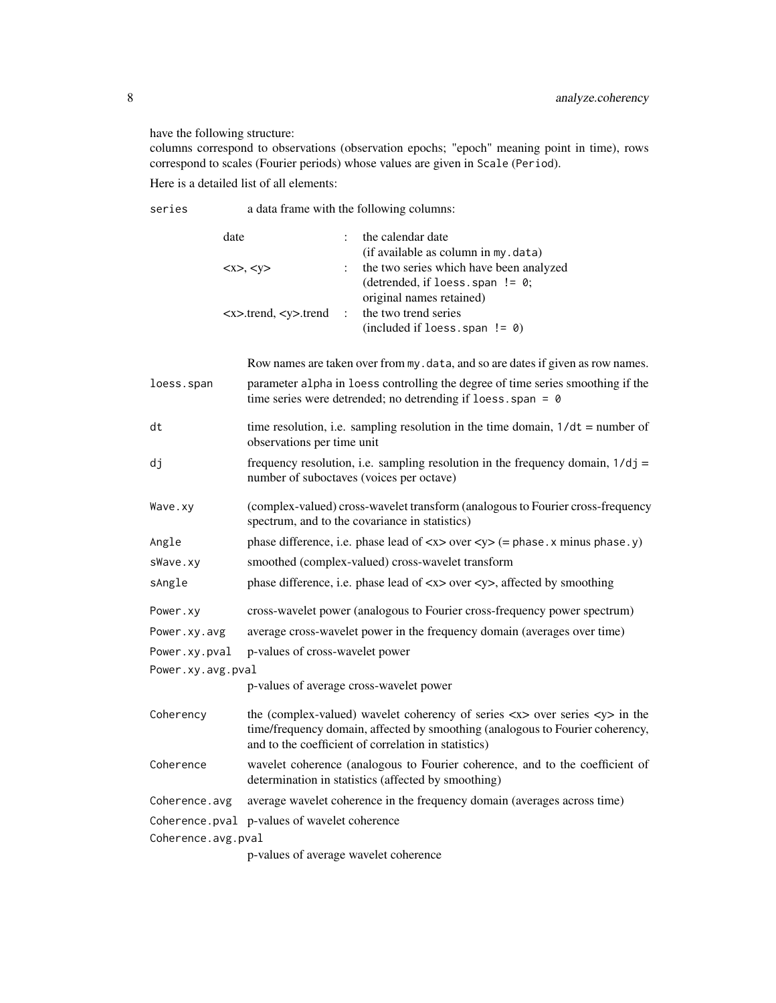have the following structure:

columns correspond to observations (observation epochs; "epoch" meaning point in time), rows correspond to scales (Fourier periods) whose values are given in Scale (Period).

Here is a detailed list of all elements:

series a data frame with the following columns:

| date                                                                          | the calendar date                       |
|-------------------------------------------------------------------------------|-----------------------------------------|
|                                                                               | (if available as column in my. data)    |
| < x>, < y>                                                                    | the two series which have been analyzed |
|                                                                               | (detrended, if loess span $!= 0$ ;      |
|                                                                               | original names retained)                |
| $\langle x \rangle$ -trend, $\langle y \rangle$ -trend : the two trend series |                                         |
|                                                                               | $(included if loses.\,span != 0)$       |

Row names are taken over from my.data, and so are dates if given as row names.

| loess.span         | parameter alpha in loess controlling the degree of time series smoothing if the<br>time series were detrended; no detrending if loess. span = $\theta$                                                                                               |
|--------------------|------------------------------------------------------------------------------------------------------------------------------------------------------------------------------------------------------------------------------------------------------|
| dt                 | time resolution, i.e. sampling resolution in the time domain, $1/dt =$ number of<br>observations per time unit                                                                                                                                       |
| dj                 | frequency resolution, i.e. sampling resolution in the frequency domain, $1/dj =$<br>number of suboctaves (voices per octave)                                                                                                                         |
| Wave.xy            | (complex-valued) cross-wavelet transform (analogous to Fourier cross-frequency<br>spectrum, and to the covariance in statistics)                                                                                                                     |
| Angle              | phase difference, i.e. phase lead of $\langle x \rangle$ over $\langle y \rangle$ (= phase . x minus phase . y)                                                                                                                                      |
| sWave.xy           | smoothed (complex-valued) cross-wavelet transform                                                                                                                                                                                                    |
| sAngle             | phase difference, i.e. phase lead of $\langle x \rangle$ over $\langle y \rangle$ , affected by smoothing                                                                                                                                            |
| Power.xy           | cross-wavelet power (analogous to Fourier cross-frequency power spectrum)                                                                                                                                                                            |
| Power.xy.avg       | average cross-wavelet power in the frequency domain (averages over time)                                                                                                                                                                             |
| Power.xy.pval      | p-values of cross-wavelet power                                                                                                                                                                                                                      |
| Power.xy.avg.pval  |                                                                                                                                                                                                                                                      |
|                    | p-values of average cross-wavelet power                                                                                                                                                                                                              |
| Coherency          | the (complex-valued) wavelet coherency of series $\langle x \rangle$ over series $\langle y \rangle$ in the<br>time/frequency domain, affected by smoothing (analogous to Fourier coherency,<br>and to the coefficient of correlation in statistics) |
| Coherence          | wavelet coherence (analogous to Fourier coherence, and to the coefficient of<br>determination in statistics (affected by smoothing)                                                                                                                  |
| Coherence.avg      | average wavelet coherence in the frequency domain (averages across time)                                                                                                                                                                             |
|                    | Coherence.pval p-values of wavelet coherence                                                                                                                                                                                                         |
| Coherence.avg.pval |                                                                                                                                                                                                                                                      |
|                    | p-values of average wavelet coherence                                                                                                                                                                                                                |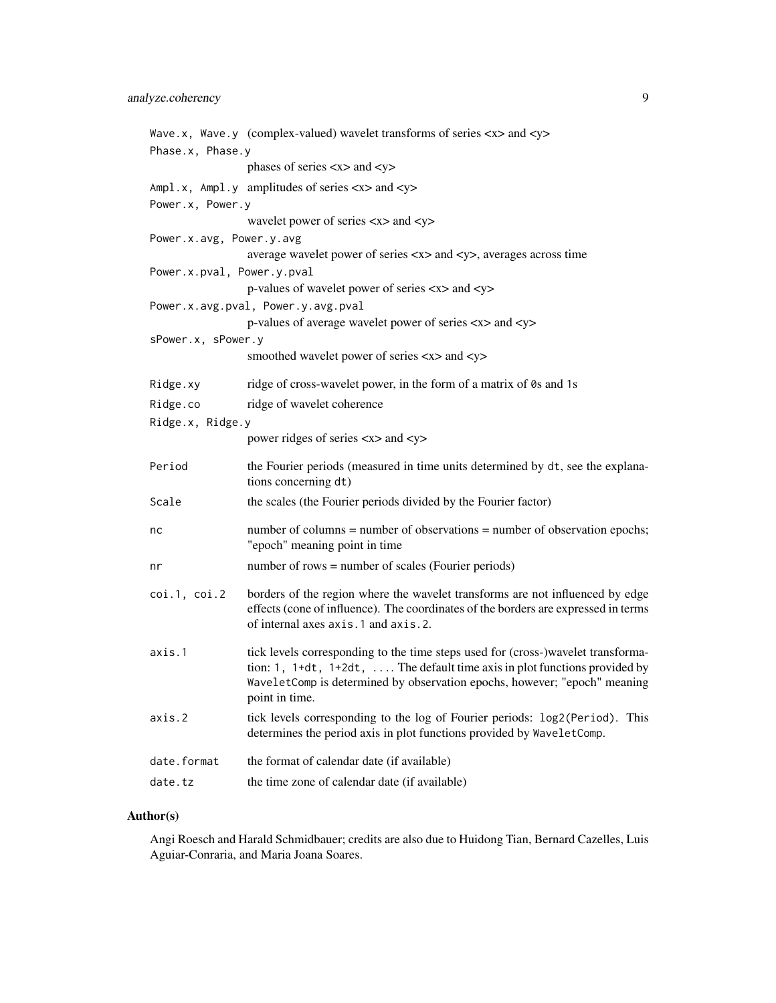|                            | Wave.x, Wave.y (complex-valued) wavelet transforms of series $\langle x \rangle$ and $\langle y \rangle$                                                                                                                                                            |
|----------------------------|---------------------------------------------------------------------------------------------------------------------------------------------------------------------------------------------------------------------------------------------------------------------|
| Phase.x, Phase.y           |                                                                                                                                                                                                                                                                     |
|                            | phases of series $\langle x \rangle$ and $\langle y \rangle$                                                                                                                                                                                                        |
|                            | Ampl.x, Ampl.y amplitudes of series <x> and <y></y></x>                                                                                                                                                                                                             |
| Power.x, Power.y           |                                                                                                                                                                                                                                                                     |
|                            | wavelet power of series <x> and <y></y></x>                                                                                                                                                                                                                         |
| Power.x.avg, Power.y.avg   |                                                                                                                                                                                                                                                                     |
|                            | average wavelet power of series <x> and <y>, averages across time</y></x>                                                                                                                                                                                           |
| Power.x.pval, Power.y.pval |                                                                                                                                                                                                                                                                     |
|                            | p-values of wavelet power of series <x> and <y></y></x>                                                                                                                                                                                                             |
|                            | Power.x.avg.pval, Power.y.avg.pval                                                                                                                                                                                                                                  |
|                            | p-values of average wavelet power of series <x> and <y></y></x>                                                                                                                                                                                                     |
| sPower.x, sPower.y         |                                                                                                                                                                                                                                                                     |
|                            | smoothed wavelet power of series <x> and <y></y></x>                                                                                                                                                                                                                |
| Ridge.xy                   | ridge of cross-wavelet power, in the form of a matrix of 0s and 1s                                                                                                                                                                                                  |
| Ridge.co                   | ridge of wavelet coherence                                                                                                                                                                                                                                          |
| Ridge.x, Ridge.y           |                                                                                                                                                                                                                                                                     |
|                            | power ridges of series $\langle x \rangle$ and $\langle y \rangle$                                                                                                                                                                                                  |
| Period                     | the Fourier periods (measured in time units determined by dt, see the explana-<br>tions concerning dt)                                                                                                                                                              |
| Scale                      | the scales (the Fourier periods divided by the Fourier factor)                                                                                                                                                                                                      |
| nc                         | number of columns = number of observations = number of observation epochs;<br>"epoch" meaning point in time                                                                                                                                                         |
| nr                         | number of rows = number of scales (Fourier periods)                                                                                                                                                                                                                 |
| $\cot.1$ , $\cot.2$        | borders of the region where the wavelet transforms are not influenced by edge<br>effects (cone of influence). The coordinates of the borders are expressed in terms<br>of internal axes axis.1 and axis.2.                                                          |
| axis.1                     | tick levels corresponding to the time steps used for (cross-)wavelet transforma-<br>tion: 1, $1+dt$ , $1+2dt$ ,  The default time axis in plot functions provided by<br>WaveletComp is determined by observation epochs, however; "epoch" meaning<br>point in time. |
| axis.2                     | tick levels corresponding to the log of Fourier periods: log2(Period). This<br>determines the period axis in plot functions provided by WaveletComp.                                                                                                                |
| date.format                | the format of calendar date (if available)                                                                                                                                                                                                                          |
| date.tz                    | the time zone of calendar date (if available)                                                                                                                                                                                                                       |

## Author(s)

Angi Roesch and Harald Schmidbauer; credits are also due to Huidong Tian, Bernard Cazelles, Luis Aguiar-Conraria, and Maria Joana Soares.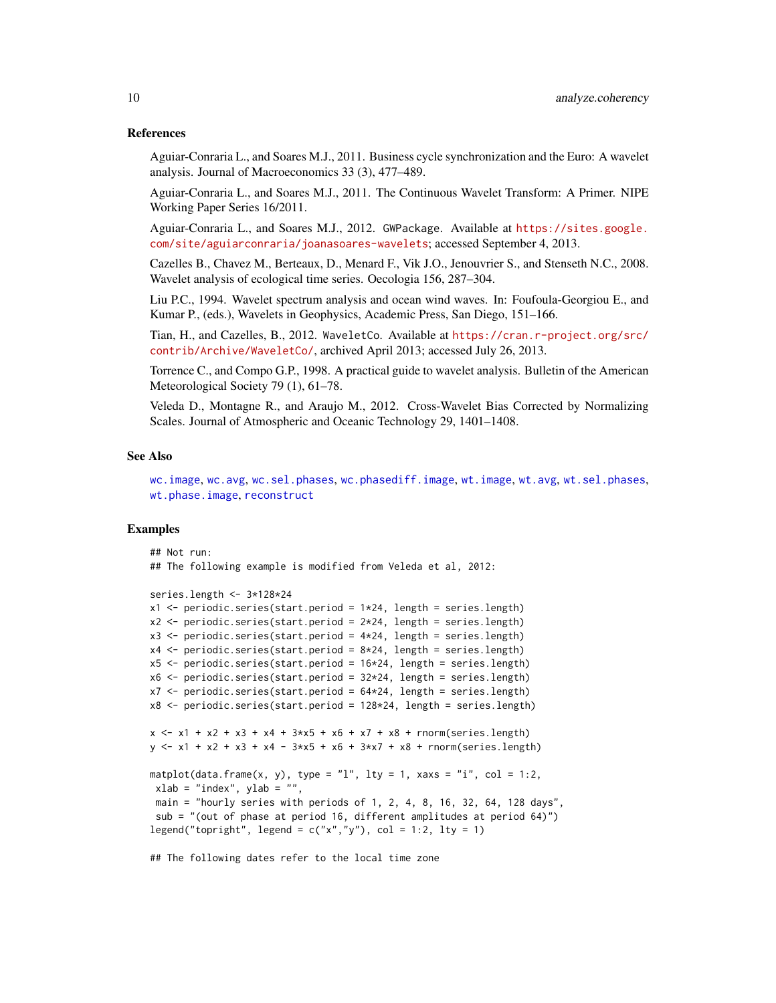## References

Aguiar-Conraria L., and Soares M.J., 2011. Business cycle synchronization and the Euro: A wavelet analysis. Journal of Macroeconomics 33 (3), 477–489.

Aguiar-Conraria L., and Soares M.J., 2011. The Continuous Wavelet Transform: A Primer. NIPE Working Paper Series 16/2011.

Aguiar-Conraria L., and Soares M.J., 2012. GWPackage. Available at [https://sites.google.](https://sites.google.com/site/aguiarconraria/joanasoares-wavelets) [com/site/aguiarconraria/joanasoares-wavelets](https://sites.google.com/site/aguiarconraria/joanasoares-wavelets); accessed September 4, 2013.

Cazelles B., Chavez M., Berteaux, D., Menard F., Vik J.O., Jenouvrier S., and Stenseth N.C., 2008. Wavelet analysis of ecological time series. Oecologia 156, 287–304.

Liu P.C., 1994. Wavelet spectrum analysis and ocean wind waves. In: Foufoula-Georgiou E., and Kumar P., (eds.), Wavelets in Geophysics, Academic Press, San Diego, 151–166.

Tian, H., and Cazelles, B., 2012. WaveletCo. Available at [https://cran.r-project.org/src/](https://cran.r-project.org/src/contrib/Archive/WaveletCo/) [contrib/Archive/WaveletCo/](https://cran.r-project.org/src/contrib/Archive/WaveletCo/), archived April 2013; accessed July 26, 2013.

Torrence C., and Compo G.P., 1998. A practical guide to wavelet analysis. Bulletin of the American Meteorological Society 79 (1), 61–78.

Veleda D., Montagne R., and Araujo M., 2012. Cross-Wavelet Bias Corrected by Normalizing Scales. Journal of Atmospheric and Oceanic Technology 29, 1401–1408.

#### See Also

```
wc.image, wc.avg, wc.sel.phases, wc.phasediff.image, wt.image, wt.avg, wt.sel.phases,
wt.phase.image, reconstruct
```
## Examples

```
## Not run:
## The following example is modified from Veleda et al, 2012:
series.length <- 3*128*24
x1 \le- periodic.series(start.period = 1*24, length = series.length)
x2 \le- periodic.series(start.period = 2 \times 24, length = series.length)
x3 \le- periodic.series(start.period = 4*24, length = series.length)
x4 <- periodic.series(start.period = 8*24, length = series.length)
x5 <- periodic.series(start.period = 16*24, length = series.length)
x6 \le periodic.series(start.period = 32 \times 24, length = series.length)
x7 <- periodic.series(start.period = 64*24, length = series.length)
x8 <- periodic.series(start.period = 128*24, length = series.length)
x \le -x_1 + x_2 + x_3 + x_4 + 3x_5 + x_6 + x_7 + x_8 + \text{norm}(\text{series.length})y \le -x1 + x2 + x3 + x4 - 3*x5 + x6 + 3*x7 + x8 + \text{norm}(\text{series.length})matplot(data.frame(x, y), type = "l", lty = 1, xaxs = "i", col = 1:2,
 xlab = "index", ylab = "",main = "hourly series with periods of 1, 2, 4, 8, 16, 32, 64, 128 days",
 sub = "(out of phase at period 16, different amplitudes at period 64)")
legend("topright", legend = c("x", "y"), col = 1:2, lty = 1)
```
## The following dates refer to the local time zone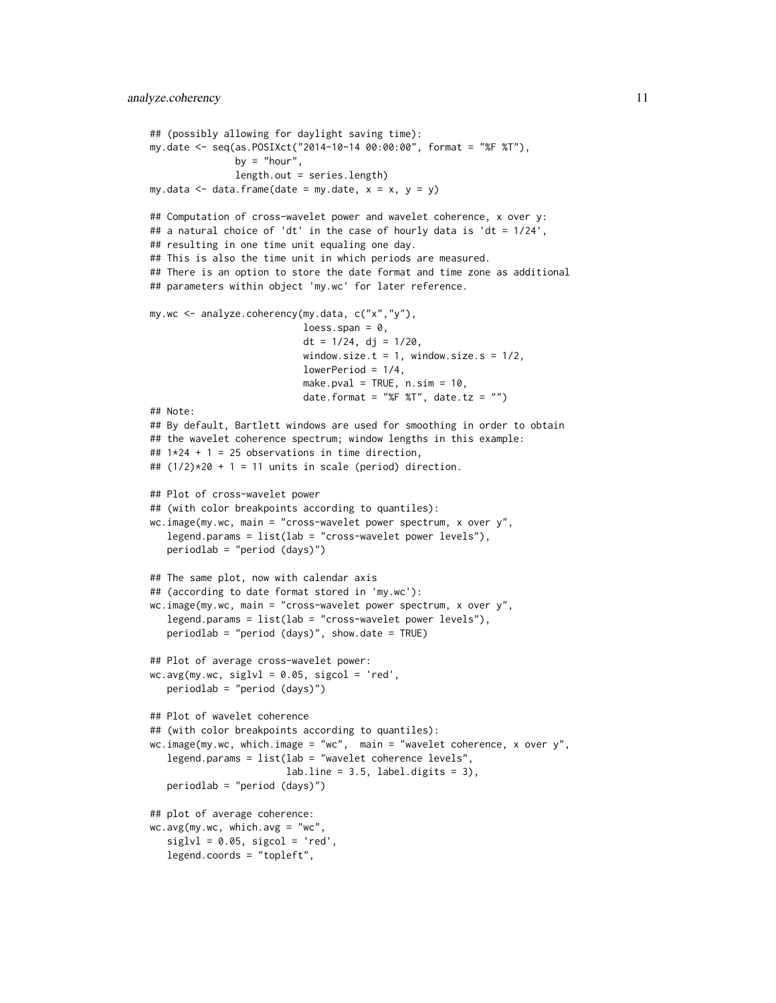```
## (possibly allowing for daylight saving time):
my.date <- seq(as.POSIXct("2014-10-14 00:00:00", format = "%F %T"),
               by = "hour",
               length.out = series.length)
my.data \leq data.frame(date = my.date, x = x, y = y)
## Computation of cross-wavelet power and wavelet coherence, x over y:
## a natural choice of 'dt' in the case of hourly data is 'dt = 1/24',
## resulting in one time unit equaling one day.
## This is also the time unit in which periods are measured.
## There is an option to store the date format and time zone as additional
## parameters within object 'my.wc' for later reference.
my.wc <- analyze.coherency(my.data, c("x","y"),
                           loess.span = 0,
                           dt = 1/24, dj = 1/20,
                           window.size.t = 1, window.size.s = 1/2,
                           lowerPeriod = 1/4,
                           make.pval = TRUE, n.sim = 10,
                           date.format = "%F %T", date.tz = "")
## Note:
## By default, Bartlett windows are used for smoothing in order to obtain
## the wavelet coherence spectrum; window lengths in this example:
## 1*24 + 1 = 25 observations in time direction,
## (1/2)*20 + 1 = 11 units in scale (period) direction.
## Plot of cross-wavelet power
## (with color breakpoints according to quantiles):
wc.image(my.wc, main = "cross-wavelet power spectrum, x over y",
  legend.params = list(lab = "cross-wavelet power levels"),
  periodlab = "period (days)")
## The same plot, now with calendar axis
## (according to date format stored in 'my.wc'):
wc.image(my.wc, main = "cross-wavelet power spectrum, x over y",
  legend.params = list(lab = "cross-wavelet power levels"),
  periodlab = "period (days)", show.date = TRUE)
## Plot of average cross-wavelet power:
wc \cdot avg(my.wc, siglv1 = 0.05, sigcol = 'red',periodlab = "period (days)")
## Plot of wavelet coherence
## (with color breakpoints according to quantiles):
wc.image(my.wc, which.image = "wc", main = "wavelet coherence, x over y",
   legend.params = list(lab = "wavelet coherence levels",
                        labu. line = 3.5, label.digits = 3),
  periodlab = "period (days)")
## plot of average coherence:
wc \cdot avg(my.wc, which.avg = "wc"siglvl = 0.05, sigcol = 'red',legend.coords = "topleft",
```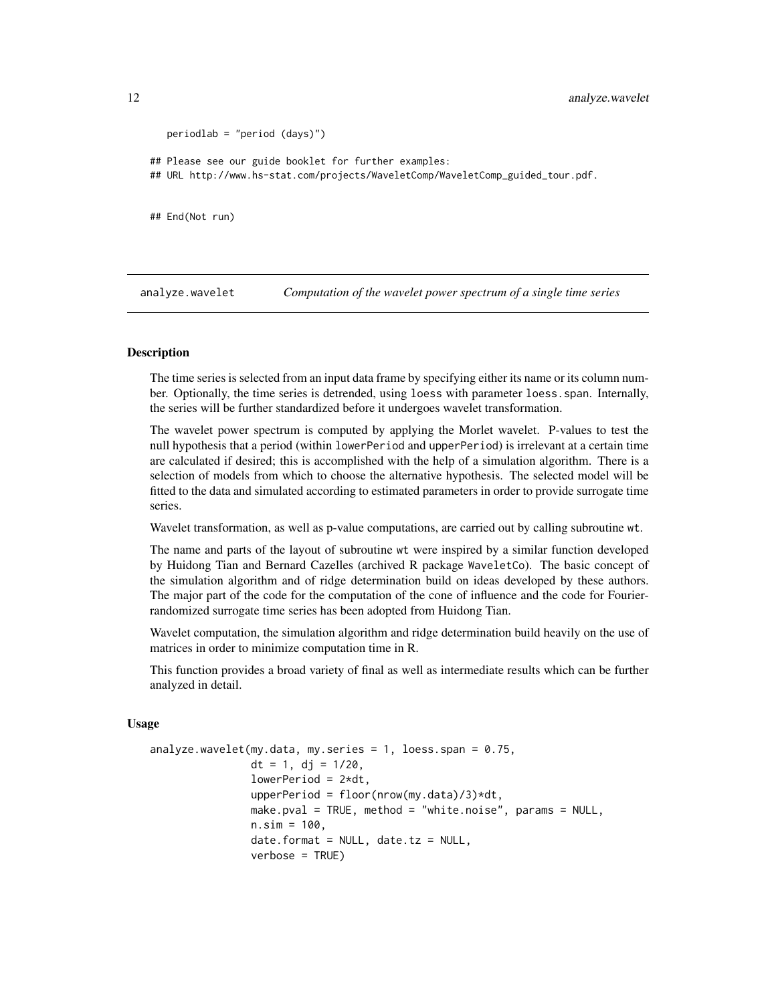```
periodlab = "period (days)")
## Please see our guide booklet for further examples:
## URL http://www.hs-stat.com/projects/WaveletComp/WaveletComp_guided_tour.pdf.
## End(Not run)
```
<span id="page-11-1"></span>analyze.wavelet *Computation of the wavelet power spectrum of a single time series*

## Description

The time series is selected from an input data frame by specifying either its name or its column number. Optionally, the time series is detrended, using loess with parameter loess.span. Internally, the series will be further standardized before it undergoes wavelet transformation.

The wavelet power spectrum is computed by applying the Morlet wavelet. P-values to test the null hypothesis that a period (within lowerPeriod and upperPeriod) is irrelevant at a certain time are calculated if desired; this is accomplished with the help of a simulation algorithm. There is a selection of models from which to choose the alternative hypothesis. The selected model will be fitted to the data and simulated according to estimated parameters in order to provide surrogate time series.

Wavelet transformation, as well as p-value computations, are carried out by calling subroutine wt.

The name and parts of the layout of subroutine wt were inspired by a similar function developed by Huidong Tian and Bernard Cazelles (archived R package WaveletCo). The basic concept of the simulation algorithm and of ridge determination build on ideas developed by these authors. The major part of the code for the computation of the cone of influence and the code for Fourierrandomized surrogate time series has been adopted from Huidong Tian.

Wavelet computation, the simulation algorithm and ridge determination build heavily on the use of matrices in order to minimize computation time in R.

This function provides a broad variety of final as well as intermediate results which can be further analyzed in detail.

#### Usage

```
analyze.wavelet(my.data, my.series = 1, loess.span = 0.75,
                dt = 1, dj = 1/20,
                lowerPeriod = 2*dt,
                upperPeriod = floor(nrow(my.data)/3)*dt,
                make.pval = TRUE, method = "white.noise", params = NULL,
                n.sim = 100,date.format = NULL, date.tz = NULL,verbose = TRUE)
```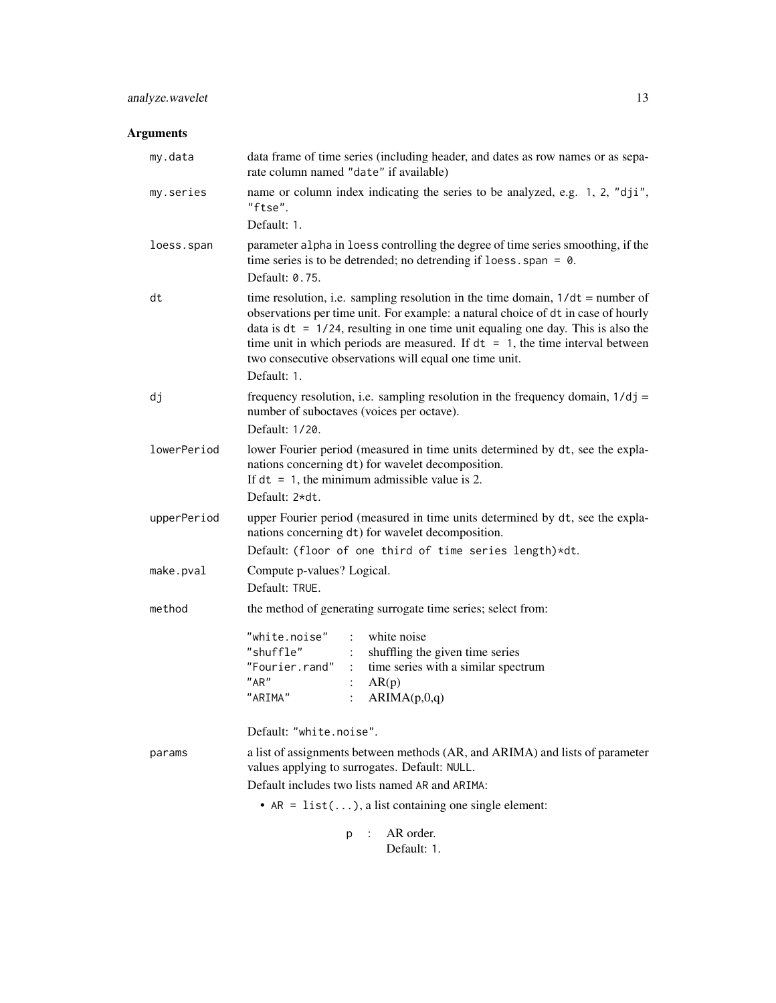## analyze.wavelet 13

## Arguments

| my.data     | data frame of time series (including header, and dates as row names or as sepa-<br>rate column named "date" if available)                                                                                                                                                                                                                                                                                                 |  |  |  |  |  |  |  |
|-------------|---------------------------------------------------------------------------------------------------------------------------------------------------------------------------------------------------------------------------------------------------------------------------------------------------------------------------------------------------------------------------------------------------------------------------|--|--|--|--|--|--|--|
| my.series   | name or column index indicating the series to be analyzed, e.g. 1, 2, "dji",<br>"ftse".                                                                                                                                                                                                                                                                                                                                   |  |  |  |  |  |  |  |
|             | Default: 1.                                                                                                                                                                                                                                                                                                                                                                                                               |  |  |  |  |  |  |  |
| loess.span  | parameter alpha in loess controlling the degree of time series smoothing, if the<br>time series is to be detrended; no detrending if $loess.span = 0$ .<br>Default: 0.75.                                                                                                                                                                                                                                                 |  |  |  |  |  |  |  |
| dt          | time resolution, i.e. sampling resolution in the time domain, $1/dt =$ number of<br>observations per time unit. For example: a natural choice of dt in case of hourly<br>data is $dt = 1/24$ , resulting in one time unit equaling one day. This is also the<br>time unit in which periods are measured. If $dt = 1$ , the time interval between<br>two consecutive observations will equal one time unit.<br>Default: 1. |  |  |  |  |  |  |  |
| dj          | frequency resolution, i.e. sampling resolution in the frequency domain, $1/dj =$<br>number of suboctaves (voices per octave).<br>Default: 1/20.                                                                                                                                                                                                                                                                           |  |  |  |  |  |  |  |
| lowerPeriod | lower Fourier period (measured in time units determined by dt, see the expla-<br>nations concerning dt) for wavelet decomposition.<br>If $dt = 1$ , the minimum admissible value is 2.<br>Default: 2*dt.                                                                                                                                                                                                                  |  |  |  |  |  |  |  |
| upperPeriod | upper Fourier period (measured in time units determined by dt, see the expla-<br>nations concerning dt) for wavelet decomposition.<br>Default: (floor of one third of time series length)*dt.                                                                                                                                                                                                                             |  |  |  |  |  |  |  |
| make.pval   | Compute p-values? Logical.<br>Default: TRUE.                                                                                                                                                                                                                                                                                                                                                                              |  |  |  |  |  |  |  |
| method      | the method of generating surrogate time series; select from:                                                                                                                                                                                                                                                                                                                                                              |  |  |  |  |  |  |  |
|             | "white.noise"<br>$\mathbb{R}^{\mathbb{Z}}$<br>white noise<br>"shuffle"<br>shuffling the given time series<br>"Fourier.rand"<br>time series with a similar spectrum<br>$\mathbb{R}^{\mathbb{Z}}$<br>"AR"<br>AR(p)<br>"ARIMA"<br>ARIMA(p,0,q)<br>$\ddot{\cdot}$                                                                                                                                                             |  |  |  |  |  |  |  |
|             | Default: "white.noise".                                                                                                                                                                                                                                                                                                                                                                                                   |  |  |  |  |  |  |  |
| params      | a list of assignments between methods (AR, and ARIMA) and lists of parameter<br>values applying to surrogates. Default: NULL.<br>Default includes two lists named AR and ARIMA:                                                                                                                                                                                                                                           |  |  |  |  |  |  |  |
|             | • $AR = list()$ , a list containing one single element:                                                                                                                                                                                                                                                                                                                                                                   |  |  |  |  |  |  |  |
|             |                                                                                                                                                                                                                                                                                                                                                                                                                           |  |  |  |  |  |  |  |
|             | AR order.<br>p                                                                                                                                                                                                                                                                                                                                                                                                            |  |  |  |  |  |  |  |

Default: 1.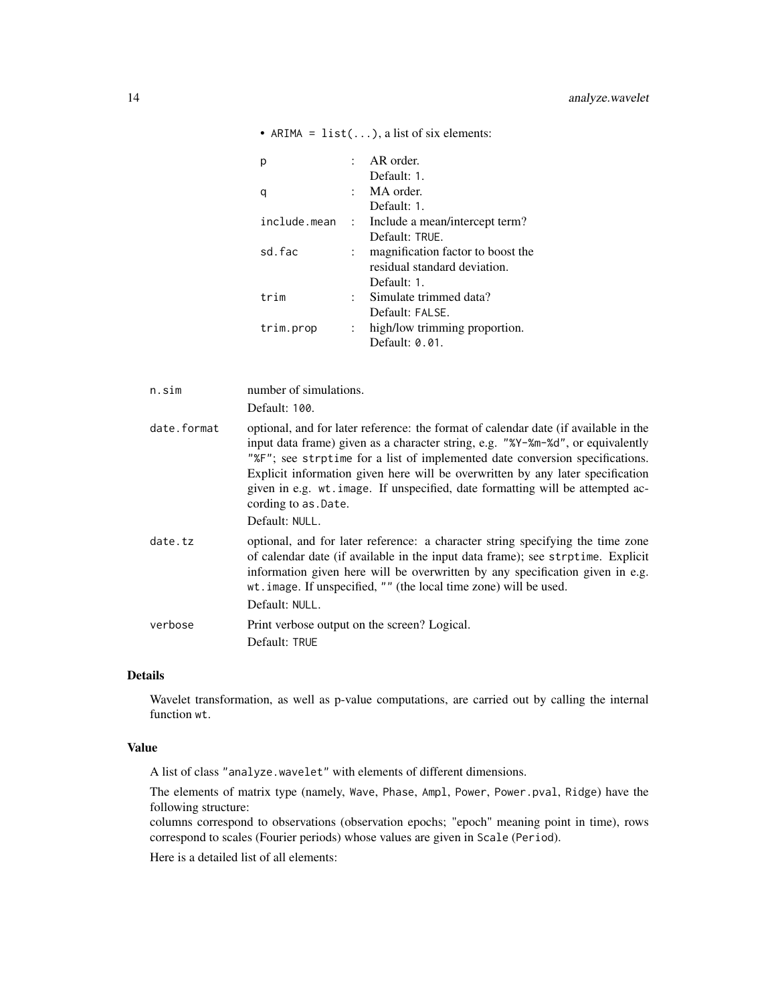|           |                           | AR order.                                     |
|-----------|---------------------------|-----------------------------------------------|
|           |                           | Default: 1.                                   |
|           |                           | MA order.                                     |
|           |                           | Default: 1.                                   |
|           |                           | include.mean : Include a mean/intercept term? |
|           |                           | Default: TRUF.                                |
| sd.fac    |                           | magnification factor to boost the             |
|           |                           | residual standard deviation.                  |
|           |                           | Default: 1.                                   |
| trim      | $\mathbb{R}^{\mathbb{Z}}$ | Simulate trimmed data?                        |
|           |                           | Default: FALSE.                               |
| trim.prop | $\mathbb{R}^n$            | high/low trimming proportion.                 |
|           |                           | Default: 0.01.                                |

• ARIMA =  $list(...)$ , a list of six elements:

| n.sim       | number of simulations.<br>Default: 100.                                                                                                                                                                                                                                                                                                                                                                                                                               |
|-------------|-----------------------------------------------------------------------------------------------------------------------------------------------------------------------------------------------------------------------------------------------------------------------------------------------------------------------------------------------------------------------------------------------------------------------------------------------------------------------|
| date.format | optional, and for later reference: the format of calendar date (if available in the<br>input data frame) given as a character string, e.g. "%Y-%m-%d", or equivalently<br>"%F"; see strptime for a list of implemented date conversion specifications.<br>Explicit information given here will be overwritten by any later specification<br>given in e.g. wt. image. If unspecified, date formatting will be attempted ac-<br>cording to as . Date.<br>Default: NULL. |
| date.tz     | optional, and for later reference: a character string specifying the time zone<br>of calendar date (if available in the input data frame); see strptime. Explicit<br>information given here will be overwritten by any specification given in e.g.<br>wt.image. If unspecified, "" (the local time zone) will be used.<br>Default: NULL.                                                                                                                              |
| verbose     | Print verbose output on the screen? Logical.<br>Default: TRUE                                                                                                                                                                                                                                                                                                                                                                                                         |

## Details

Wavelet transformation, as well as p-value computations, are carried out by calling the internal function wt.

## Value

A list of class "analyze.wavelet" with elements of different dimensions.

The elements of matrix type (namely, Wave, Phase, Ampl, Power, Power.pval, Ridge) have the following structure:

columns correspond to observations (observation epochs; "epoch" meaning point in time), rows correspond to scales (Fourier periods) whose values are given in Scale (Period).

Here is a detailed list of all elements: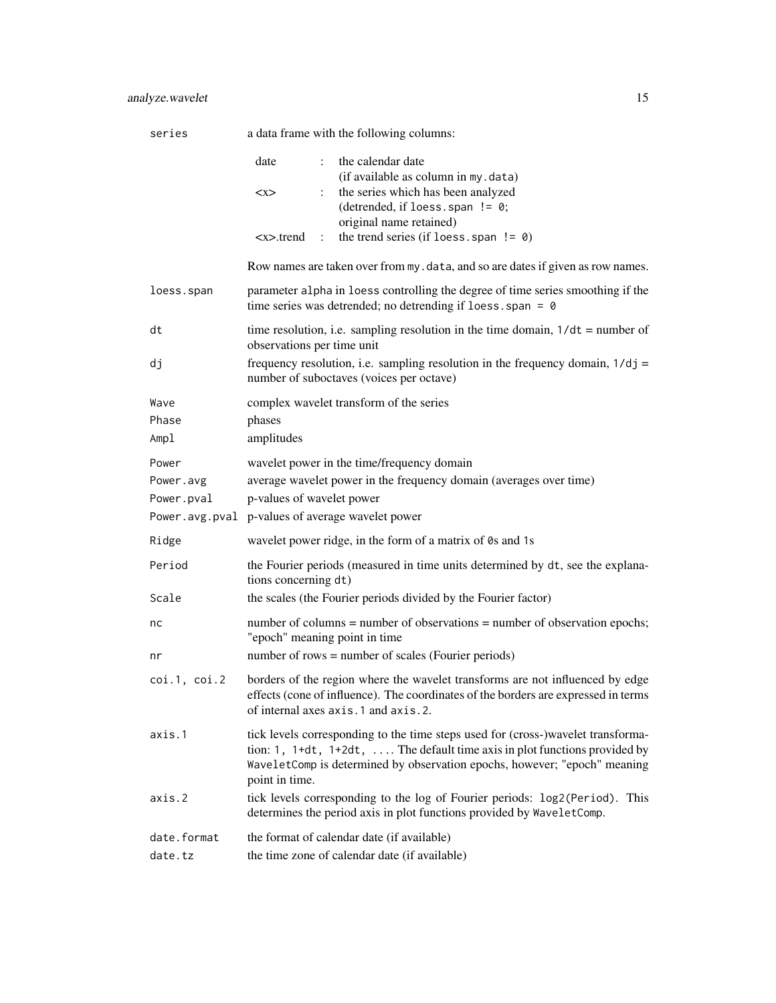## analyze.wavelet 15

| series                           | a data frame with the following columns:                                                                                                                                                                                                                            |
|----------------------------------|---------------------------------------------------------------------------------------------------------------------------------------------------------------------------------------------------------------------------------------------------------------------|
|                                  | the calendar date<br>date<br>$\ddot{\cdot}$<br>(if available as column in my.data)<br>the series which has been analyzed<br>< x ><br>(detrended, if loess. span $!= 0$ ;<br>original name retained)                                                                 |
|                                  | the trend series (if loess. span $!= 0$ )<br><x>.trend<br/><math>\mathbb{R}^n</math></x>                                                                                                                                                                            |
|                                  | Row names are taken over from my. data, and so are dates if given as row names.                                                                                                                                                                                     |
| loess.span                       | parameter alpha in loess controlling the degree of time series smoothing if the<br>time series was detrended; no detrending if loess. span = $\theta$                                                                                                               |
| dt                               | time resolution, i.e. sampling resolution in the time domain, $1/dt =$ number of<br>observations per time unit                                                                                                                                                      |
| dj                               | frequency resolution, i.e. sampling resolution in the frequency domain, $1/dj =$<br>number of suboctaves (voices per octave)                                                                                                                                        |
| Wave<br>Phase<br>Ampl            | complex wavelet transform of the series<br>phases<br>amplitudes                                                                                                                                                                                                     |
| Power<br>Power.avg<br>Power.pval | wavelet power in the time/frequency domain<br>average wavelet power in the frequency domain (averages over time)<br>p-values of wavelet power<br>Power.avg.pval p-values of average wavelet power                                                                   |
| Ridge                            | wavelet power ridge, in the form of a matrix of 0s and 1s                                                                                                                                                                                                           |
| Period                           | the Fourier periods (measured in time units determined by dt, see the explana-<br>tions concerning dt)                                                                                                                                                              |
| Scale                            | the scales (the Fourier periods divided by the Fourier factor)                                                                                                                                                                                                      |
| nc                               | number of columns = number of observations = number of observation epochs;<br>"epoch" meaning point in time<br>number of rows = number of scales (Fourier periods)                                                                                                  |
| nr                               |                                                                                                                                                                                                                                                                     |
| $\cot.1$ , $\cot.2$              | borders of the region where the wavelet transforms are not influenced by edge<br>effects (cone of influence). The coordinates of the borders are expressed in terms<br>of internal axes axis.1 and axis.2.                                                          |
| axis.1                           | tick levels corresponding to the time steps used for (cross-)wavelet transforma-<br>tion: 1, $1+dt$ , $1+2dt$ ,  The default time axis in plot functions provided by<br>WaveletComp is determined by observation epochs, however; "epoch" meaning<br>point in time. |
| axis.2                           | tick levels corresponding to the log of Fourier periods: log2(Period). This<br>determines the period axis in plot functions provided by WaveletComp.                                                                                                                |
| date.format<br>date.tz           | the format of calendar date (if available)<br>the time zone of calendar date (if available)                                                                                                                                                                         |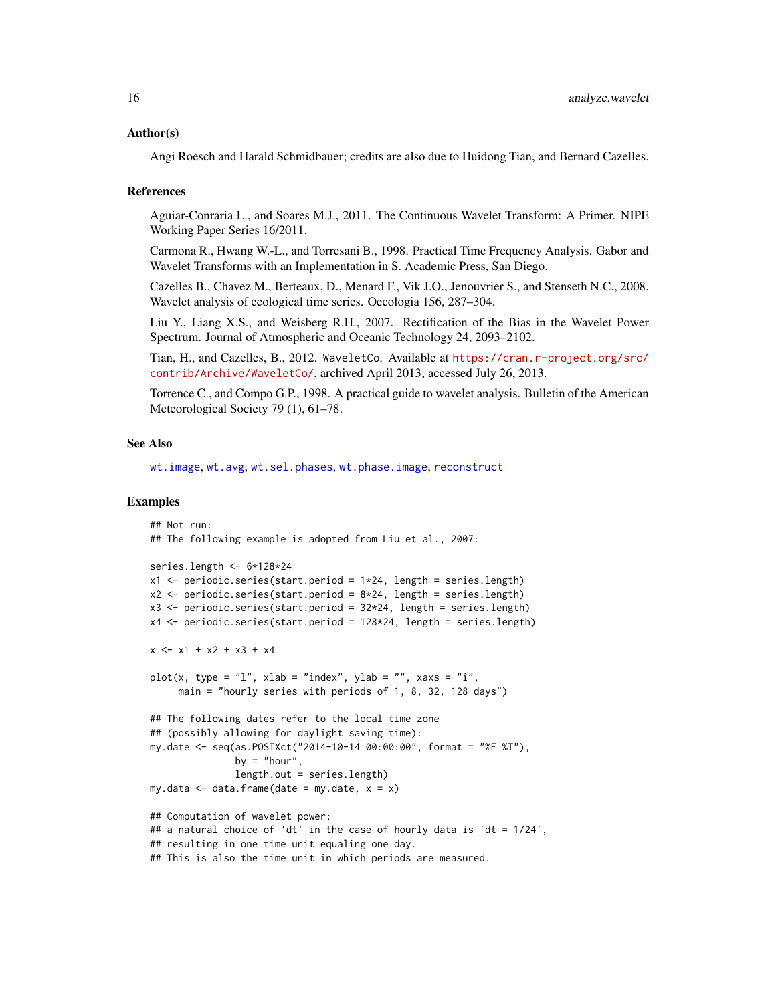## Author(s)

Angi Roesch and Harald Schmidbauer; credits are also due to Huidong Tian, and Bernard Cazelles.

#### References

Aguiar-Conraria L., and Soares M.J., 2011. The Continuous Wavelet Transform: A Primer. NIPE Working Paper Series 16/2011.

Carmona R., Hwang W.-L., and Torresani B., 1998. Practical Time Frequency Analysis. Gabor and Wavelet Transforms with an Implementation in S. Academic Press, San Diego.

Cazelles B., Chavez M., Berteaux, D., Menard F., Vik J.O., Jenouvrier S., and Stenseth N.C., 2008. Wavelet analysis of ecological time series. Oecologia 156, 287–304.

Liu Y., Liang X.S., and Weisberg R.H., 2007. Rectification of the Bias in the Wavelet Power Spectrum. Journal of Atmospheric and Oceanic Technology 24, 2093–2102.

Tian, H., and Cazelles, B., 2012. WaveletCo. Available at [https://cran.r-project.org/src/](https://cran.r-project.org/src/contrib/Archive/WaveletCo/) [contrib/Archive/WaveletCo/](https://cran.r-project.org/src/contrib/Archive/WaveletCo/), archived April 2013; accessed July 26, 2013.

Torrence C., and Compo G.P., 1998. A practical guide to wavelet analysis. Bulletin of the American Meteorological Society 79 (1), 61–78.

#### See Also

[wt.image](#page-66-1), [wt.avg](#page-61-1), [wt.sel.phases](#page-81-1), [wt.phase.image](#page-75-1), [reconstruct](#page-19-1)

#### Examples

```
## Not run:
## The following example is adopted from Liu et al., 2007:
series.length <- 6*128*24
x1 \leq periodic.series(start.period = 1*24, length = series.length)
x2 \le- periodic.series(start.period = 8*24, length = series.length)
x3 \le- periodic.series(start.period = 32 \times 24, length = series.length)
x4 <- periodic.series(start.period = 128*24, length = series.length)
x \le -x1 + x2 + x3 + x4plot(x, type = "l", xlab = "index", ylab = "", xaxs = "i",main = "hourly series with periods of 1, 8, 32, 128 days")
## The following dates refer to the local time zone
## (possibly allowing for daylight saving time):
my.date <- seq(as.POSIXct("2014-10-14 00:00:00", format = "%F %T"),
               by = "hour",
               length.out = series.length)
my.data \leq data.frame(date = my.date, x = x)
## Computation of wavelet power:
## a natural choice of 'dt' in the case of hourly data is 'dt = 1/24',
## resulting in one time unit equaling one day.
## This is also the time unit in which periods are measured.
```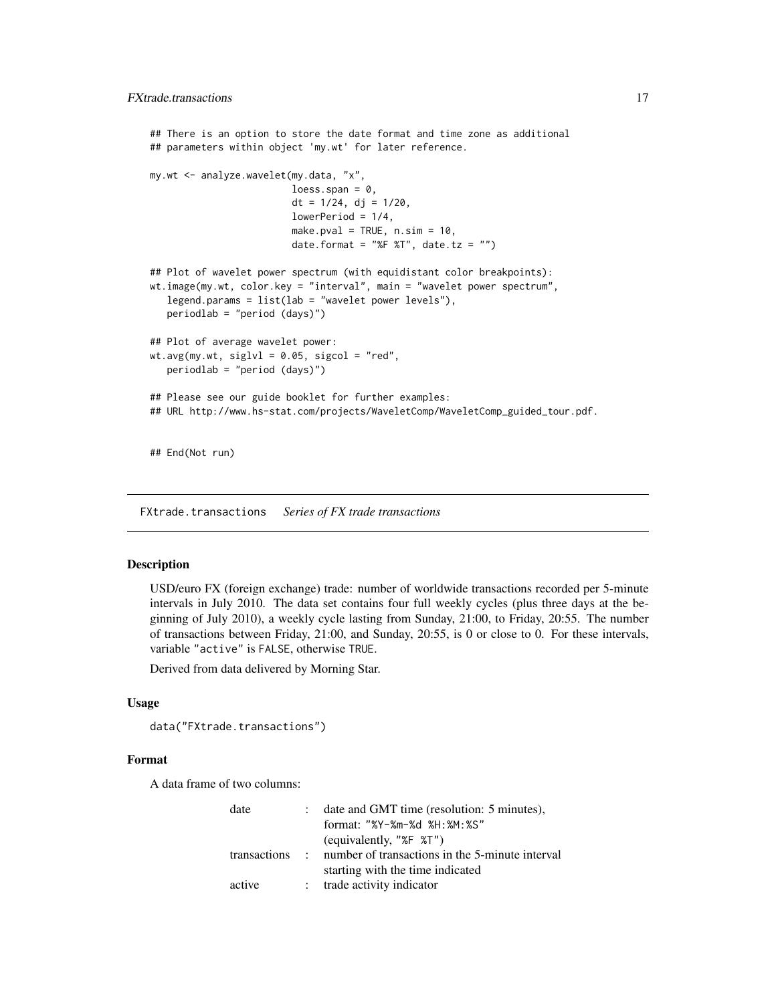```
## There is an option to store the date format and time zone as additional
## parameters within object 'my.wt' for later reference.
my.wt <- analyze.wavelet(my.data, "x",
                         loess.span = 0,
                         dt = 1/24, dj = 1/20,
                         lowerPeriod = 1/4,
                         make.pval = TRUE, n.sim = 10,
                         date.format = "%F %T", date.tz = "")
## Plot of wavelet power spectrum (with equidistant color breakpoints):
wt.image(my.wt, color.key = "interval", main = "wavelet power spectrum",
   legend.params = list(lab = "wavelet power levels"),
  periodlab = "period (days)")
## Plot of average wavelet power:
wt.argv(my.wt, siglv1 = 0.05, sigcol = "red",periodlab = "period (days)")
## Please see our guide booklet for further examples:
## URL http://www.hs-stat.com/projects/WaveletComp/WaveletComp_guided_tour.pdf.
## End(Not run)
```
FXtrade.transactions *Series of FX trade transactions*

## **Description**

USD/euro FX (foreign exchange) trade: number of worldwide transactions recorded per 5-minute intervals in July 2010. The data set contains four full weekly cycles (plus three days at the beginning of July 2010), a weekly cycle lasting from Sunday, 21:00, to Friday, 20:55. The number of transactions between Friday, 21:00, and Sunday, 20:55, is 0 or close to 0. For these intervals, variable "active" is FALSE, otherwise TRUE.

Derived from data delivered by Morning Star.

## Usage

```
data("FXtrade.transactions")
```
## Format

A data frame of two columns:

|                | date and GMT time (resolution: 5 minutes).      |
|----------------|-------------------------------------------------|
|                | format: "%Y-%m-%d %H: %M: %S"                   |
|                | (equivalently, " $E$ $\mathcal{F}$ ")           |
| transactions : | number of transactions in the 5-minute interval |
|                | starting with the time indicated                |
|                | : trade activity indicator                      |
|                |                                                 |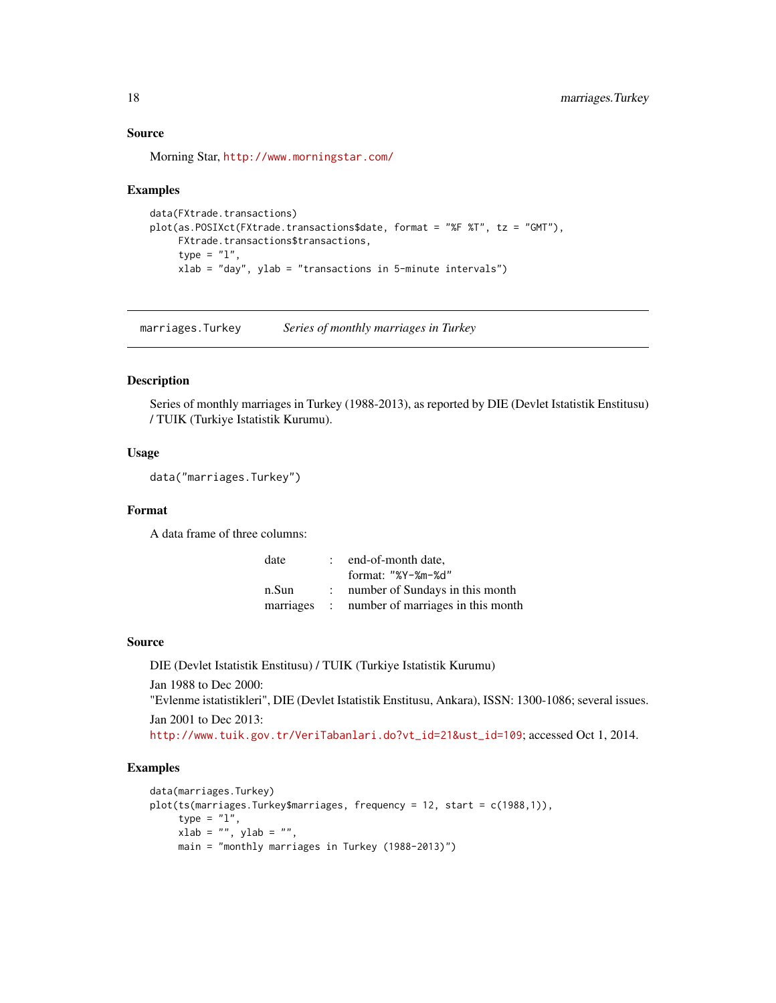## Source

Morning Star, <http://www.morningstar.com/>

#### Examples

```
data(FXtrade.transactions)
plot(as.POSIXct(FXtrade.transactions$date, format = "%F %T", tz = "GMT"),
    FXtrade.transactions$transactions,
    type = "1",xlab = "day", ylab = "transactions in 5-minute intervals")
```
marriages.Turkey *Series of monthly marriages in Turkey*

## Description

Series of monthly marriages in Turkey (1988-2013), as reported by DIE (Devlet Istatistik Enstitusu) / TUIK (Turkiye Istatistik Kurumu).

## Usage

```
data("marriages.Turkey")
```
## Format

A data frame of three columns:

| date  | end-of-month date,                            |
|-------|-----------------------------------------------|
|       | format: $"XY - Xm - Xd"$                      |
| n.Sun | number of Sundays in this month               |
|       | marriages : number of marriages in this month |

#### Source

DIE (Devlet Istatistik Enstitusu) / TUIK (Turkiye Istatistik Kurumu)

Jan 1988 to Dec 2000:

"Evlenme istatistikleri", DIE (Devlet Istatistik Enstitusu, Ankara), ISSN: 1300-1086; several issues.

Jan 2001 to Dec 2013:

[http://www.tuik.gov.tr/VeriTabanlari.do?vt\\_id=21&ust\\_id=109](http://www.tuik.gov.tr/VeriTabanlari.do?vt_id=21&ust_id=109); accessed Oct 1, 2014.

## Examples

```
data(marriages.Turkey)
plot(ts(marriages.Turkey$marriages, frequency = 12, start = c(1988,1)),
     type = "l",
    xlab = "", ylab = "",main = "monthly marriages in Turkey (1988-2013)")
```
<span id="page-17-0"></span>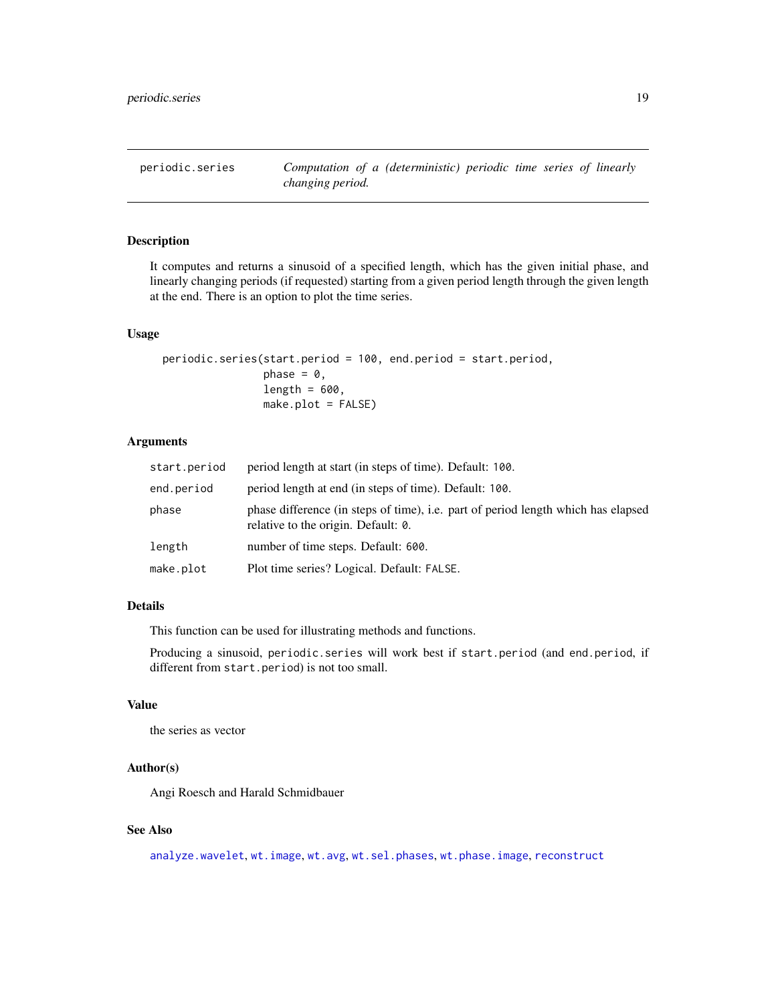<span id="page-18-0"></span>periodic.series *Computation of a (deterministic) periodic time series of linearly changing period.*

## Description

It computes and returns a sinusoid of a specified length, which has the given initial phase, and linearly changing periods (if requested) starting from a given period length through the given length at the end. There is an option to plot the time series.

## Usage

```
periodic.series(start.period = 100, end.period = start.period,
                phase = 0,
                length = 600,make.plot = FALSE)
```
## Arguments

| start.period | period length at start (in steps of time). Default: 100.                                                                 |
|--------------|--------------------------------------------------------------------------------------------------------------------------|
| end.period   | period length at end (in steps of time). Default: 100.                                                                   |
| phase        | phase difference (in steps of time), i.e. part of period length which has elapsed<br>relative to the origin. Default: 0. |
| length       | number of time steps. Default: 600.                                                                                      |
| make.plot    | Plot time series? Logical. Default: FALSE.                                                                               |

## Details

This function can be used for illustrating methods and functions.

Producing a sinusoid, periodic.series will work best if start.period (and end.period, if different from start.period) is not too small.

## Value

the series as vector

#### Author(s)

Angi Roesch and Harald Schmidbauer

## See Also

[analyze.wavelet](#page-11-1), [wt.image](#page-66-1), [wt.avg](#page-61-1), [wt.sel.phases](#page-81-1), [wt.phase.image](#page-75-1), [reconstruct](#page-19-1)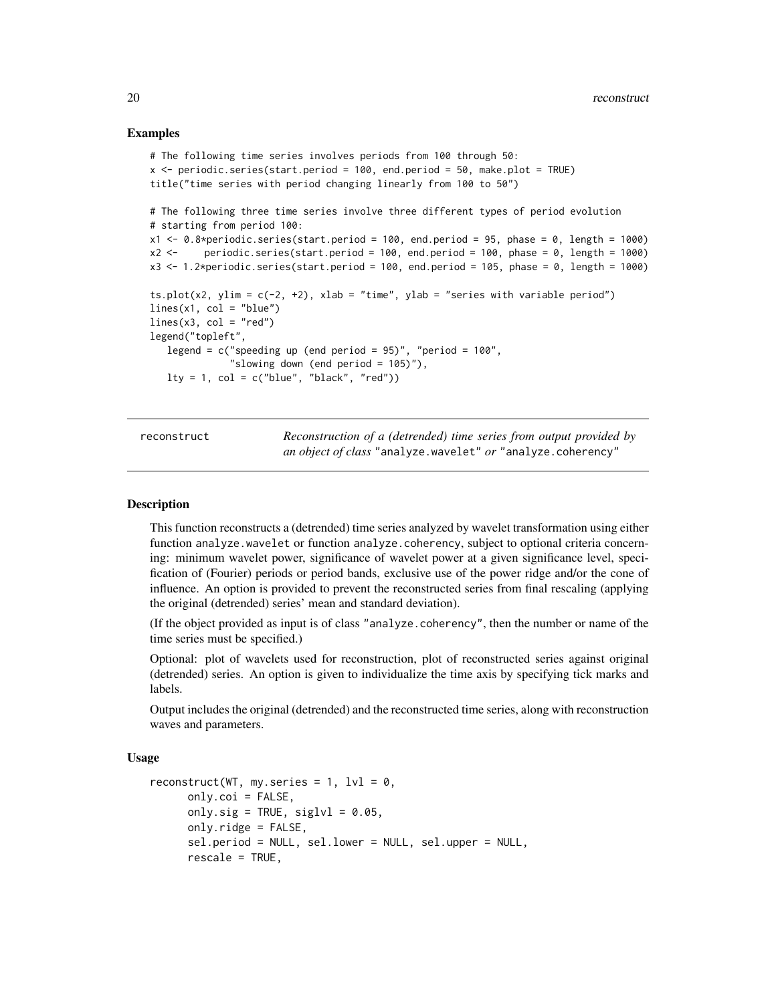## Examples

```
# The following time series involves periods from 100 through 50:
x <- periodic.series(start.period = 100, end.period = 50, make.plot = TRUE)
title("time series with period changing linearly from 100 to 50")
# The following three time series involve three different types of period evolution
# starting from period 100:
x1 \le -0.8*periodic.series(start.period = 100, end.period = 95, phase = 0, length = 1000)
x2 < - periodic.series(start.period = 100, end.period = 100, phase = 0, length = 1000)
x3 < -1.2*periodic.series(start.period = 100, end.period = 105, phase = 0, length = 1000)
ts.plot(x2, ylim = c(-2, +2), xlab = "time", ylab = "series with variable period")
lines(x1, col = "blue")lines(x3, col = "red")legend("topleft",
  legend = c("speeding up (end period = 95)", "period = 100",
              "slowing down (end period = 105)"),
  lty = 1, col = c("blue", "black", "red")
```
<span id="page-19-1"></span>reconstruct *Reconstruction of a (detrended) time series from output provided by an object of class* "analyze.wavelet" *or* "analyze.coherency"

#### **Description**

This function reconstructs a (detrended) time series analyzed by wavelet transformation using either function analyze.wavelet or function analyze.coherency, subject to optional criteria concerning: minimum wavelet power, significance of wavelet power at a given significance level, specification of (Fourier) periods or period bands, exclusive use of the power ridge and/or the cone of influence. An option is provided to prevent the reconstructed series from final rescaling (applying the original (detrended) series' mean and standard deviation).

(If the object provided as input is of class "analyze.coherency", then the number or name of the time series must be specified.)

Optional: plot of wavelets used for reconstruction, plot of reconstructed series against original (detrended) series. An option is given to individualize the time axis by specifying tick marks and labels.

Output includes the original (detrended) and the reconstructed time series, along with reconstruction waves and parameters.

## Usage

```
reconstruct(WT, my.series = 1, 1v1 = 0,
     only.coi = FALSE,
     only.sig = TRUE, siglv1 = 0.05,
     only.ridge = FALSE,
     sel.period = NULL, sel.lower = NULL, sel.upper = NULL,
     rescale = TRUE,
```
<span id="page-19-0"></span>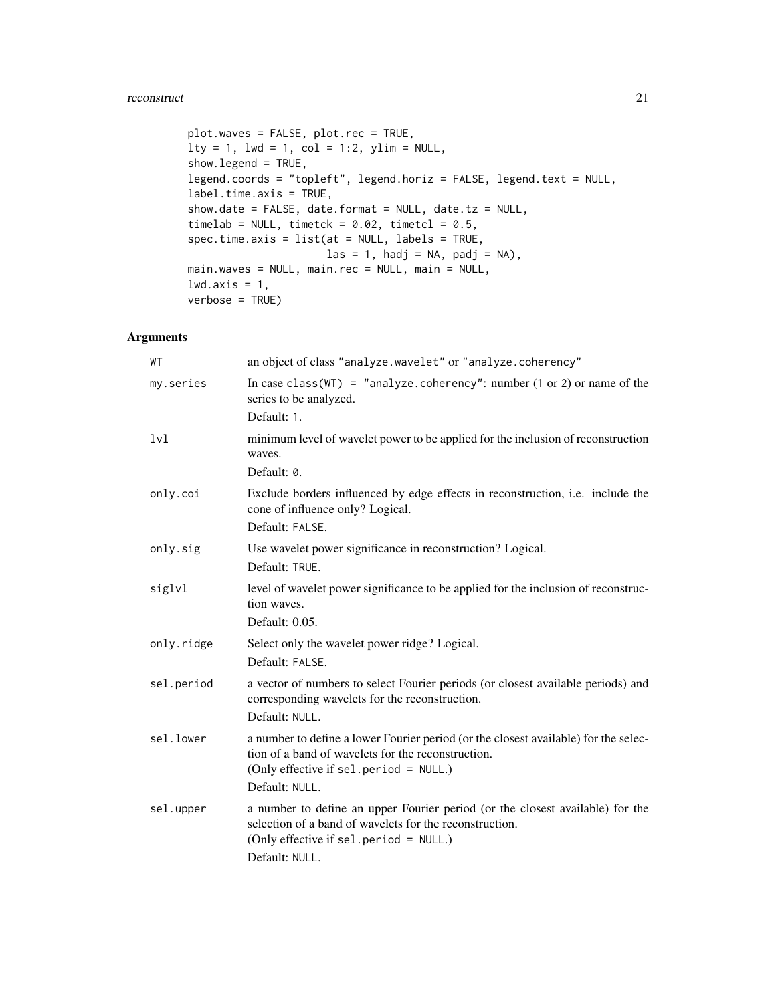#### reconstruct 21

```
plot.waves = FALSE, plot.rec = TRUE,
lty = 1, lwd = 1, col = 1:2, ylim = NULL,
show.legend = TRUE,
legend.coords = "topleft", legend.horiz = FALSE, legend.text = NULL,
label.time.axis = TRUE,
show.date = FALSE, date.format = NULL, date.tz = NULL,timelab = NULL, timetck = 0.02, timetcl = 0.5,
spec.time.axis = list(at = NULL, labels = TRUE,
                       \text{las} = 1, \text{hadj} = \text{NA}, \text{padj} = \text{NA},
main.waves = NULL, main.rec = NULL, main = NULL,
lwd.axis = 1,verbose = TRUE)
```
## Arguments

| WT               | an object of class "analyze.wavelet" or "analyze.coherency"                                                                                                                                           |
|------------------|-------------------------------------------------------------------------------------------------------------------------------------------------------------------------------------------------------|
| my.series        | In case class ( $WT$ ) = "analyze.coherency": number (1 or 2) or name of the<br>series to be analyzed.                                                                                                |
|                  | Default: 1.                                                                                                                                                                                           |
| 1 <sub>v</sub> 1 | minimum level of wavelet power to be applied for the inclusion of reconstruction<br>waves.                                                                                                            |
|                  | Default: 0.                                                                                                                                                                                           |
| only.coi         | Exclude borders influenced by edge effects in reconstruction, <i>i.e.</i> include the<br>cone of influence only? Logical.                                                                             |
|                  | Default: FALSE.                                                                                                                                                                                       |
| only.sig         | Use wavelet power significance in reconstruction? Logical.<br>Default: TRUE.                                                                                                                          |
| siglvl           | level of wavelet power significance to be applied for the inclusion of reconstruc-<br>tion waves.                                                                                                     |
|                  | Default: 0.05.                                                                                                                                                                                        |
| only.ridge       | Select only the wavelet power ridge? Logical.                                                                                                                                                         |
|                  | Default: FALSE.                                                                                                                                                                                       |
| sel.period       | a vector of numbers to select Fourier periods (or closest available periods) and<br>corresponding wavelets for the reconstruction.<br>Default: NULL.                                                  |
| sel.lower        | a number to define a lower Fourier period (or the closest available) for the selec-<br>tion of a band of wavelets for the reconstruction.<br>(Only effective if sel.period = NULL.)<br>Default: NULL. |
| sel.upper        | a number to define an upper Fourier period (or the closest available) for the<br>selection of a band of wavelets for the reconstruction.<br>(Only effective if sel.period = NULL.)<br>Default: NULL.  |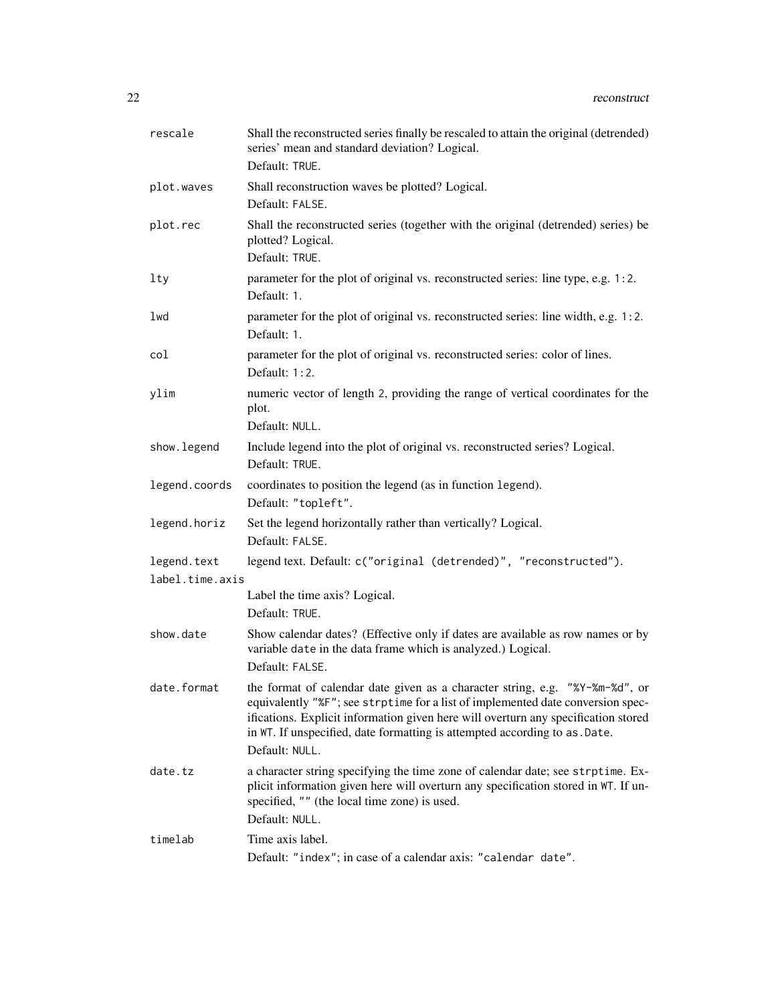| rescale                        | Shall the reconstructed series finally be rescaled to attain the original (detrended)<br>series' mean and standard deviation? Logical.<br>Default: TRUE.                                                                                                                                                                                               |
|--------------------------------|--------------------------------------------------------------------------------------------------------------------------------------------------------------------------------------------------------------------------------------------------------------------------------------------------------------------------------------------------------|
| plot.waves                     | Shall reconstruction waves be plotted? Logical.<br>Default: FALSE.                                                                                                                                                                                                                                                                                     |
| plot.rec                       | Shall the reconstructed series (together with the original (detrended) series) be<br>plotted? Logical.<br>Default: TRUE.                                                                                                                                                                                                                               |
| lty                            | parameter for the plot of original vs. reconstructed series: line type, e.g. 1:2.<br>Default: 1.                                                                                                                                                                                                                                                       |
| lwd                            | parameter for the plot of original vs. reconstructed series: line width, e.g. 1:2.<br>Default: 1.                                                                                                                                                                                                                                                      |
| col                            | parameter for the plot of original vs. reconstructed series: color of lines.<br>Default: $1:2$ .                                                                                                                                                                                                                                                       |
| ylim                           | numeric vector of length 2, providing the range of vertical coordinates for the<br>plot.<br>Default: NULL.                                                                                                                                                                                                                                             |
| show. legend                   | Include legend into the plot of original vs. reconstructed series? Logical.<br>Default: TRUE.                                                                                                                                                                                                                                                          |
| legend.coords                  | coordinates to position the legend (as in function legend).<br>Default: "topleft".                                                                                                                                                                                                                                                                     |
| legend.horiz                   | Set the legend horizontally rather than vertically? Logical.<br>Default: FALSE.                                                                                                                                                                                                                                                                        |
| legend.text<br>label.time.axis | legend text. Default: c("original (detrended)", "reconstructed").                                                                                                                                                                                                                                                                                      |
|                                | Label the time axis? Logical.<br>Default: TRUE.                                                                                                                                                                                                                                                                                                        |
| show.date                      | Show calendar dates? (Effective only if dates are available as row names or by<br>variable date in the data frame which is analyzed.) Logical.<br>Default: FALSE.                                                                                                                                                                                      |
| date.format                    | the format of calendar date given as a character string, e.g. "%Y-%m-%d", or<br>equivalently "%F"; see strptime for a list of implemented date conversion spec-<br>ifications. Explicit information given here will overturn any specification stored<br>in WT. If unspecified, date formatting is attempted according to as . Date.<br>Default: NULL. |
| date.tz                        | a character string specifying the time zone of calendar date; see strptime. Ex-<br>plicit information given here will overturn any specification stored in WT. If un-<br>specified, "" (the local time zone) is used.<br>Default: NULL.                                                                                                                |
| timelab                        | Time axis label.<br>Default: "index"; in case of a calendar axis: "calendar date".                                                                                                                                                                                                                                                                     |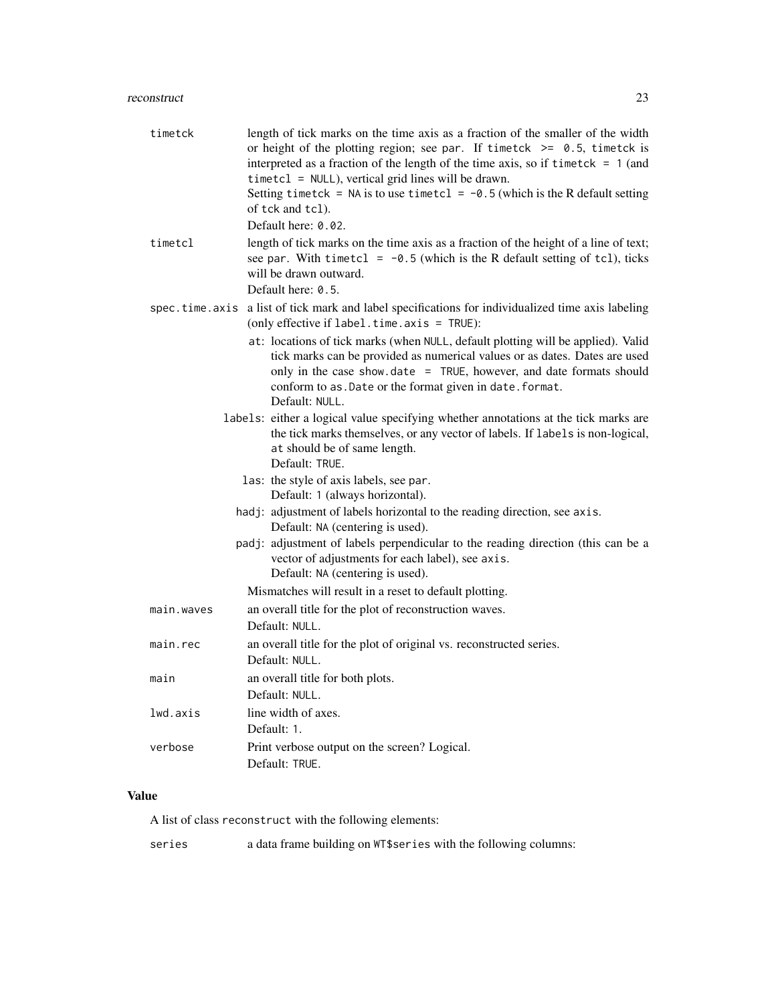| timetck    | length of tick marks on the time axis as a fraction of the smaller of the width<br>or height of the plotting region; see par. If timetck $\ge$ 0.5, timetck is<br>interpreted as a fraction of the length of the time axis, so if timetck $= 1$ (and<br>$timetcl = NULL$ , vertical grid lines will be drawn.<br>Setting timetck = NA is to use timetcl = $-0.5$ (which is the R default setting<br>of tck and tcl). |  |  |
|------------|----------------------------------------------------------------------------------------------------------------------------------------------------------------------------------------------------------------------------------------------------------------------------------------------------------------------------------------------------------------------------------------------------------------------|--|--|
|            | Default here: 0.02.                                                                                                                                                                                                                                                                                                                                                                                                  |  |  |
| timetcl    | length of tick marks on the time axis as a fraction of the height of a line of text;<br>see par. With timetcl = $-0.5$ (which is the R default setting of tcl), ticks<br>will be drawn outward.                                                                                                                                                                                                                      |  |  |
|            | Default here: 0.5.                                                                                                                                                                                                                                                                                                                                                                                                   |  |  |
|            | spec.time.axis a list of tick mark and label specifications for individualized time axis labeling<br>(only effective if label.time.axis = TRUE):                                                                                                                                                                                                                                                                     |  |  |
|            | at: locations of tick marks (when NULL, default plotting will be applied). Valid<br>tick marks can be provided as numerical values or as dates. Dates are used<br>only in the case show.date = TRUE, however, and date formats should<br>conform to as. Date or the format given in date. format.<br>Default: NULL.                                                                                                  |  |  |
|            | labels: either a logical value specifying whether annotations at the tick marks are                                                                                                                                                                                                                                                                                                                                  |  |  |
|            | the tick marks themselves, or any vector of labels. If labels is non-logical,<br>at should be of same length.<br>Default: TRUE.                                                                                                                                                                                                                                                                                      |  |  |
|            | las: the style of axis labels, see par.<br>Default: 1 (always horizontal).                                                                                                                                                                                                                                                                                                                                           |  |  |
|            | hadj: adjustment of labels horizontal to the reading direction, see axis.<br>Default: NA (centering is used).                                                                                                                                                                                                                                                                                                        |  |  |
|            | padj: adjustment of labels perpendicular to the reading direction (this can be a<br>vector of adjustments for each label), see axis.<br>Default: NA (centering is used).                                                                                                                                                                                                                                             |  |  |
|            | Mismatches will result in a reset to default plotting.                                                                                                                                                                                                                                                                                                                                                               |  |  |
| main.waves | an overall title for the plot of reconstruction waves.<br>Default: NULL.                                                                                                                                                                                                                                                                                                                                             |  |  |
| main.rec   | an overall title for the plot of original vs. reconstructed series.<br>Default: NULL.                                                                                                                                                                                                                                                                                                                                |  |  |
| main       | an overall title for both plots.                                                                                                                                                                                                                                                                                                                                                                                     |  |  |
|            | Default: NULL.                                                                                                                                                                                                                                                                                                                                                                                                       |  |  |
| lwd.axis   | line width of axes.                                                                                                                                                                                                                                                                                                                                                                                                  |  |  |
|            | Default: 1.                                                                                                                                                                                                                                                                                                                                                                                                          |  |  |
| verbose    | Print verbose output on the screen? Logical.<br>Default: TRUE.                                                                                                                                                                                                                                                                                                                                                       |  |  |

## Value

A list of class reconstruct with the following elements:

series a data frame building on WT\$ series with the following columns: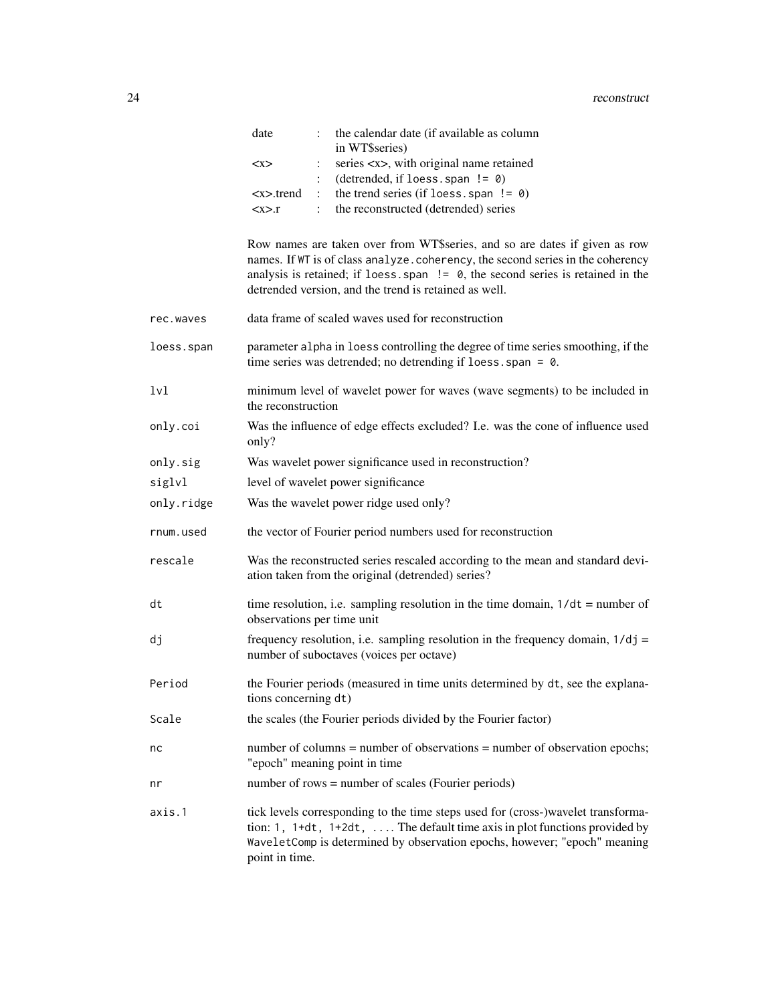| date          | the calendar date (if available as column                |
|---------------|----------------------------------------------------------|
|               | in WT\$series)                                           |
| < x >         | series $\langle x \rangle$ , with original name retained |
|               | (detrended, if loess, span $!= 0$ )                      |
| <x>.trend</x> | the trend series (if loess, span $!= 0$ )                |
| < x > r       | the reconstructed (detrended) series                     |

Row names are taken over from WT\$series, and so are dates if given as row names. If WT is of class analyze.coherency, the second series in the coherency analysis is retained; if loess, span  $!=$  0, the second series is retained in the detrended version, and the trend is retained as well.

- rec.waves data frame of scaled waves used for reconstruction
- loess.span parameter alpha in loess controlling the degree of time series smoothing, if the time series was detrended; no detrending if loess. span = 0.
- lvl minimum level of wavelet power for waves (wave segments) to be included in the reconstruction
- only.coi Was the influence of edge effects excluded? I.e. was the cone of influence used only?
- only.sig Was wavelet power significance used in reconstruction?
- siglvl level of wavelet power significance
- only.ridge Was the wavelet power ridge used only?
- rnum.used the vector of Fourier period numbers used for reconstruction
- rescale Was the reconstructed series rescaled according to the mean and standard deviation taken from the original (detrended) series?
- dt time resolution, i.e. sampling resolution in the time domain,  $1/dt =$  number of observations per time unit
- dj frequency resolution, i.e. sampling resolution in the frequency domain,  $1/dj =$ number of suboctaves (voices per octave)
- Period the Fourier periods (measured in time units determined by dt, see the explanations concerning dt)
- Scale the scales (the Fourier periods divided by the Fourier factor)
- nc number of columns = number of observations = number of observation epochs; "epoch" meaning point in time
- nr number of rows = number of scales (Fourier periods)
- axis.1 tick levels corresponding to the time steps used for (cross-)wavelet transformation: 1, 1+dt, 1+2dt, .... The default time axis in plot functions provided by WaveletComp is determined by observation epochs, however; "epoch" meaning point in time.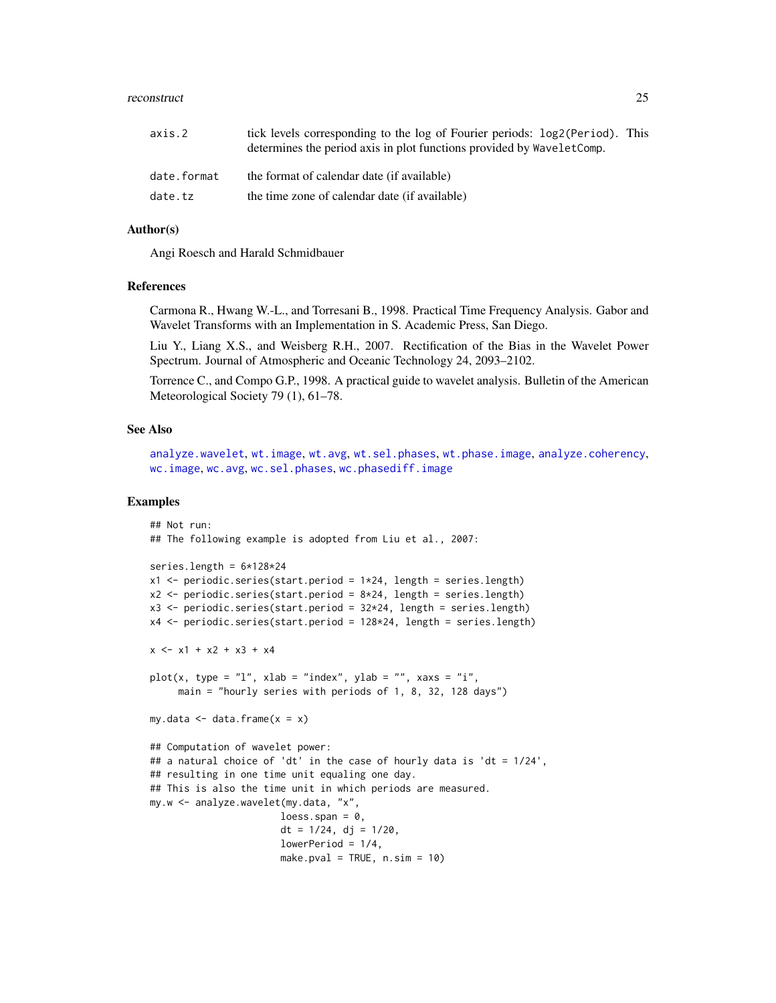#### reconstruct 25

| axis.2      | tick levels corresponding to the log of Fourier periods: log2(Period). This<br>determines the period axis in plot functions provided by WaveletComp. |
|-------------|------------------------------------------------------------------------------------------------------------------------------------------------------|
| date.format | the format of calendar date (if available)                                                                                                           |
| date.tz     | the time zone of calendar date (if available)                                                                                                        |

## Author(s)

Angi Roesch and Harald Schmidbauer

## References

Carmona R., Hwang W.-L., and Torresani B., 1998. Practical Time Frequency Analysis. Gabor and Wavelet Transforms with an Implementation in S. Academic Press, San Diego.

Liu Y., Liang X.S., and Weisberg R.H., 2007. Rectification of the Bias in the Wavelet Power Spectrum. Journal of Atmospheric and Oceanic Technology 24, 2093–2102.

Torrence C., and Compo G.P., 1998. A practical guide to wavelet analysis. Bulletin of the American Meteorological Society 79 (1), 61–78.

#### See Also

[analyze.wavelet](#page-11-1), [wt.image](#page-66-1), [wt.avg](#page-61-1), [wt.sel.phases](#page-81-1), [wt.phase.image](#page-75-1), [analyze.coherency](#page-3-1), [wc.image](#page-35-1), [wc.avg](#page-29-1), [wc.sel.phases](#page-53-1), [wc.phasediff.image](#page-46-1)

## Examples

```
## Not run:
## The following example is adopted from Liu et al., 2007:
series.length = 6*128*24x1 \le- periodic.series(start.period = 1*24, length = series.length)
x2 \le- periodic.series(start.period = 8*24, length = series.length)
x3 \le- periodic.series(start.period = 32 \times 24, length = series.length)
x4 <- periodic.series(start.period = 128*24, length = series.length)
x \le -x1 + x2 + x3 + x4plot(x, type = "l", xlab = "index", ylab = "", xaxs = "i",
     main = "hourly series with periods of 1, 8, 32, 128 days")
my.data \leq data.frame(x = x)## Computation of wavelet power:
## a natural choice of 'dt' in the case of hourly data is 'dt = 1/24',
## resulting in one time unit equaling one day.
## This is also the time unit in which periods are measured.
my.w <- analyze.wavelet(my.data, "x",
                       loess.span = 0,
                       dt = 1/24, dj = 1/20,
                       lowerPeriod = 1/4,
                       make.pval = TRUE, n.sim = 10)
```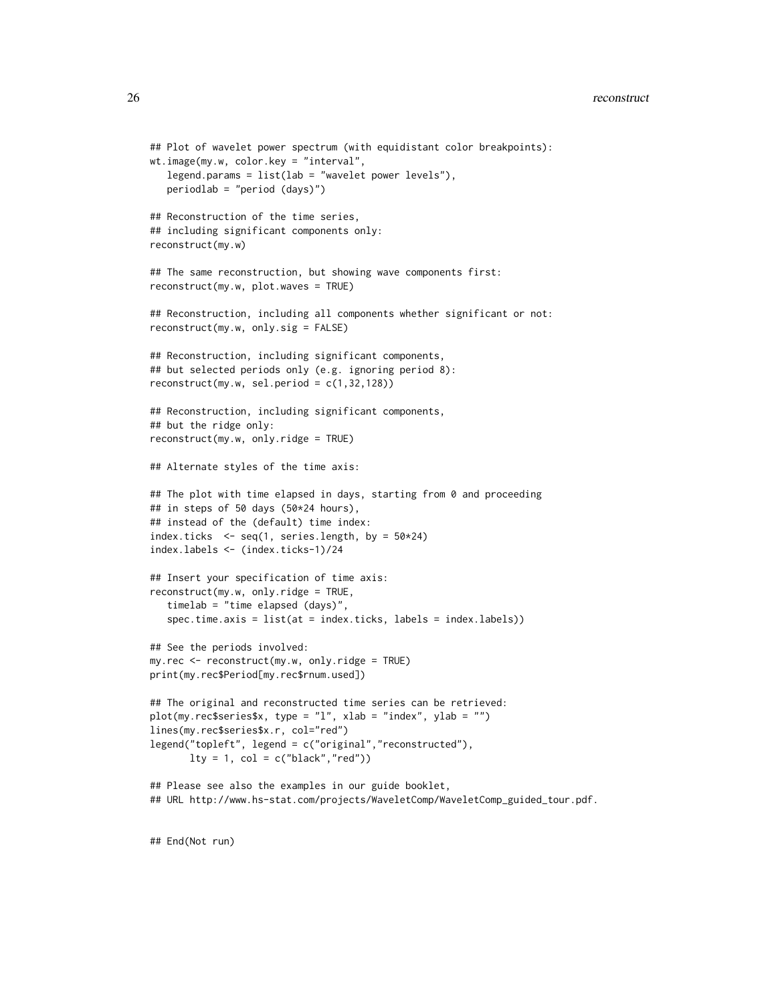```
## Plot of wavelet power spectrum (with equidistant color breakpoints):
wt.image(my.w, color.key = "interval",
  legend.params = list(lab = "wavelet power levels"),
  periodlab = "period (days)")
## Reconstruction of the time series,
## including significant components only:
reconstruct(my.w)
## The same reconstruction, but showing wave components first:
reconstruct(my.w, plot.waves = TRUE)
## Reconstruction, including all components whether significant or not:
reconstruct(my.w, only.sig = FALSE)
## Reconstruction, including significant components,
## but selected periods only (e.g. ignoring period 8):
reconstruct(my.w, sel.period = c(1,32,128))
## Reconstruction, including significant components,
## but the ridge only:
reconstruct(my.w, only.ridge = TRUE)
## Alternate styles of the time axis:
## The plot with time elapsed in days, starting from 0 and proceeding
## in steps of 50 days (50*24 hours),
## instead of the (default) time index:
index.ticks \leq seq(1, series.length, by = 50*24)
index.labels <- (index.ticks-1)/24
## Insert your specification of time axis:
reconstruct(my.w, only.ridge = TRUE,
   timelab = "time elapsed (days)",
   spec.time.axis = list(at = index.ticks, labels = index.labels))
## See the periods involved:
my.rec <- reconstruct(my.w, only.ridge = TRUE)
print(my.rec$Period[my.rec$rnum.used])
## The original and reconstructed time series can be retrieved:
plot(my.rec$series$x, type = "l", xlab = "index", ylab = "")
lines(my.rec$series$x.r, col="red")
legend("topleft", legend = c("original","reconstructed"),
      lty = 1, col = c("black", "red")## Please see also the examples in our guide booklet,
## URL http://www.hs-stat.com/projects/WaveletComp/WaveletComp_guided_tour.pdf.
```
## End(Not run)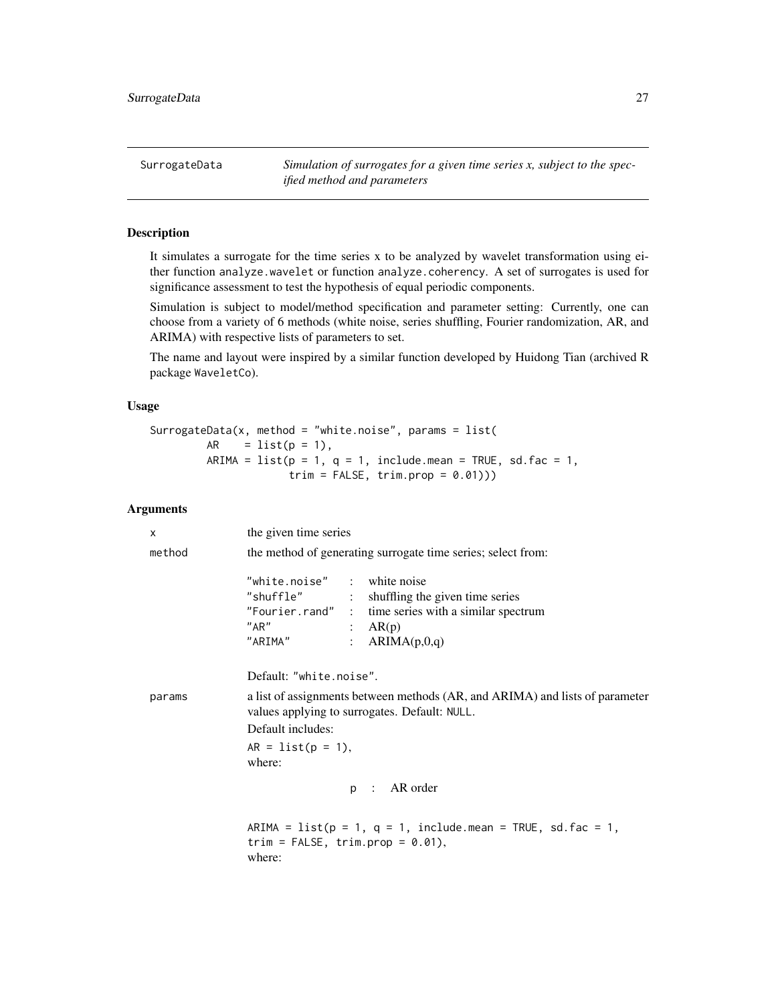<span id="page-26-0"></span>SurrogateData *Simulation of surrogates for a given time series x, subject to the specified method and parameters*

## Description

It simulates a surrogate for the time series x to be analyzed by wavelet transformation using either function analyze.wavelet or function analyze.coherency. A set of surrogates is used for significance assessment to test the hypothesis of equal periodic components.

Simulation is subject to model/method specification and parameter setting: Currently, one can choose from a variety of 6 methods (white noise, series shuffling, Fourier randomization, AR, and ARIMA) with respective lists of parameters to set.

The name and layout were inspired by a similar function developed by Huidong Tian (archived R package WaveletCo).

## Usage

```
SurrogateData(x, method = "white.noise", params = list(AR = list(p = 1),ARIMA = list(p = 1, q = 1, include mean = TRUE, sde fac = 1,trim = FALSE, trim.pop = 0.01))
```
## Arguments

| X      | the given time series                                                                                                                                                                  |  |  |  |
|--------|----------------------------------------------------------------------------------------------------------------------------------------------------------------------------------------|--|--|--|
| method | the method of generating surrogate time series; select from:                                                                                                                           |  |  |  |
|        | "white.noise" : white noise<br>"shuffle" : shuffling the given time series<br>"Fourier.rand" : time series with a similar spectrum<br>"AR"<br>: $AR(p)$<br>"ARIMA"<br>: $ARIMA(p,0,q)$ |  |  |  |
|        | Default: "white.noise".                                                                                                                                                                |  |  |  |
| params | a list of assignments between methods (AR, and ARIMA) and lists of parameter<br>values applying to surrogates. Default: NULL.<br>Default includes:<br>$AR = list(p = 1),$<br>where:    |  |  |  |
|        | p : AR order                                                                                                                                                                           |  |  |  |
|        | ARIMA = $list(p = 1, q = 1, include mean = TRUE, sd.fac = 1,$<br>trim = $FALSE, trim. prop = 0.01$ ,<br>where:                                                                         |  |  |  |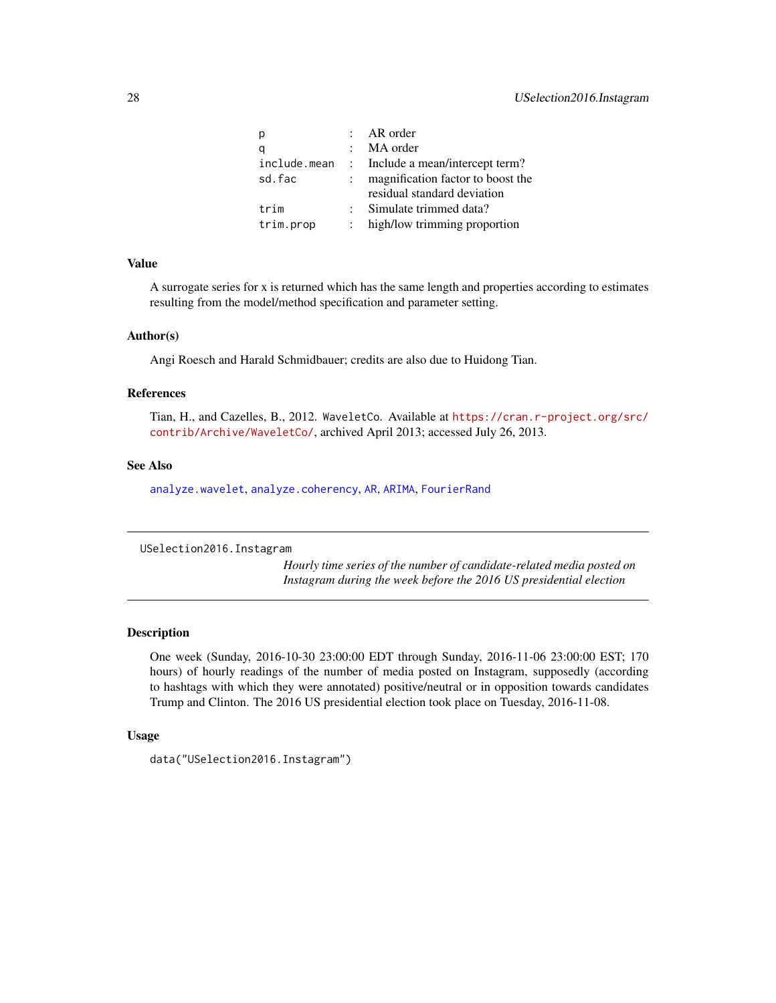<span id="page-27-0"></span>

| p         | : $AR \norder$                                |
|-----------|-----------------------------------------------|
| q         | : MA order                                    |
|           | include.mean : Include a mean/intercept term? |
| sd.fac    | magnification factor to boost the             |
|           | residual standard deviation                   |
| trim      | Simulate trimmed data?                        |
| trim.prop | high/low trimming proportion                  |
|           |                                               |

#### Value

A surrogate series for x is returned which has the same length and properties according to estimates resulting from the model/method specification and parameter setting.

## Author(s)

Angi Roesch and Harald Schmidbauer; credits are also due to Huidong Tian.

#### References

Tian, H., and Cazelles, B., 2012. WaveletCo. Available at [https://cran.r-project.org/src/](https://cran.r-project.org/src/contrib/Archive/WaveletCo/) [contrib/Archive/WaveletCo/](https://cran.r-project.org/src/contrib/Archive/WaveletCo/), archived April 2013; accessed July 26, 2013.

## See Also

[analyze.wavelet](#page-11-1), [analyze.coherency](#page-3-1), [AR](#page-0-0), [ARIMA](#page-0-0), [FourierRand](#page-0-0)

USelection2016.Instagram

*Hourly time series of the number of candidate-related media posted on Instagram during the week before the 2016 US presidential election*

## Description

One week (Sunday, 2016-10-30 23:00:00 EDT through Sunday, 2016-11-06 23:00:00 EST; 170 hours) of hourly readings of the number of media posted on Instagram, supposedly (according to hashtags with which they were annotated) positive/neutral or in opposition towards candidates Trump and Clinton. The 2016 US presidential election took place on Tuesday, 2016-11-08.

## Usage

```
data("USelection2016.Instagram")
```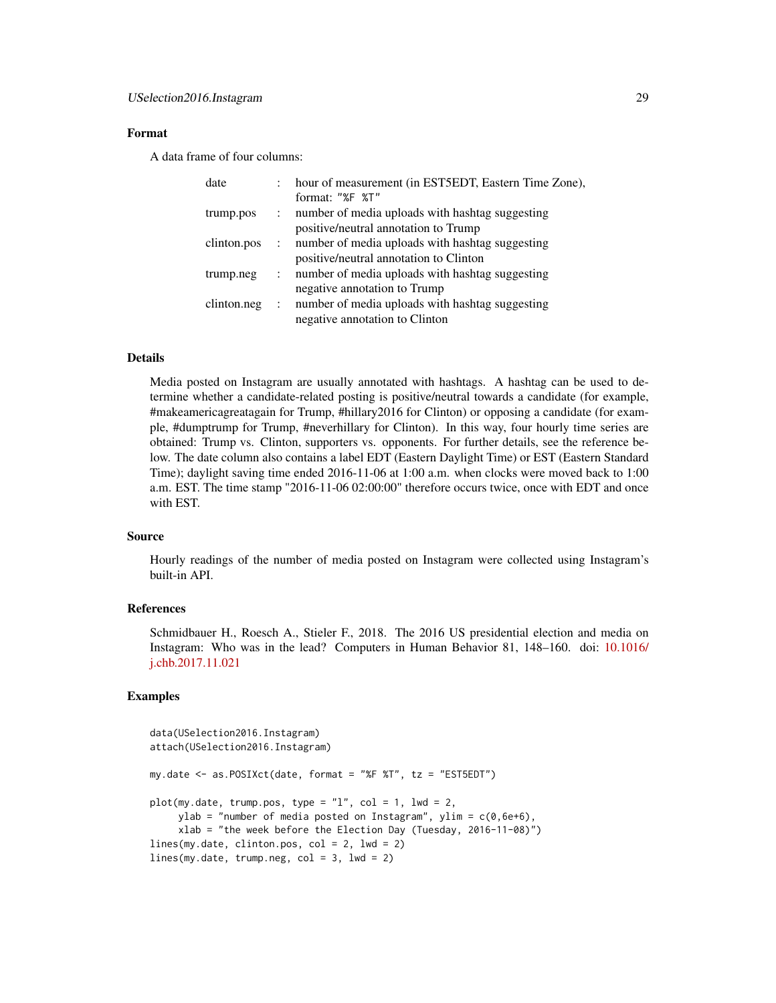## Format

A data frame of four columns:

| date        |                           | hour of measurement (in EST5EDT, Eastern Time Zone), |
|-------------|---------------------------|------------------------------------------------------|
|             |                           | format: "%F %T"                                      |
| trump.pos   | $\mathbb{Z}^{\mathbb{Z}}$ | number of media uploads with hashtag suggesting      |
|             |                           | positive/neutral annotation to Trump                 |
| clinton.pos |                           | : number of media uploads with hashtag suggesting    |
|             |                           | positive/neutral annotation to Clinton               |
| trump.neg   | $\mathbb{R}^{\mathbb{Z}}$ | number of media uploads with hashtag suggesting      |
|             |                           | negative annotation to Trump                         |
| clinton.neg |                           | : number of media uploads with hashtag suggesting    |
|             |                           | negative annotation to Clinton                       |

## Details

Media posted on Instagram are usually annotated with hashtags. A hashtag can be used to determine whether a candidate-related posting is positive/neutral towards a candidate (for example, #makeamericagreatagain for Trump, #hillary2016 for Clinton) or opposing a candidate (for example, #dumptrump for Trump, #neverhillary for Clinton). In this way, four hourly time series are obtained: Trump vs. Clinton, supporters vs. opponents. For further details, see the reference below. The date column also contains a label EDT (Eastern Daylight Time) or EST (Eastern Standard Time); daylight saving time ended 2016-11-06 at 1:00 a.m. when clocks were moved back to 1:00 a.m. EST. The time stamp "2016-11-06 02:00:00" therefore occurs twice, once with EDT and once with EST.

## Source

Hourly readings of the number of media posted on Instagram were collected using Instagram's built-in API.

## References

Schmidbauer H., Roesch A., Stieler F., 2018. The 2016 US presidential election and media on Instagram: Who was in the lead? Computers in Human Behavior 81, 148–160. doi: [10.1016/](http://doi.org/10.1016/j.chb.2017.11.021) [j.chb.2017.11.021](http://doi.org/10.1016/j.chb.2017.11.021)

## Examples

```
data(USelection2016.Instagram)
attach(USelection2016.Instagram)
my.date <- as.POSIXct(date, format = "%F %T", tz = "EST5EDT")
plot(my.data, trump.pos, type = "l", col = 1, lwd = 2,ylab = "number of media posted on Instagram", ylim = c(0, 6e+6),
     xlab = "the week before the Election Day (Tuesday, 2016-11-08)")
lines(my.date, clinton.pos, col = 2, lwd = 2)
lines(my.date, trump.neg, col = 3, lwd = 2)
```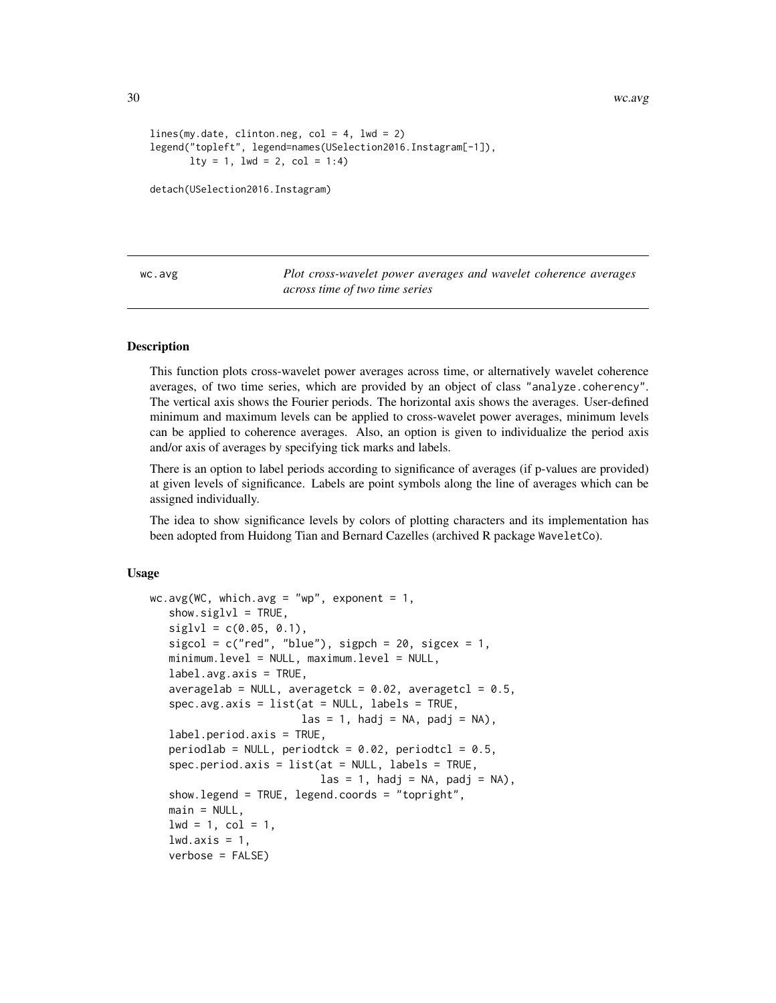30 wc.avg

```
lines(my.data, clienton.neg, col = 4, lw = 2)legend("topleft", legend=names(USelection2016.Instagram[-1]),
      lty = 1, lwd = 2, col = 1:4)
```
detach(USelection2016.Instagram)

<span id="page-29-1"></span>wc.avg *Plot cross-wavelet power averages and wavelet coherence averages across time of two time series*

## Description

This function plots cross-wavelet power averages across time, or alternatively wavelet coherence averages, of two time series, which are provided by an object of class "analyze.coherency". The vertical axis shows the Fourier periods. The horizontal axis shows the averages. User-defined minimum and maximum levels can be applied to cross-wavelet power averages, minimum levels can be applied to coherence averages. Also, an option is given to individualize the period axis and/or axis of averages by specifying tick marks and labels.

There is an option to label periods according to significance of averages (if p-values are provided) at given levels of significance. Labels are point symbols along the line of averages which can be assigned individually.

The idea to show significance levels by colors of plotting characters and its implementation has been adopted from Huidong Tian and Bernard Cazelles (archived R package WaveletCo).

#### Usage

```
wc \cdot avg(WC, which \cdot avg = "wp", exponent = 1,show.sizelv1 = TRUE,siglv1 = c(0.05, 0.1),
   sigcol = c("red", "blue"), sigpch = 20, sigcex = 1,minimum.level = NULL, maximum.level = NULL,
   label.argv:axis} = TRUE,
   averagelab = NULL, averagetck = 0.02, averagetcl = 0.5,
   spec.avg.axis = list(at = NULL, labels = TRUE,\text{las} = 1, hadj = NA, padj = NA),
   label.period.axis = TRUE,
   periodlab = NULL, periodtck = 0.02, periodtcl = 0.5,
   spec.period.axis = list(at = NULL, labels = TRUE,\text{las} = 1, hadj = NA, padj = NA),
   show.legend = TRUE, legend.coords = "topright",
   main = NULL,1wd = 1, col = 1,
   lwd.axis = 1,verbose = FALSE)
```
<span id="page-29-0"></span>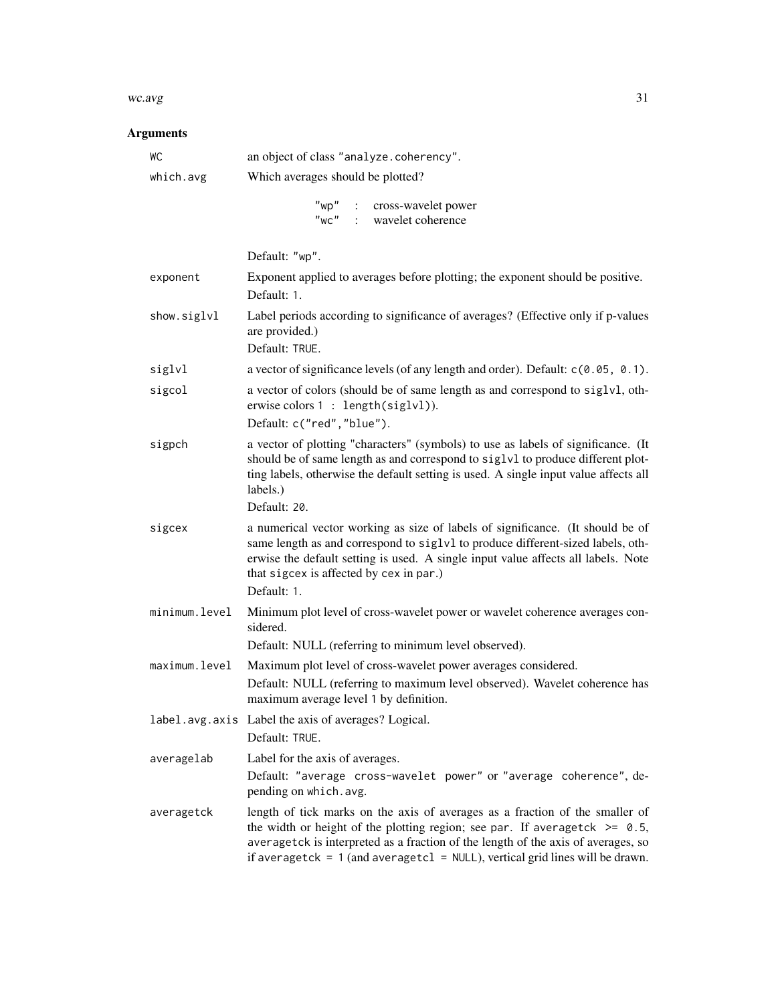#### $wc.\text{avg}$  31

## Arguments

| WC            | an object of class "analyze.coherency".                                                                                                                                                                                                                                                                                               |
|---------------|---------------------------------------------------------------------------------------------------------------------------------------------------------------------------------------------------------------------------------------------------------------------------------------------------------------------------------------|
| which.avg     | Which averages should be plotted?                                                                                                                                                                                                                                                                                                     |
|               | "wp" : cross-wavelet power<br>"wc" : wavelet coherence                                                                                                                                                                                                                                                                                |
|               | Default: "wp".                                                                                                                                                                                                                                                                                                                        |
| exponent      | Exponent applied to averages before plotting; the exponent should be positive.<br>Default: 1.                                                                                                                                                                                                                                         |
| show.siglvl   | Label periods according to significance of averages? (Effective only if p-values<br>are provided.)<br>Default: TRUE.                                                                                                                                                                                                                  |
| siglvl        | a vector of significance levels (of any length and order). Default: $c(0.05, 0.1)$ .                                                                                                                                                                                                                                                  |
| sigcol        | a vector of colors (should be of same length as and correspond to siglvl, oth-<br>erwise colors 1 : length(siglvl)).<br>Default: c("red", "blue").                                                                                                                                                                                    |
| sigpch        | a vector of plotting "characters" (symbols) to use as labels of significance. (It<br>should be of same length as and correspond to siglvl to produce different plot-<br>ting labels, otherwise the default setting is used. A single input value affects all<br>labels.)<br>Default: 20.                                              |
| sigcex        | a numerical vector working as size of labels of significance. (It should be of<br>same length as and correspond to siglvl to produce different-sized labels, oth-<br>erwise the default setting is used. A single input value affects all labels. Note<br>that sigcex is affected by cex in par.)<br>Default: 1.                      |
| minimum.level | Minimum plot level of cross-wavelet power or wavelet coherence averages con-<br>sidered.                                                                                                                                                                                                                                              |
|               | Default: NULL (referring to minimum level observed).                                                                                                                                                                                                                                                                                  |
| maximum.level | Maximum plot level of cross-wavelet power averages considered.<br>Default: NULL (referring to maximum level observed). Wavelet coherence has<br>maximum average level 1 by definition.                                                                                                                                                |
|               | label.avg.axis Label the axis of averages? Logical.<br>Default: TRUE.                                                                                                                                                                                                                                                                 |
| averagelab    | Label for the axis of averages.<br>Default: "average cross-wavelet power" or "average coherence", de-<br>pending on which.avg.                                                                                                                                                                                                        |
| averagetck    | length of tick marks on the axis of averages as a fraction of the smaller of<br>the width or height of the plotting region; see par. If averagetck $>= 0.5$ ,<br>averagetck is interpreted as a fraction of the length of the axis of averages, so<br>if averagetck = $1$ (and averagetcl = NULL), vertical grid lines will be drawn. |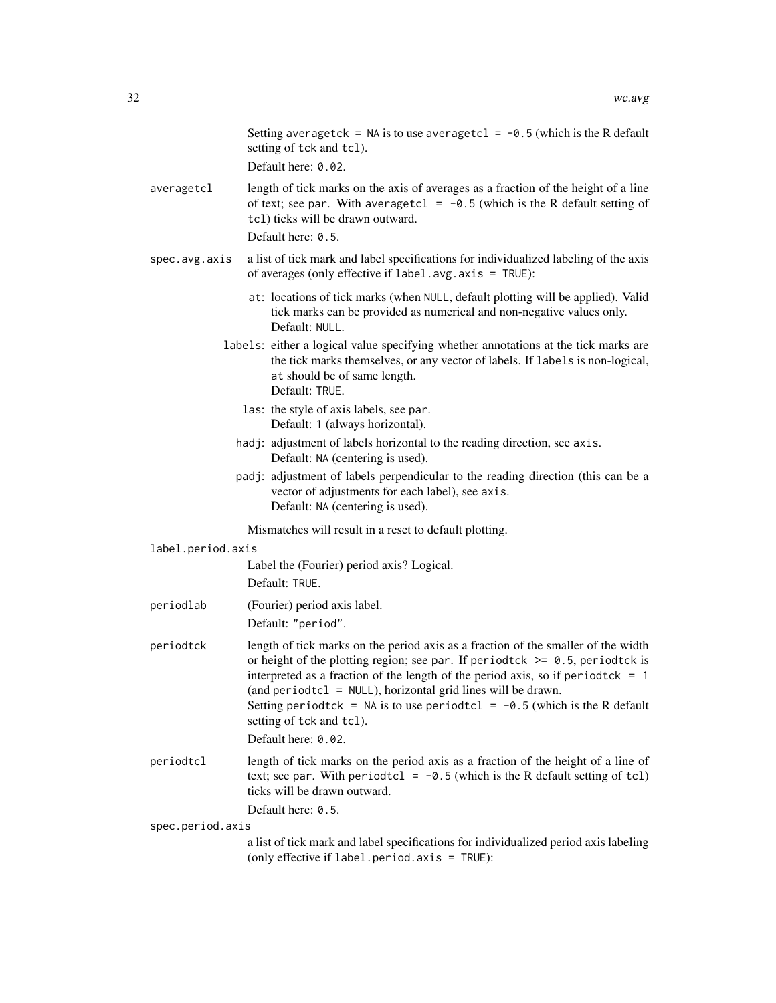|  |                   | Setting averagetck = NA is to use averagetcl = $-0.5$ (which is the R default<br>setting of tck and tcl).                                                                                                                                                                                                                                                                                                                                                      |  |  |
|--|-------------------|----------------------------------------------------------------------------------------------------------------------------------------------------------------------------------------------------------------------------------------------------------------------------------------------------------------------------------------------------------------------------------------------------------------------------------------------------------------|--|--|
|  |                   | Default here: 0.02.                                                                                                                                                                                                                                                                                                                                                                                                                                            |  |  |
|  | averagetcl        | length of tick marks on the axis of averages as a fraction of the height of a line<br>of text; see par. With averagetcl = $-0.5$ (which is the R default setting of<br>tcl) ticks will be drawn outward.<br>Default here: 0.5.                                                                                                                                                                                                                                 |  |  |
|  | spec.avg.axis     | a list of tick mark and label specifications for individualized labeling of the axis<br>of averages (only effective if $label.argv1} avg \cdot axis = TRUE$ ):                                                                                                                                                                                                                                                                                                 |  |  |
|  |                   | at: locations of tick marks (when NULL, default plotting will be applied). Valid<br>tick marks can be provided as numerical and non-negative values only.<br>Default: NULL.                                                                                                                                                                                                                                                                                    |  |  |
|  |                   | labels: either a logical value specifying whether annotations at the tick marks are<br>the tick marks themselves, or any vector of labels. If labels is non-logical,<br>at should be of same length.<br>Default: TRUE.                                                                                                                                                                                                                                         |  |  |
|  |                   | las: the style of axis labels, see par.<br>Default: 1 (always horizontal).                                                                                                                                                                                                                                                                                                                                                                                     |  |  |
|  |                   | hadj: adjustment of labels horizontal to the reading direction, see axis.<br>Default: NA (centering is used).                                                                                                                                                                                                                                                                                                                                                  |  |  |
|  |                   | padj: adjustment of labels perpendicular to the reading direction (this can be a<br>vector of adjustments for each label), see axis.<br>Default: NA (centering is used).                                                                                                                                                                                                                                                                                       |  |  |
|  |                   | Mismatches will result in a reset to default plotting.                                                                                                                                                                                                                                                                                                                                                                                                         |  |  |
|  | label.period.axis |                                                                                                                                                                                                                                                                                                                                                                                                                                                                |  |  |
|  |                   | Label the (Fourier) period axis? Logical.<br>Default: TRUE.                                                                                                                                                                                                                                                                                                                                                                                                    |  |  |
|  | periodlab         | (Fourier) period axis label.                                                                                                                                                                                                                                                                                                                                                                                                                                   |  |  |
|  |                   | Default: "period".                                                                                                                                                                                                                                                                                                                                                                                                                                             |  |  |
|  | periodtck         | length of tick marks on the period axis as a fraction of the smaller of the width<br>or height of the plotting region; see par. If periodtck $\ge$ 0.5, periodtck is<br>interpreted as a fraction of the length of the period axis, so if period tck = $1$<br>(and periodtcl = NULL), horizontal grid lines will be drawn.<br>Setting period tck = NA is to use period tcl = $-0.5$ (which is the R default<br>setting of tck and tcl).<br>Default here: 0.02. |  |  |
|  | periodtcl         | length of tick marks on the period axis as a fraction of the height of a line of<br>text; see par. With periodtcl = $-0.5$ (which is the R default setting of tcl)<br>ticks will be drawn outward.                                                                                                                                                                                                                                                             |  |  |
|  |                   | Default here: 0.5.                                                                                                                                                                                                                                                                                                                                                                                                                                             |  |  |
|  | spec.period.axis  | a list of tick mark and label specifications for individualized period axis labeling                                                                                                                                                                                                                                                                                                                                                                           |  |  |
|  |                   | (only effective if label.period.axis = TRUE):                                                                                                                                                                                                                                                                                                                                                                                                                  |  |  |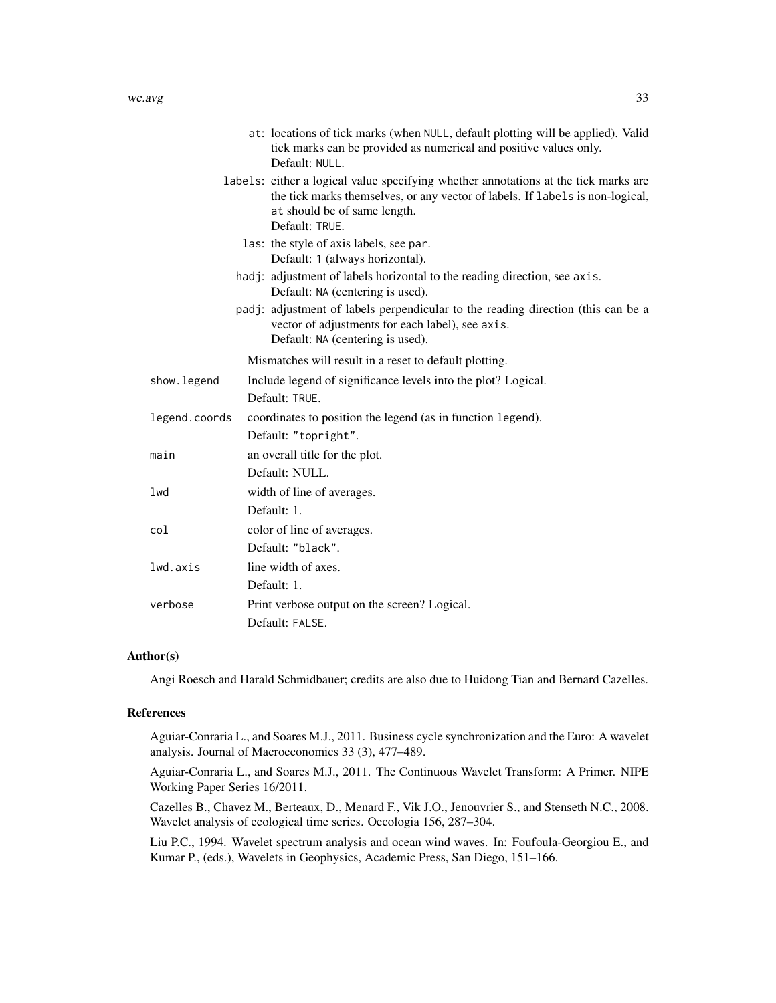|               | at: locations of tick marks (when NULL, default plotting will be applied). Valid<br>tick marks can be provided as numerical and positive values only.<br>Default: NULL.                                                |
|---------------|------------------------------------------------------------------------------------------------------------------------------------------------------------------------------------------------------------------------|
|               | labels: either a logical value specifying whether annotations at the tick marks are<br>the tick marks themselves, or any vector of labels. If labels is non-logical,<br>at should be of same length.<br>Default: TRUE. |
|               | las: the style of axis labels, see par.<br>Default: 1 (always horizontal).                                                                                                                                             |
|               | hadj: adjustment of labels horizontal to the reading direction, see axis.<br>Default: NA (centering is used).                                                                                                          |
|               | padj: adjustment of labels perpendicular to the reading direction (this can be a<br>vector of adjustments for each label), see axis.<br>Default: NA (centering is used).                                               |
|               | Mismatches will result in a reset to default plotting.                                                                                                                                                                 |
| show.legend   | Include legend of significance levels into the plot? Logical.<br>Default: TRUE.                                                                                                                                        |
| legend.coords | coordinates to position the legend (as in function legend).<br>Default: "topright".                                                                                                                                    |
| main          | an overall title for the plot.<br>Default: NULL.                                                                                                                                                                       |
| lwd           | width of line of averages.<br>Default: 1.                                                                                                                                                                              |
| col           | color of line of averages.<br>Default: "black".                                                                                                                                                                        |
| lwd.axis      | line width of axes.<br>Default: 1.                                                                                                                                                                                     |
| verbose       | Print verbose output on the screen? Logical.<br>Default: FALSE.                                                                                                                                                        |

## Author(s)

Angi Roesch and Harald Schmidbauer; credits are also due to Huidong Tian and Bernard Cazelles.

## References

Aguiar-Conraria L., and Soares M.J., 2011. Business cycle synchronization and the Euro: A wavelet analysis. Journal of Macroeconomics 33 (3), 477–489.

Aguiar-Conraria L., and Soares M.J., 2011. The Continuous Wavelet Transform: A Primer. NIPE Working Paper Series 16/2011.

Cazelles B., Chavez M., Berteaux, D., Menard F., Vik J.O., Jenouvrier S., and Stenseth N.C., 2008. Wavelet analysis of ecological time series. Oecologia 156, 287–304.

Liu P.C., 1994. Wavelet spectrum analysis and ocean wind waves. In: Foufoula-Georgiou E., and Kumar P., (eds.), Wavelets in Geophysics, Academic Press, San Diego, 151–166.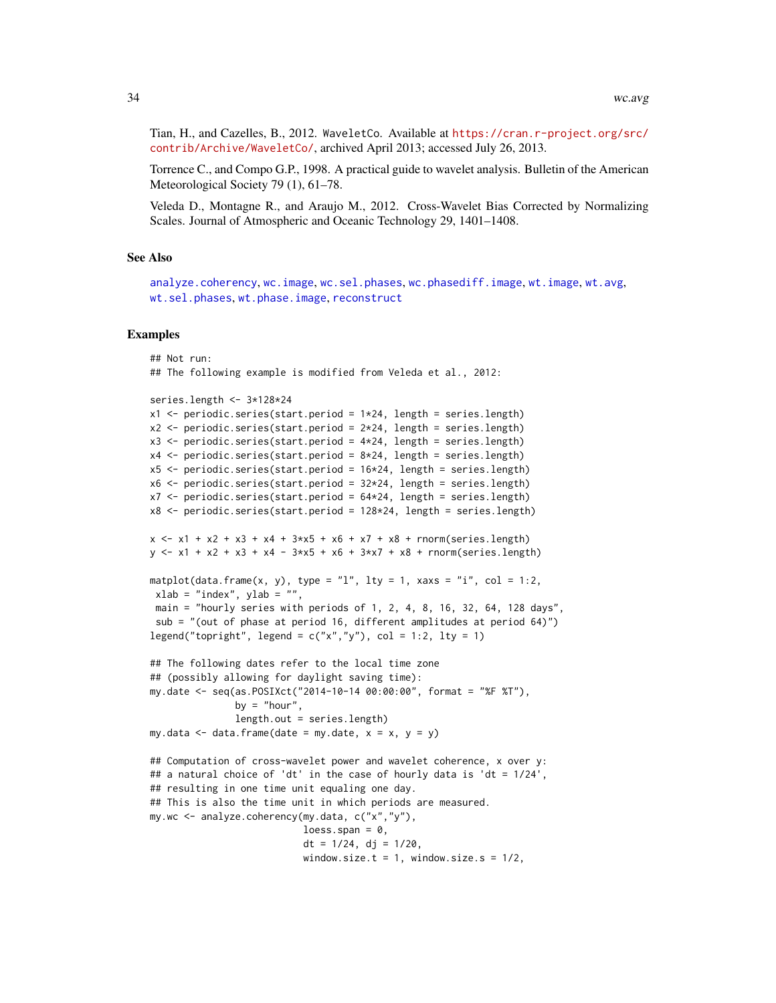Tian, H., and Cazelles, B., 2012. WaveletCo. Available at [https://cran.r-project.org/src/](https://cran.r-project.org/src/contrib/Archive/WaveletCo/) [contrib/Archive/WaveletCo/](https://cran.r-project.org/src/contrib/Archive/WaveletCo/), archived April 2013; accessed July 26, 2013.

Torrence C., and Compo G.P., 1998. A practical guide to wavelet analysis. Bulletin of the American Meteorological Society 79 (1), 61–78.

Veleda D., Montagne R., and Araujo M., 2012. Cross-Wavelet Bias Corrected by Normalizing Scales. Journal of Atmospheric and Oceanic Technology 29, 1401–1408.

#### See Also

```
analyze.coherencywc.imagewc.sel.phaseswc.phasediff.imagewt.imagewt.avg,
wt.sel.phases, wt.phase.image, reconstruct
```
#### Examples

```
## Not run:
## The following example is modified from Veleda et al., 2012:
series.length <- 3*128*24
x1 \le- periodic.series(start.period = 1*24, length = series.length)
x2 \le- periodic.series(start.period = 2 \times 24, length = series.length)
x3 \le- periodic.series(start.period = 4*24, length = series.length)
x4 \le periodic.series(start.period = 8 \times 24, length = series.length)
x5 <- periodic.series(start.period = 16*24, length = series.length)
x6 \le- periodic.series(start.period = 32*24, length = series.length)
x7 <- periodic.series(start.period = 64*24, length = series.length)
x8 <- periodic.series(start.period = 128*24, length = series.length)
x \le -x_1 + x_2 + x_3 + x_4 + 3x_5 + x_6 + x_7 + x_8 + \text{norm}(\text{series.length})y \le -x1 + x2 + x3 + x4 - 3*x5 + x6 + 3*x7 + x8 + \text{norm}(\text{series.length})matplot(data.frame(x, y), type = "l", lty = 1, xaxs = "i", col = 1:2,
xlab = "index", ylab = "
 main = "hourly series with periods of 1, 2, 4, 8, 16, 32, 64, 128 days",
 sub = "(out of phase at period 16, different amplitudes at period 64)")
legend("topright", legend = c("x", "y"), col = 1:2, lty = 1)
## The following dates refer to the local time zone
## (possibly allowing for daylight saving time):
my.date <- seq(as.POSIXct("2014-10-14 00:00:00", format = "%F %T"),
               by = "hour",length.out = series.length)
my.data \leq data.frame(date = my.date, x = x, y = y)
## Computation of cross-wavelet power and wavelet coherence, x over y:
## a natural choice of 'dt' in the case of hourly data is 'dt = 1/24',
## resulting in one time unit equaling one day.
## This is also the time unit in which periods are measured.
my.wc <- analyze.coherency(my.data, c("x","y"),
                            loess.span = 0,
                            dt = 1/24, dj = 1/20,
                            window.size.t = 1, window.size.s = 1/2,
```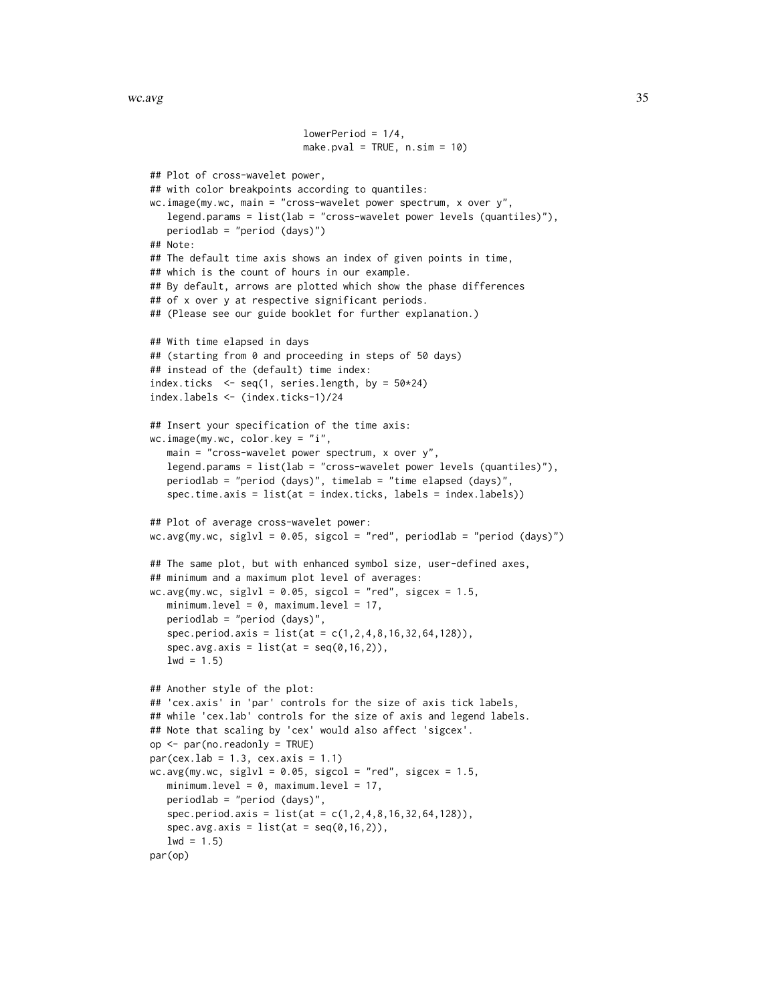```
lowerPeriod = 1/4,
                           make.pval = TRUE, n \sin = 10)
## Plot of cross-wavelet power,
## with color breakpoints according to quantiles:
wc.inage(my.wc, main = "cross-wavelet power spectrum, x over y",legend.params = list(lab = "cross-wavelet power levels (quantiles)"),
  periodlab = "period (days)")
## Note:
## The default time axis shows an index of given points in time,
## which is the count of hours in our example.
## By default, arrows are plotted which show the phase differences
## of x over y at respective significant periods.
## (Please see our guide booklet for further explanation.)
## With time elapsed in days
## (starting from 0 and proceeding in steps of 50 days)
## instead of the (default) time index:
index.ticks \leq seq(1, series.length, by = 50*24)
index.labels <- (index.ticks-1)/24
## Insert your specification of the time axis:
wc.image(my.wc, color.key = "i",
  main = "cross-wavelet power spectrum, x over y",
  legend.params = list(lab = "cross-wavelet power levels (quantiles)"),
   periodlab = "period (days)", timelab = "time elapsed (days)",
   spec.time.axis = list(at = index.ticks, labels = index.labels))
## Plot of average cross-wavelet power:
wc.avg(my.wc, siglvl = 0.05, sigcol = "red", periodlab = "period (days)")
## The same plot, but with enhanced symbol size, user-defined axes,
## minimum and a maximum plot level of averages:
wc.argv(my.wc, siglvl = 0.05, sigcol = "red", sigcex = 1.5,minimum.level = 0, maximum.level = 17,
  periodlab = "period (days)",
  spec.period.axis = list(at = c(1,2,4,8,16,32,64,128)),
   spec.avg.axis = list(at = seq(0, 16, 2)),1wd = 1.5)
## Another style of the plot:
## 'cex.axis' in 'par' controls for the size of axis tick labels,
## while 'cex.lab' controls for the size of axis and legend labels.
## Note that scaling by 'cex' would also affect 'sigcex'.
op <- par(no.readonly = TRUE)
par(cex.1ab = 1.3, cex.axis = 1.1)wc.argv(my.wc, siglvl = 0.05, sigcol = "red", sigcex = 1.5,minimum.level = 0, maximum.level = 17,
  periodlab = "period (days)",
   spec.period. axis = list(at = c(1, 2, 4, 8, 16, 32, 64, 128)),spec.avg.axis = list(at = seq(0, 16, 2)),1wd = 1.5par(op)
```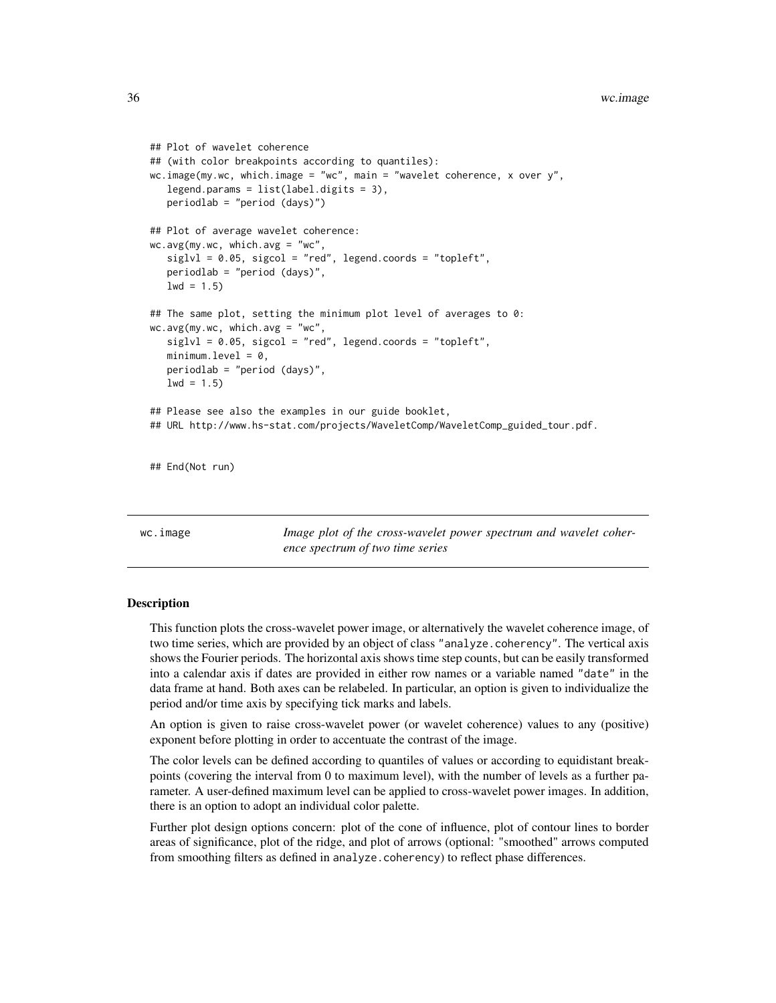```
## Plot of wavelet coherence
## (with color breakpoints according to quantiles):
wc.image(my.wc, which.image = "wc", main = "wavelet coherence, x over y",
  legend.params = list(label.digits = 3),
  periodlab = "period (days)")
## Plot of average wavelet coherence:
wc.avg(my.wc, which.avg = "wc",
   siglvl = 0.05, sigcol = "red", legend.coords = "topleft",
  periodlab = "period (days)",
  1wd = 1.5)
## The same plot, setting the minimum plot level of averages to 0:
wc.avg(my.wc, which.avg = "wc",
   siglvl = 0.05, sigcol = "red", legend.coords = "topleft",
  minimum. level = 0,periodlab = "period (days)",
  1wd = 1.5## Please see also the examples in our guide booklet,
## URL http://www.hs-stat.com/projects/WaveletComp/WaveletComp_guided_tour.pdf.
## End(Not run)
```
<span id="page-35-1"></span>wc.image *Image plot of the cross-wavelet power spectrum and wavelet coherence spectrum of two time series*

#### Description

This function plots the cross-wavelet power image, or alternatively the wavelet coherence image, of two time series, which are provided by an object of class "analyze.coherency". The vertical axis shows the Fourier periods. The horizontal axis shows time step counts, but can be easily transformed into a calendar axis if dates are provided in either row names or a variable named "date" in the data frame at hand. Both axes can be relabeled. In particular, an option is given to individualize the period and/or time axis by specifying tick marks and labels.

An option is given to raise cross-wavelet power (or wavelet coherence) values to any (positive) exponent before plotting in order to accentuate the contrast of the image.

The color levels can be defined according to quantiles of values or according to equidistant breakpoints (covering the interval from 0 to maximum level), with the number of levels as a further parameter. A user-defined maximum level can be applied to cross-wavelet power images. In addition, there is an option to adopt an individual color palette.

Further plot design options concern: plot of the cone of influence, plot of contour lines to border areas of significance, plot of the ridge, and plot of arrows (optional: "smoothed" arrows computed from smoothing filters as defined in analyze.coherency) to reflect phase differences.

<span id="page-35-0"></span>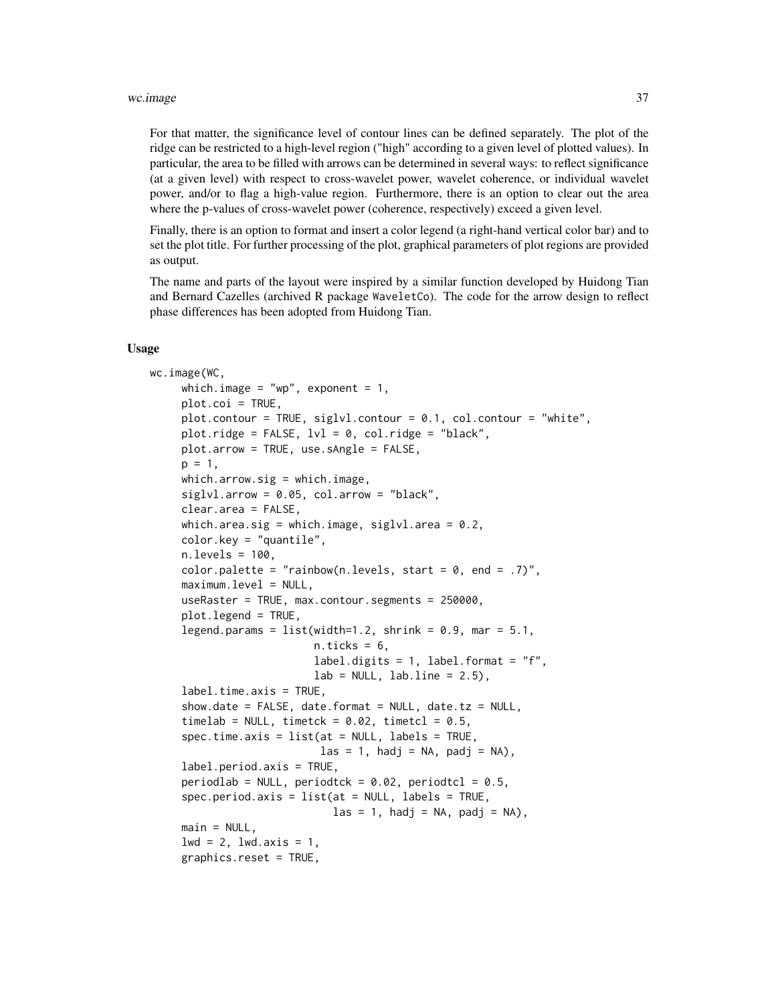#### wc.image 37

For that matter, the significance level of contour lines can be defined separately. The plot of the ridge can be restricted to a high-level region ("high" according to a given level of plotted values). In particular, the area to be filled with arrows can be determined in several ways: to reflect significance (at a given level) with respect to cross-wavelet power, wavelet coherence, or individual wavelet power, and/or to flag a high-value region. Furthermore, there is an option to clear out the area where the p-values of cross-wavelet power (coherence, respectively) exceed a given level.

Finally, there is an option to format and insert a color legend (a right-hand vertical color bar) and to set the plot title. For further processing of the plot, graphical parameters of plot regions are provided as output.

The name and parts of the layout were inspired by a similar function developed by Huidong Tian and Bernard Cazelles (archived R package WaveletCo). The code for the arrow design to reflect phase differences has been adopted from Huidong Tian.

#### Usage

```
wc.image(WC,
     which.image = "wp", exponent = 1,
     plot.coi = TRUE,
     plot.contour = TRUE, siglvl.contour = 0.1, col.contour = "white",
     plot.ridge = FALSE, 1v1 = 0, col.ridge = "black",
     plot.arrow = TRUE, use.sAngle = FALSE,
     p = 1,
     which.arrow.sig = which.image,
     siglvl.array = 0.05, col.array = "black",clear.area = FALSE,
     which.area.sig = which.image, siglvl.area = 0.2,
     color.key = "quantile",
     n. levels = 100.
     color.palette = "rainbow(n.levels, start = 0, end = .7)",
     maximum.level = NULL,
     useRaster = TRUE, max.contour.segments = 250000,
     plot.legend = TRUE,
     legend.params = list(width=1.2, shrink = 0.9, mar = 5.1,
                          n.ticks = 6,
                          label.digits = 1, label.format = "f",
                          lab = NULL, labu. line = 2.5),
     label.time-axis = TRUE,show.date = FALSE, date.format = NULL, date.tz = NULL,
     timelab = NULL, timetck = 0.02, timetcl = 0.5,
     spec.time.axis = list(at = NULL, labels = TRUE,\text{las} = 1, hadj = NA, padj = NA),
     label.period.axis = TRUE,
     periodlab = NULL, periodtck = 0.02, periodtcl = 0.5,
     spec.period.axis = list(at = NULL, labels = TRUE,\text{las} = 1, hadj = NA, padj = NA),
     main = NULL,1wd = 2, 1wd \cdot axis = 1,
     graphics.reset = TRUE,
```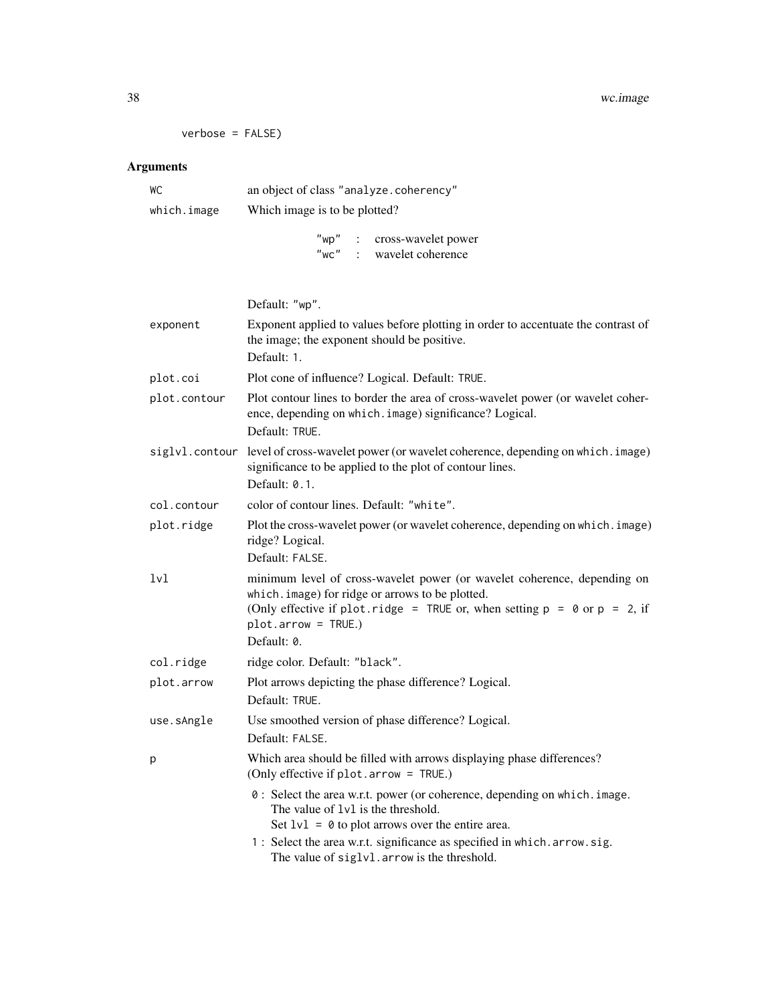```
verbose = FALSE)
```
# Arguments

| WC          | an object of class "analyze.coherency" |
|-------------|----------------------------------------|
| which.image | Which image is to be plotted?          |
|             | : cross-wavelet power<br>"wp"          |

|              | Default: "wp".                                                                                                                                                                                                                                        |
|--------------|-------------------------------------------------------------------------------------------------------------------------------------------------------------------------------------------------------------------------------------------------------|
| exponent     | Exponent applied to values before plotting in order to accentuate the contrast of<br>the image; the exponent should be positive.<br>Default: 1.                                                                                                       |
| plot.coi     | Plot cone of influence? Logical. Default: TRUE.                                                                                                                                                                                                       |
| plot.contour | Plot contour lines to border the area of cross-wavelet power (or wavelet coher-<br>ence, depending on which. image) significance? Logical.<br>Default: TRUE.                                                                                          |
|              | siglvl.contour level of cross-wavelet power (or wavelet coherence, depending on which.image)<br>significance to be applied to the plot of contour lines.<br>Default: 0.1.                                                                             |
| col.contour  | color of contour lines. Default: "white".                                                                                                                                                                                                             |
| plot.ridge   | Plot the cross-wavelet power (or wavelet coherence, depending on which. image)<br>ridge? Logical.<br>Default: FALSE.                                                                                                                                  |
| lvl          | minimum level of cross-wavelet power (or wavelet coherence, depending on<br>which. image) for ridge or arrows to be plotted.<br>(Only effective if plot.ridge = TRUE or, when setting $p = 0$ or $p = 2$ , if<br>$plot.array = TRUE.)$<br>Default: 0. |
| col.ridge    | ridge color. Default: "black".                                                                                                                                                                                                                        |
| plot.arrow   | Plot arrows depicting the phase difference? Logical.<br>Default: TRUE.                                                                                                                                                                                |
| use.sAngle   | Use smoothed version of phase difference? Logical.<br>Default: FALSE.                                                                                                                                                                                 |
| p            | Which area should be filled with arrows displaying phase differences?<br>(Only effective if plot.arrow = TRUE.)                                                                                                                                       |
|              | 0: Select the area w.r.t. power (or coherence, depending on which. image.<br>The value of 1v1 is the threshold.<br>Set $1v1 = 0$ to plot arrows over the entire area.<br>1: Select the area w.r.t. significance as specified in which. arrow. sig.    |
|              | The value of siglvl. arrow is the threshold.                                                                                                                                                                                                          |

"wc" : wavelet coherence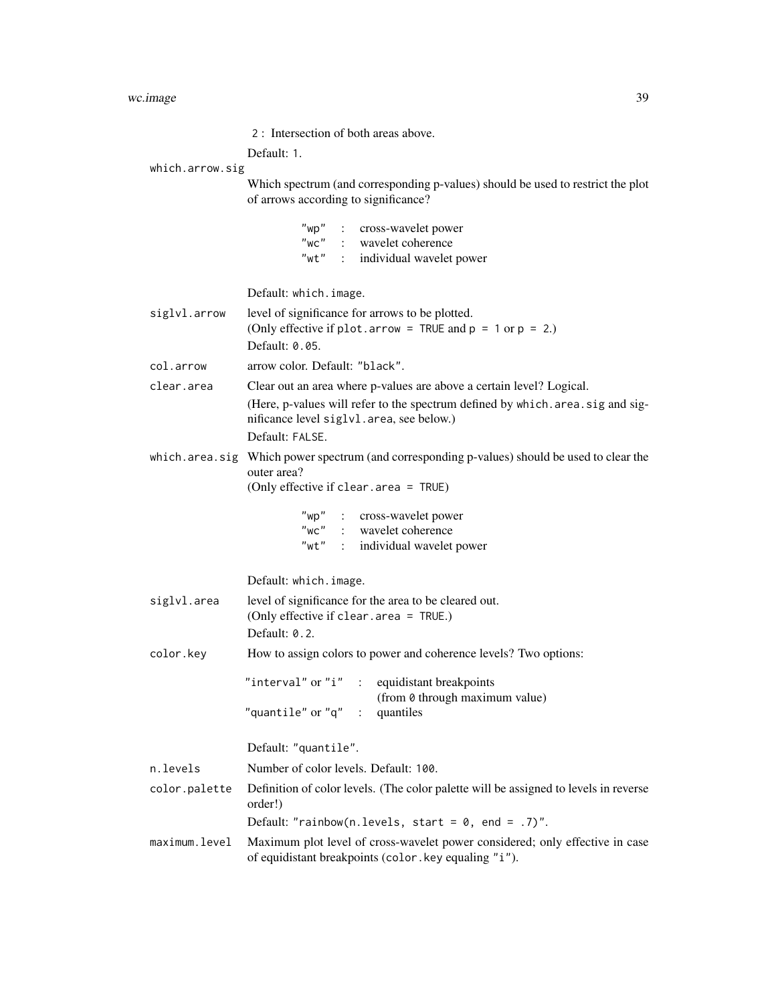|                 | 2: Intersection of both areas above.                                                                                                                                                                                   |  |
|-----------------|------------------------------------------------------------------------------------------------------------------------------------------------------------------------------------------------------------------------|--|
|                 | Default: 1.                                                                                                                                                                                                            |  |
| which.arrow.sig | Which spectrum (and corresponding p-values) should be used to restrict the plot<br>of arrows according to significance?                                                                                                |  |
|                 | "wp" : cross-wavelet power<br>"wc" : wavelet coherence<br>"wt" : individual wavelet power                                                                                                                              |  |
|                 | Default: which.image.                                                                                                                                                                                                  |  |
| siglvl.arrow    | level of significance for arrows to be plotted.<br>(Only effective if plot.arrow = TRUE and $p = 1$ or $p = 2$ .)<br>Default: 0.05.                                                                                    |  |
| col.arrow       | arrow color. Default: "black".                                                                                                                                                                                         |  |
| clear.area      | Clear out an area where p-values are above a certain level? Logical.<br>(Here, p-values will refer to the spectrum defined by which. area. sig and sig-<br>nificance level siglvl.area, see below.)<br>Default: FALSE. |  |
|                 | which. area. sig Which power spectrum (and corresponding p-values) should be used to clear the<br>outer area?<br>(Only effective if clear. area = TRUE)                                                                |  |
|                 | "wp" : cross-wavelet power<br>$"$ WC $"$<br>: wavelet coherence<br>"wt" : individual wavelet power                                                                                                                     |  |
|                 | Default: which.image.                                                                                                                                                                                                  |  |
| siglvl.area     | level of significance for the area to be cleared out.<br>(Only effective if clear.area = TRUE.)<br>Default: 0.2.                                                                                                       |  |
| color.key       | How to assign colors to power and coherence levels? Two options:                                                                                                                                                       |  |
|                 | "interval" or "i" : equidistant breakpoints<br>(from 0 through maximum value)<br>"quantile" or " $q$ " :<br>quantiles                                                                                                  |  |
|                 | Default: "quantile".                                                                                                                                                                                                   |  |
| n.levels        | Number of color levels. Default: 100.                                                                                                                                                                                  |  |
| color.palette   | Definition of color levels. (The color palette will be assigned to levels in reverse<br>order!)<br>Default: "rainbow(n.levels, start = $0$ , end = .7)".                                                               |  |
| maximum.level   | Maximum plot level of cross-wavelet power considered; only effective in case                                                                                                                                           |  |
|                 | of equidistant breakpoints (color . key equaling "i").                                                                                                                                                                 |  |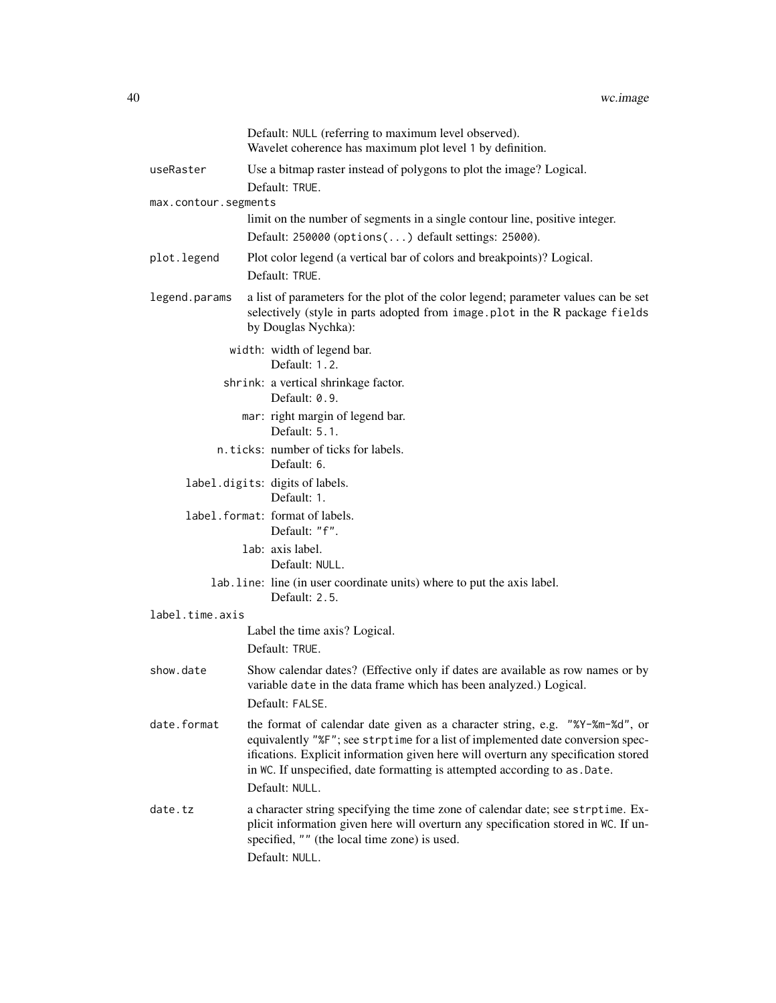|                                                     | Default: NULL (referring to maximum level observed).<br>Wavelet coherence has maximum plot level 1 by definition.                                                                                                                                                                                                                    |  |
|-----------------------------------------------------|--------------------------------------------------------------------------------------------------------------------------------------------------------------------------------------------------------------------------------------------------------------------------------------------------------------------------------------|--|
| useRaster                                           | Use a bitmap raster instead of polygons to plot the image? Logical.                                                                                                                                                                                                                                                                  |  |
|                                                     | Default: TRUE.                                                                                                                                                                                                                                                                                                                       |  |
| max.contour.segments                                |                                                                                                                                                                                                                                                                                                                                      |  |
|                                                     | limit on the number of segments in a single contour line, positive integer.<br>Default: 250000 (options() default settings: 25000).                                                                                                                                                                                                  |  |
| plot.legend                                         | Plot color legend (a vertical bar of colors and breakpoints)? Logical.                                                                                                                                                                                                                                                               |  |
|                                                     | Default: TRUE.                                                                                                                                                                                                                                                                                                                       |  |
| legend.params                                       | a list of parameters for the plot of the color legend; parameter values can be set<br>selectively (style in parts adopted from image.plot in the R package fields<br>by Douglas Nychka):                                                                                                                                             |  |
| width: width of legend bar.<br>Default: 1.2.        |                                                                                                                                                                                                                                                                                                                                      |  |
|                                                     | shrink: a vertical shrinkage factor.<br>Default: 0.9.                                                                                                                                                                                                                                                                                |  |
|                                                     | mar: right margin of legend bar.<br>Default: 5.1.                                                                                                                                                                                                                                                                                    |  |
| n.ticks: number of ticks for labels.<br>Default: 6. |                                                                                                                                                                                                                                                                                                                                      |  |
| label.digits: digits of labels.<br>Default: 1.      |                                                                                                                                                                                                                                                                                                                                      |  |
|                                                     | label.format: format of labels.<br>Default: "f".                                                                                                                                                                                                                                                                                     |  |
|                                                     | lab: axis label.<br>Default: NULL.                                                                                                                                                                                                                                                                                                   |  |
|                                                     | lab. line: line (in user coordinate units) where to put the axis label.<br>Default: 2.5.                                                                                                                                                                                                                                             |  |
| label.time.axis                                     |                                                                                                                                                                                                                                                                                                                                      |  |
|                                                     | Label the time axis? Logical.                                                                                                                                                                                                                                                                                                        |  |
|                                                     | Default: TRUE.                                                                                                                                                                                                                                                                                                                       |  |
| show.date                                           | Show calendar dates? (Effective only if dates are available as row names or by<br>variable date in the data frame which has been analyzed.) Logical.                                                                                                                                                                                 |  |
|                                                     | Default: FALSE.                                                                                                                                                                                                                                                                                                                      |  |
| date.format                                         | the format of calendar date given as a character string, e.g. "%Y-%m-%d", or<br>equivalently "%F"; see strptime for a list of implemented date conversion spec-<br>ifications. Explicit information given here will overturn any specification stored<br>in WC. If unspecified, date formatting is attempted according to as . Date. |  |
|                                                     | Default: NULL.                                                                                                                                                                                                                                                                                                                       |  |
| date.tz                                             | a character string specifying the time zone of calendar date; see strptime. Ex-<br>plicit information given here will overturn any specification stored in WC. If un-<br>specified, "" (the local time zone) is used.<br>Default: NULL.                                                                                              |  |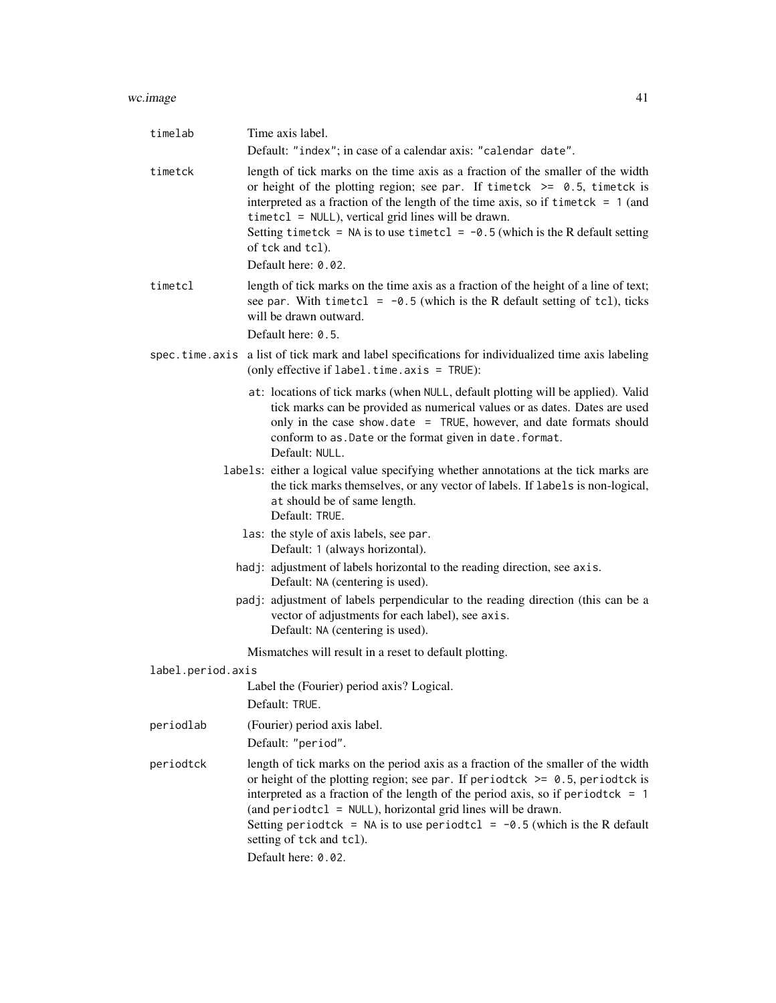#### wc.image 41

| timelab           | Time axis label.                                                                                                                                                                                                                                                                                                                                                                                                                                               |
|-------------------|----------------------------------------------------------------------------------------------------------------------------------------------------------------------------------------------------------------------------------------------------------------------------------------------------------------------------------------------------------------------------------------------------------------------------------------------------------------|
|                   | Default: "index"; in case of a calendar axis: "calendar date".                                                                                                                                                                                                                                                                                                                                                                                                 |
| timetck           | length of tick marks on the time axis as a fraction of the smaller of the width<br>or height of the plotting region; see par. If timetck $\ge$ 0.5, timetck is<br>interpreted as a fraction of the length of the time axis, so if timetck $= 1$ (and<br>$timetcl = NULL$ , vertical grid lines will be drawn.<br>Setting timetck = NA is to use timetcl = $-0.5$ (which is the R default setting<br>of tck and tcl).                                           |
|                   | Default here: 0.02.                                                                                                                                                                                                                                                                                                                                                                                                                                            |
| timetcl           | length of tick marks on the time axis as a fraction of the height of a line of text;<br>see par. With timetcl = $-0.5$ (which is the R default setting of tcl), ticks<br>will be drawn outward.<br>Default here: 0.5.                                                                                                                                                                                                                                          |
|                   | spec.time.axis a list of tick mark and label specifications for individualized time axis labeling<br>(only effective if label.time.axis = TRUE):                                                                                                                                                                                                                                                                                                               |
|                   | at: locations of tick marks (when NULL, default plotting will be applied). Valid<br>tick marks can be provided as numerical values or as dates. Dates are used<br>only in the case show date $=$ TRUE, however, and date formats should<br>conform to as. Date or the format given in date. format.<br>Default: NULL.                                                                                                                                          |
|                   | labels: either a logical value specifying whether annotations at the tick marks are<br>the tick marks themselves, or any vector of labels. If labels is non-logical,<br>at should be of same length.<br>Default: TRUE.                                                                                                                                                                                                                                         |
|                   | las: the style of axis labels, see par.<br>Default: 1 (always horizontal).                                                                                                                                                                                                                                                                                                                                                                                     |
|                   | hadj: adjustment of labels horizontal to the reading direction, see axis.<br>Default: NA (centering is used).                                                                                                                                                                                                                                                                                                                                                  |
|                   | padj: adjustment of labels perpendicular to the reading direction (this can be a<br>vector of adjustments for each label), see axis.<br>Default: NA (centering is used).                                                                                                                                                                                                                                                                                       |
|                   | Mismatches will result in a reset to default plotting.                                                                                                                                                                                                                                                                                                                                                                                                         |
| label.period.axis |                                                                                                                                                                                                                                                                                                                                                                                                                                                                |
|                   | Label the (Fourier) period axis? Logical.<br>Default: TRUE.                                                                                                                                                                                                                                                                                                                                                                                                    |
| periodlab         | (Fourier) period axis label.                                                                                                                                                                                                                                                                                                                                                                                                                                   |
|                   | Default: "period".                                                                                                                                                                                                                                                                                                                                                                                                                                             |
| periodtck         | length of tick marks on the period axis as a fraction of the smaller of the width<br>or height of the plotting region; see par. If periodtck $\ge$ 0.5, periodtck is<br>interpreted as a fraction of the length of the period axis, so if period tck = $1$<br>(and periodtcl = NULL), horizontal grid lines will be drawn.<br>Setting period tck = NA is to use period tcl = $-0.5$ (which is the R default<br>setting of tck and tcl).<br>Default here: 0.02. |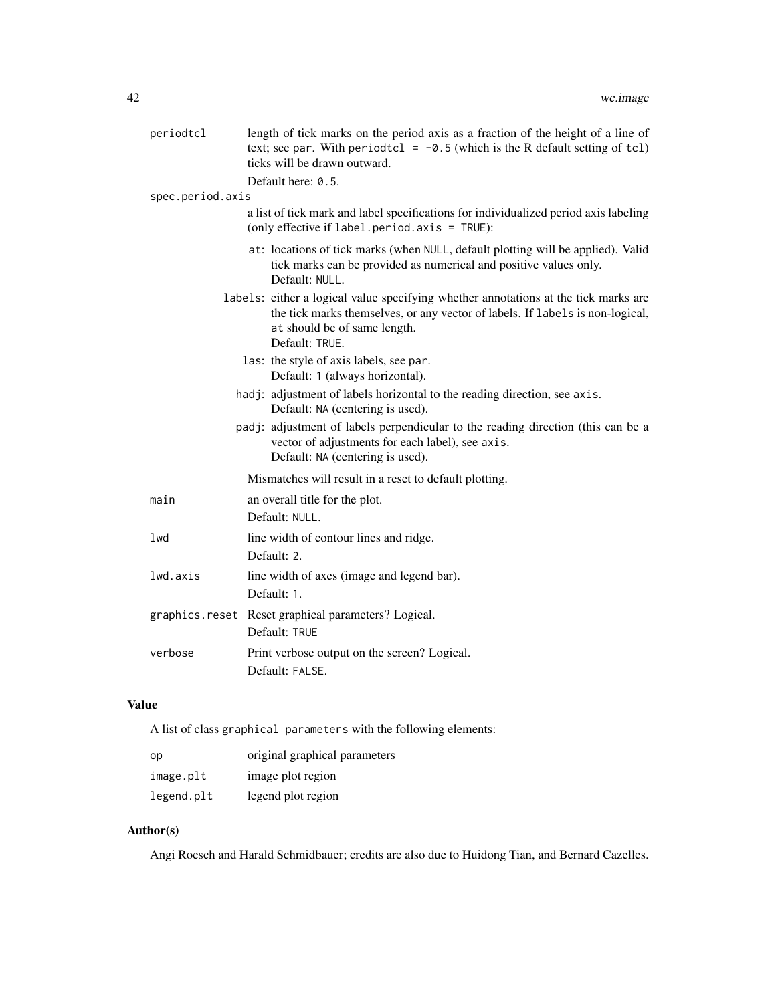| periodtcl                                                                                                     | length of tick marks on the period axis as a fraction of the height of a line of<br>text; see par. With periodtcl = $-0.5$ (which is the R default setting of tcl)<br>ticks will be drawn outward.                     |  |
|---------------------------------------------------------------------------------------------------------------|------------------------------------------------------------------------------------------------------------------------------------------------------------------------------------------------------------------------|--|
|                                                                                                               | Default here: 0.5.                                                                                                                                                                                                     |  |
| spec.period.axis                                                                                              |                                                                                                                                                                                                                        |  |
|                                                                                                               | a list of tick mark and label specifications for individualized period axis labeling<br>(only effective if $label.period. axis = TRUE$ ):                                                                              |  |
|                                                                                                               | at: locations of tick marks (when NULL, default plotting will be applied). Valid<br>tick marks can be provided as numerical and positive values only.<br>Default: NULL.                                                |  |
|                                                                                                               | labels: either a logical value specifying whether annotations at the tick marks are<br>the tick marks themselves, or any vector of labels. If labels is non-logical,<br>at should be of same length.<br>Default: TRUE. |  |
|                                                                                                               | las: the style of axis labels, see par.<br>Default: 1 (always horizontal).                                                                                                                                             |  |
| hadj: adjustment of labels horizontal to the reading direction, see axis.<br>Default: NA (centering is used). |                                                                                                                                                                                                                        |  |
|                                                                                                               | padj: adjustment of labels perpendicular to the reading direction (this can be a<br>vector of adjustments for each label), see axis.<br>Default: NA (centering is used).                                               |  |
|                                                                                                               | Mismatches will result in a reset to default plotting.                                                                                                                                                                 |  |
| main                                                                                                          | an overall title for the plot.                                                                                                                                                                                         |  |
|                                                                                                               | Default: NULL.                                                                                                                                                                                                         |  |
| lwd                                                                                                           | line width of contour lines and ridge.                                                                                                                                                                                 |  |
|                                                                                                               | Default: 2.                                                                                                                                                                                                            |  |
| lwd.axis                                                                                                      | line width of axes (image and legend bar).                                                                                                                                                                             |  |
|                                                                                                               | Default: 1.                                                                                                                                                                                                            |  |
|                                                                                                               | graphics.reset Reset graphical parameters? Logical.                                                                                                                                                                    |  |
|                                                                                                               | Default: TRUE                                                                                                                                                                                                          |  |
| verbose                                                                                                       | Print verbose output on the screen? Logical.<br>Default: FALSE.                                                                                                                                                        |  |

# Value

A list of class graphical parameters with the following elements:

| op         | original graphical parameters |
|------------|-------------------------------|
| image.plt  | image plot region             |
| legend.plt | legend plot region            |

# Author(s)

Angi Roesch and Harald Schmidbauer; credits are also due to Huidong Tian, and Bernard Cazelles.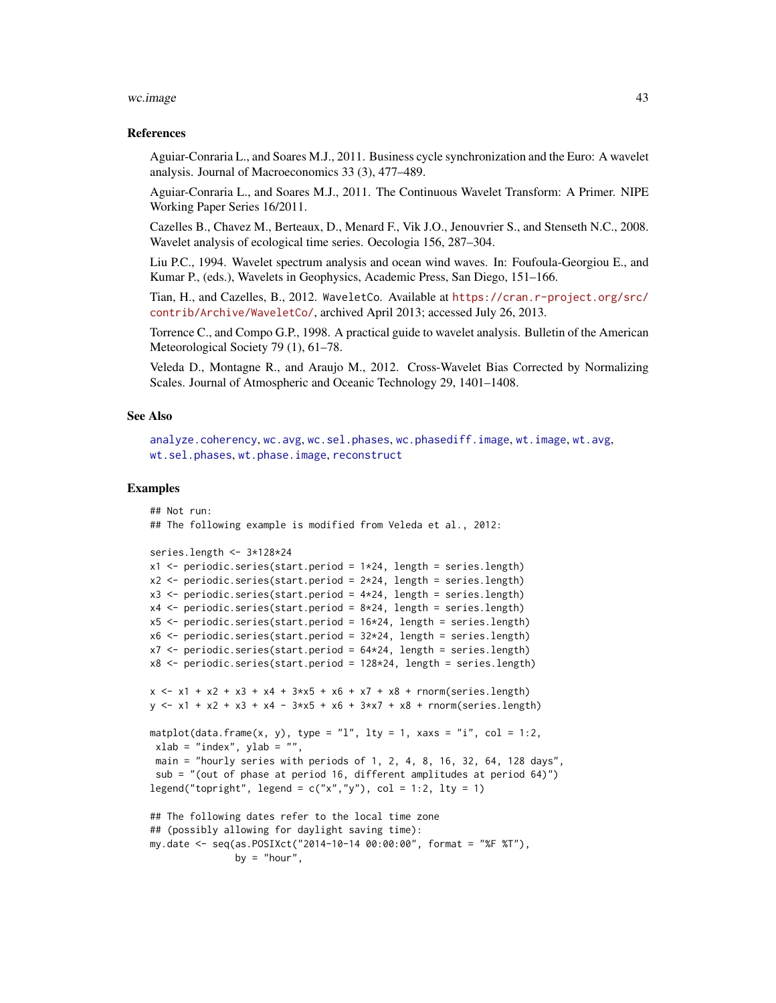#### wc.image 43

### References

Aguiar-Conraria L., and Soares M.J., 2011. Business cycle synchronization and the Euro: A wavelet analysis. Journal of Macroeconomics 33 (3), 477–489.

Aguiar-Conraria L., and Soares M.J., 2011. The Continuous Wavelet Transform: A Primer. NIPE Working Paper Series 16/2011.

Cazelles B., Chavez M., Berteaux, D., Menard F., Vik J.O., Jenouvrier S., and Stenseth N.C., 2008. Wavelet analysis of ecological time series. Oecologia 156, 287–304.

Liu P.C., 1994. Wavelet spectrum analysis and ocean wind waves. In: Foufoula-Georgiou E., and Kumar P., (eds.), Wavelets in Geophysics, Academic Press, San Diego, 151–166.

Tian, H., and Cazelles, B., 2012. WaveletCo. Available at [https://cran.r-project.org/src/](https://cran.r-project.org/src/contrib/Archive/WaveletCo/) [contrib/Archive/WaveletCo/](https://cran.r-project.org/src/contrib/Archive/WaveletCo/), archived April 2013; accessed July 26, 2013.

Torrence C., and Compo G.P., 1998. A practical guide to wavelet analysis. Bulletin of the American Meteorological Society 79 (1), 61–78.

Veleda D., Montagne R., and Araujo M., 2012. Cross-Wavelet Bias Corrected by Normalizing Scales. Journal of Atmospheric and Oceanic Technology 29, 1401–1408.

## See Also

```
analyze.coherencywc.avgwc.sel.phaseswc.phasediff.imagewt.imagewt.avg,
wt.sel.phases, wt.phase.image, reconstruct
```
## Examples

```
## Not run:
## The following example is modified from Veleda et al., 2012:
series.length <- 3*128*24
x1 <- periodic.series(start.period = 1*24, length = series.length)
x2 \le- periodic.series(start.period = 2 \times 24, length = series.length)
x3 \le- periodic.series(start.period = 4*24, length = series.length)
x4 \leftarrow periodic.series(start.period = 8 \times 24, length = series.length)
x5 <- periodic.series(start.period = 16*24, length = series.length)
x6 \le- periodic.series(start.period = 32 \times 24, length = series.length)
x7 < - periodic.series(start.period = 64*24, length = series.length)
x8 <- periodic.series(start.period = 128*24, length = series.length)
x \le -x_1 + x_2 + x_3 + x_4 + 3x_5 + x_6 + x_7 + x_8 + \text{norm}(\text{series.length})y \le -x1 + x2 + x3 + x4 - 3*x5 + x6 + 3*x7 + x8 + \text{norm}(\text{series.length})matplot(data.frame(x, y), type = "l", lty = 1, xaxs = "i", col = 1:2,
xlab = "index", ylab = ""
 main = "hourly series with periods of 1, 2, 4, 8, 16, 32, 64, 128 days",
 sub = "(out of phase at period 16, different amplitudes at period 64)")
legend("topright", legend = c("x", "y"), col = 1:2, lty = 1)
## The following dates refer to the local time zone
## (possibly allowing for daylight saving time):
my.date <- seq(as.POSIXct("2014-10-14 00:00:00", format = "%F %T"),
               by = "hour",
```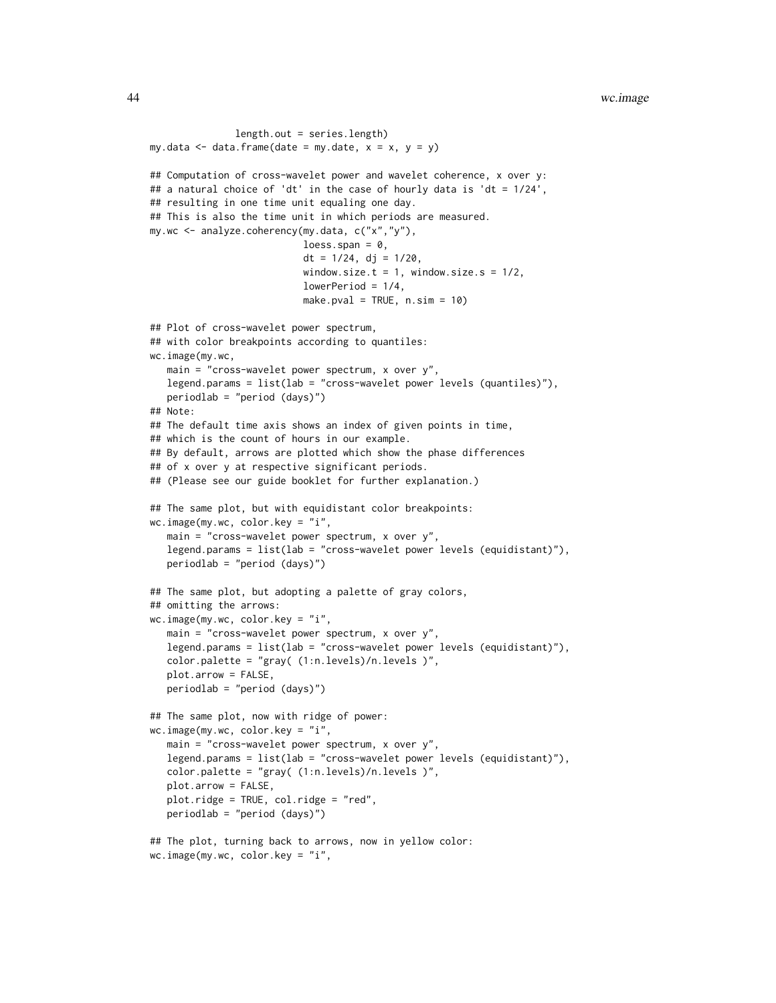```
length.out = series.length)
my.data \leq data.frame(date = my.date, x = x, y = y)
## Computation of cross-wavelet power and wavelet coherence, x over y:
## a natural choice of 'dt' in the case of hourly data is 'dt = 1/24',
## resulting in one time unit equaling one day.
## This is also the time unit in which periods are measured.
my.wc <- analyze.coherency(my.data, c("x","y"),
                           loess.span = 0,
                           dt = 1/24, dj = 1/20,
                           window.size.t = 1, window.size.s = 1/2,
                           lowerPeriod = 1/4,
                           make.pval = TRUE, n.sim = 10)
## Plot of cross-wavelet power spectrum,
## with color breakpoints according to quantiles:
wc.image(my.wc,
   main = "cross-wavelet power spectrum, x over y",
   legend.params = list(lab = "cross-wavelet power levels (quantiles)"),
   periodlab = "period (days)")
## Note:
## The default time axis shows an index of given points in time,
## which is the count of hours in our example.
## By default, arrows are plotted which show the phase differences
## of x over y at respective significant periods.
## (Please see our guide booklet for further explanation.)
## The same plot, but with equidistant color breakpoints:
wc.image(my.wc, color.key = "i",
   main = "cross-wavelet power spectrum, x over y",
   legend.params = list(lab = "cross-wavelet power levels (equidistant)"),
   periodlab = "period (days)")
## The same plot, but adopting a palette of gray colors,
## omitting the arrows:
wc.image(my.wc, color.key = "i",
   main = "cross-wavelet power spectrum, x over y",
   legend.params = list(lab = "cross-wavelet power levels (equidistant)"),
   color.palette = "gray( (1:n.levels)/n.levels )",
   plot.arrow = FALSE,
   periodlab = "period (days)")
## The same plot, now with ridge of power:
wc.image(my.wc, color.key = "i",
   main = "cross-wavelet power spectrum, x over y'',
   legend.params = list(lab = "cross-wavelet power levels (equidistant)"),
   color.palette = "gray( (1:n.levels)/n.levels )",
   plot.arrow = FALSE,
   plot.ridge = TRUE, col.ridge = "red",
   periodlab = "period (days)")
## The plot, turning back to arrows, now in yellow color:
wc.image(my.wc, color.key = "i",
```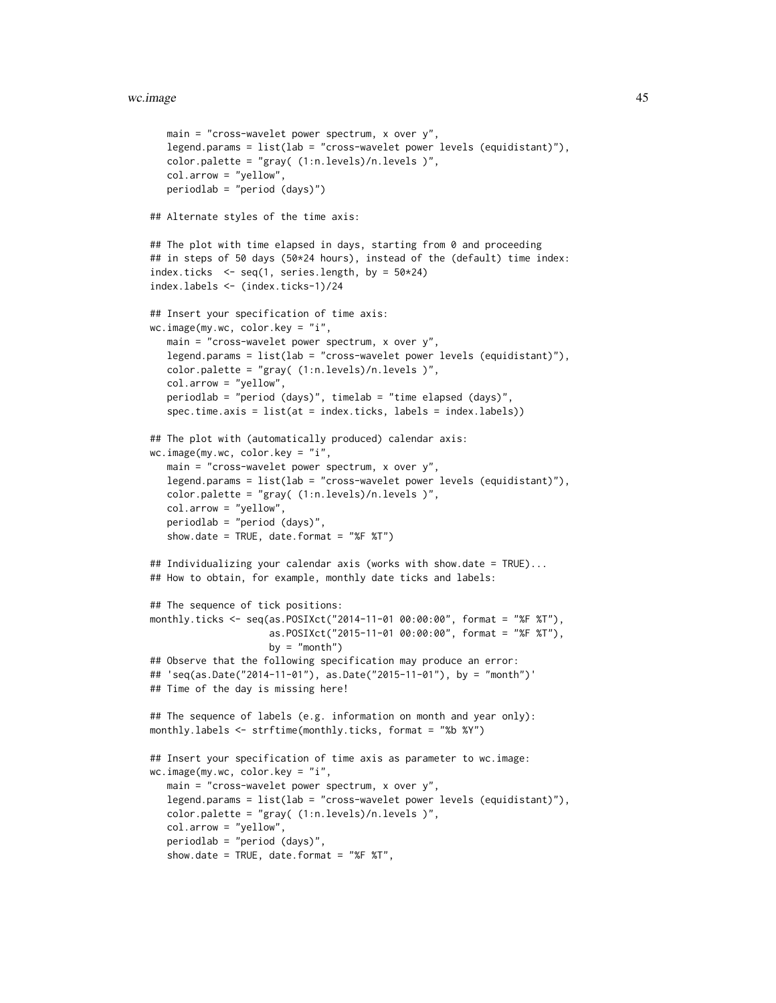```
main = "cross-wavelet power spectrum, x over y'',
  legend.params = list(lab = "cross-wavelet power levels (equidistant)"),
   color.palette = "gray( (1:n.levels)/n.levels )",
  col.arrow = "yellow",
  periodlab = "period (days)")
## Alternate styles of the time axis:
## The plot with time elapsed in days, starting from 0 and proceeding
## in steps of 50 days (50*24 hours), instead of the (default) time index:
index.ticks \leq seq(1, series.length, by = 50*24)
index.labels <- (index.ticks-1)/24
## Insert your specification of time axis:
wc.image(my.wc, color.key = "i",
  main = "cross-wavelet power spectrum, x over y",
  legend.params = list(lab = "cross-wavelet power levels (equidistant)"),
  color.palette = "gray( (1:n.levels)/n.levels )",
  col.arrow = "yellow",
  periodlab = "period (days)", timelab = "time elapsed (days)",
   spec.time.axis = list(at = index.ticks, labels = index.labels))
## The plot with (automatically produced) calendar axis:
wc.image(my.wc, color.key = "i",
  main = "cross-wavelet power spectrum, x over y",
   legend.params = list(lab = "cross-wavelet power levels (equidistant)"),
   color.palette = "gray( (1:n.levels)/n.levels )",
   col.arrow = "yellow",
  periodlab = "period (days)",
   show.date = TRUE, date.format = "%F %T")
## Individualizing your calendar axis (works with show.date = TRUE)...
## How to obtain, for example, monthly date ticks and labels:
## The sequence of tick positions:
monthly.ticks <- seq(as.POSIXct("2014-11-01 00:00:00", format = "%F %T"),
                     as.POSIXct("2015-11-01 00:00:00", format = "%F %T"),
                     by = "month")
## Observe that the following specification may produce an error:
## 'seq(as.Date("2014-11-01"), as.Date("2015-11-01"), by = "month")'
## Time of the day is missing here!
## The sequence of labels (e.g. information on month and year only):
monthly.labels <- strftime(monthly.ticks, format = "%b %Y")
## Insert your specification of time axis as parameter to wc.image:
wc.image(my.wc, color.key = "i",
  main = "cross-wavelet power spectrum, x over y",
  legend.params = list(lab = "cross-wavelet power levels (equidistant)"),
  color.palette = "gray( (1:n.levels)/n.levels )",
  col.arrow = "yellow",
   periodlab = "period (days)",
   show.date = TRUE, date.format = "%F %T",
```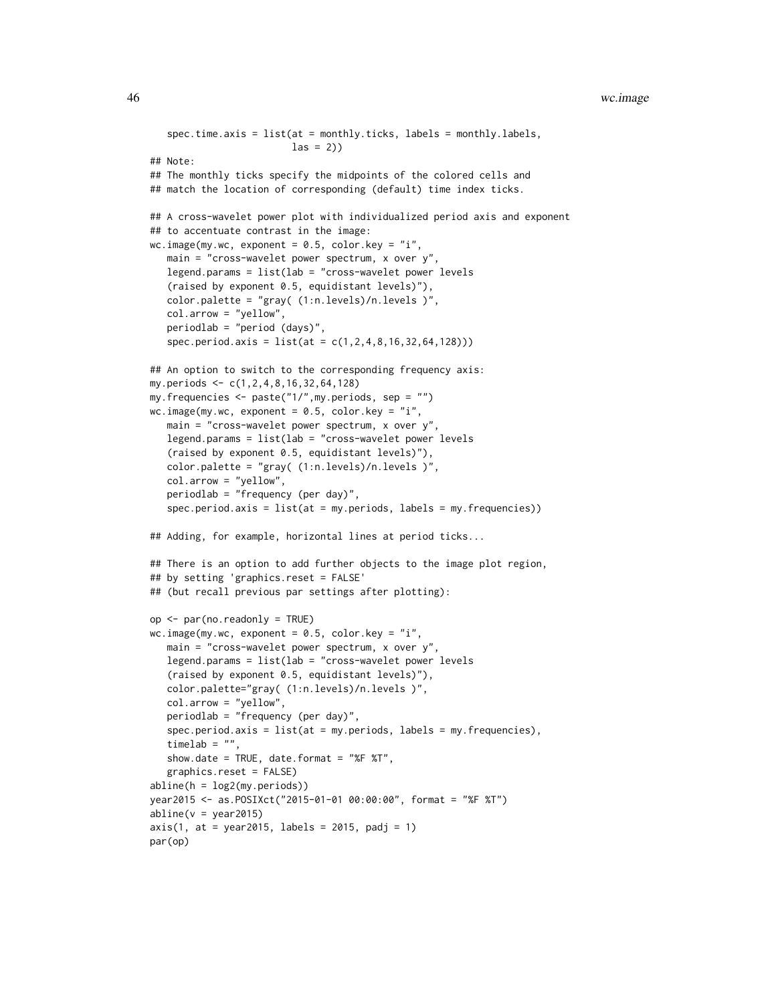```
spec.time.axis = list(at = monthly.ticks, labels = monthly.labels,
                         las = 2)## Note:
## The monthly ticks specify the midpoints of the colored cells and
## match the location of corresponding (default) time index ticks.
## A cross-wavelet power plot with individualized period axis and exponent
## to accentuate contrast in the image:
wc.image(my.wc, exponent = 0.5, color.key = "i",
  main = "cross-wavelet power spectrum, x over y",
  legend.params = list(lab = "cross-wavelet power levels
   (raised by exponent 0.5, equidistant levels)"),
   color.palette = "gray( (1:n.levels)/n.levels )",
   col.arrow = "yellow",
  periodlab = "period (days)",
   spec.period.axis = list(at = c(1,2,4,8,16,32,64,128)))
## An option to switch to the corresponding frequency axis:
my.periods <- c(1,2,4,8,16,32,64,128)
my.frequencies <- paste("1/",my.periods, sep = "")
wc.image(my.wc, exponent = 0.5, color.key = "i",
  main = "cross-wavelet power spectrum, x over y'',
  legend.params = list(lab = "cross-wavelet power levels
   (raised by exponent 0.5, equidistant levels)"),
  color.palette = "gray( (1:n.levels)/n.levels )",
   col.arrow = "yellow",
   periodlab = "frequency (per day)",
   spec.period.axis = list(at = my.periods, labels = my.frequencies))
## Adding, for example, horizontal lines at period ticks...
## There is an option to add further objects to the image plot region,
## by setting 'graphics.reset = FALSE'
## (but recall previous par settings after plotting):
op <- par(no.readonly = TRUE)
wc.image(my.wc, exponent = 0.5, color.key = "i",
  main = "cross-wavelet power spectrum, x over y''legend.params = list(lab = "cross-wavelet power levels
   (raised by exponent 0.5, equidistant levels)"),
  color.palette="gray( (1:n.levels)/n.levels )",
  col.arrow = "yellow",
  periodlab = "frequency (per day)",
   spec.period.axis = list(at = my.periods, labels = my.frequencies),
  timelab = "",
  show.date = TRUE, date.format = "%F %T",
  graphics.reset = FALSE)
abline(h = log2(my.periods))
year2015 <- as.POSIXct("2015-01-01 00:00:00", format = "%F %T")
abline(v = year2015)axis(1, at = year2015, labels = 2015, padj = 1)par(op)
```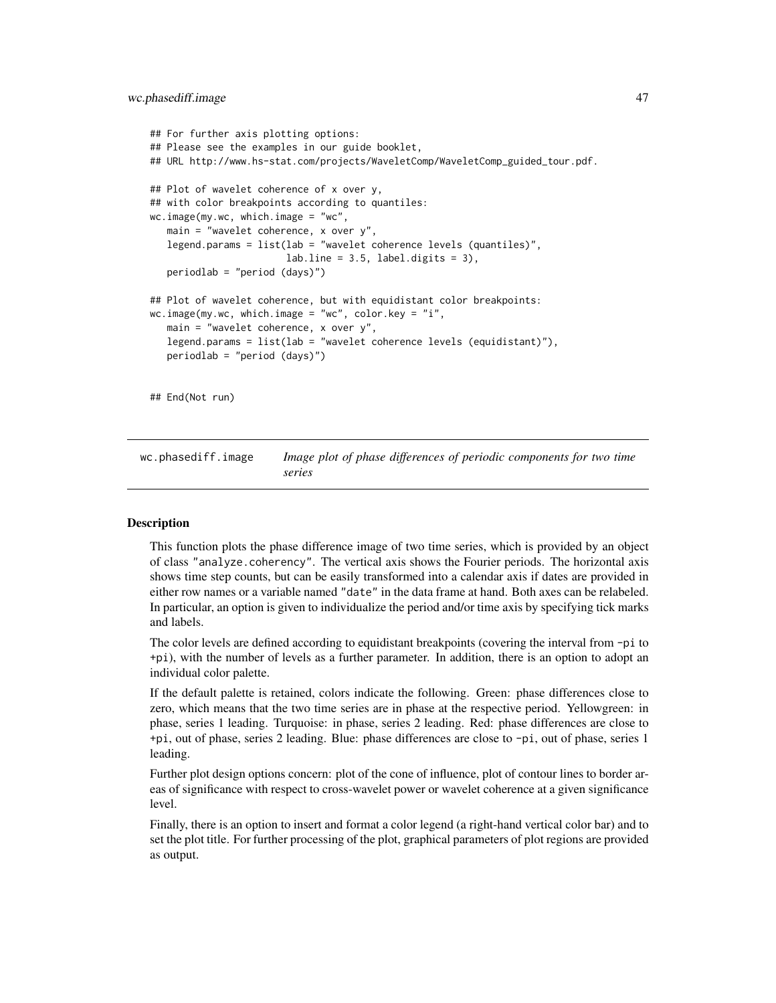#### wc.phasediff.image 47

```
## For further axis plotting options:
## Please see the examples in our guide booklet,
## URL http://www.hs-stat.com/projects/WaveletComp/WaveletComp_guided_tour.pdf.
## Plot of wavelet coherence of x over y,
## with color breakpoints according to quantiles:
wc.image(my.wc, which.image = "wc",
  main = "wavelet coherence, x over y",
  legend.params = list(lab = "wavelet coherence levels (quantiles)".labuine = 3.5, label.digits = 3),
  periodlab = "period (days)")
## Plot of wavelet coherence, but with equidistant color breakpoints:
wc.image(my.wc, which.image = "wc", color.key = "i",
   main = "wavelet coherence, x over y",
  legend.params = list(lab = "wavelet coherence levels (equidistant)"),
  periodlab = "period (days)")
## End(Not run)
```
<span id="page-46-0"></span>wc.phasediff.image *Image plot of phase differences of periodic components for two time series*

## Description

This function plots the phase difference image of two time series, which is provided by an object of class "analyze.coherency". The vertical axis shows the Fourier periods. The horizontal axis shows time step counts, but can be easily transformed into a calendar axis if dates are provided in either row names or a variable named "date" in the data frame at hand. Both axes can be relabeled. In particular, an option is given to individualize the period and/or time axis by specifying tick marks and labels.

The color levels are defined according to equidistant breakpoints (covering the interval from -pi to +pi), with the number of levels as a further parameter. In addition, there is an option to adopt an individual color palette.

If the default palette is retained, colors indicate the following. Green: phase differences close to zero, which means that the two time series are in phase at the respective period. Yellowgreen: in phase, series 1 leading. Turquoise: in phase, series 2 leading. Red: phase differences are close to +pi, out of phase, series 2 leading. Blue: phase differences are close to -pi, out of phase, series 1 leading.

Further plot design options concern: plot of the cone of influence, plot of contour lines to border areas of significance with respect to cross-wavelet power or wavelet coherence at a given significance level.

Finally, there is an option to insert and format a color legend (a right-hand vertical color bar) and to set the plot title. For further processing of the plot, graphical parameters of plot regions are provided as output.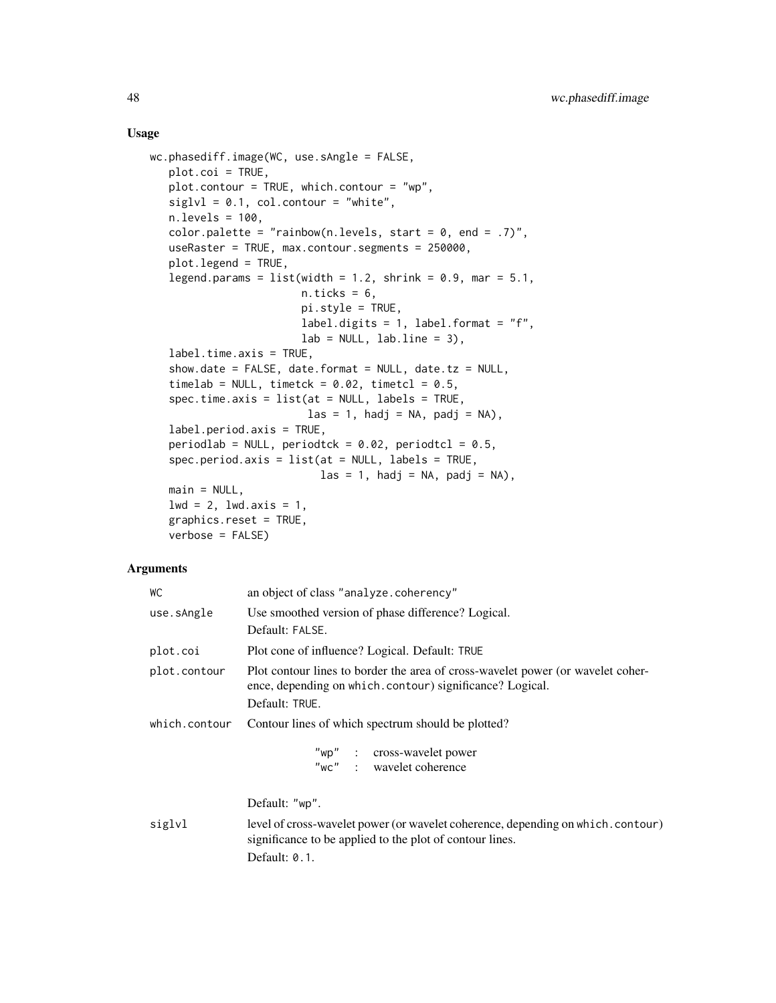## Usage

```
wc.phasediff.image(WC, use.sAngle = FALSE,
   plot.coi = TRUE,
   plot.contour = TRUE, which.contour = "wp",
   siglv1 = 0.1, col.contour = "white",n.levels = 100,
   color.palette = "rainbow(n.levels, start = 0, end = .7)",
   useRaster = TRUE, max.contour.segments = 250000,
   plot.legend = TRUE,
   legend.params = list(width = 1.2, shrink = 0.9, mar = 5.1,
                         n.ticks = 6,
                         pi.style = TRUE,
                         label.digits = 1, label.format = "f",lab = NULL, labu. line = 3),
   label.time.axis = TRUE,
   show.date = FALSE, date.format = NULL, date.tz = NULL,timelab = NULL, timetck = 0.02, timetcl = 0.5,
   spec.time.axis = list(at = NULL, labels = TRUE,\text{las} = 1, \text{hadj} = \text{NA}, \text{padj} = \text{NA}),
   label.period.axis = TRUE,
   periodlab = NULL, periodtck = 0.02, periodtcl = 0.5,
   spec.period.axis = list(at = NULL, labels = TRUE,\text{las} = 1, hadj = NA, padj = NA),
   main = NULL,1wd = 2, 1wd.axis = 1,
   graphics.reset = TRUE,
   verbose = FALSE)
```
## Arguments

| WС            | an object of class "analyze.coherency"                                                                                                                        |  |
|---------------|---------------------------------------------------------------------------------------------------------------------------------------------------------------|--|
| use.sAngle    | Use smoothed version of phase difference? Logical.<br>Default: FALSE.                                                                                         |  |
| plot.coi      | Plot cone of influence? Logical. Default: TRUE                                                                                                                |  |
| plot.contour  | Plot contour lines to border the area of cross-wavelet power (or wavelet coher-<br>ence, depending on which.contour) significance? Logical.<br>Default: TRUE. |  |
| which.contour | Contour lines of which spectrum should be plotted?                                                                                                            |  |
|               | "wp" : cross-wavelet power<br>"wc" : wavelet coherence                                                                                                        |  |
|               | Default: "wp".                                                                                                                                                |  |
| siglvl        | level of cross-wavelet power (or wavelet coherence, depending on which. contour)<br>significance to be applied to the plot of contour lines.                  |  |
|               | Default: 0.1.                                                                                                                                                 |  |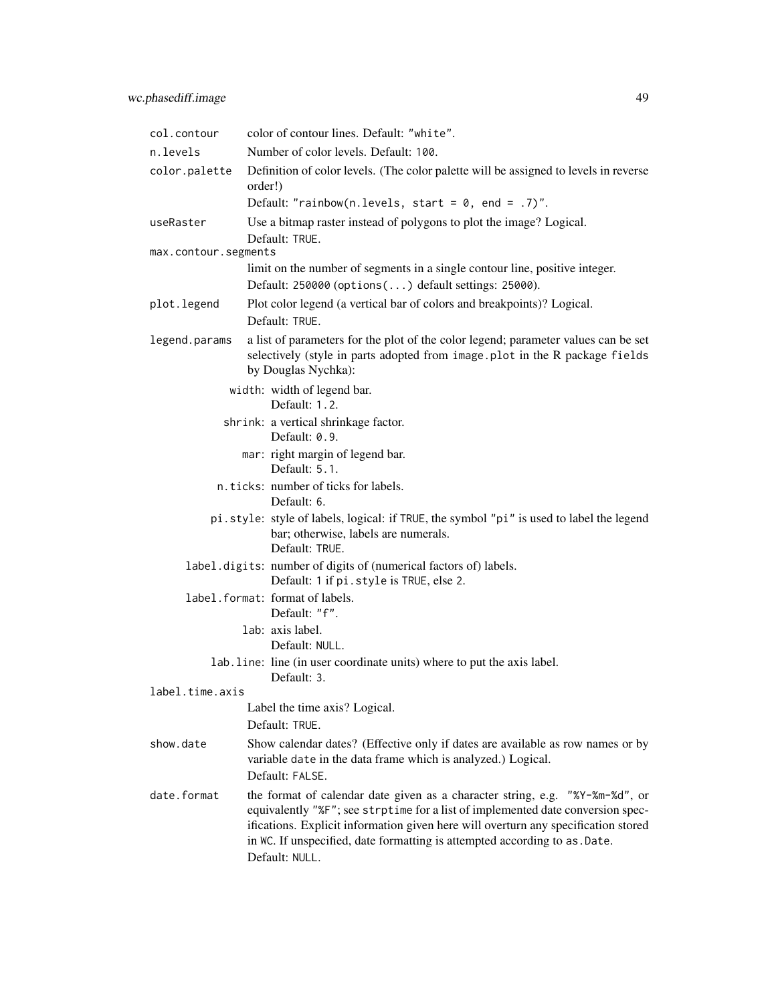| col.contour                                                                                                                                        | color of contour lines. Default: "white".                                                                                                                                                                                                                                                                                                              |  |
|----------------------------------------------------------------------------------------------------------------------------------------------------|--------------------------------------------------------------------------------------------------------------------------------------------------------------------------------------------------------------------------------------------------------------------------------------------------------------------------------------------------------|--|
| n.levels                                                                                                                                           | Number of color levels. Default: 100.                                                                                                                                                                                                                                                                                                                  |  |
| color.palette                                                                                                                                      | Definition of color levels. (The color palette will be assigned to levels in reverse<br>order!)                                                                                                                                                                                                                                                        |  |
|                                                                                                                                                    | Default: "rainbow(n.levels, start = $0$ , end = .7)".                                                                                                                                                                                                                                                                                                  |  |
| useRaster                                                                                                                                          | Use a bitmap raster instead of polygons to plot the image? Logical.<br>Default: TRUE.                                                                                                                                                                                                                                                                  |  |
| max.contour.segments                                                                                                                               |                                                                                                                                                                                                                                                                                                                                                        |  |
| limit on the number of segments in a single contour line, positive integer.                                                                        |                                                                                                                                                                                                                                                                                                                                                        |  |
| Default: 250000 (options() default settings: 25000).                                                                                               |                                                                                                                                                                                                                                                                                                                                                        |  |
| plot.legend                                                                                                                                        | Plot color legend (a vertical bar of colors and breakpoints)? Logical.<br>Default: TRUE.                                                                                                                                                                                                                                                               |  |
| legend.params                                                                                                                                      | a list of parameters for the plot of the color legend; parameter values can be set<br>selectively (style in parts adopted from image.plot in the R package fields<br>by Douglas Nychka):                                                                                                                                                               |  |
|                                                                                                                                                    | width: width of legend bar.<br>Default: 1.2.                                                                                                                                                                                                                                                                                                           |  |
|                                                                                                                                                    | shrink: a vertical shrinkage factor.<br>Default: 0.9.                                                                                                                                                                                                                                                                                                  |  |
|                                                                                                                                                    | mar: right margin of legend bar.<br>Default: 5.1.                                                                                                                                                                                                                                                                                                      |  |
|                                                                                                                                                    | n.ticks: number of ticks for labels.<br>Default: 6.                                                                                                                                                                                                                                                                                                    |  |
| pi.style: style of labels, logical: if TRUE, the symbol "pi" is used to label the legend<br>bar; otherwise, labels are numerals.<br>Default: TRUE. |                                                                                                                                                                                                                                                                                                                                                        |  |
|                                                                                                                                                    | label.digits: number of digits of (numerical factors of) labels.<br>Default: 1 if pi.style is TRUE, else 2.                                                                                                                                                                                                                                            |  |
|                                                                                                                                                    | label. format: format of labels.<br>Default: "f".                                                                                                                                                                                                                                                                                                      |  |
|                                                                                                                                                    | lab: axis label.<br>Default: NULL.                                                                                                                                                                                                                                                                                                                     |  |
| lab. line: line (in user coordinate units) where to put the axis label.<br>Default: 3.                                                             |                                                                                                                                                                                                                                                                                                                                                        |  |
| label.time.axis                                                                                                                                    |                                                                                                                                                                                                                                                                                                                                                        |  |
| Label the time axis? Logical.<br>Default: TRUE.                                                                                                    |                                                                                                                                                                                                                                                                                                                                                        |  |
| show.date                                                                                                                                          | Show calendar dates? (Effective only if dates are available as row names or by<br>variable date in the data frame which is analyzed.) Logical.<br>Default: FALSE.                                                                                                                                                                                      |  |
| date.format                                                                                                                                        | the format of calendar date given as a character string, e.g. "%Y-%m-%d", or<br>equivalently "%F"; see strptime for a list of implemented date conversion spec-<br>ifications. Explicit information given here will overturn any specification stored<br>in WC. If unspecified, date formatting is attempted according to as . Date.<br>Default: NULL. |  |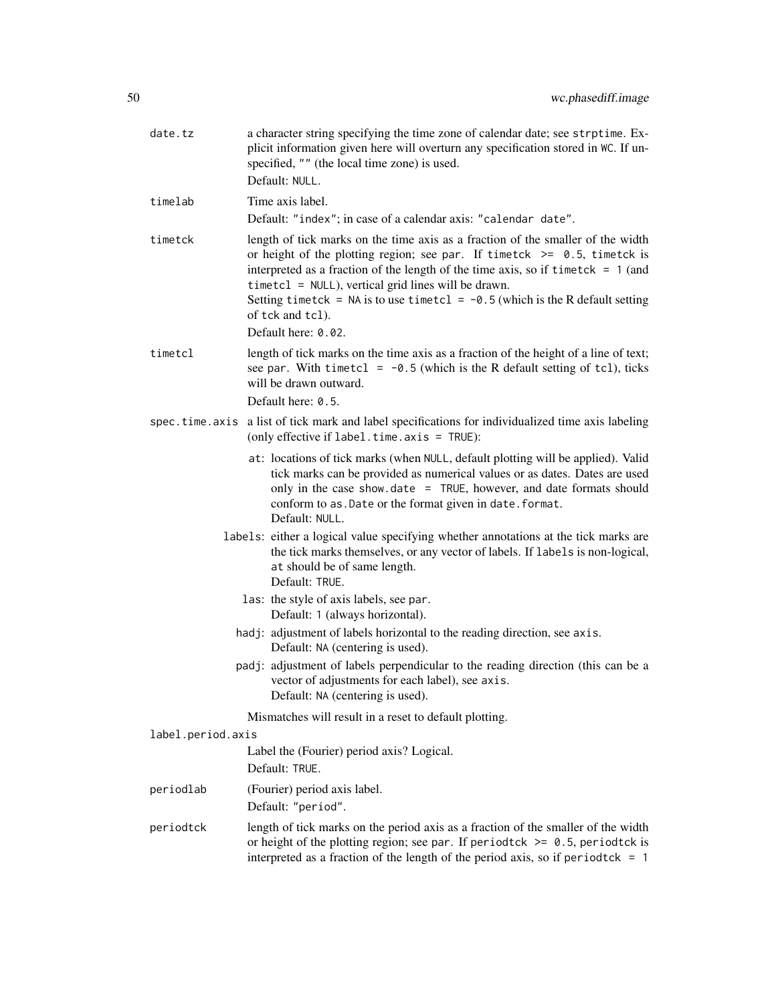| date.tz                                                                                                       | a character string specifying the time zone of calendar date; see strptime. Ex-<br>plicit information given here will overturn any specification stored in WC. If un-<br>specified, "" (the local time zone) is used.<br>Default: NULL.                                                                                                                                                                              |  |
|---------------------------------------------------------------------------------------------------------------|----------------------------------------------------------------------------------------------------------------------------------------------------------------------------------------------------------------------------------------------------------------------------------------------------------------------------------------------------------------------------------------------------------------------|--|
| timelab                                                                                                       | Time axis label.                                                                                                                                                                                                                                                                                                                                                                                                     |  |
|                                                                                                               | Default: "index"; in case of a calendar axis: "calendar date".                                                                                                                                                                                                                                                                                                                                                       |  |
| timetck                                                                                                       | length of tick marks on the time axis as a fraction of the smaller of the width<br>or height of the plotting region; see par. If timetck $\ge$ 0.5, timetck is<br>interpreted as a fraction of the length of the time axis, so if timetck = $1$ (and<br>$timetcl = NULL$ , vertical grid lines will be drawn.<br>Setting timetck = NA is to use timetcl = $-0.5$ (which is the R default setting<br>of tck and tcl). |  |
|                                                                                                               | Default here: 0.02.                                                                                                                                                                                                                                                                                                                                                                                                  |  |
| timetcl                                                                                                       | length of tick marks on the time axis as a fraction of the height of a line of text;<br>see par. With timetcl = $-0.5$ (which is the R default setting of tcl), ticks<br>will be drawn outward.                                                                                                                                                                                                                      |  |
|                                                                                                               | Default here: 0.5.                                                                                                                                                                                                                                                                                                                                                                                                   |  |
| spec.time.axis                                                                                                | a list of tick mark and label specifications for individualized time axis labeling<br>(only effective if label.time.axis = TRUE):                                                                                                                                                                                                                                                                                    |  |
|                                                                                                               | at: locations of tick marks (when NULL, default plotting will be applied). Valid<br>tick marks can be provided as numerical values or as dates. Dates are used<br>only in the case show date $=$ TRUE, however, and date formats should<br>conform to as. Date or the format given in date. format.<br>Default: NULL.                                                                                                |  |
|                                                                                                               | labels: either a logical value specifying whether annotations at the tick marks are<br>the tick marks themselves, or any vector of labels. If labels is non-logical,<br>at should be of same length.<br>Default: TRUE.                                                                                                                                                                                               |  |
| las: the style of axis labels, see par.<br>Default: 1 (always horizontal).                                    |                                                                                                                                                                                                                                                                                                                                                                                                                      |  |
| hadj: adjustment of labels horizontal to the reading direction, see axis.<br>Default: NA (centering is used). |                                                                                                                                                                                                                                                                                                                                                                                                                      |  |
|                                                                                                               | padj: adjustment of labels perpendicular to the reading direction (this can be a<br>vector of adjustments for each label), see axis.<br>Default: NA (centering is used).                                                                                                                                                                                                                                             |  |
|                                                                                                               | Mismatches will result in a reset to default plotting.                                                                                                                                                                                                                                                                                                                                                               |  |
| label.period.axis                                                                                             |                                                                                                                                                                                                                                                                                                                                                                                                                      |  |
|                                                                                                               | Label the (Fourier) period axis? Logical.<br>Default: TRUE.                                                                                                                                                                                                                                                                                                                                                          |  |
| periodlab                                                                                                     | (Fourier) period axis label.                                                                                                                                                                                                                                                                                                                                                                                         |  |
|                                                                                                               | Default: "period".                                                                                                                                                                                                                                                                                                                                                                                                   |  |
| periodtck                                                                                                     | length of tick marks on the period axis as a fraction of the smaller of the width<br>or height of the plotting region; see par. If period tck $\ge$ 0.5, period tck is<br>interpreted as a fraction of the length of the period axis, so if period tck = $1$                                                                                                                                                         |  |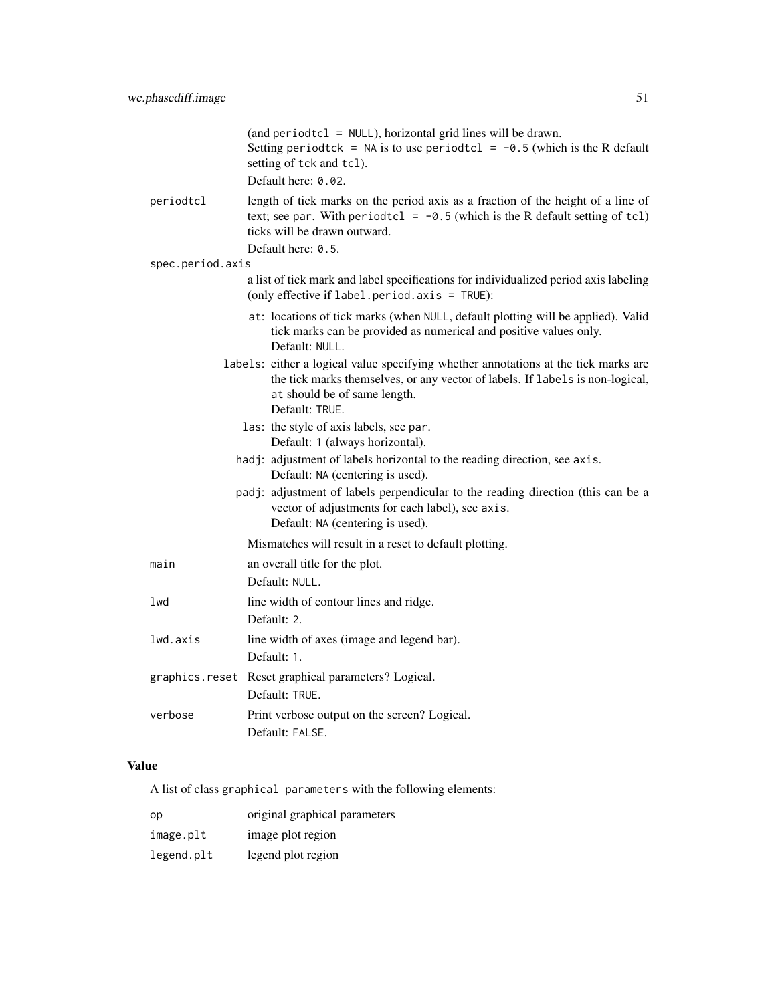|                  | (and period tcl = $NULL$ ), horizontal grid lines will be drawn.<br>Setting period tck = NA is to use period tcl = $-0.5$ (which is the R default<br>setting of tck and tcl).<br>Default here: 0.02.                     |
|------------------|--------------------------------------------------------------------------------------------------------------------------------------------------------------------------------------------------------------------------|
| periodtcl        | length of tick marks on the period axis as a fraction of the height of a line of<br>text; see par. With periodtcl = $-0.5$ (which is the R default setting of tcl)<br>ticks will be drawn outward.<br>Default here: 0.5. |
| spec.period.axis |                                                                                                                                                                                                                          |
|                  | a list of tick mark and label specifications for individualized period axis labeling<br>(only effective if label.period.axis = TRUE):                                                                                    |
|                  | at: locations of tick marks (when NULL, default plotting will be applied). Valid<br>tick marks can be provided as numerical and positive values only.<br>Default: NULL.                                                  |
|                  | labels: either a logical value specifying whether annotations at the tick marks are<br>the tick marks themselves, or any vector of labels. If labels is non-logical,<br>at should be of same length.<br>Default: TRUE.   |
|                  | las: the style of axis labels, see par.<br>Default: 1 (always horizontal).                                                                                                                                               |
|                  | hadj: adjustment of labels horizontal to the reading direction, see axis.<br>Default: NA (centering is used).                                                                                                            |
|                  | padj: adjustment of labels perpendicular to the reading direction (this can be a<br>vector of adjustments for each label), see axis.<br>Default: NA (centering is used).                                                 |
|                  | Mismatches will result in a reset to default plotting.                                                                                                                                                                   |
| main             | an overall title for the plot.<br>Default: NULL.                                                                                                                                                                         |
| lwd              | line width of contour lines and ridge.<br>Default: 2.                                                                                                                                                                    |
| lwd.axis         | line width of axes (image and legend bar).<br>Default: 1.                                                                                                                                                                |
|                  | graphics.reset Reset graphical parameters? Logical.<br>Default: TRUE.                                                                                                                                                    |
| verbose          | Print verbose output on the screen? Logical.<br>Default: FALSE.                                                                                                                                                          |

## Value

A list of class graphical parameters with the following elements:

| op         | original graphical parameters |
|------------|-------------------------------|
| image.plt  | image plot region             |
| legend.plt | legend plot region            |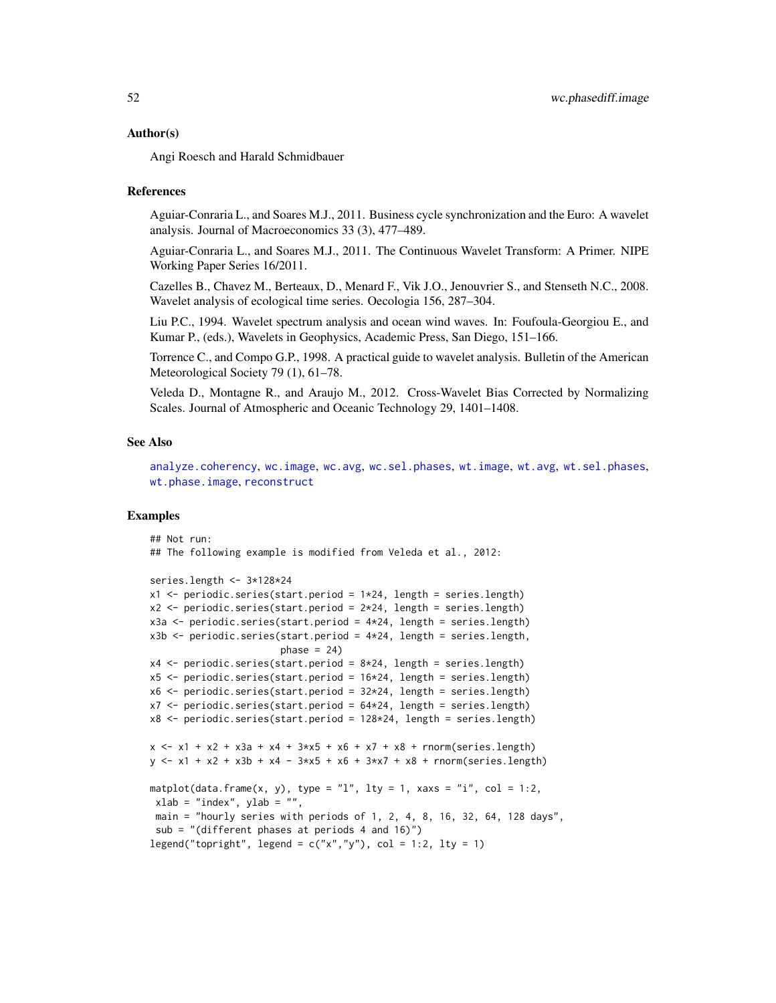#### Author(s)

Angi Roesch and Harald Schmidbauer

### References

Aguiar-Conraria L., and Soares M.J., 2011. Business cycle synchronization and the Euro: A wavelet analysis. Journal of Macroeconomics 33 (3), 477–489.

Aguiar-Conraria L., and Soares M.J., 2011. The Continuous Wavelet Transform: A Primer. NIPE Working Paper Series 16/2011.

Cazelles B., Chavez M., Berteaux, D., Menard F., Vik J.O., Jenouvrier S., and Stenseth N.C., 2008. Wavelet analysis of ecological time series. Oecologia 156, 287–304.

Liu P.C., 1994. Wavelet spectrum analysis and ocean wind waves. In: Foufoula-Georgiou E., and Kumar P., (eds.), Wavelets in Geophysics, Academic Press, San Diego, 151–166.

Torrence C., and Compo G.P., 1998. A practical guide to wavelet analysis. Bulletin of the American Meteorological Society 79 (1), 61–78.

Veleda D., Montagne R., and Araujo M., 2012. Cross-Wavelet Bias Corrected by Normalizing Scales. Journal of Atmospheric and Oceanic Technology 29, 1401–1408.

## See Also

[analyze.coherency](#page-3-0), [wc.image](#page-35-0), [wc.avg](#page-29-0), [wc.sel.phases](#page-53-0), [wt.image](#page-66-0), [wt.avg](#page-61-0), [wt.sel.phases](#page-81-0), [wt.phase.image](#page-75-0), [reconstruct](#page-19-0)

#### Examples

```
## Not run:
## The following example is modified from Veleda et al., 2012:
series.length <- 3*128*24
x1 \le- periodic.series(start.period = 1 \times 24, length = series.length)
x2 \le- periodic.series(start.period = 2 \times 24, length = series.length)
x3a <- periodic.series(start.period = 4*24, length = series.length)
x3b \leq periodic.series(start.period = 4 \times 24, length = series.length,
                        phase = 24)
x4 \le periodic.series(start.period = 8 \times 24, length = series.length)
x5 <- periodic.series(start.period = 16*24, length = series.length)
x6 \le periodic.series(start.period = 32 \times 24, length = series.length)
x7 \le- periodic.series(start.period = 64*24, length = series.length)
x8 <- periodic.series(start.period = 128*24, length = series.length)
x <- x1 + x2 + x3a + x4 + 3*x5 + x6 + x7 + x8 + rnorm(series.length)
y \le -x1 + x2 + x3b + x4 - 3*x5 + x6 + 3*x7 + x8 + \text{norm}(\text{series.length})matplot(data.frame(x, y), type = "l", lty = 1, xaxs = "i", col = 1:2,
 xlab = "index", ylab = "",main = "hourly series with periods of 1, 2, 4, 8, 16, 32, 64, 128 days",
 sub = "(different phases at periods 4 and 16)")
legend("topright", legend = c("x", "y"), col = 1:2, lty = 1)
```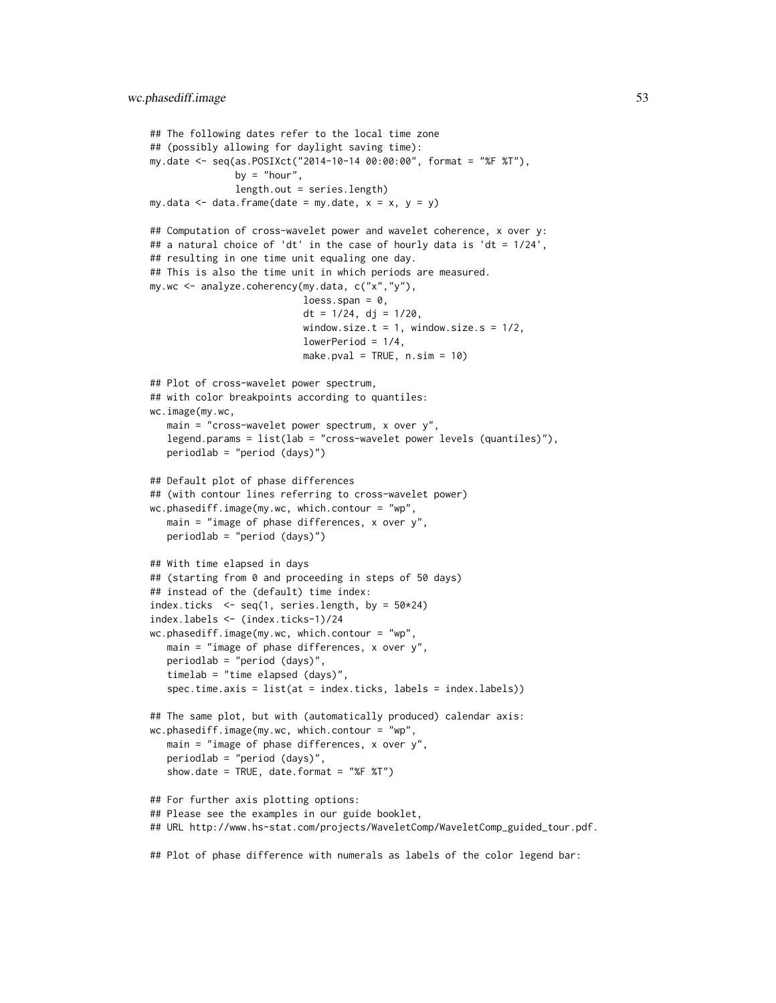```
## The following dates refer to the local time zone
## (possibly allowing for daylight saving time):
my.date <- seq(as.POSIXct("2014-10-14 00:00:00", format = "%F %T"),
               by = "hour",
               length.out = series.length)
my.data \leq data.frame(date = my.date, x = x, y = y)
## Computation of cross-wavelet power and wavelet coherence, x over y:
## a natural choice of 'dt' in the case of hourly data is 'dt = 1/24',
## resulting in one time unit equaling one day.
## This is also the time unit in which periods are measured.
my.wc <- analyze.coherency(my.data, c("x","y"),
                           loess.span = 0,
                           dt = 1/24, dj = 1/20,
                           window.size.t = 1, window.size.s = 1/2,
                           lowerPeriod = 1/4,
                           make.pval = TRUE, n.sim = 10)
## Plot of cross-wavelet power spectrum,
## with color breakpoints according to quantiles:
wc.image(my.wc,
  main = "cross-wavelet power spectrum, x over y",
  legend.params = list(lab = "cross-wavelet power levels (quantiles)"),
  periodlab = "period (days)")
## Default plot of phase differences
## (with contour lines referring to cross-wavelet power)
wc.phasediff.image(my.wc, which.contour = "wp",
  main = "image of phase differences, x over y",
  periodlab = "period (days)")
## With time elapsed in days
## (starting from 0 and proceeding in steps of 50 days)
## instead of the (default) time index:
index.ticks \leq seq(1, series.length, by = 50*24)
index.labels <- (index.ticks-1)/24
wc.phasediff.image(my.wc, which.contour = "wp",
  main = "image of phase differences, x over y",
   periodlab = "period (days)",
   timelab = "time elapsed (days)"spec.time.axis = list(at = index.ticks, labels = index.labels))
## The same plot, but with (automatically produced) calendar axis:
wc.phasediff.image(my.wc, which.contour = "wp",
  main = "image of phase differences, x over y",
  periodlab = "period (days)",
   show.date = TRUE, date.format = "%F %T")
## For further axis plotting options:
## Please see the examples in our guide booklet,
## URL http://www.hs-stat.com/projects/WaveletComp/WaveletComp_guided_tour.pdf.
```
## Plot of phase difference with numerals as labels of the color legend bar: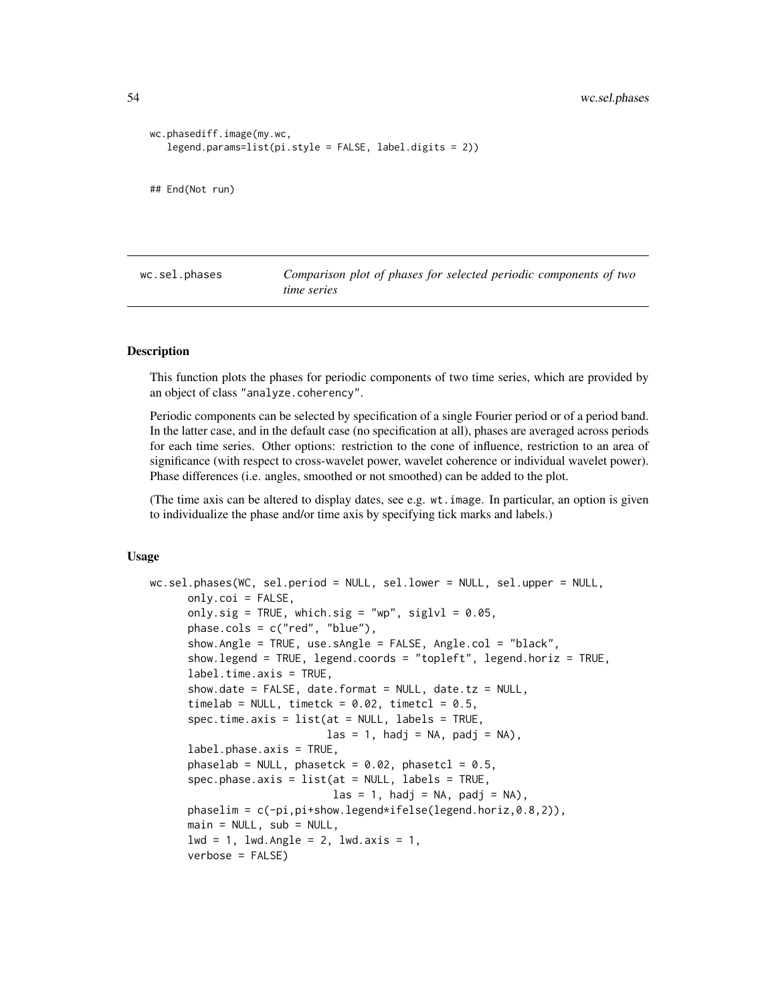```
wc.phasediff.image(my.wc,
   legend.params=list(pi.style = FALSE, label.digits = 2))
## End(Not run)
```
<span id="page-53-0"></span>wc.sel.phases *Comparison plot of phases for selected periodic components of two time series*

#### **Description**

This function plots the phases for periodic components of two time series, which are provided by an object of class "analyze.coherency".

Periodic components can be selected by specification of a single Fourier period or of a period band. In the latter case, and in the default case (no specification at all), phases are averaged across periods for each time series. Other options: restriction to the cone of influence, restriction to an area of significance (with respect to cross-wavelet power, wavelet coherence or individual wavelet power). Phase differences (i.e. angles, smoothed or not smoothed) can be added to the plot.

(The time axis can be altered to display dates, see e.g. wt.image. In particular, an option is given to individualize the phase and/or time axis by specifying tick marks and labels.)

### Usage

```
wc.sel.phases(WC, sel.period = NULL, sel.lower = NULL, sel.upper = NULL,
      only.coi = FALSE,
      only.sig = TRUE, which.sig = "wp", siglvl = 0.05,
      phase.cols = c("red", "blue"),
      show.Angle = TRUE, use.sAngle = FALSE, Angle.col = "black",
      show.legend = TRUE, legend.coords = "topleft", legend.horiz = TRUE,
      label.time.axis = TRUE,
      show.date = FALSE, date.format = NULL, date.tz = NULL,
      timelab = NULL, timetck = 0.02, timetcl = 0.5,
      spec.time.axis = list(at = NULL, labels = TRUE,\text{las} = 1, hadj = NA, padj = NA),
      label.phase.axis = TRUE,phaselab = NULL, phasetck = 0.02, phasetcl = 0.5,
      spec.phase.axis = list(at = NULL, labels = TRUE,\text{las} = 1, hadj = NA, padj = NA),
      phaselim = c(-pi,pi+show.legend*ifelse(legend.horiz,0.8,2)),
      main = NULL, sub = NULL,
      1wd = 1, 1wd.Angle = 2, 1wd.axis = 1,
      verbose = FALSE)
```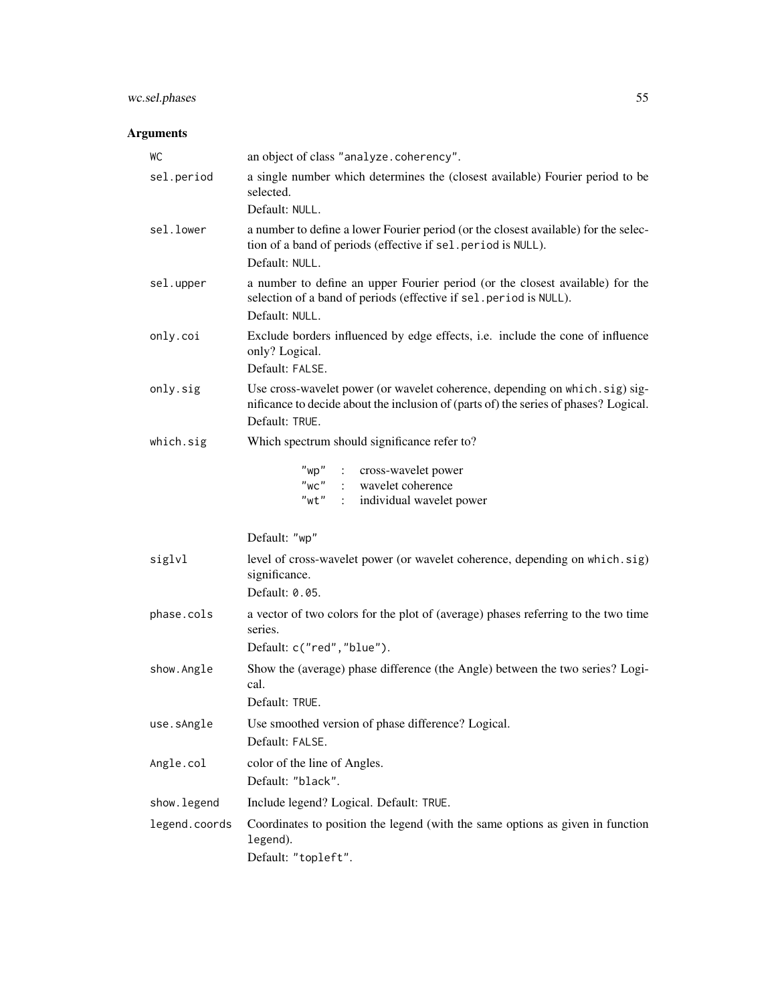# wc.sel.phases 55

# Arguments

| WC            | an object of class "analyze.coherency".                                                                                                                                               |
|---------------|---------------------------------------------------------------------------------------------------------------------------------------------------------------------------------------|
| sel.period    | a single number which determines the (closest available) Fourier period to be<br>selected.<br>Default: NULL.                                                                          |
| sel.lower     | a number to define a lower Fourier period (or the closest available) for the selec-<br>tion of a band of periods (effective if sel. period is NULL).<br>Default: NULL.                |
| sel.upper     | a number to define an upper Fourier period (or the closest available) for the<br>selection of a band of periods (effective if sel. period is NULL).<br>Default: NULL.                 |
| only.coi      | Exclude borders influenced by edge effects, i.e. include the cone of influence<br>only? Logical.<br>Default: FALSE.                                                                   |
| only.sig      | Use cross-wavelet power (or wavelet coherence, depending on which.sig) sig-<br>nificance to decide about the inclusion of (parts of) the series of phases? Logical.<br>Default: TRUE. |
| which.sig     | Which spectrum should significance refer to?                                                                                                                                          |
|               | "wp" : cross-wavelet power<br>"wc" : wavelet coherence<br>"wt" : individual wavelet power                                                                                             |
|               | Default: "wp"                                                                                                                                                                         |
| siglvl        | level of cross-wavelet power (or wavelet coherence, depending on which.sig)<br>significance.<br>Default: 0.05.                                                                        |
| phase.cols    | a vector of two colors for the plot of (average) phases referring to the two time<br>series.<br>Default: c("red", "blue").                                                            |
| show.Angle    | Show the (average) phase difference (the Angle) between the two series? Logi-<br>cal.<br>Default: TRUE.                                                                               |
| use.sAngle    | Use smoothed version of phase difference? Logical.<br>Default: FALSE.                                                                                                                 |
| Angle.col     | color of the line of Angles.<br>Default: "black".                                                                                                                                     |
| show. legend  | Include legend? Logical. Default: TRUE.                                                                                                                                               |
| legend.coords | Coordinates to position the legend (with the same options as given in function<br>legend).<br>Default: "topleft".                                                                     |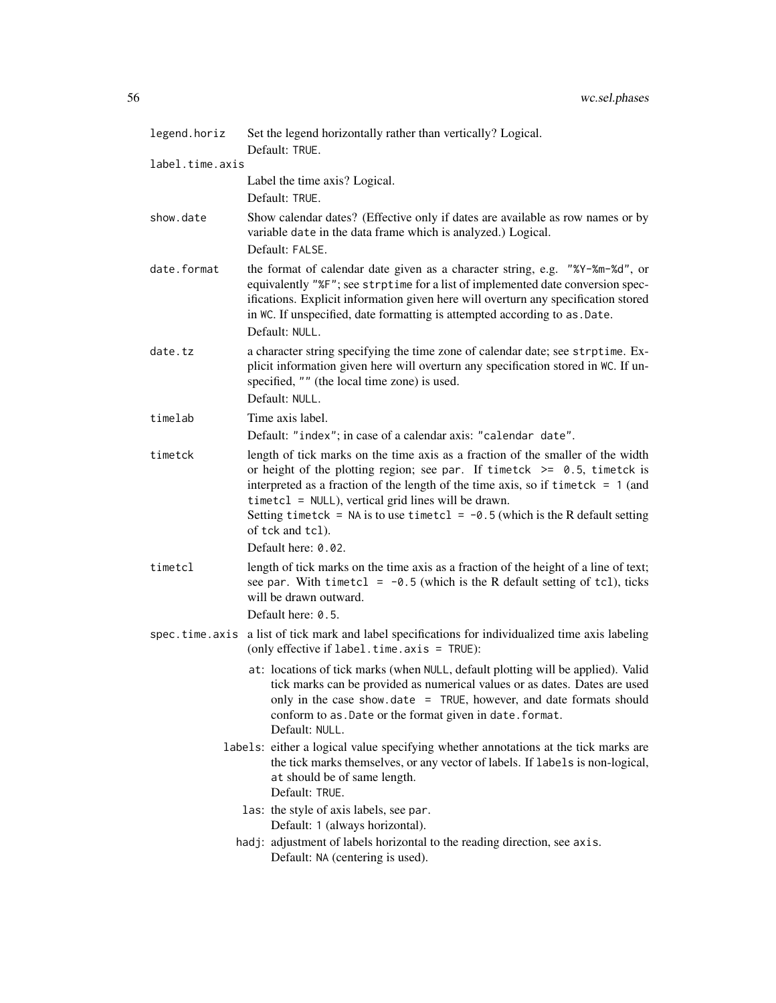| legend.horiz    | Set the legend horizontally rather than vertically? Logical.<br>Default: TRUE.                                                                                                                                                                                                                                                                                                                                                              |
|-----------------|---------------------------------------------------------------------------------------------------------------------------------------------------------------------------------------------------------------------------------------------------------------------------------------------------------------------------------------------------------------------------------------------------------------------------------------------|
| label.time.axis |                                                                                                                                                                                                                                                                                                                                                                                                                                             |
|                 | Label the time axis? Logical.<br>Default: TRUE.                                                                                                                                                                                                                                                                                                                                                                                             |
| show.date       | Show calendar dates? (Effective only if dates are available as row names or by<br>variable date in the data frame which is analyzed.) Logical.<br>Default: FALSE.                                                                                                                                                                                                                                                                           |
| date.format     | the format of calendar date given as a character string, e.g. "%Y-%m-%d", or<br>equivalently "%F"; see strptime for a list of implemented date conversion spec-<br>ifications. Explicit information given here will overturn any specification stored<br>in WC. If unspecified, date formatting is attempted according to as . Date.<br>Default: NULL.                                                                                      |
| date.tz         | a character string specifying the time zone of calendar date; see strptime. Ex-<br>plicit information given here will overturn any specification stored in WC. If un-<br>specified, "" (the local time zone) is used.<br>Default: NULL.                                                                                                                                                                                                     |
| timelab         | Time axis label.                                                                                                                                                                                                                                                                                                                                                                                                                            |
|                 | Default: "index"; in case of a calendar axis: "calendar date".                                                                                                                                                                                                                                                                                                                                                                              |
| timetck         | length of tick marks on the time axis as a fraction of the smaller of the width<br>or height of the plotting region; see par. If timetck $\ge$ 0.5, timetck is<br>interpreted as a fraction of the length of the time axis, so if timetck $= 1$ (and<br>$timetcl = NULL$ , vertical grid lines will be drawn.<br>Setting timetck = NA is to use timetcl = $-0.5$ (which is the R default setting<br>of tck and tcl).<br>Default here: 0.02. |
| timetcl         | length of tick marks on the time axis as a fraction of the height of a line of text;                                                                                                                                                                                                                                                                                                                                                        |
|                 | see par. With timetcl = $-0.5$ (which is the R default setting of tcl), ticks<br>will be drawn outward.                                                                                                                                                                                                                                                                                                                                     |
|                 | Default here: 0.5.                                                                                                                                                                                                                                                                                                                                                                                                                          |
|                 | spec.time.axis a list of tick mark and label specifications for individualized time axis labeling<br>(only effective if $label.time-axis = TRUE$ ):                                                                                                                                                                                                                                                                                         |
|                 | at: locations of tick marks (when NULL, default plotting will be applied). Valid<br>tick marks can be provided as numerical values or as dates. Dates are used<br>only in the case show. date $=$ TRUE, however, and date formats should<br>conform to as. Date or the format given in date. format.<br>Default: NULL.                                                                                                                      |
|                 | labels: either a logical value specifying whether annotations at the tick marks are<br>the tick marks themselves, or any vector of labels. If labels is non-logical,<br>at should be of same length.<br>Default: TRUE.                                                                                                                                                                                                                      |
|                 | las: the style of axis labels, see par.<br>Default: 1 (always horizontal).                                                                                                                                                                                                                                                                                                                                                                  |
|                 | hadj: adjustment of labels horizontal to the reading direction, see axis.<br>Default: NA (centering is used).                                                                                                                                                                                                                                                                                                                               |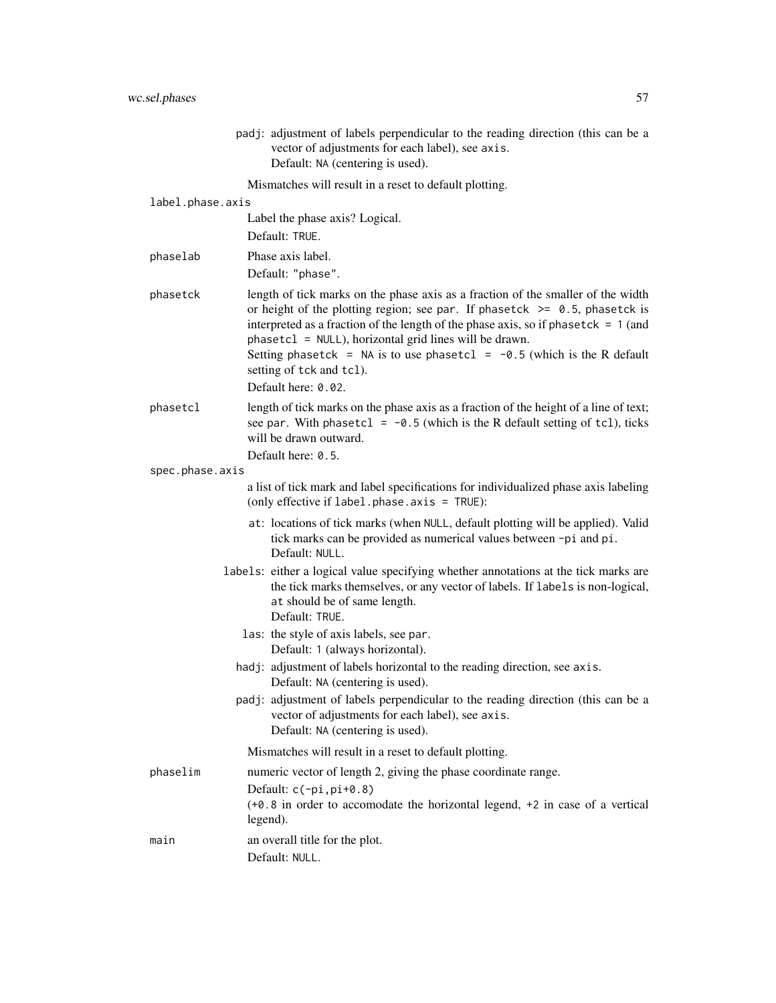|                  | padj: adjustment of labels perpendicular to the reading direction (this can be a<br>vector of adjustments for each label), see axis.<br>Default: NA (centering is used).                                                                                                                                                                                                                                                     |
|------------------|------------------------------------------------------------------------------------------------------------------------------------------------------------------------------------------------------------------------------------------------------------------------------------------------------------------------------------------------------------------------------------------------------------------------------|
|                  | Mismatches will result in a reset to default plotting.                                                                                                                                                                                                                                                                                                                                                                       |
| label.phase.axis |                                                                                                                                                                                                                                                                                                                                                                                                                              |
|                  | Label the phase axis? Logical.                                                                                                                                                                                                                                                                                                                                                                                               |
|                  | Default: TRUE.                                                                                                                                                                                                                                                                                                                                                                                                               |
| phaselab         | Phase axis label.                                                                                                                                                                                                                                                                                                                                                                                                            |
|                  | Default: "phase".                                                                                                                                                                                                                                                                                                                                                                                                            |
| phasetck         | length of tick marks on the phase axis as a fraction of the smaller of the width<br>or height of the plotting region; see par. If phasetck $\ge$ 0.5, phasetck is<br>interpreted as a fraction of the length of the phase axis, so if phasetck = $1$ (and<br>phasetcl = NULL), horizontal grid lines will be drawn.<br>Setting phasetck = NA is to use phasetcl = $-0.5$ (which is the R default<br>setting of tck and tcl). |
|                  | Default here: 0.02.                                                                                                                                                                                                                                                                                                                                                                                                          |
| phasetcl         | length of tick marks on the phase axis as a fraction of the height of a line of text;<br>see par. With phasetcl = $-0.5$ (which is the R default setting of tcl), ticks<br>will be drawn outward.                                                                                                                                                                                                                            |
|                  | Default here: 0.5.                                                                                                                                                                                                                                                                                                                                                                                                           |
| spec.phase.axis  | a list of tick mark and label specifications for individualized phase axis labeling                                                                                                                                                                                                                                                                                                                                          |
|                  | (only effective if label.phase.axis = TRUE):                                                                                                                                                                                                                                                                                                                                                                                 |
|                  | at: locations of tick marks (when NULL, default plotting will be applied). Valid<br>tick marks can be provided as numerical values between -pi and pi.<br>Default: NULL.                                                                                                                                                                                                                                                     |
|                  | labels: either a logical value specifying whether annotations at the tick marks are<br>the tick marks themselves, or any vector of labels. If labels is non-logical,<br>at should be of same length.<br>Default: TRUE.                                                                                                                                                                                                       |
|                  | las: the style of axis labels, see par.<br>Default: 1 (always horizontal).                                                                                                                                                                                                                                                                                                                                                   |
|                  | hadj: adjustment of labels horizontal to the reading direction, see axis.<br>Default: NA (centering is used).                                                                                                                                                                                                                                                                                                                |
|                  | padj: adjustment of labels perpendicular to the reading direction (this can be a<br>vector of adjustments for each label), see axis.<br>Default: NA (centering is used).                                                                                                                                                                                                                                                     |
|                  | Mismatches will result in a reset to default plotting.                                                                                                                                                                                                                                                                                                                                                                       |
| phaselim         | numeric vector of length 2, giving the phase coordinate range.                                                                                                                                                                                                                                                                                                                                                               |
|                  | Default: $c(-pi,pi+0.8)$<br>(+0.8 in order to accomodate the horizontal legend, +2 in case of a vertical<br>legend).                                                                                                                                                                                                                                                                                                         |
| main             | an overall title for the plot.<br>Default: NULL.                                                                                                                                                                                                                                                                                                                                                                             |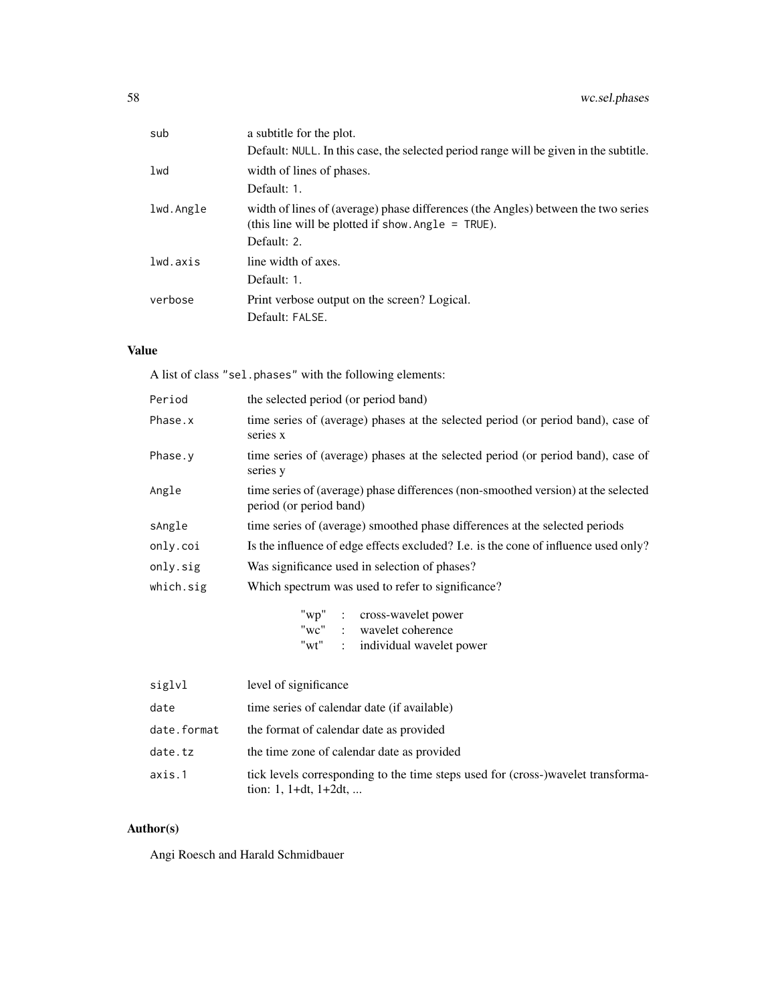| a subtitle for the plot.                                                                                                                                 |
|----------------------------------------------------------------------------------------------------------------------------------------------------------|
| Default: NULL. In this case, the selected period range will be given in the subtitle.                                                                    |
| width of lines of phases.                                                                                                                                |
| Default: 1.                                                                                                                                              |
| width of lines of (average) phase differences (the Angles) between the two series<br>(this line will be plotted if show. Angle $=$ TRUE).<br>Default: 2. |
| line width of axes.<br>Default: 1.                                                                                                                       |
| Print verbose output on the screen? Logical.<br>Default: FALSE.                                                                                          |
|                                                                                                                                                          |

## Value

A list of class "sel.phases" with the following elements:

| Period      | the selected period (or period band)                                                                         |
|-------------|--------------------------------------------------------------------------------------------------------------|
| Phase.x     | time series of (average) phases at the selected period (or period band), case of<br>series x                 |
| Phase.y     | time series of (average) phases at the selected period (or period band), case of<br>series y                 |
| Angle       | time series of (average) phase differences (non-smoothed version) at the selected<br>period (or period band) |
| sAngle      | time series of (average) smoothed phase differences at the selected periods                                  |
| only.coi    | Is the influence of edge effects excluded? I.e. is the cone of influence used only?                          |
| only.sig    | Was significance used in selection of phases?                                                                |
| which.sig   | Which spectrum was used to refer to significance?                                                            |
|             | "wp" : cross-wavelet power<br>"wc" : wavelet coherence<br>"wt" : individual wavelet power                    |
| siglvl      | level of significance                                                                                        |
| date        | time series of calendar date (if available)                                                                  |
| date.format | the format of calendar date as provided                                                                      |
| date.tz     | the time zone of calendar date as provided                                                                   |
| axis.1      | tick levels corresponding to the time steps used for (cross-)wavelet transforma-                             |

# Author(s)

Angi Roesch and Harald Schmidbauer

tion: 1, 1+dt, 1+2dt, ...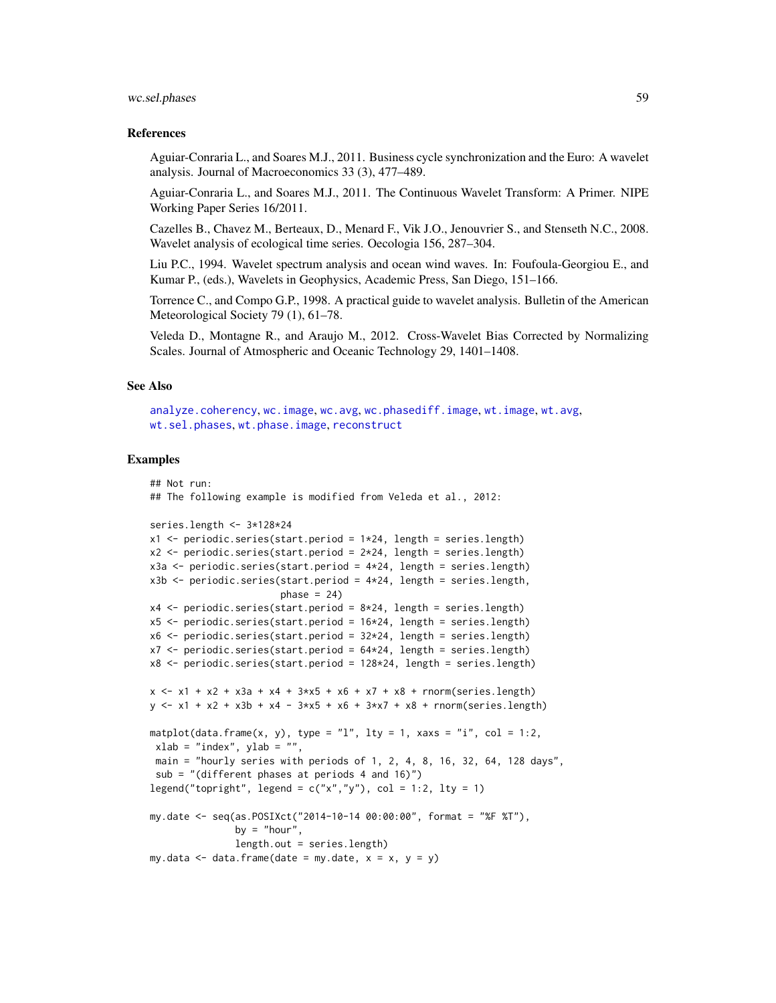#### wc.sel.phases 59

### References

Aguiar-Conraria L., and Soares M.J., 2011. Business cycle synchronization and the Euro: A wavelet analysis. Journal of Macroeconomics 33 (3), 477–489.

Aguiar-Conraria L., and Soares M.J., 2011. The Continuous Wavelet Transform: A Primer. NIPE Working Paper Series 16/2011.

Cazelles B., Chavez M., Berteaux, D., Menard F., Vik J.O., Jenouvrier S., and Stenseth N.C., 2008. Wavelet analysis of ecological time series. Oecologia 156, 287–304.

Liu P.C., 1994. Wavelet spectrum analysis and ocean wind waves. In: Foufoula-Georgiou E., and Kumar P., (eds.), Wavelets in Geophysics, Academic Press, San Diego, 151–166.

Torrence C., and Compo G.P., 1998. A practical guide to wavelet analysis. Bulletin of the American Meteorological Society 79 (1), 61–78.

Veleda D., Montagne R., and Araujo M., 2012. Cross-Wavelet Bias Corrected by Normalizing Scales. Journal of Atmospheric and Oceanic Technology 29, 1401–1408.

## See Also

[analyze.coherency](#page-3-0), [wc.image](#page-35-0), [wc.avg](#page-29-0), [wc.phasediff.image](#page-46-0), [wt.image](#page-66-0), [wt.avg](#page-61-0), [wt.sel.phases](#page-81-0), [wt.phase.image](#page-75-0), [reconstruct](#page-19-0)

### Examples

```
## Not run:
## The following example is modified from Veleda et al., 2012:
series.length <- 3*128*24
x1 \leftarrow periodic.series(start.period = 1*24, length = series.length)
x2 \le periodic.series(start.period = 2*24, length = series.length)
x3a <- periodic.series(start.period = 4*24, length = series.length)
x3b \leq periodic.series(start.period = 4 \times 24, length = series.length,
                        phase = 24x4 \leftarrow periodic.series(start.period = 8 \times 24, length = series.length)
x5 <- periodic.series(start.period = 16*24, length = series.length)
x6 \le- periodic.series(start.period = 32*24, length = series.length)
x7 < - periodic.series(start.period = 64*24, length = series.length)
x8 <- periodic.series(start.period = 128*24, length = series.length)
x \le - x1 + x2 + x3a + x4 + 3*x5 + x6 + x7 + x8 + \text{norm}(\text{series.length})y \le -x1 + x2 + x3b + x4 - 3*x5 + x6 + 3*x7 + x8 + \text{norm}(\text{series.length})matplot(data.frame(x, y), type = "l", lty = 1, xaxs = "i", col = 1:2,
xlab = "index", ylab = ""
 main = "hourly series with periods of 1, 2, 4, 8, 16, 32, 64, 128 days",
 sub = "(different phases at periods 4 and 16)")
legend("topright", legend = c("x", "y"), col = 1:2, lty = 1)
my.date <- seq(as.POSIXct("2014-10-14 00:00:00", format = "%F %T"),
               by = "hour",length.out = series.length)
my.data \leq data.frame(date = my.date, x = x, y = y)
```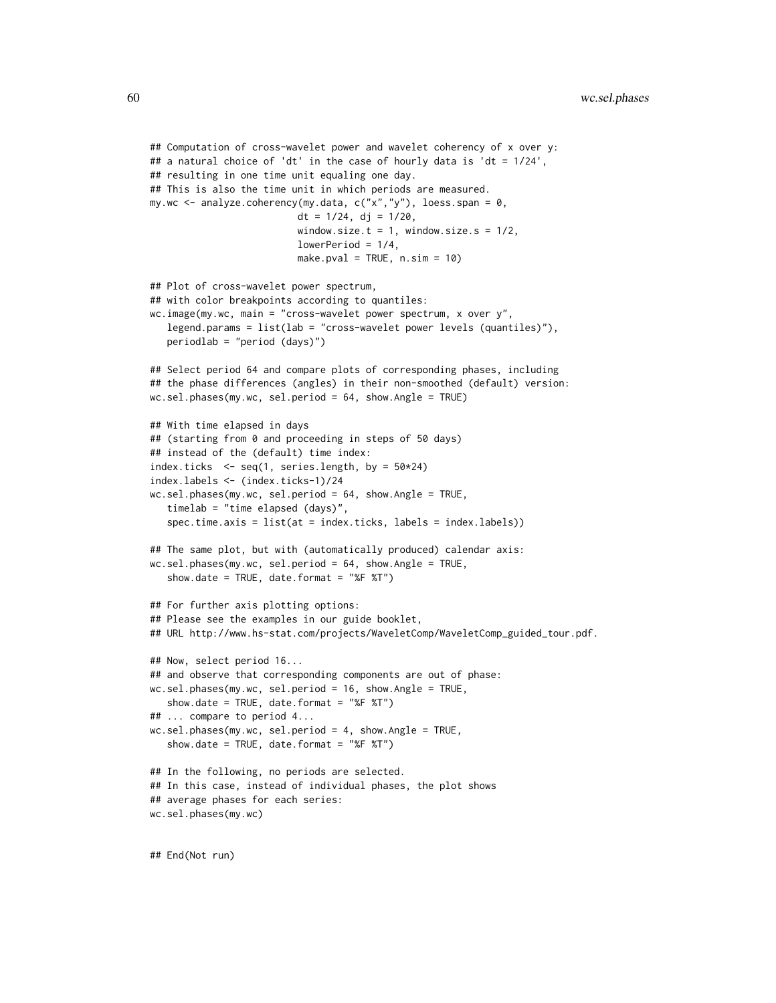```
## Computation of cross-wavelet power and wavelet coherency of x over y:
## a natural choice of 'dt' in the case of hourly data is 'dt = 1/24',
## resulting in one time unit equaling one day.
## This is also the time unit in which periods are measured.
my.wc \leq analyze.coherency(my.data, c("x","y"), loess.span = 0,
                          dt = 1/24, dj = 1/20,
                          window.size.t = 1, window.size.s = 1/2,
                          lowerPeriod = 1/4,
                          make.pval = TRUE, n.sim = 10)
## Plot of cross-wavelet power spectrum,
## with color breakpoints according to quantiles:
wc.image(my.wc, main = "cross-wavelet power spectrum, x over y",
   legend.params = list(lab = "cross-wavelet power levels (quantiles)"),
  periodlab = "period (days)")
## Select period 64 and compare plots of corresponding phases, including
## the phase differences (angles) in their non-smoothed (default) version:
wc.sel.phases(my.wc, sel.period = 64, show.Angle = TRUE)
## With time elapsed in days
## (starting from 0 and proceeding in steps of 50 days)
## instead of the (default) time index:
index.ticks \leq seq(1, series.length, by = 50*24)
index.labels <- (index.ticks-1)/24
wc.sel.phases(my.wc, sel.period = 64, show.Angle = TRUE,
   timelab = "time elapsed (days)",
   spec.time.axis = list(at = index.ticks, labels = index.labels))
## The same plot, but with (automatically produced) calendar axis:
wc.sel.phases(my.wc, sel.period = 64, show.Angle = TRUE,
   show.date = TRUE, date.format = "%F %T")
## For further axis plotting options:
## Please see the examples in our guide booklet,
## URL http://www.hs-stat.com/projects/WaveletComp/WaveletComp_guided_tour.pdf.
## Now, select period 16...
## and observe that corresponding components are out of phase:
wc.sel.phases(my.wc, sel.period = 16, show.Angle = TRUE,
   show.date = TRUE, date.format = "%F %T")
## ... compare to period 4...
wc.sel.phases(my.wc, sel.period = 4, show.Angle = TRUE,
   show.date = TRUE, date.format = "%F %T")
## In the following, no periods are selected.
## In this case, instead of individual phases, the plot shows
## average phases for each series:
wc.sel.phases(my.wc)
```
## End(Not run)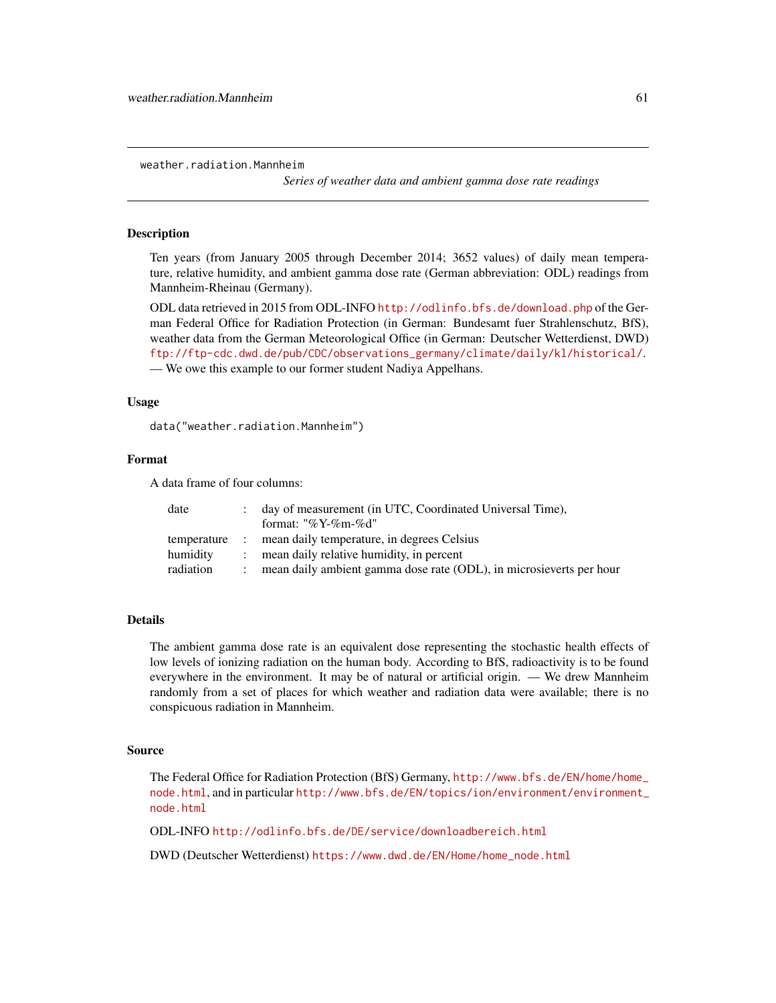weather.radiation.Mannheim

*Series of weather data and ambient gamma dose rate readings*

## Description

Ten years (from January 2005 through December 2014; 3652 values) of daily mean temperature, relative humidity, and ambient gamma dose rate (German abbreviation: ODL) readings from Mannheim-Rheinau (Germany).

ODL data retrieved in 2015 from ODL-INFO <http://odlinfo.bfs.de/download.php> of the German Federal Office for Radiation Protection (in German: Bundesamt fuer Strahlenschutz, BfS), weather data from the German Meteorological Office (in German: Deutscher Wetterdienst, DWD) [ftp://ftp-cdc.dwd.de/pub/CDC/observations\\_germany/climate/daily/kl/historical/](ftp://ftp-cdc.dwd.de/pub/CDC/observations_germany/climate/daily/kl/historical/). — We owe this example to our former student Nadiya Appelhans.

## Usage

data("weather.radiation.Mannheim")

## Format

A data frame of four columns:

| date        | day of measurement (in UTC, Coordinated Universal Time),            |
|-------------|---------------------------------------------------------------------|
|             | format: "%Y-%m-%d"                                                  |
| temperature | mean daily temperature, in degrees Celsius                          |
| humidity    | mean daily relative humidity, in percent                            |
| radiation   | mean daily ambient gamma dose rate (ODL), in microsieverts per hour |

## Details

The ambient gamma dose rate is an equivalent dose representing the stochastic health effects of low levels of ionizing radiation on the human body. According to BfS, radioactivity is to be found everywhere in the environment. It may be of natural or artificial origin. — We drew Mannheim randomly from a set of places for which weather and radiation data were available; there is no conspicuous radiation in Mannheim.

## Source

The Federal Office for Radiation Protection (BfS) Germany, [http://www.bfs.de/EN/home/home\\_](http://www.bfs.de/EN/home/home_node.html) [node.html](http://www.bfs.de/EN/home/home_node.html), and in particular [http://www.bfs.de/EN/topics/ion/environment/environment\\_](http://www.bfs.de/EN/topics/ion/environment/environment_node.html) [node.html](http://www.bfs.de/EN/topics/ion/environment/environment_node.html)

ODL-INFO <http://odlinfo.bfs.de/DE/service/downloadbereich.html>

DWD (Deutscher Wetterdienst) [https://www.dwd.de/EN/Home/home\\_node.html](https://www.dwd.de/EN/Home/home_node.html)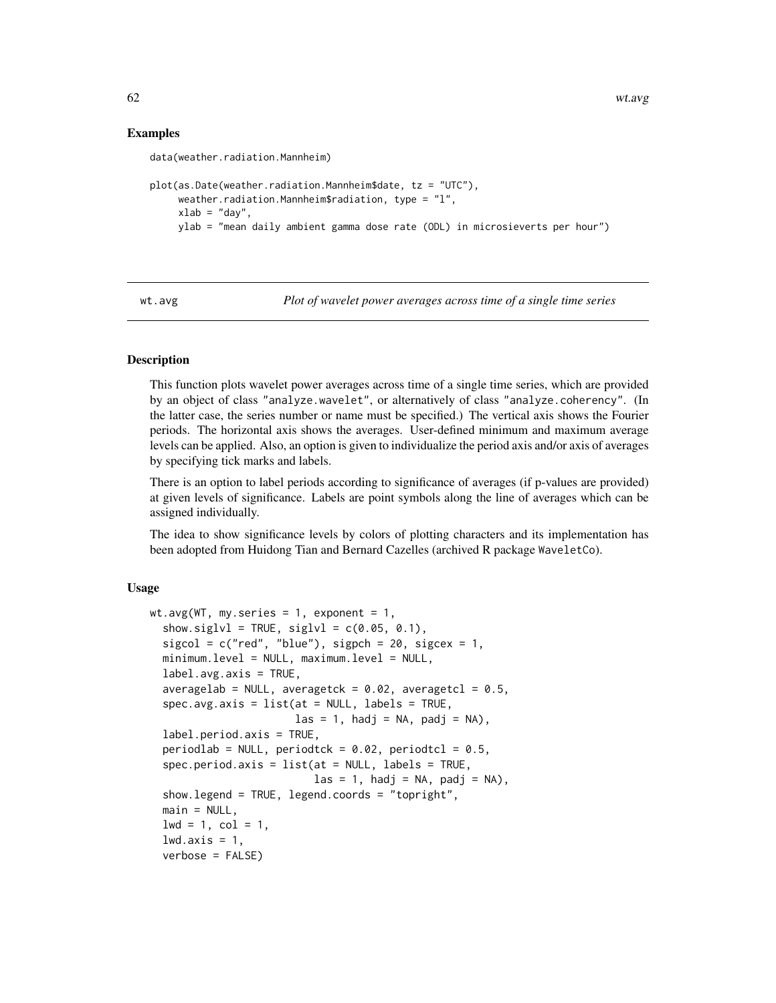## Examples

```
data(weather.radiation.Mannheim)
plot(as.Date(weather.radiation.Mannheim$date, tz = "UTC"),
     weather.radiation.Mannheim$radiation, type = "l",
     xlab = "day",ylab = "mean daily ambient gamma dose rate (ODL) in microsieverts per hour")
```
<span id="page-61-0"></span>wt.avg *Plot of wavelet power averages across time of a single time series*

## Description

This function plots wavelet power averages across time of a single time series, which are provided by an object of class "analyze.wavelet", or alternatively of class "analyze.coherency". (In the latter case, the series number or name must be specified.) The vertical axis shows the Fourier periods. The horizontal axis shows the averages. User-defined minimum and maximum average levels can be applied. Also, an option is given to individualize the period axis and/or axis of averages by specifying tick marks and labels.

There is an option to label periods according to significance of averages (if p-values are provided) at given levels of significance. Labels are point symbols along the line of averages which can be assigned individually.

The idea to show significance levels by colors of plotting characters and its implementation has been adopted from Huidong Tian and Bernard Cazelles (archived R package WaveletCo).

#### Usage

```
wt.argv(WT, my.series = 1, exponent = 1,show.siglvl = TRUE, siglvl = c(0.05, 0.1),
  sigcol = c("red", "blue"), sigpch = 20, sigcex = 1,minimum.level = NULL, maximum.level = NULL,
  label.argv:axis} = TRUE,
  averagelab = NULL, averagetck = 0.02, averagetcl = 0.5,
  spec.avg.axis = list(at = NULL, labels = TRUE,\text{las} = 1, hadj = NA, padj = NA),
  label.period.axis = TRUE,
  periodlab = NULL, periodtck = 0.02, periodtcl = 0.5,
  spec.period. axis = list(at = NULL, labels = TRUE,\text{las} = 1, hadj = NA, padj = NA),
  show.legend = TRUE, legend.coords = "topright",
  main = NULL,1wd = 1, col = 1,
  lwd.axis = 1,verbose = FALSE)
```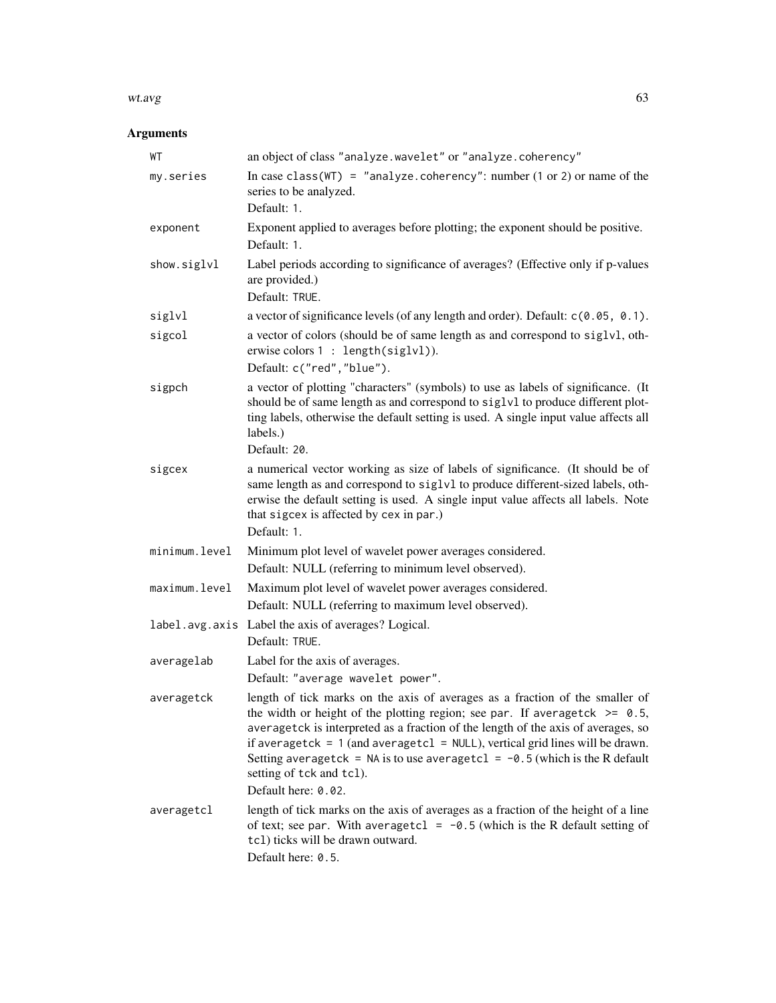#### wt.avg 63

# Arguments

| WT            | an object of class "analyze.wavelet" or "analyze.coherency"                                                                                                                                                                                                                                                                                                                                                                                                               |
|---------------|---------------------------------------------------------------------------------------------------------------------------------------------------------------------------------------------------------------------------------------------------------------------------------------------------------------------------------------------------------------------------------------------------------------------------------------------------------------------------|
| my.series     | In case class (WT) = "analyze.coherency": number $(1 or 2)$ or name of the<br>series to be analyzed.<br>Default: 1.                                                                                                                                                                                                                                                                                                                                                       |
| exponent      | Exponent applied to averages before plotting; the exponent should be positive.<br>Default: 1.                                                                                                                                                                                                                                                                                                                                                                             |
| show.siglvl   | Label periods according to significance of averages? (Effective only if p-values<br>are provided.)<br>Default: TRUE.                                                                                                                                                                                                                                                                                                                                                      |
| siglvl        | a vector of significance levels (of any length and order). Default: c(0.05, 0.1).                                                                                                                                                                                                                                                                                                                                                                                         |
| sigcol        | a vector of colors (should be of same length as and correspond to siglvl, oth-<br>erwise colors $1: length(siglv1)$ .<br>Default: c("red", "blue").                                                                                                                                                                                                                                                                                                                       |
| sigpch        | a vector of plotting "characters" (symbols) to use as labels of significance. (It<br>should be of same length as and correspond to siglvl to produce different plot-<br>ting labels, otherwise the default setting is used. A single input value affects all<br>labels.)<br>Default: 20.                                                                                                                                                                                  |
| sigcex        | a numerical vector working as size of labels of significance. (It should be of<br>same length as and correspond to siglvl to produce different-sized labels, oth-<br>erwise the default setting is used. A single input value affects all labels. Note<br>that sigcex is affected by cex in par.)<br>Default: 1.                                                                                                                                                          |
| minimum.level | Minimum plot level of wavelet power averages considered.<br>Default: NULL (referring to minimum level observed).                                                                                                                                                                                                                                                                                                                                                          |
| maximum.level | Maximum plot level of wavelet power averages considered.<br>Default: NULL (referring to maximum level observed).                                                                                                                                                                                                                                                                                                                                                          |
|               | label.avg.axis Label the axis of averages? Logical.<br>Default: TRUE.                                                                                                                                                                                                                                                                                                                                                                                                     |
| averagelab    | Label for the axis of averages.<br>Default: "average wavelet power".                                                                                                                                                                                                                                                                                                                                                                                                      |
| averagetck    | length of tick marks on the axis of averages as a fraction of the smaller of<br>the width or height of the plotting region; see par. If averagetck $\ge$ 0.5,<br>averagetck is interpreted as a fraction of the length of the axis of averages, so<br>if averagetck = $1$ (and averagetcl = NULL), vertical grid lines will be drawn.<br>Setting averagetck = NA is to use averagetcl = $-0.5$ (which is the R default<br>setting of tck and tcl).<br>Default here: 0.02. |
| averagetcl    | length of tick marks on the axis of averages as a fraction of the height of a line<br>of text; see par. With averagetcl = $-0.5$ (which is the R default setting of<br>tcl) ticks will be drawn outward.<br>Default here: 0.5.                                                                                                                                                                                                                                            |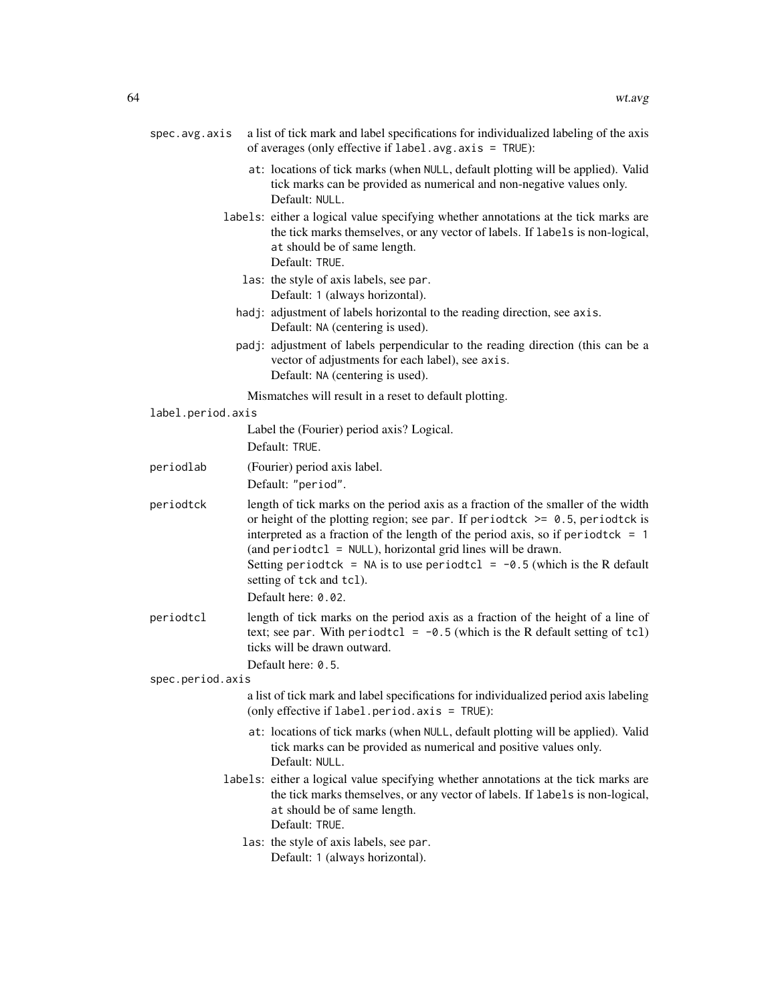| spec.avg.axis     | a list of tick mark and label specifications for individualized labeling of the axis<br>of averages (only effective if label.avg.axis = TRUE):                                                                                                                                                                                                                                                                                          |
|-------------------|-----------------------------------------------------------------------------------------------------------------------------------------------------------------------------------------------------------------------------------------------------------------------------------------------------------------------------------------------------------------------------------------------------------------------------------------|
|                   | at: locations of tick marks (when NULL, default plotting will be applied). Valid<br>tick marks can be provided as numerical and non-negative values only.<br>Default: NULL.                                                                                                                                                                                                                                                             |
|                   | labels: either a logical value specifying whether annotations at the tick marks are<br>the tick marks themselves, or any vector of labels. If labels is non-logical,<br>at should be of same length.<br>Default: TRUE.                                                                                                                                                                                                                  |
|                   | las: the style of axis labels, see par.<br>Default: 1 (always horizontal).                                                                                                                                                                                                                                                                                                                                                              |
|                   | hadj: adjustment of labels horizontal to the reading direction, see axis.<br>Default: NA (centering is used).                                                                                                                                                                                                                                                                                                                           |
|                   | padj: adjustment of labels perpendicular to the reading direction (this can be a<br>vector of adjustments for each label), see axis.<br>Default: NA (centering is used).                                                                                                                                                                                                                                                                |
|                   | Mismatches will result in a reset to default plotting.                                                                                                                                                                                                                                                                                                                                                                                  |
| label.period.axis | Label the (Fourier) period axis? Logical.                                                                                                                                                                                                                                                                                                                                                                                               |
|                   | Default: TRUE.                                                                                                                                                                                                                                                                                                                                                                                                                          |
| periodlab         | (Fourier) period axis label.<br>Default: "period".                                                                                                                                                                                                                                                                                                                                                                                      |
| periodtck         | length of tick marks on the period axis as a fraction of the smaller of the width<br>or height of the plotting region; see par. If periodtck $\ge$ 0.5, periodtck is<br>interpreted as a fraction of the length of the period axis, so if period tck = $1$<br>(and periodtcl = NULL), horizontal grid lines will be drawn.<br>Setting period tck = NA is to use period tcl = $-0.5$ (which is the R default<br>setting of tck and tcl). |
|                   | Default here: 0.02.                                                                                                                                                                                                                                                                                                                                                                                                                     |
| periodtcl         | length of tick marks on the period axis as a fraction of the height of a line of<br>text; see par. With period tcl = $-0.5$ (which is the R default setting of tcl)<br>ticks will be drawn outward.<br>Default here: 0.5.                                                                                                                                                                                                               |
| spec.period.axis  |                                                                                                                                                                                                                                                                                                                                                                                                                                         |
|                   | a list of tick mark and label specifications for individualized period axis labeling<br>(only effective if $label.period. axis = TRUE$ ):                                                                                                                                                                                                                                                                                               |
|                   | at: locations of tick marks (when NULL, default plotting will be applied). Valid<br>tick marks can be provided as numerical and positive values only.<br>Default: NULL.                                                                                                                                                                                                                                                                 |
|                   | labels: either a logical value specifying whether annotations at the tick marks are<br>the tick marks themselves, or any vector of labels. If labels is non-logical,<br>at should be of same length.<br>Default: TRUE.                                                                                                                                                                                                                  |
|                   | las: the style of axis labels, see par.<br>Default: 1 (always horizontal).                                                                                                                                                                                                                                                                                                                                                              |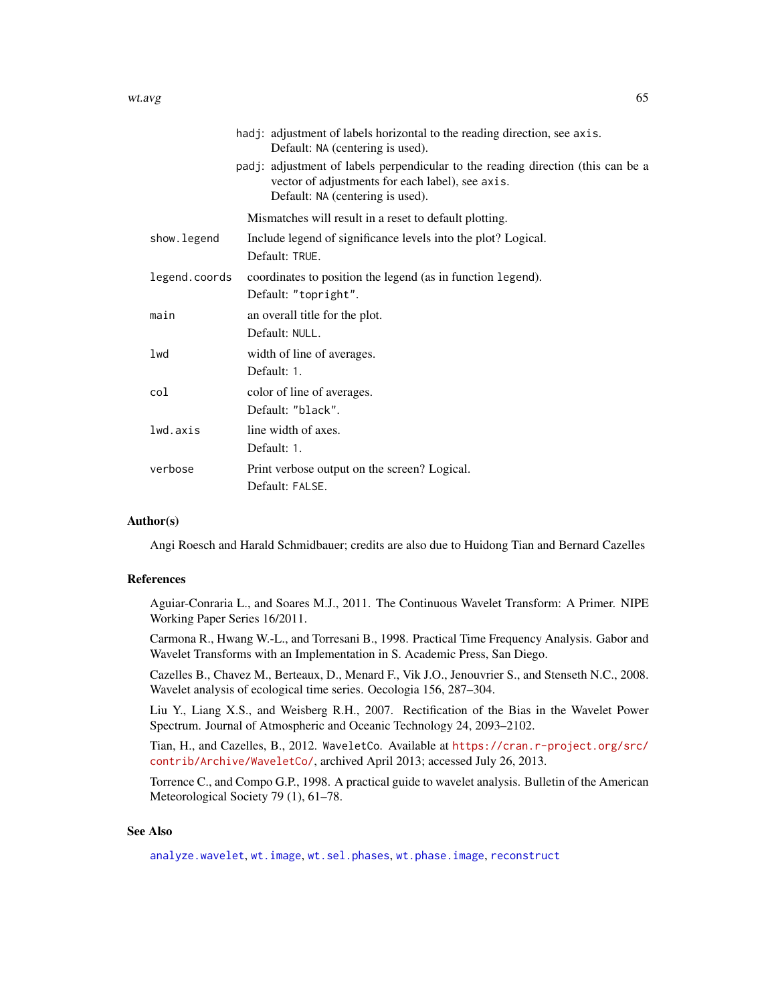#### wt.avg 65

|               | hadj: adjustment of labels horizontal to the reading direction, see axis.<br>Default: NA (centering is used).                                                            |
|---------------|--------------------------------------------------------------------------------------------------------------------------------------------------------------------------|
|               | padj: adjustment of labels perpendicular to the reading direction (this can be a<br>vector of adjustments for each label), see axis.<br>Default: NA (centering is used). |
|               | Mismatches will result in a reset to default plotting.                                                                                                                   |
| show.legend   | Include legend of significance levels into the plot? Logical.                                                                                                            |
|               | Default: TRUE.                                                                                                                                                           |
| legend.coords | coordinates to position the legend (as in function legend).                                                                                                              |
|               | Default: "topright".                                                                                                                                                     |
| main          | an overall title for the plot.                                                                                                                                           |
|               | Default: NULL.                                                                                                                                                           |
| 1wd           | width of line of averages.                                                                                                                                               |
|               | Default: 1.                                                                                                                                                              |
| col           | color of line of averages.                                                                                                                                               |
|               | Default: "black".                                                                                                                                                        |
| lwd.axis      | line width of axes.                                                                                                                                                      |
|               | Default: 1.                                                                                                                                                              |
| verbose       | Print verbose output on the screen? Logical.                                                                                                                             |
|               | Default: FALSE.                                                                                                                                                          |

## Author(s)

Angi Roesch and Harald Schmidbauer; credits are also due to Huidong Tian and Bernard Cazelles

## References

Aguiar-Conraria L., and Soares M.J., 2011. The Continuous Wavelet Transform: A Primer. NIPE Working Paper Series 16/2011.

Carmona R., Hwang W.-L., and Torresani B., 1998. Practical Time Frequency Analysis. Gabor and Wavelet Transforms with an Implementation in S. Academic Press, San Diego.

Cazelles B., Chavez M., Berteaux, D., Menard F., Vik J.O., Jenouvrier S., and Stenseth N.C., 2008. Wavelet analysis of ecological time series. Oecologia 156, 287–304.

Liu Y., Liang X.S., and Weisberg R.H., 2007. Rectification of the Bias in the Wavelet Power Spectrum. Journal of Atmospheric and Oceanic Technology 24, 2093–2102.

Tian, H., and Cazelles, B., 2012. WaveletCo. Available at [https://cran.r-project.org/src/](https://cran.r-project.org/src/contrib/Archive/WaveletCo/) [contrib/Archive/WaveletCo/](https://cran.r-project.org/src/contrib/Archive/WaveletCo/), archived April 2013; accessed July 26, 2013.

Torrence C., and Compo G.P., 1998. A practical guide to wavelet analysis. Bulletin of the American Meteorological Society 79 (1), 61–78.

## See Also

[analyze.wavelet](#page-11-0), [wt.image](#page-66-0), [wt.sel.phases](#page-81-0), [wt.phase.image](#page-75-0), [reconstruct](#page-19-0)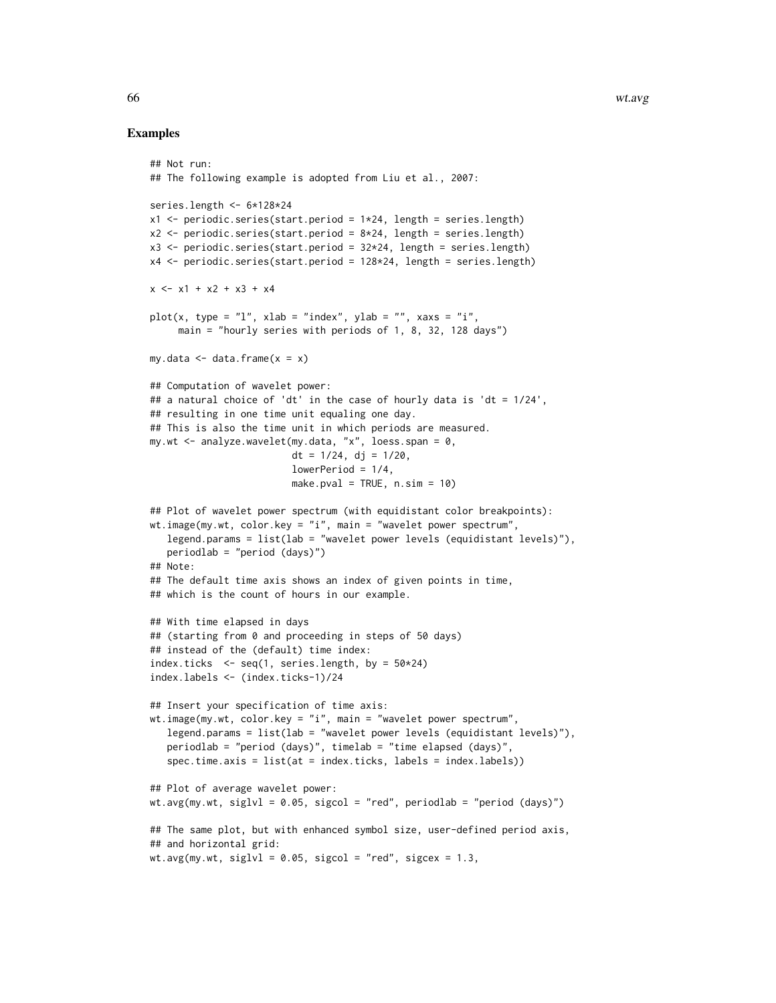### Examples

```
## Not run:
## The following example is adopted from Liu et al., 2007:
series.length <- 6*128*24
x1 <- periodic.series(start.period = 1*24, length = series.length)
x2 \le periodic.series(start.period = 8 \times 24, length = series.length)
x3 \le- periodic.series(start.period = 32 \times 24, length = series.length)
x4 <- periodic.series(start.period = 128*24, length = series.length)
x \le -x1 + x2 + x3 + x4plot(x, type = "l", xlab = "index", ylab = "", xaxs = "i",main = "hourly series with periods of 1, 8, 32, 128 days")
my.data \leq data.frame(x = x)## Computation of wavelet power:
## a natural choice of 'dt' in the case of hourly data is 'dt = 1/24',
## resulting in one time unit equaling one day.
## This is also the time unit in which periods are measured.
my.wt \leq analyze.wavelet(my.data, "x", loess.span = 0,
                         dt = 1/24, di = 1/20,
                         lowerPeriod = 1/4,
                         make.pval = TRUE, n \sin = 10)
## Plot of wavelet power spectrum (with equidistant color breakpoints):
wt.image(my.wt, color.key = "i", main = "wavelet power spectrum",
   legend.params = list(lab = "wavelet power levels (equidistant levels)"),
   periodlab = "period (days)")
## Note:
## The default time axis shows an index of given points in time,
## which is the count of hours in our example.
## With time elapsed in days
## (starting from 0 and proceeding in steps of 50 days)
## instead of the (default) time index:
index.ticks \leq seq(1, series.length, by = 50*24)
index.labels <- (index.ticks-1)/24
## Insert your specification of time axis:
wt.image(my.wt, color.key = "i", main = "wavelet power spectrum",
   legend.params = list(lab = "wavelet power levels (equidistant levels)"),
   periodlab = "period (days)", timelab = "time elapsed (days)",
   spec.time.axis = list(at = index.ticks, labels = index.labels))
## Plot of average wavelet power:
wt.avg(my.wt, siglvl = 0.05, sigcol = "red", periodlab = "period (days)")
## The same plot, but with enhanced symbol size, user-defined period axis,
## and horizontal grid:
wt.avg(my.wt, siglvl = 0.05, sigcol = "red", sigcex = 1.3,
```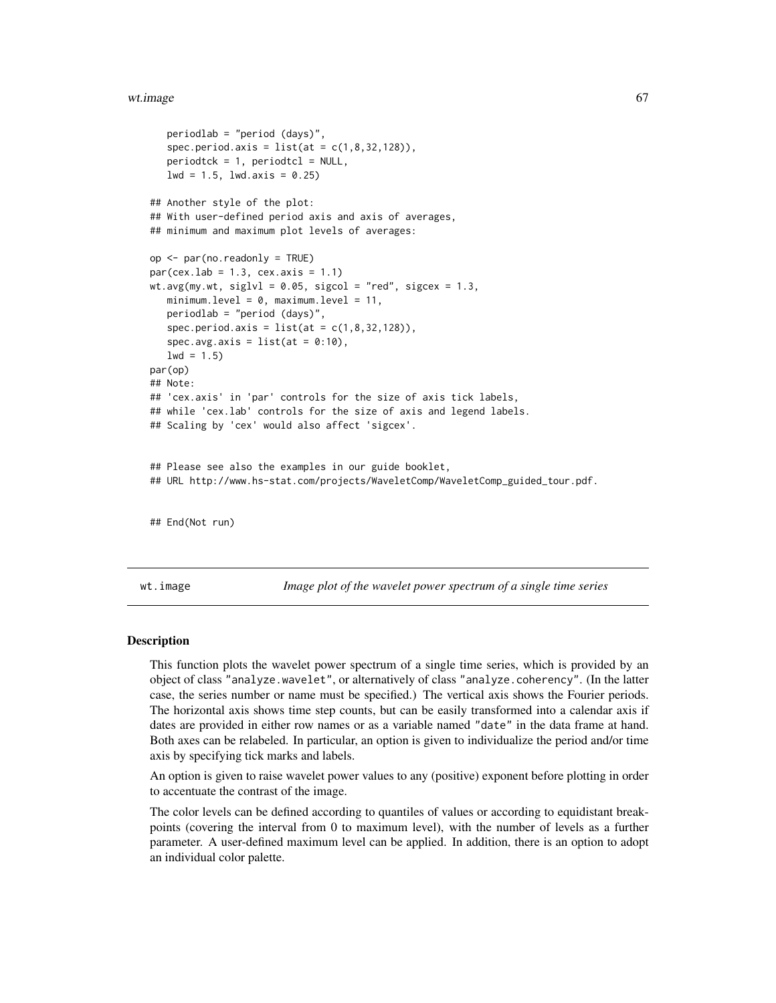#### wt.image 67

```
periodlab = "period (days)",
   spec.period. axis = list(at = c(1, 8, 32, 128)),periodick = 1, periodtc1 = NULL,
  1wd = 1.5, 1wd \cdot axis = 0.25## Another style of the plot:
## With user-defined period axis and axis of averages,
## minimum and maximum plot levels of averages:
op <- par(no.readonly = TRUE)
par(cex.1ab = 1.3, cex.axis = 1.1)wt.avg(my.wt, siglvl = 0.05, sigcol = "red", sigcex = 1.3,
  minimum.level = 0, maximum.level = 11,
  periodlab = "period (days)",
   spec.period. axis = list(at = c(1, 8, 32, 128)),spec.avg.axis = list(at = 0:10),1wd = 1.5par(op)
## Note:
## 'cex.axis' in 'par' controls for the size of axis tick labels,
## while 'cex.lab' controls for the size of axis and legend labels.
## Scaling by 'cex' would also affect 'sigcex'.
## Please see also the examples in our guide booklet,
## URL http://www.hs-stat.com/projects/WaveletComp/WaveletComp_guided_tour.pdf.
## End(Not run)
```
<span id="page-66-0"></span>wt.image *Image plot of the wavelet power spectrum of a single time series*

### Description

This function plots the wavelet power spectrum of a single time series, which is provided by an object of class "analyze.wavelet", or alternatively of class "analyze.coherency". (In the latter case, the series number or name must be specified.) The vertical axis shows the Fourier periods. The horizontal axis shows time step counts, but can be easily transformed into a calendar axis if dates are provided in either row names or as a variable named "date" in the data frame at hand. Both axes can be relabeled. In particular, an option is given to individualize the period and/or time axis by specifying tick marks and labels.

An option is given to raise wavelet power values to any (positive) exponent before plotting in order to accentuate the contrast of the image.

The color levels can be defined according to quantiles of values or according to equidistant breakpoints (covering the interval from 0 to maximum level), with the number of levels as a further parameter. A user-defined maximum level can be applied. In addition, there is an option to adopt an individual color palette.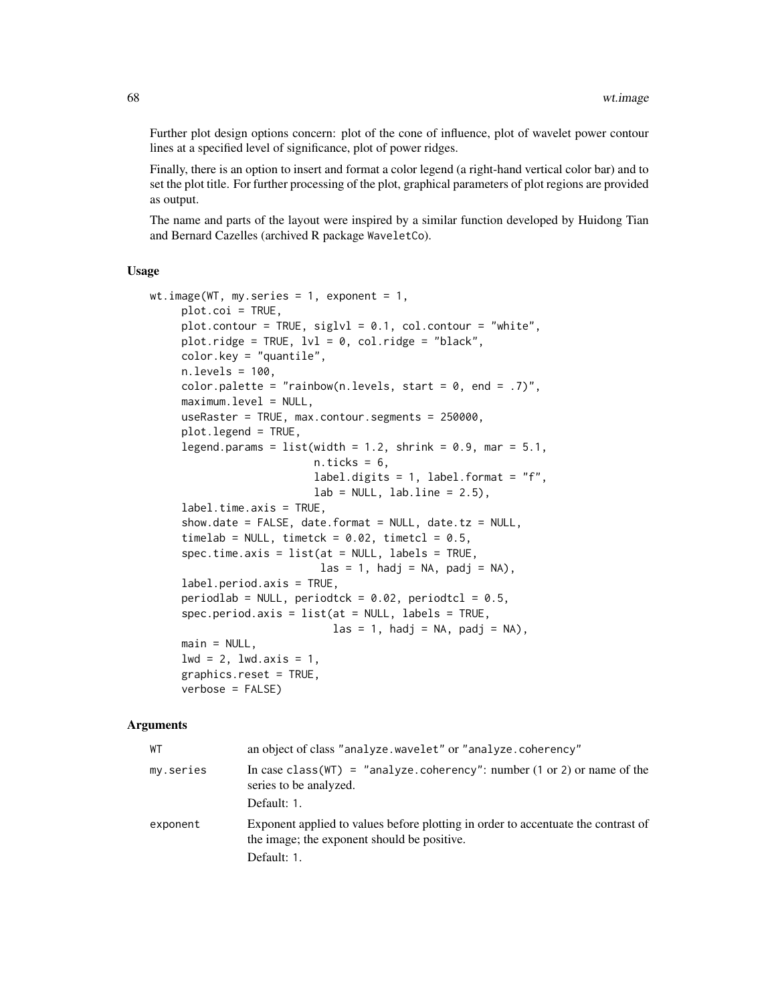Further plot design options concern: plot of the cone of influence, plot of wavelet power contour lines at a specified level of significance, plot of power ridges.

Finally, there is an option to insert and format a color legend (a right-hand vertical color bar) and to set the plot title. For further processing of the plot, graphical parameters of plot regions are provided as output.

The name and parts of the layout were inspired by a similar function developed by Huidong Tian and Bernard Cazelles (archived R package WaveletCo).

### Usage

```
wt.image(WT, my.series = 1, exponent = 1,
     plot.coi = TRUE,
     plot.contour = TRUE, siglvl = 0.1, col.contour = "white",plot.ridge = TRUE, 1v1 = 0, col.ridge = "black",
     color.key = "quantile",
     n.levels = 100,
     color.palette = "rainbow(n.levels, start = 0, end = .7)",
     maximum.level = NULL,
     useRaster = TRUE, max.contour.segments = 250000,
     plot.legend = TRUE,
     legend.params = list(width = 1.2, shrink = 0.9, mar = 5.1,
                          n.ticks = 6,
                          label.digits = 1, label.format = "f",
                          lab = NULL, labu. line = 2.5),
     label.time.axis = TRUE,
     show.date = FALSE, date.format = NULL, date.tz = NULL,timelab = NULL, timetck = 0.02, timetcl = 0.5,
     spec.time.axis = list(at = NULL, labels = TRUE,\text{las} = 1, hadj = NA, padj = NA),
     label.period.axis = TRUE,
     periodlab = NULL, periodtck = 0.02, periodtcl = 0.5,
     spec.period.axis = list(at = NULL, labels = TRUE,\text{las} = 1, hadj = NA, padj = NA),
     main = NULL,1wd = 2, 1wd \cdot axis = 1,
     graphics.reset = TRUE,
     verbose = FALSE)
```
## Arguments

| WТ        | an object of class "analyze.wavelet" or "analyze.coherency"                                                                                     |
|-----------|-------------------------------------------------------------------------------------------------------------------------------------------------|
| my.series | In case class (WT) = "analyze.coherency": number (1 or 2) or name of the<br>series to be analyzed.                                              |
|           | Default: 1.                                                                                                                                     |
| exponent  | Exponent applied to values before plotting in order to accentuate the contrast of<br>the image; the exponent should be positive.<br>Default: 1. |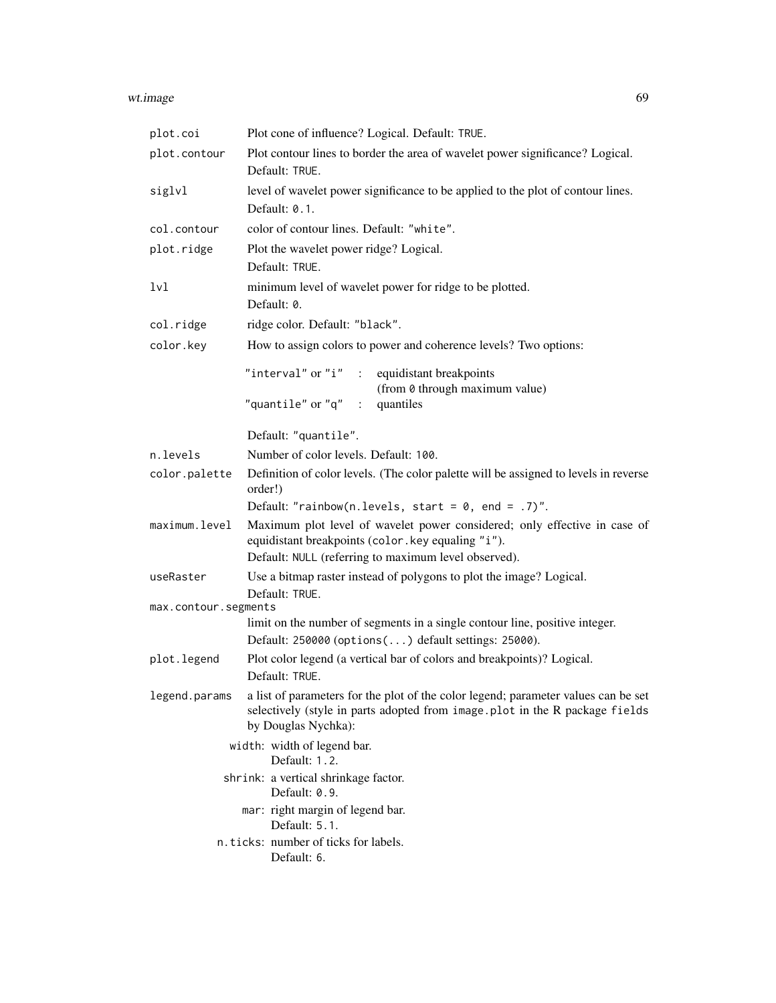#### wt.image 69

| plot.coi             | Plot cone of influence? Logical. Default: TRUE.                                                                                                                                          |
|----------------------|------------------------------------------------------------------------------------------------------------------------------------------------------------------------------------------|
| plot.contour         | Plot contour lines to border the area of wavelet power significance? Logical.<br>Default: TRUE.                                                                                          |
| siglvl               | level of wavelet power significance to be applied to the plot of contour lines.<br>Default: 0.1.                                                                                         |
| col.contour          | color of contour lines. Default: "white".                                                                                                                                                |
| plot.ridge           | Plot the wavelet power ridge? Logical.<br>Default: TRUE.                                                                                                                                 |
| 1v1                  | minimum level of wavelet power for ridge to be plotted.<br>Default: 0.                                                                                                                   |
| col.ridge            | ridge color. Default: "black".                                                                                                                                                           |
| color.key            | How to assign colors to power and coherence levels? Two options:                                                                                                                         |
|                      | "interval" or "i" : equidistant breakpoints<br>(from 0 through maximum value)<br>"quantile" or "q" $\;$ :<br>quantiles                                                                   |
|                      | Default: "quantile".                                                                                                                                                                     |
| n.levels             | Number of color levels. Default: 100.                                                                                                                                                    |
| color.palette        | Definition of color levels. (The color palette will be assigned to levels in reverse<br>order!)                                                                                          |
|                      | Default: "rainbow(n.levels, start = $0$ , end = .7)".                                                                                                                                    |
| maximum.level        | Maximum plot level of wavelet power considered; only effective in case of<br>equidistant breakpoints (color.key equaling "i").<br>Default: NULL (referring to maximum level observed).   |
| useRaster            | Use a bitmap raster instead of polygons to plot the image? Logical.<br>Default: TRUE.                                                                                                    |
| max.contour.segments |                                                                                                                                                                                          |
|                      | limit on the number of segments in a single contour line, positive integer.<br>Default: 250000 (options() default settings: 25000).                                                      |
| plot.legend          | Plot color legend (a vertical bar of colors and breakpoints)? Logical.<br>Default: TRUE.                                                                                                 |
| legend.params        | a list of parameters for the plot of the color legend; parameter values can be set<br>selectively (style in parts adopted from image.plot in the R package fields<br>by Douglas Nychka): |
|                      | width: width of legend bar.<br>Default: 1.2.                                                                                                                                             |
|                      | shrink: a vertical shrinkage factor.<br>Default: 0.9.                                                                                                                                    |
|                      | mar: right margin of legend bar.<br>Default: 5.1.                                                                                                                                        |
|                      | n.ticks: number of ticks for labels.<br>Default: 6.                                                                                                                                      |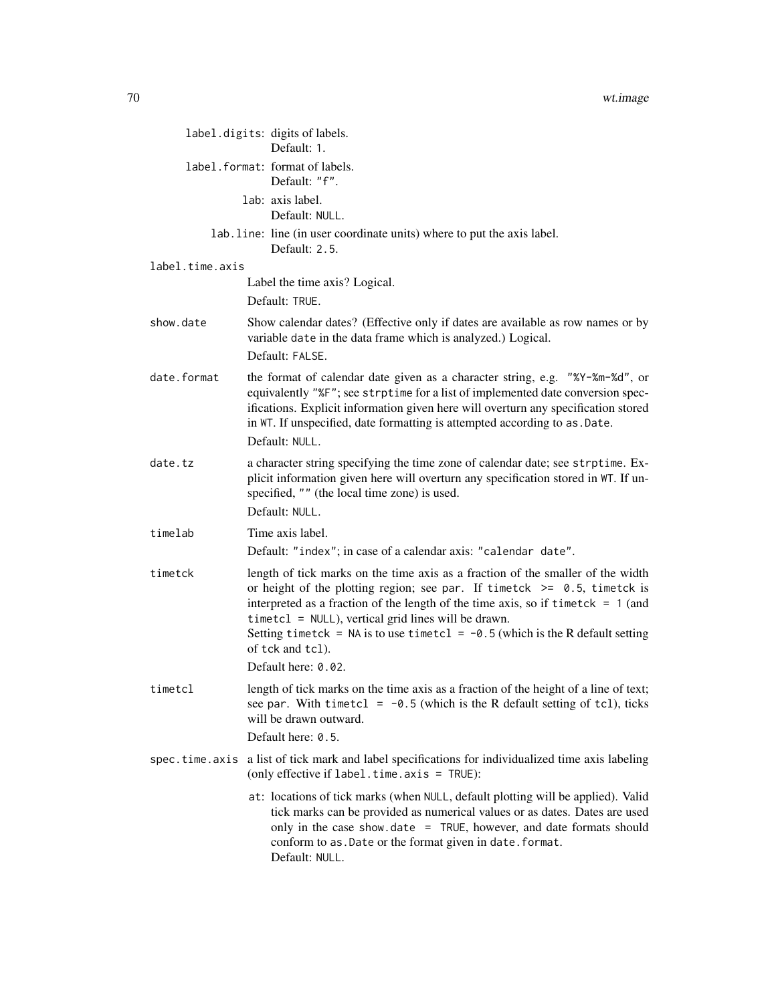|                 | label.digits: digits of labels.<br>Default: 1.                                                                                                                                                                                                                                                                                                                                                                     |
|-----------------|--------------------------------------------------------------------------------------------------------------------------------------------------------------------------------------------------------------------------------------------------------------------------------------------------------------------------------------------------------------------------------------------------------------------|
|                 | label. format: format of labels.<br>Default: "f".                                                                                                                                                                                                                                                                                                                                                                  |
|                 | lab: axis label.<br>Default: NULL.                                                                                                                                                                                                                                                                                                                                                                                 |
|                 | lab. line: line (in user coordinate units) where to put the axis label.<br>Default: 2.5.                                                                                                                                                                                                                                                                                                                           |
| label.time.axis |                                                                                                                                                                                                                                                                                                                                                                                                                    |
|                 | Label the time axis? Logical.<br>Default: TRUE.                                                                                                                                                                                                                                                                                                                                                                    |
| show.date       | Show calendar dates? (Effective only if dates are available as row names or by<br>variable date in the data frame which is analyzed.) Logical.<br>Default: FALSE.                                                                                                                                                                                                                                                  |
| date.format     | the format of calendar date given as a character string, e.g. "%Y-%m-%d", or<br>equivalently "%F"; see strptime for a list of implemented date conversion spec-<br>ifications. Explicit information given here will overturn any specification stored<br>in WT. If unspecified, date formatting is attempted according to as . Date.<br>Default: NULL.                                                             |
| date.tz         | a character string specifying the time zone of calendar date; see strptime. Ex-<br>plicit information given here will overturn any specification stored in WT. If un-<br>specified, "" (the local time zone) is used.<br>Default: NULL.                                                                                                                                                                            |
| timelab         | Time axis label.                                                                                                                                                                                                                                                                                                                                                                                                   |
|                 | Default: "index"; in case of a calendar axis: "calendar date".                                                                                                                                                                                                                                                                                                                                                     |
| timetck         | length of tick marks on the time axis as a fraction of the smaller of the width<br>or height of the plotting region; see par. If timetck $\ge$ 0.5, timetck is<br>interpreted as a fraction of the length of the time axis, so if timetck $= 1$ (and<br>timetcl = NULL), vertical grid lines will be drawn.<br>Setting timetck = NA is to use timetcl = $-0.5$ (which is the R default setting<br>of tck and tcl). |
|                 | Default here: 0.02.                                                                                                                                                                                                                                                                                                                                                                                                |
| timetcl         | length of tick marks on the time axis as a fraction of the height of a line of text;<br>see par. With timetcl = $-0.5$ (which is the R default setting of tcl), ticks<br>will be drawn outward.<br>Default here: 0.5.                                                                                                                                                                                              |
|                 |                                                                                                                                                                                                                                                                                                                                                                                                                    |
| spec.time.axis  | a list of tick mark and label specifications for individualized time axis labeling<br>(only effective if label.time.axis = TRUE):                                                                                                                                                                                                                                                                                  |
|                 | at: locations of tick marks (when NULL, default plotting will be applied). Valid<br>tick marks can be provided as numerical values or as dates. Dates are used<br>only in the case show.date = TRUE, however, and date formats should<br>conform to as. Date or the format given in date. format.<br>Default: NULL.                                                                                                |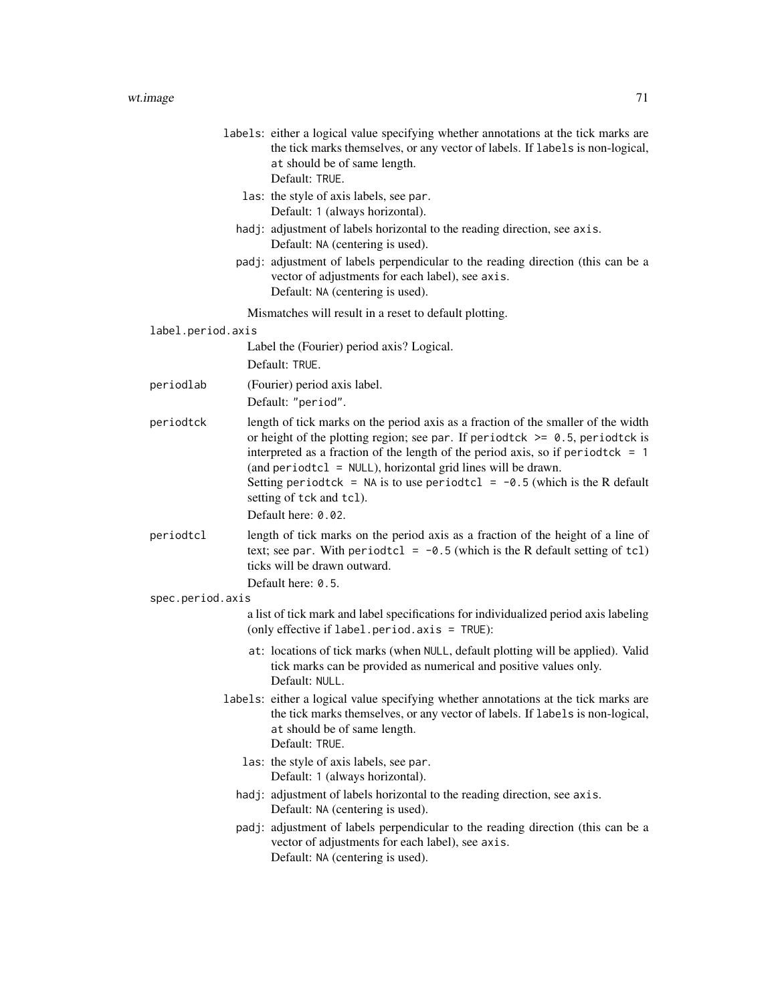|                   | labels: either a logical value specifying whether annotations at the tick marks are<br>the tick marks themselves, or any vector of labels. If labels is non-logical,<br>at should be of same length.<br>Default: TRUE.                                                                                                                                                                                                                        |  |
|-------------------|-----------------------------------------------------------------------------------------------------------------------------------------------------------------------------------------------------------------------------------------------------------------------------------------------------------------------------------------------------------------------------------------------------------------------------------------------|--|
|                   | las: the style of axis labels, see par.<br>Default: 1 (always horizontal).                                                                                                                                                                                                                                                                                                                                                                    |  |
|                   | hadj: adjustment of labels horizontal to the reading direction, see axis.<br>Default: NA (centering is used).                                                                                                                                                                                                                                                                                                                                 |  |
|                   | padj: adjustment of labels perpendicular to the reading direction (this can be a<br>vector of adjustments for each label), see axis.<br>Default: NA (centering is used).                                                                                                                                                                                                                                                                      |  |
|                   | Mismatches will result in a reset to default plotting.                                                                                                                                                                                                                                                                                                                                                                                        |  |
| label.period.axis |                                                                                                                                                                                                                                                                                                                                                                                                                                               |  |
|                   | Label the (Fourier) period axis? Logical.<br>Default: TRUE.                                                                                                                                                                                                                                                                                                                                                                                   |  |
| periodlab         | (Fourier) period axis label.                                                                                                                                                                                                                                                                                                                                                                                                                  |  |
|                   | Default: "period".                                                                                                                                                                                                                                                                                                                                                                                                                            |  |
| periodtck         | length of tick marks on the period axis as a fraction of the smaller of the width<br>or height of the plotting region; see par. If periodtck $\ge$ = 0.5, periodtck is<br>interpreted as a fraction of the length of the period axis, so if period tck = $1$<br>(and period tcl = $NULL$ ), horizontal grid lines will be drawn.<br>Setting period tck = NA is to use period tcl = $-0.5$ (which is the R default<br>setting of tck and tcl). |  |
|                   | Default here: 0.02.                                                                                                                                                                                                                                                                                                                                                                                                                           |  |
| periodtcl         | length of tick marks on the period axis as a fraction of the height of a line of<br>text; see par. With period tcl = $-0.5$ (which is the R default setting of tcl)<br>ticks will be drawn outward.<br>Default here: 0.5.                                                                                                                                                                                                                     |  |
| spec.period.axis  |                                                                                                                                                                                                                                                                                                                                                                                                                                               |  |
|                   | a list of tick mark and label specifications for individualized period axis labeling<br>(only effective if label.period.axis = TRUE):                                                                                                                                                                                                                                                                                                         |  |
|                   | at: locations of tick marks (when NULL, default plotting will be applied). Valid<br>tick marks can be provided as numerical and positive values only.<br>Default: NULL.                                                                                                                                                                                                                                                                       |  |
|                   | labels: either a logical value specifying whether annotations at the tick marks are<br>the tick marks themselves, or any vector of labels. If labels is non-logical,<br>at should be of same length.<br>Default: TRUE.                                                                                                                                                                                                                        |  |
|                   | las: the style of axis labels, see par.<br>Default: 1 (always horizontal).                                                                                                                                                                                                                                                                                                                                                                    |  |
|                   | hadj: adjustment of labels horizontal to the reading direction, see axis.<br>Default: NA (centering is used).                                                                                                                                                                                                                                                                                                                                 |  |
|                   | padj: adjustment of labels perpendicular to the reading direction (this can be a<br>vector of adjustments for each label), see axis.<br>Default: NA (centering is used).                                                                                                                                                                                                                                                                      |  |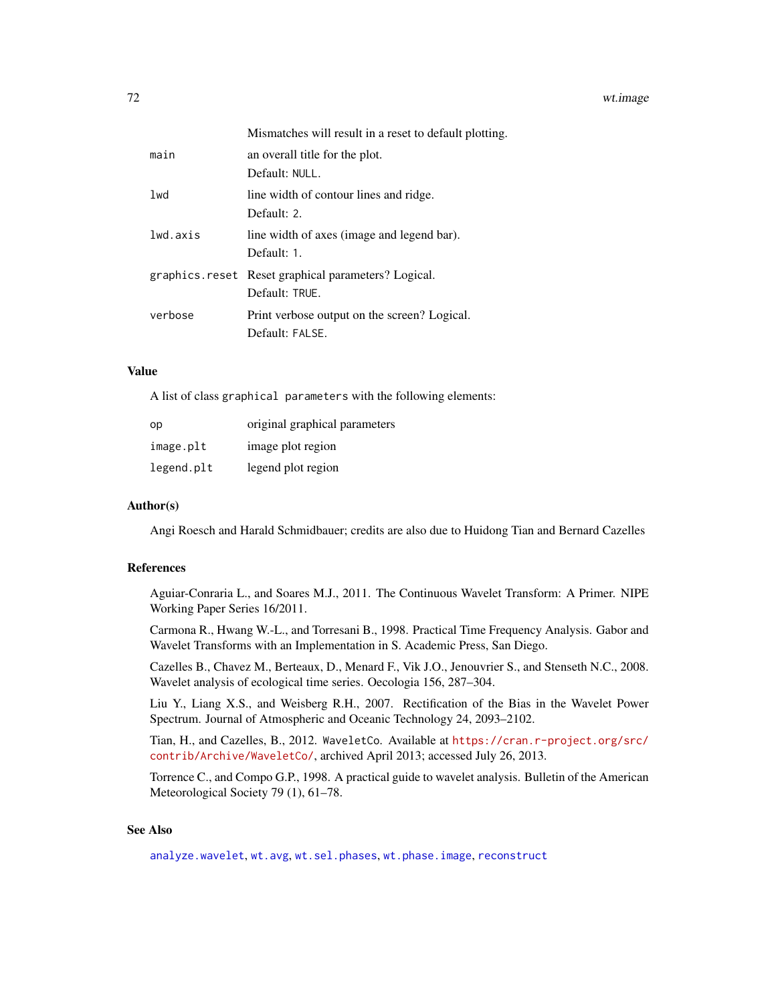|          | Mismatches will result in a reset to default plotting. |
|----------|--------------------------------------------------------|
| main     | an overall title for the plot.                         |
|          | Default: NULL.                                         |
| 1wd      | line width of contour lines and ridge.                 |
|          | Default: 2.                                            |
| lwd.axis | line width of axes (image and legend bar).             |
|          | Default: 1.                                            |
|          | graphics.reset Reset graphical parameters? Logical.    |
|          | Default: TRUE.                                         |
| verbose  | Print verbose output on the screen? Logical.           |
|          | Default: FALSE.                                        |

### Value

A list of class graphical parameters with the following elements:

| op         | original graphical parameters |
|------------|-------------------------------|
| image.plt  | image plot region             |
| legend.plt | legend plot region            |

## Author(s)

Angi Roesch and Harald Schmidbauer; credits are also due to Huidong Tian and Bernard Cazelles

## References

Aguiar-Conraria L., and Soares M.J., 2011. The Continuous Wavelet Transform: A Primer. NIPE Working Paper Series 16/2011.

Carmona R., Hwang W.-L., and Torresani B., 1998. Practical Time Frequency Analysis. Gabor and Wavelet Transforms with an Implementation in S. Academic Press, San Diego.

Cazelles B., Chavez M., Berteaux, D., Menard F., Vik J.O., Jenouvrier S., and Stenseth N.C., 2008. Wavelet analysis of ecological time series. Oecologia 156, 287–304.

Liu Y., Liang X.S., and Weisberg R.H., 2007. Rectification of the Bias in the Wavelet Power Spectrum. Journal of Atmospheric and Oceanic Technology 24, 2093–2102.

Tian, H., and Cazelles, B., 2012. WaveletCo. Available at [https://cran.r-project.org/src/](https://cran.r-project.org/src/contrib/Archive/WaveletCo/) [contrib/Archive/WaveletCo/](https://cran.r-project.org/src/contrib/Archive/WaveletCo/), archived April 2013; accessed July 26, 2013.

Torrence C., and Compo G.P., 1998. A practical guide to wavelet analysis. Bulletin of the American Meteorological Society 79 (1), 61–78.

## See Also

[analyze.wavelet](#page-11-0), [wt.avg](#page-61-0), [wt.sel.phases](#page-81-0), [wt.phase.image](#page-75-0), [reconstruct](#page-19-0)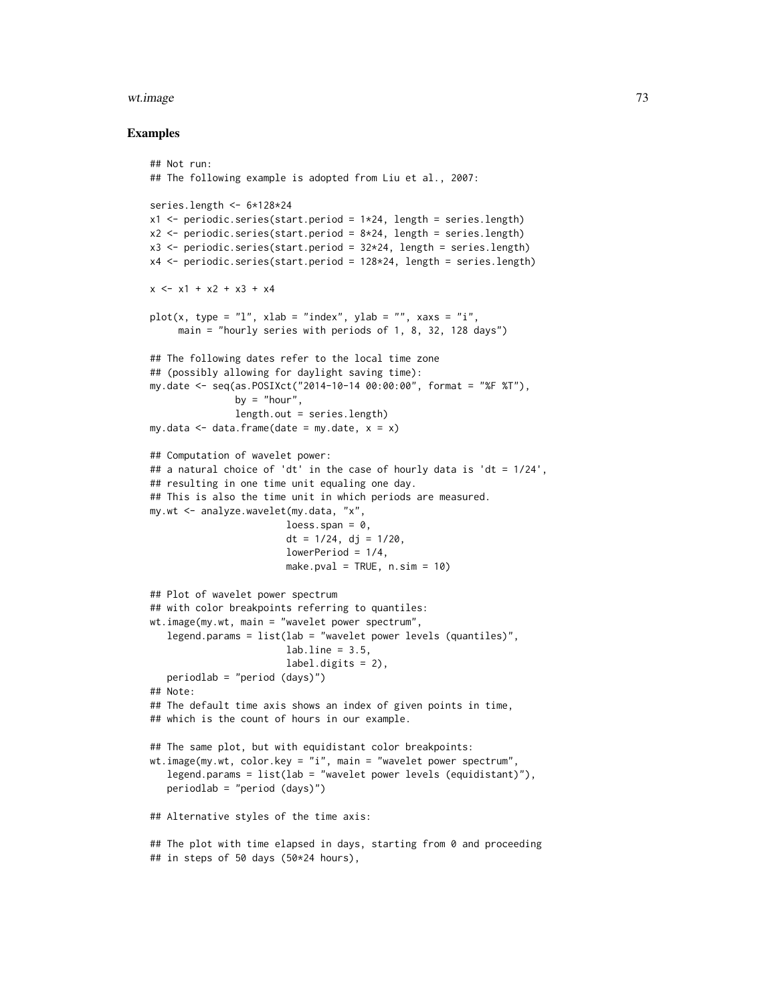#### wt.image 73

#### Examples

```
## Not run:
## The following example is adopted from Liu et al., 2007:
series.length <- 6*128*24
x1 \le- periodic.series(start.period = 1*24, length = series.length)
x2 \le periodic.series(start.period = 8 \times 24, length = series.length)
x3 \le- periodic.series(start.period = 32 \times 24, length = series.length)
x4 <- periodic.series(start.period = 128*24, length = series.length)
x \le -x1 + x2 + x3 + x4plot(x, type = "l", xlab = "index", ylab = "", xaxs = "i",main = "hourly series with periods of 1, 8, 32, 128 days")
## The following dates refer to the local time zone
## (possibly allowing for daylight saving time):
my.date <- seq(as.POSIXct("2014-10-14 00:00:00", format = "%F %T"),
               by = "hour",length.out = series.length)
my.data \leq data.frame(date = my.date, x = x)
## Computation of wavelet power:
## a natural choice of 'dt' in the case of hourly data is 'dt = 1/24',
## resulting in one time unit equaling one day.
## This is also the time unit in which periods are measured.
my.wt <- analyze.wavelet(my.data, "x",
                        loess.span = <math>0</math>,dt = 1/24, dj = 1/20,
                        lowerPeriod = 1/4,
                        make.pval = TRUE, n.sim = 10)
## Plot of wavelet power spectrum
## with color breakpoints referring to quantiles:
wt.image(my.wt, main = "wavelet power spectrum",
   legend.params = list(lab = "wavelet power levels (quantiles)".labu. line = 3.5,
                        label.digits = 2),
   periodlab = "period (days)")
## Note:
## The default time axis shows an index of given points in time,
## which is the count of hours in our example.
## The same plot, but with equidistant color breakpoints:
wt.image(my.wt, color.key = "i", main = "wavelet power spectrum",
   legend.params = list(lab = "wavelet power levels (equidistant)"),
   periodlab = "period (days)")
## Alternative styles of the time axis:
## The plot with time elapsed in days, starting from 0 and proceeding
## in steps of 50 days (50*24 hours),
```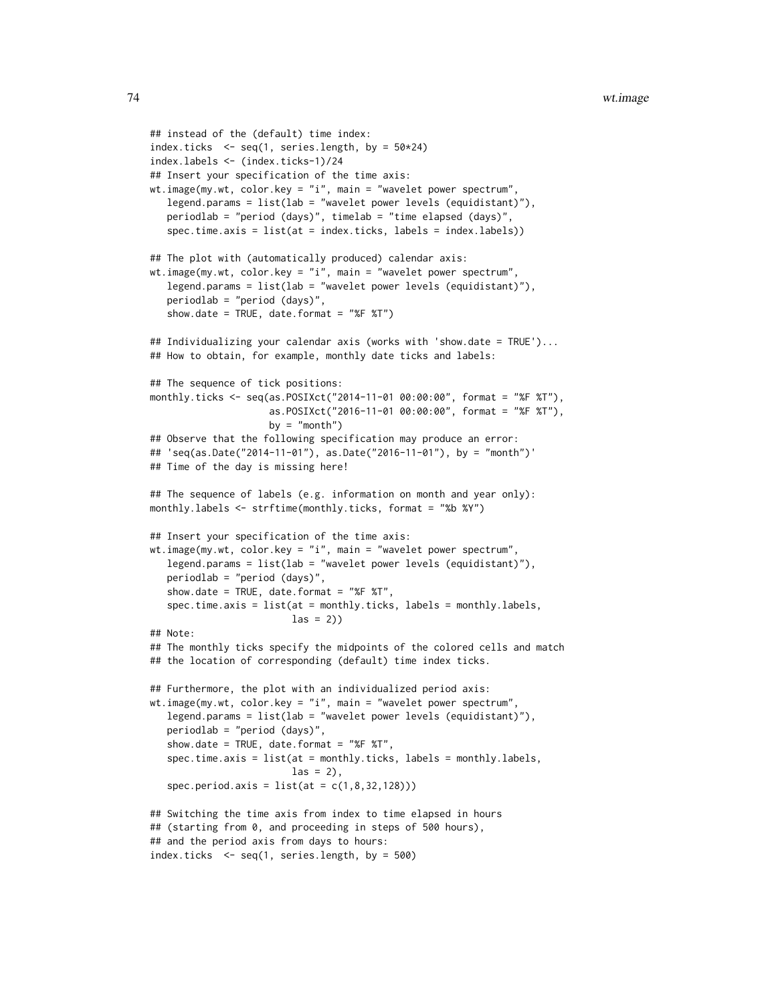```
## instead of the (default) time index:
index.ticks \leq seq(1, series.length, by = 50*24)
index.labels <- (index.ticks-1)/24
## Insert your specification of the time axis:
wt.image(my.wt, color.key = "i", main = "wavelet power spectrum",
  legend.params = list(lab = "wavelet power levels (equidistant)"),
   periodlab = "period (days)", timelab = "time elapsed (days)",
   spec.time.axis = list(at = index.ticks, labels = index.labels))
## The plot with (automatically produced) calendar axis:
wt.image(my.wt, color.key = "i", main = "wavelet power spectrum",
   legend.params = list(lab = "wavelet power levels (equidistant)"),
   periodlab = "period (days)",
   show.date = TRUE, date.format = "%F %T")
## Individualizing your calendar axis (works with 'show.date = TRUE')...
## How to obtain, for example, monthly date ticks and labels:
## The sequence of tick positions:
monthly.ticks <- seq(as.POSIXct("2014-11-01 00:00:00", format = "%F %T"),
                     as.POSIXct("2016-11-01 00:00:00", format = "%F %T"),
                     by = "month")
## Observe that the following specification may produce an error:
## 'seq(as.Date("2014-11-01"), as.Date("2016-11-01"), by = "month")'
## Time of the day is missing here!
## The sequence of labels (e.g. information on month and year only):
monthly.labels <- strftime(monthly.ticks, format = "%b %Y")
## Insert your specification of the time axis:
wt.image(my.wt, color.key = "i", main = "wavelet power spectrum",
  legend.params = list(lab = "wavelet power levels (equidistant)"),
   periodlab = "period (days)",
   show.date = TRUE, date.format = "%F %T",
   spec.time.axis = list(at = monthly.ticks, labels = monthly.labels,
                         las = 2)## Note:
## The monthly ticks specify the midpoints of the colored cells and match
## the location of corresponding (default) time index ticks.
## Furthermore, the plot with an individualized period axis:
wt.image(my.wt, color.key = "i", main = "wavelet power spectrum",
  legend.params = list(lab = "wavelet power levels (equidistant)"),
  periodlab = "period (days)",
   show.date = TRUE, date.format = "%F %T",
   spec.time.axis = list(at = monthly.ticks, labels = monthly.labels,
                         \text{las} = 2,
   spec.period. axis = list(at = c(1, 8, 32, 128)))## Switching the time axis from index to time elapsed in hours
## (starting from 0, and proceeding in steps of 500 hours),
## and the period axis from days to hours:
index.ticks <- seq(1, series.length, by = 500)
```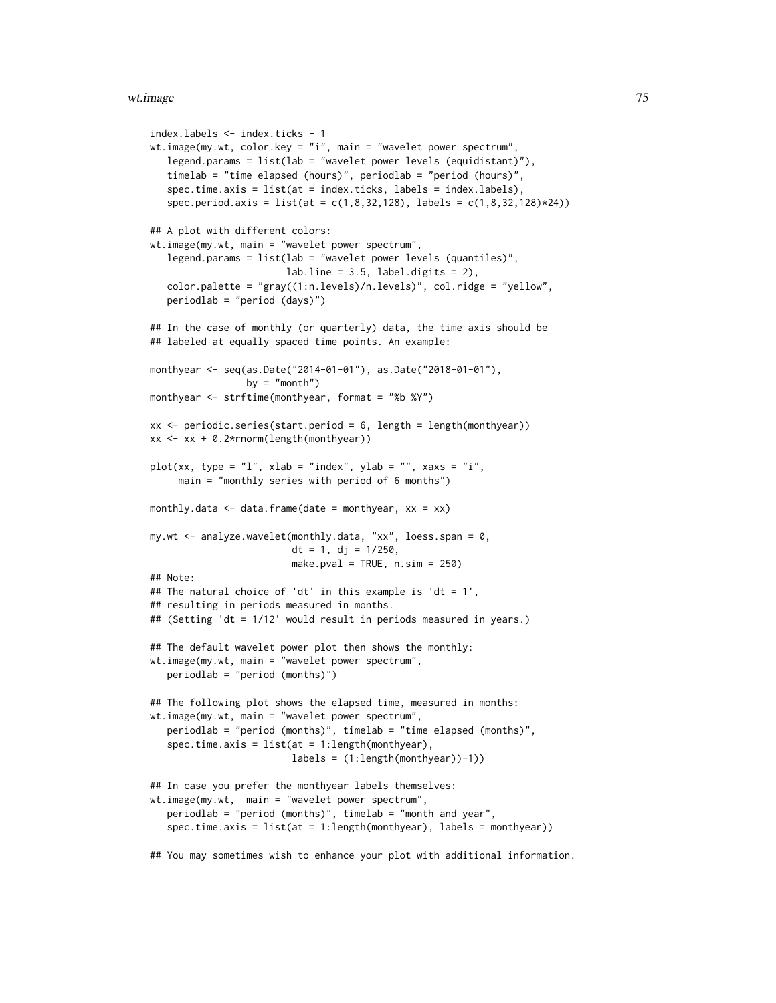#### wt.image 75

```
index.labels <- index.ticks - 1
wt.image(my.wt, color.key = "i", main = "wavelet power spectrum",
  legend.params = list(lab = "wavelet power levels (equidistant)"),
   timelab = "time elapsed (hours)", periodlab = "period (hours)",
   spec.time.axis = list(at = index.ticks, labels = index.labels),
   spec.period. axis = list(at = c(1, 8, 32, 128), labels = c(1, 8, 32, 128)*24)## A plot with different colors:
wt.image(my.wt, main = "wavelet power spectrum",
   legend.params = list(lab = "wavelet power levels (quantiles)",
                        labuine = 3.5, label.digits = 2,
   color.palette = "gray((1:n.levels)/n.levels)", col.ridge = "yellow",
  periodlab = "period (days)")
## In the case of monthly (or quarterly) data, the time axis should be
## labeled at equally spaced time points. An example:
monthyear <- seq(as.Date("2014-01-01"), as.Date("2018-01-01"),
                 by = "month")
monthyear <- strftime(monthyear, format = "%b %Y")
xx \le- periodic.series(start.period = 6, length = length(monthyear))
xx <- xx + 0.2*rnorm(length(monthyear))
plot(xx, type = "l", xlab = "index", ylab = "", xaxs = "i",main = "monthly series with period of 6 months")
monthly.data \leq data.frame(date = monthyear, xx = xx)
my.wt <- analyze.wavelet(monthly.data, "xx", loess.span = 0,
                         dt = 1, dj = 1/250,
                         make.pval = TRUE, n \sin = 250)
## Note:
## The natural choice of 'dt' in this example is 'dt = 1',
## resulting in periods measured in months.
## (Setting 'dt = 1/12' would result in periods measured in years.)
## The default wavelet power plot then shows the monthly:
wt.image(my.wt, main = "wavelet power spectrum",
   periodlab = "period (months)")
## The following plot shows the elapsed time, measured in months:
wt.image(my.wt, main = "wavelet power spectrum",
   periodlab = "period (months)", timelab = "time elapsed (months)",
   spec.time.axis = list(at = 1:length(monthyear)),labels = (1:length(monthyear))-1))
## In case you prefer the monthyear labels themselves:
wt.image(my.wt, main = "wavelet power spectrum",
   periodlab = "period (months)", timelab = "month and year",
   spec.time.axis = list(at = 1:length(monthyear), labels = monthyear))
## You may sometimes wish to enhance your plot with additional information.
```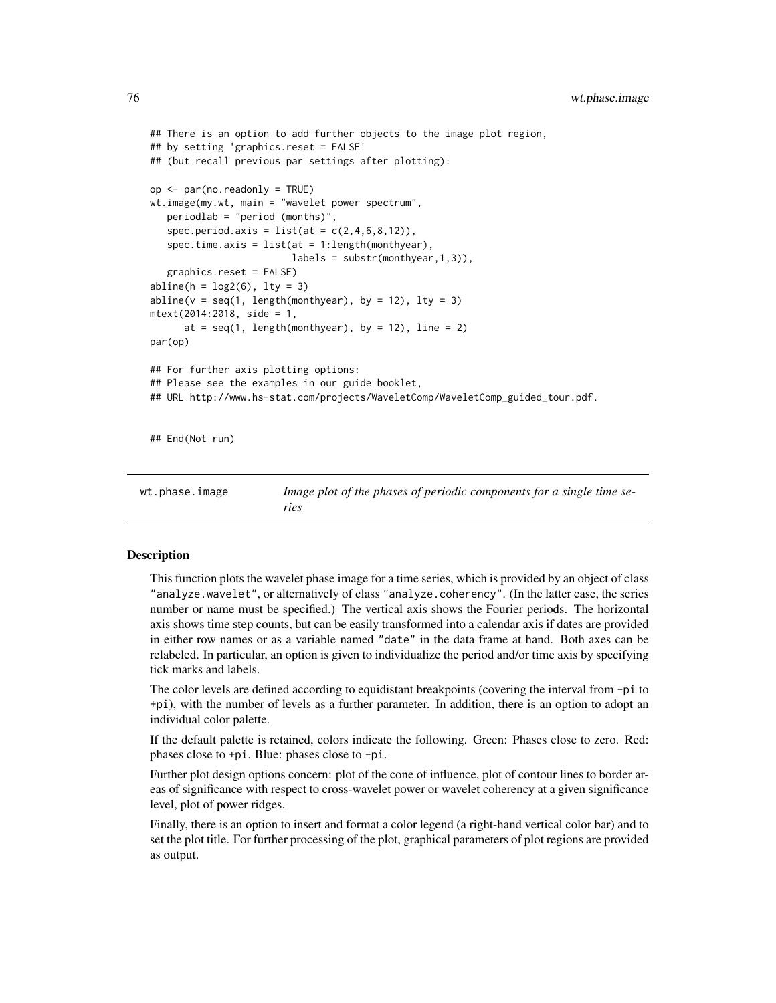```
## There is an option to add further objects to the image plot region,
## by setting 'graphics.reset = FALSE'
## (but recall previous par settings after plotting):
op <- par(no.readonly = TRUE)
wt.image(my.wt, main = "wavelet power spectrum",
  periodlab = "period (months)",
   spec.period. axis = list(at = c(2, 4, 6, 8, 12)),spec.time.axis = list(at = 1:length(monthyear)),labels = substr(monthyear,1,3)),
   graphics.reset = FALSE)
abline(h = log2(6), lty = 3)abline(v = seq(1, length(monthyear), by = 12), lty = 3)mtext(2014:2018, side = 1,
      at = seq(1, length(monthyear), by = 12), line = 2)par(op)
## For further axis plotting options:
## Please see the examples in our guide booklet,
## URL http://www.hs-stat.com/projects/WaveletComp/WaveletComp_guided_tour.pdf.
## End(Not run)
```
<span id="page-75-0"></span>wt.phase.image *Image plot of the phases of periodic components for a single time series*

#### **Description**

This function plots the wavelet phase image for a time series, which is provided by an object of class "analyze.wavelet", or alternatively of class "analyze.coherency". (In the latter case, the series number or name must be specified.) The vertical axis shows the Fourier periods. The horizontal axis shows time step counts, but can be easily transformed into a calendar axis if dates are provided in either row names or as a variable named "date" in the data frame at hand. Both axes can be relabeled. In particular, an option is given to individualize the period and/or time axis by specifying tick marks and labels.

The color levels are defined according to equidistant breakpoints (covering the interval from -pi to +pi), with the number of levels as a further parameter. In addition, there is an option to adopt an individual color palette.

If the default palette is retained, colors indicate the following. Green: Phases close to zero. Red: phases close to +pi. Blue: phases close to -pi.

Further plot design options concern: plot of the cone of influence, plot of contour lines to border areas of significance with respect to cross-wavelet power or wavelet coherency at a given significance level, plot of power ridges.

Finally, there is an option to insert and format a color legend (a right-hand vertical color bar) and to set the plot title. For further processing of the plot, graphical parameters of plot regions are provided as output.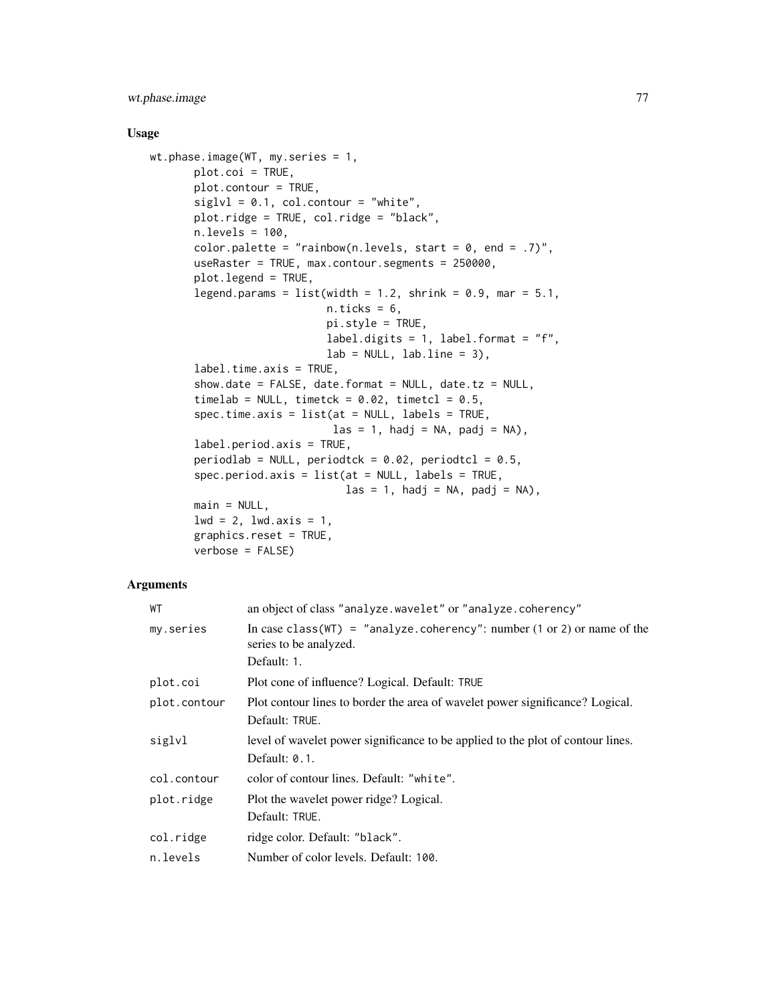# wt.phase.image 77

#### Usage

```
wt.phase.image(WT, my.series = 1,
       plot.coi = TRUE,
       plot.contour = TRUE,
       siglvl = 0.1, col.contrib = "white",plot.ridge = TRUE, col.ridge = "black",
       n.levels = 100,
       color.palette = "rainbow(n.levels, start = 0, end = .7)",
       useRaster = TRUE, max.contour.segments = 250000,
       plot.legend = TRUE,
       legend.params = list(width = 1.2, shrink = 0.9, mar = 5.1,
                             n.ticks = 6,
                             pi.style = TRUE,
                             label.digits = 1, label.format = "f",lab = NULL, labu. line = 3),
       label.time.axis = TRUE,
       show.date = FALSE, date.format = NULL, date.tz = NULL,
       timelab = NULL, timetck = 0.02, timetcl = 0.5,
       spec.time.axis = list(at = NULL, labels = TRUE,\text{las} = 1, \text{hadj} = \text{NA}, \text{padj} = \text{NA}),
       label.period.axis = TRUE,
       periodlab = NULL, periodtck = 0.02, periodtcl = 0.5,
       spec.period.axis = list(at = NULL, labels = TRUE,\text{las} = 1, hadj = NA, padj = NA),
       main = NULL,1wd = 2, 1wd.axis = 1,
       graphics.reset = TRUE,
       verbose = FALSE)
```
# Arguments

| WТ           | an object of class "analyze.wavelet" or "analyze.coherency"                                                   |
|--------------|---------------------------------------------------------------------------------------------------------------|
| my.series    | In case class (WT) = "analyze.coherency": number $(1 \text{ or } 2)$ or name of the<br>series to be analyzed. |
|              | Default: 1.                                                                                                   |
| plot.coi     | Plot cone of influence? Logical. Default: TRUE                                                                |
| plot.contour | Plot contour lines to border the area of wavelet power significance? Logical.<br>Default: TRUE.               |
| siglvl       | level of wavelet power significance to be applied to the plot of contour lines.<br>Default: $0.1$ .           |
| col.contour  | color of contour lines. Default: "white".                                                                     |
| plot.ridge   | Plot the wavelet power ridge? Logical.<br>Default: TRUE.                                                      |
| col.ridge    | ridge color. Default: "black".                                                                                |
| n.levels     | Number of color levels. Default: 100.                                                                         |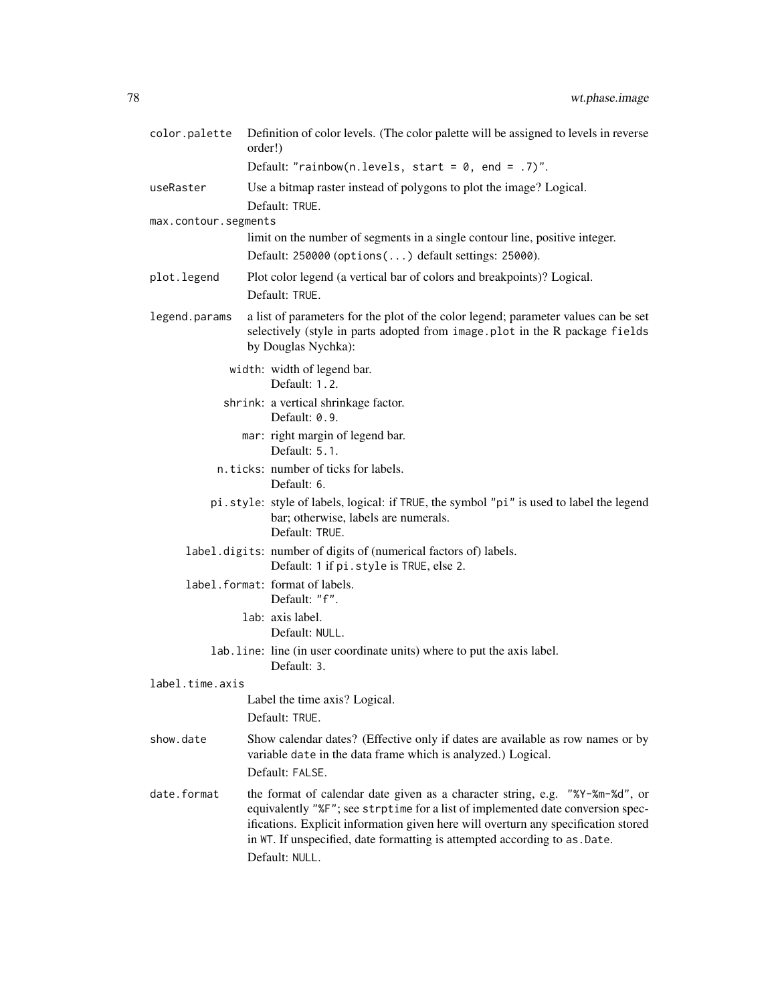| color.palette        | Definition of color levels. (The color palette will be assigned to levels in reverse<br>order!)                                                                                                                                                                                                                                                       |
|----------------------|-------------------------------------------------------------------------------------------------------------------------------------------------------------------------------------------------------------------------------------------------------------------------------------------------------------------------------------------------------|
|                      | Default: "rainbow(n.levels, start = $0$ , end = .7)".                                                                                                                                                                                                                                                                                                 |
| useRaster            | Use a bitmap raster instead of polygons to plot the image? Logical.<br>Default: TRUE.                                                                                                                                                                                                                                                                 |
| max.contour.segments |                                                                                                                                                                                                                                                                                                                                                       |
|                      | limit on the number of segments in a single contour line, positive integer.<br>Default: 250000 (options() default settings: 25000).                                                                                                                                                                                                                   |
| plot.legend          | Plot color legend (a vertical bar of colors and breakpoints)? Logical.                                                                                                                                                                                                                                                                                |
|                      | Default: TRUE.                                                                                                                                                                                                                                                                                                                                        |
| legend.params        | a list of parameters for the plot of the color legend; parameter values can be set<br>selectively (style in parts adopted from image.plot in the R package fields<br>by Douglas Nychka):                                                                                                                                                              |
|                      | width: width of legend bar.<br>Default: 1.2.                                                                                                                                                                                                                                                                                                          |
|                      | shrink: a vertical shrinkage factor.<br>Default: 0.9.                                                                                                                                                                                                                                                                                                 |
|                      | mar: right margin of legend bar.<br>Default: 5.1.                                                                                                                                                                                                                                                                                                     |
|                      | n.ticks: number of ticks for labels.<br>Default: 6.                                                                                                                                                                                                                                                                                                   |
|                      | pi. style: style of labels, logical: if TRUE, the symbol "pi" is used to label the legend<br>bar; otherwise, labels are numerals.<br>Default: TRUE.                                                                                                                                                                                                   |
|                      | label.digits: number of digits of (numerical factors of) labels.<br>Default: 1 if pi.style is TRUE, else 2.                                                                                                                                                                                                                                           |
|                      | label.format: format of labels.<br>Default: "f".                                                                                                                                                                                                                                                                                                      |
|                      | lab: axis label.<br>Default: NULL.                                                                                                                                                                                                                                                                                                                    |
|                      | lab. line: line (in user coordinate units) where to put the axis label.<br>Default: 3.                                                                                                                                                                                                                                                                |
| label.time.axis      |                                                                                                                                                                                                                                                                                                                                                       |
|                      | Label the time axis? Logical.<br>Default: TRUE.                                                                                                                                                                                                                                                                                                       |
| show.date            | Show calendar dates? (Effective only if dates are available as row names or by<br>variable date in the data frame which is analyzed.) Logical.                                                                                                                                                                                                        |
|                      | Default: FALSE.                                                                                                                                                                                                                                                                                                                                       |
| date.format          | the format of calendar date given as a character string, e.g. "%Y-%m-%d", or<br>equivalently "%F"; see strptime for a list of implemented date conversion spec-<br>ifications. Explicit information given here will overturn any specification stored<br>in WT. If unspecified, date formatting is attempted according to as .Date.<br>Default: NULL. |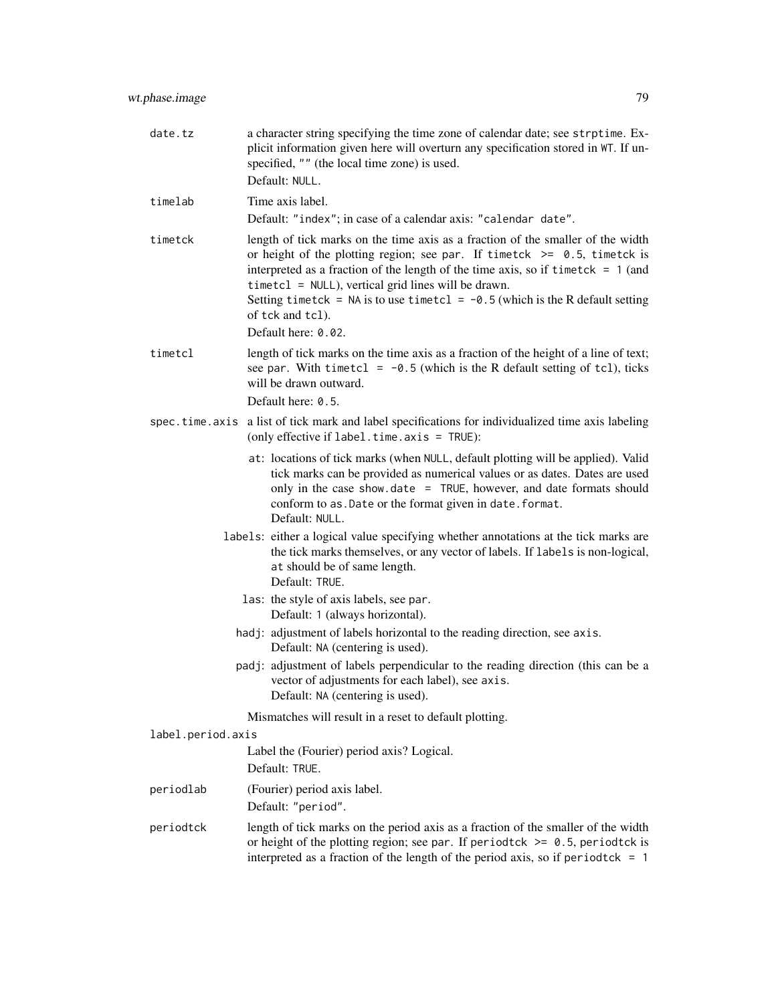| date.tz           | a character string specifying the time zone of calendar date; see strptime. Ex-<br>plicit information given here will overturn any specification stored in WT. If un-<br>specified, "" (the local time zone) is used.                                                                                                                                                                                                                       |
|-------------------|---------------------------------------------------------------------------------------------------------------------------------------------------------------------------------------------------------------------------------------------------------------------------------------------------------------------------------------------------------------------------------------------------------------------------------------------|
|                   | Default: NULL.                                                                                                                                                                                                                                                                                                                                                                                                                              |
| timelab           | Time axis label.                                                                                                                                                                                                                                                                                                                                                                                                                            |
|                   | Default: "index"; in case of a calendar axis: "calendar date".                                                                                                                                                                                                                                                                                                                                                                              |
| timetck           | length of tick marks on the time axis as a fraction of the smaller of the width<br>or height of the plotting region; see par. If timetck $\ge$ 0.5, timetck is<br>interpreted as a fraction of the length of the time axis, so if timetck $= 1$ (and<br>$timetcl = NULL$ , vertical grid lines will be drawn.<br>Setting timetck = NA is to use timetcl = $-0.5$ (which is the R default setting<br>of tck and tcl).<br>Default here: 0.02. |
| timetcl           | length of tick marks on the time axis as a fraction of the height of a line of text;<br>see par. With timetcl = $-0.5$ (which is the R default setting of tcl), ticks<br>will be drawn outward.<br>Default here: 0.5.                                                                                                                                                                                                                       |
|                   | spec.time.axis a list of tick mark and label specifications for individualized time axis labeling<br>(only effective if label.time.axis = TRUE):                                                                                                                                                                                                                                                                                            |
|                   | at: locations of tick marks (when NULL, default plotting will be applied). Valid<br>tick marks can be provided as numerical values or as dates. Dates are used<br>only in the case show date $=$ TRUE, however, and date formats should<br>conform to as. Date or the format given in date. format.<br>Default: NULL.                                                                                                                       |
|                   | labels: either a logical value specifying whether annotations at the tick marks are<br>the tick marks themselves, or any vector of labels. If labels is non-logical,<br>at should be of same length.<br>Default: TRUE.                                                                                                                                                                                                                      |
|                   | las: the style of axis labels, see par.<br>Default: 1 (always horizontal).                                                                                                                                                                                                                                                                                                                                                                  |
|                   | hadj: adjustment of labels horizontal to the reading direction, see axis.<br>Default: NA (centering is used).                                                                                                                                                                                                                                                                                                                               |
|                   | padj: adjustment of labels perpendicular to the reading direction (this can be a<br>vector of adjustments for each label), see axis.<br>Default: NA (centering is used).                                                                                                                                                                                                                                                                    |
|                   | Mismatches will result in a reset to default plotting.                                                                                                                                                                                                                                                                                                                                                                                      |
| label.period.axis |                                                                                                                                                                                                                                                                                                                                                                                                                                             |
|                   | Label the (Fourier) period axis? Logical.<br>Default: TRUE.                                                                                                                                                                                                                                                                                                                                                                                 |
| periodlab         | (Fourier) period axis label.                                                                                                                                                                                                                                                                                                                                                                                                                |
|                   | Default: "period".                                                                                                                                                                                                                                                                                                                                                                                                                          |
| periodtck         | length of tick marks on the period axis as a fraction of the smaller of the width<br>or height of the plotting region; see par. If periodtck $\ge$ 0.5, periodtck is<br>interpreted as a fraction of the length of the period axis, so if period tck = $1$                                                                                                                                                                                  |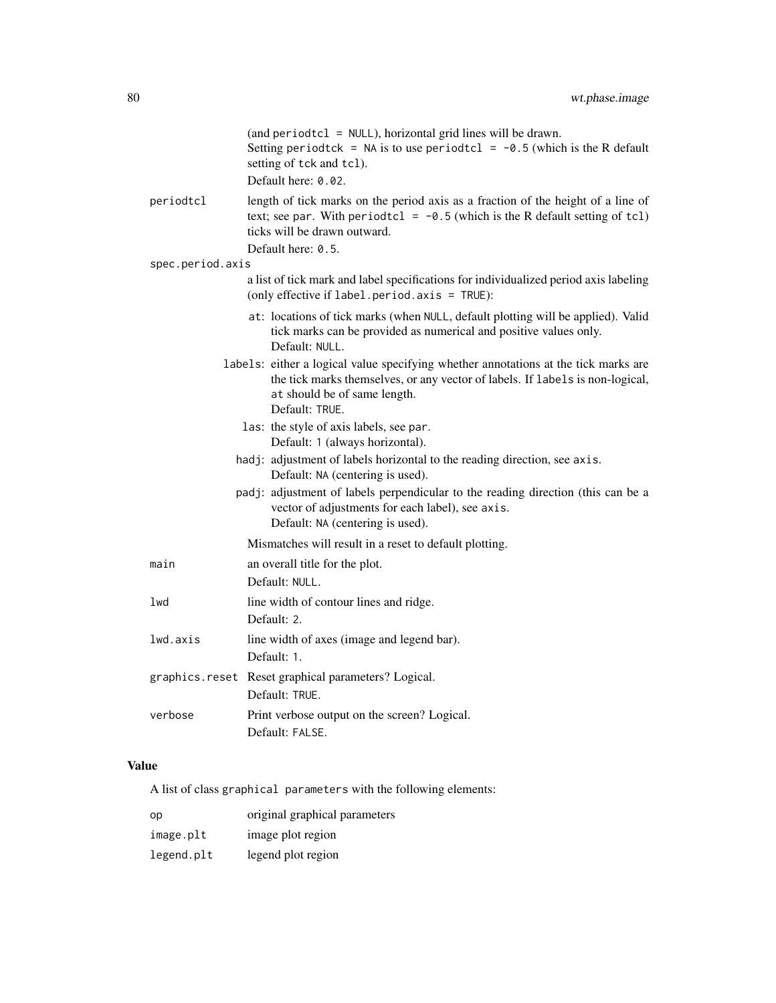|                  | (and period tcl = $NULL$ ), horizontal grid lines will be drawn.<br>Setting period tck = NA is to use period tcl = $-0.5$ (which is the R default<br>setting of tck and tcl).<br>Default here: 0.02.                   |
|------------------|------------------------------------------------------------------------------------------------------------------------------------------------------------------------------------------------------------------------|
| periodtcl        | length of tick marks on the period axis as a fraction of the height of a line of<br>text; see par. With period tcl = $-0.5$ (which is the R default setting of tcl)<br>ticks will be drawn outward.                    |
| spec.period.axis | Default here: 0.5.                                                                                                                                                                                                     |
|                  | a list of tick mark and label specifications for individualized period axis labeling<br>(only effective if $label.period. axis = TRUE$ ):                                                                              |
|                  | at: locations of tick marks (when NULL, default plotting will be applied). Valid<br>tick marks can be provided as numerical and positive values only.<br>Default: NULL.                                                |
|                  | labels: either a logical value specifying whether annotations at the tick marks are<br>the tick marks themselves, or any vector of labels. If labels is non-logical,<br>at should be of same length.<br>Default: TRUE. |
|                  | las: the style of axis labels, see par.<br>Default: 1 (always horizontal).                                                                                                                                             |
|                  | hadj: adjustment of labels horizontal to the reading direction, see axis.<br>Default: NA (centering is used).                                                                                                          |
|                  | padj: adjustment of labels perpendicular to the reading direction (this can be a<br>vector of adjustments for each label), see axis.<br>Default: NA (centering is used).                                               |
|                  | Mismatches will result in a reset to default plotting.                                                                                                                                                                 |
| main             | an overall title for the plot.<br>Default: NULL.                                                                                                                                                                       |
| lwd              | line width of contour lines and ridge.<br>Default: 2.                                                                                                                                                                  |
| lwd.axis         | line width of axes (image and legend bar).<br>Default: 1.                                                                                                                                                              |
|                  | graphics.reset Reset graphical parameters? Logical.<br>Default: TRUE.                                                                                                                                                  |
| verbose          | Print verbose output on the screen? Logical.<br>Default: FALSE.                                                                                                                                                        |

# Value

A list of class graphical parameters with the following elements:

| op         | original graphical parameters |
|------------|-------------------------------|
| image.plt  | image plot region             |
| legend.plt | legend plot region            |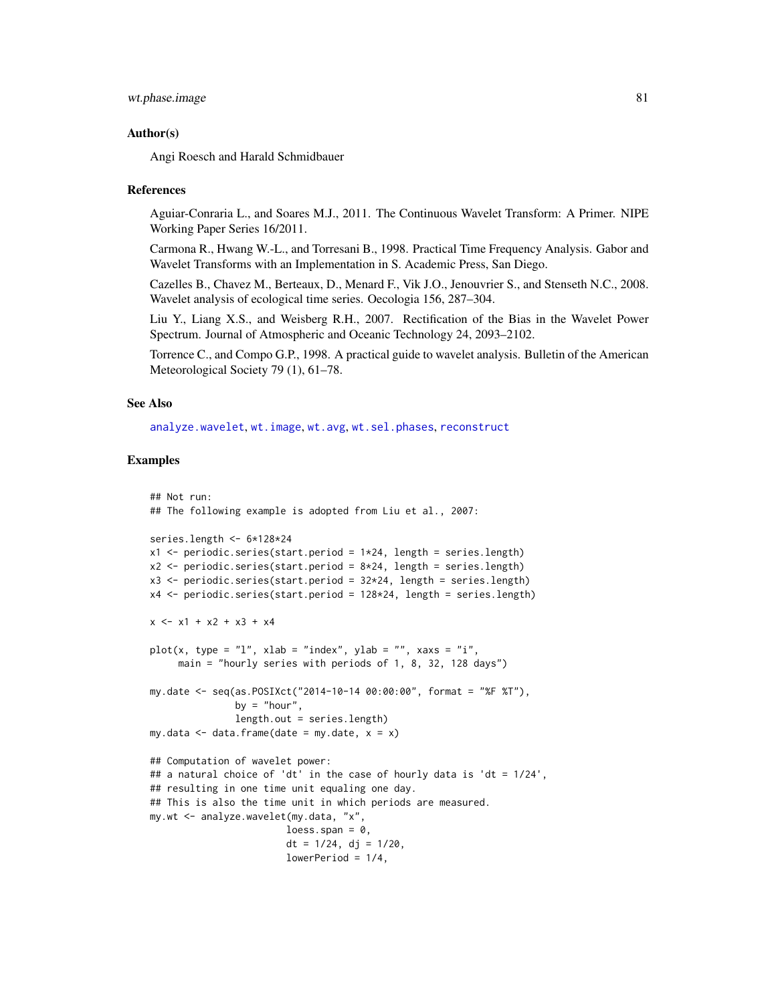# <span id="page-80-0"></span>wt.phase.image 81

#### Author(s)

Angi Roesch and Harald Schmidbauer

#### References

Aguiar-Conraria L., and Soares M.J., 2011. The Continuous Wavelet Transform: A Primer. NIPE Working Paper Series 16/2011.

Carmona R., Hwang W.-L., and Torresani B., 1998. Practical Time Frequency Analysis. Gabor and Wavelet Transforms with an Implementation in S. Academic Press, San Diego.

Cazelles B., Chavez M., Berteaux, D., Menard F., Vik J.O., Jenouvrier S., and Stenseth N.C., 2008. Wavelet analysis of ecological time series. Oecologia 156, 287–304.

Liu Y., Liang X.S., and Weisberg R.H., 2007. Rectification of the Bias in the Wavelet Power Spectrum. Journal of Atmospheric and Oceanic Technology 24, 2093–2102.

Torrence C., and Compo G.P., 1998. A practical guide to wavelet analysis. Bulletin of the American Meteorological Society 79 (1), 61–78.

#### See Also

[analyze.wavelet](#page-11-0), [wt.image](#page-66-0), [wt.avg](#page-61-0), [wt.sel.phases](#page-81-0), [reconstruct](#page-19-0)

#### Examples

```
## Not run:
## The following example is adopted from Liu et al., 2007:
series.length <- 6*128*24
x1 <- periodic.series(start.period = 1*24, length = series.length)
x2 \le- periodic.series(start.period = 8*24, length = series.length)
x3 <- periodic.series(start.period = 32*24, length = series.length)
x4 <- periodic.series(start.period = 128*24, length = series.length)
x \le -x1 + x2 + x3 + x4plot(x, type = "l", xlab = "index", ylab = "", xaxs = "i",main = "hourly series with periods of 1, 8, 32, 128 days")
my.date <- seq(as.POSIXct("2014-10-14 00:00:00", format = "%F %T"),
               by = "hour",length.out = series.length)
my.data \leq data.frame(date = my.date, x = x)
## Computation of wavelet power:
## a natural choice of 'dt' in the case of hourly data is 'dt = 1/24',
## resulting in one time unit equaling one day.
## This is also the time unit in which periods are measured.
my.wt <- analyze.wavelet(my.data, "x",
                        loess.span = 0,
                        dt = 1/24, dj = 1/20,
                        lowerPeriod = 1/4,
```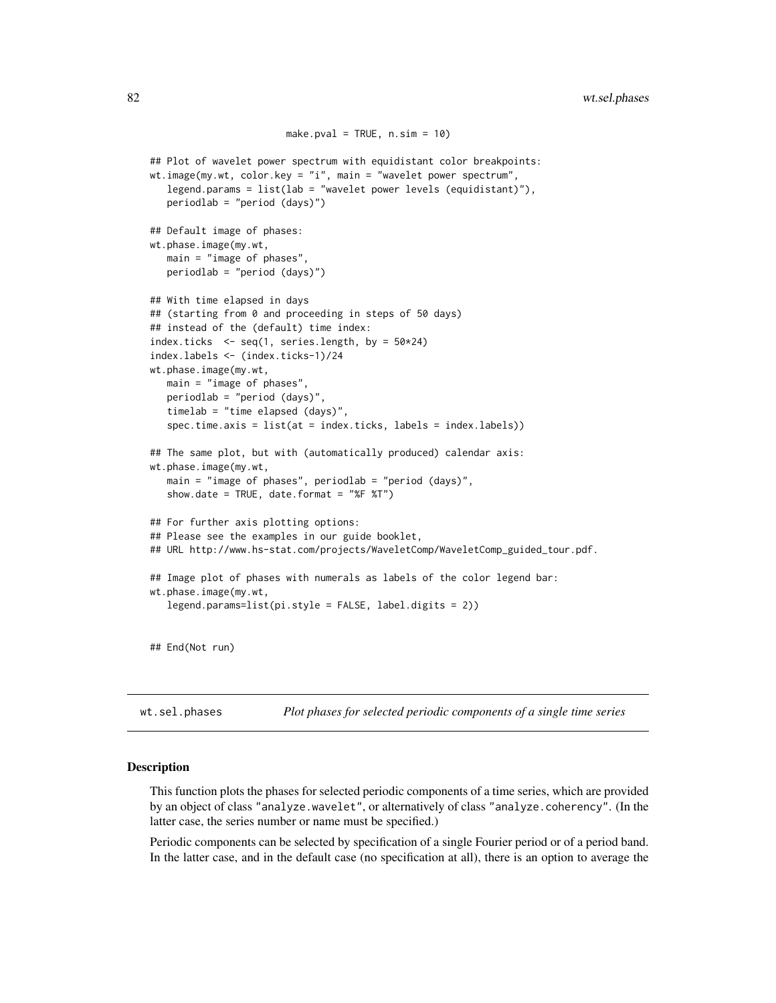```
make.pval = TRUE, n.sim = 10)
## Plot of wavelet power spectrum with equidistant color breakpoints:
wt.image(my.wt, color.key = "i", main = "wavelet power spectrum",
  legend.params = list(lab = "wavelet power levels (equidistant)"),
  periodlab = "period (days)")
## Default image of phases:
wt.phase.image(my.wt,
  main = "image of phases",
  periodlab = "period (days)")
## With time elapsed in days
## (starting from 0 and proceeding in steps of 50 days)
## instead of the (default) time index:
index.ticks \leq seq(1, series.length, by = 50*24)
index.labels <- (index.ticks-1)/24
wt.phase.image(my.wt,
  main = "image of phases",
  periodlab = "period (days)",
  timelab = "time elapsed (days)",
   spec.time.axis = list(at = index.ticks, labels = index.labels))
## The same plot, but with (automatically produced) calendar axis:
wt.phase.image(my.wt,
  main = "image of phases", periodlab = "period (days)",
   show.date = TRUE, date.format = "%F %T")
## For further axis plotting options:
## Please see the examples in our guide booklet,
## URL http://www.hs-stat.com/projects/WaveletComp/WaveletComp_guided_tour.pdf.
## Image plot of phases with numerals as labels of the color legend bar:
wt.phase.image(my.wt,
   legend.params=list(pi.style = FALSE, label.digits = 2))
## End(Not run)
```
<span id="page-81-0"></span>wt.sel.phases *Plot phases for selected periodic components of a single time series*

#### **Description**

This function plots the phases for selected periodic components of a time series, which are provided by an object of class "analyze.wavelet", or alternatively of class "analyze.coherency". (In the latter case, the series number or name must be specified.)

Periodic components can be selected by specification of a single Fourier period or of a period band. In the latter case, and in the default case (no specification at all), there is an option to average the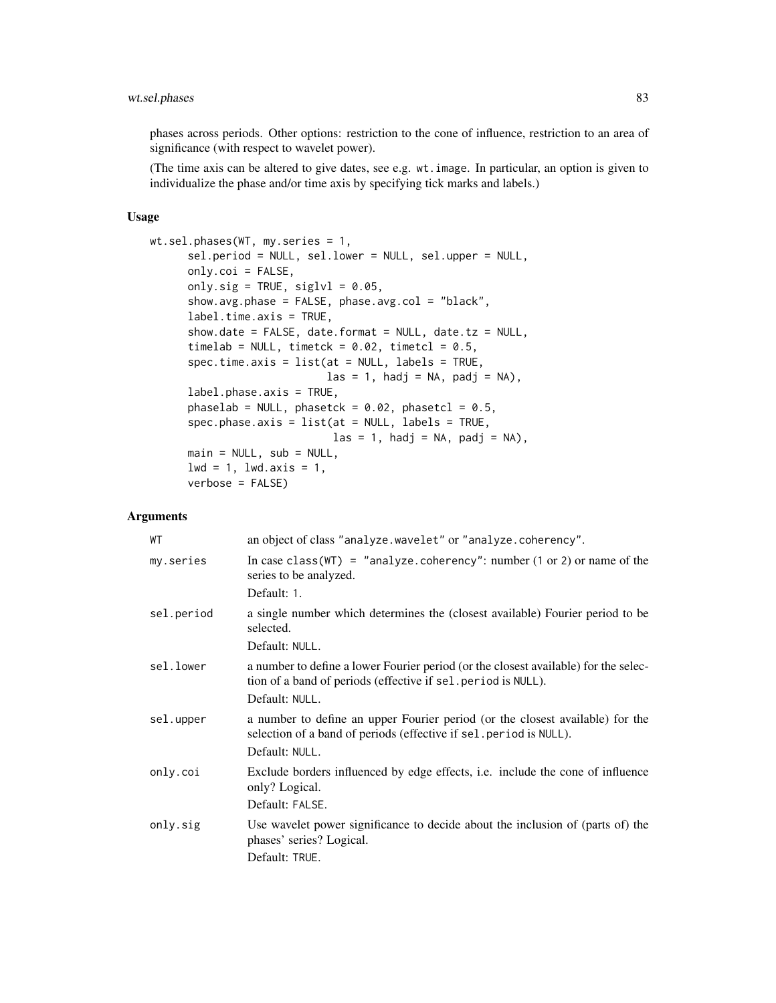phases across periods. Other options: restriction to the cone of influence, restriction to an area of significance (with respect to wavelet power).

(The time axis can be altered to give dates, see e.g. wt.image. In particular, an option is given to individualize the phase and/or time axis by specifying tick marks and labels.)

#### Usage

```
wt.sel.phases(WT, my.series = 1,
      sel.period = NULL, sel.lower = NULL, sel.upper = NULL,
      only.coi = FALSE,
      only.sig = TRUE, siglvl = 0.05,
      show.avg.phase = FALSE, phase.avg.col = "black",
      label.time.axis = TRUE,
      show.date = FALSE, date.format = NULL, date.tz = NULL,
      timelab = NULL, timetck = 0.02, timetcl = 0.5,
      spec.time.axis = list(at = NULL, labels = TRUE,
                              \text{las} = 1, hadj = NA, padj = NA),
      label.phase.axis = TRUE,
      phaselab = NULL, phasetck = 0.02, phasetcl = 0.5,
      spec.phase.axis = list(at = NULL, labels = TRUE,\text{las} = 1, \text{hadj} = \text{NA}, \text{padj} = \text{NA}),
      main = NULL, sub = NULL,
      1wd = 1, 1wd.axis = 1,
      verbose = FALSE)
```
# Arguments

| WТ         | an object of class "analyze.wavelet" or "analyze.coherency".                                                                                                           |
|------------|------------------------------------------------------------------------------------------------------------------------------------------------------------------------|
| my.series  | In case class (WT) = "analyze.coherency": number (1 or 2) or name of the<br>series to be analyzed.<br>Default: 1.                                                      |
| sel.period | a single number which determines the (closest available) Fourier period to be<br>selected.<br>Default: NULL.                                                           |
|            |                                                                                                                                                                        |
| sel.lower  | a number to define a lower Fourier period (or the closest available) for the selec-<br>tion of a band of periods (effective if sel. period is NULL).<br>Default: NULL. |
| sel.upper  | a number to define an upper Fourier period (or the closest available) for the<br>selection of a band of periods (effective if sel. period is NULL).<br>Default: NULL.  |
| only.coi   | Exclude borders influenced by edge effects, i.e. include the cone of influence<br>only? Logical.<br>Default: FALSE.                                                    |
| only.sig   | Use wavelet power significance to decide about the inclusion of (parts of) the<br>phases' series? Logical.<br>Default: TRUE.                                           |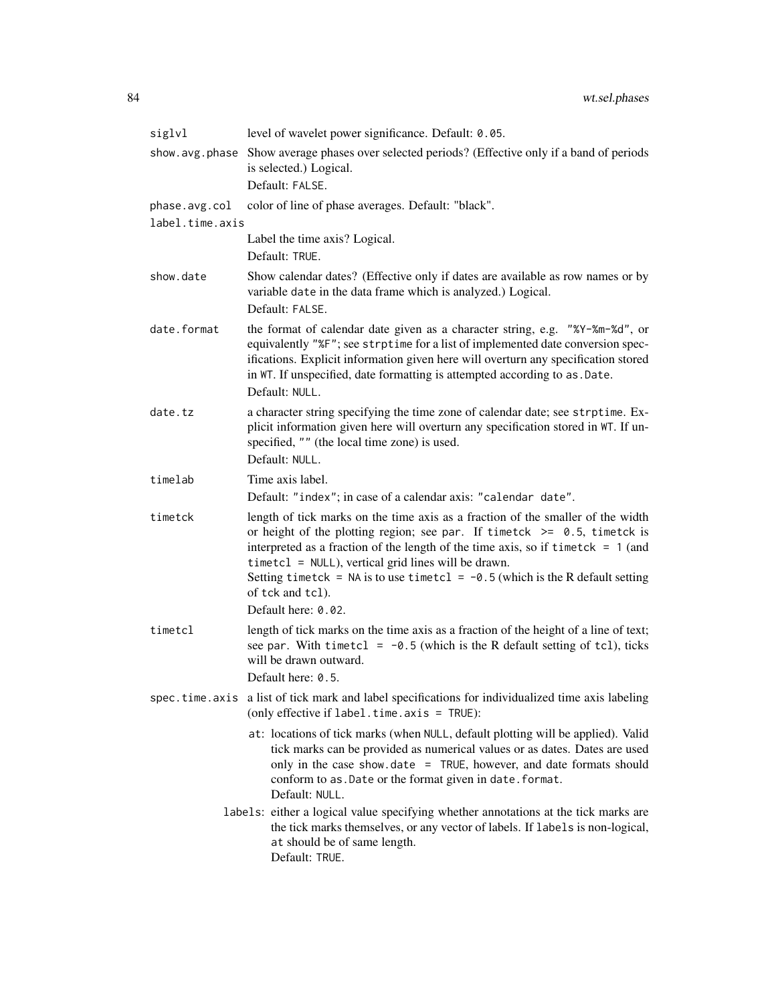| siglvl                                                                                                                                                                                                                 | level of wavelet power significance. Default: 0.05.                                                                                                                                                                                                                                                                                                                                                                    |
|------------------------------------------------------------------------------------------------------------------------------------------------------------------------------------------------------------------------|------------------------------------------------------------------------------------------------------------------------------------------------------------------------------------------------------------------------------------------------------------------------------------------------------------------------------------------------------------------------------------------------------------------------|
| show.avg.phase                                                                                                                                                                                                         | Show average phases over selected periods? (Effective only if a band of periods<br>is selected.) Logical.                                                                                                                                                                                                                                                                                                              |
|                                                                                                                                                                                                                        | Default: FALSE.                                                                                                                                                                                                                                                                                                                                                                                                        |
| phase.avg.col                                                                                                                                                                                                          | color of line of phase averages. Default: "black".                                                                                                                                                                                                                                                                                                                                                                     |
| label.time.axis                                                                                                                                                                                                        |                                                                                                                                                                                                                                                                                                                                                                                                                        |
|                                                                                                                                                                                                                        | Label the time axis? Logical.<br>Default: TRUE.                                                                                                                                                                                                                                                                                                                                                                        |
| show.date                                                                                                                                                                                                              | Show calendar dates? (Effective only if dates are available as row names or by<br>variable date in the data frame which is analyzed.) Logical.<br>Default: FALSE.                                                                                                                                                                                                                                                      |
| date.format                                                                                                                                                                                                            | the format of calendar date given as a character string, e.g. "%Y-%m-%d", or<br>equivalently "%F"; see strptime for a list of implemented date conversion spec-<br>ifications. Explicit information given here will overturn any specification stored<br>in WT. If unspecified, date formatting is attempted according to as . Date.<br>Default: NULL.                                                                 |
| date.tz                                                                                                                                                                                                                | a character string specifying the time zone of calendar date; see strptime. Ex-<br>plicit information given here will overturn any specification stored in WT. If un-<br>specified, "" (the local time zone) is used.<br>Default: NULL.                                                                                                                                                                                |
| timelab                                                                                                                                                                                                                | Time axis label.                                                                                                                                                                                                                                                                                                                                                                                                       |
|                                                                                                                                                                                                                        | Default: "index"; in case of a calendar axis: "calendar date".                                                                                                                                                                                                                                                                                                                                                         |
| timetck                                                                                                                                                                                                                | length of tick marks on the time axis as a fraction of the smaller of the width<br>or height of the plotting region; see par. If timetck $\ge$ = 0.5, timetck is<br>interpreted as a fraction of the length of the time axis, so if timetck = $1$ (and<br>$timetcl = NULL$ , vertical grid lines will be drawn.<br>Setting timetck = NA is to use timetcl = $-0.5$ (which is the R default setting<br>of tck and tcl). |
|                                                                                                                                                                                                                        | Default here: 0.02.                                                                                                                                                                                                                                                                                                                                                                                                    |
| timetcl                                                                                                                                                                                                                | length of tick marks on the time axis as a fraction of the height of a line of text;<br>see par. With timetcl = $-0.5$ (which is the R default setting of tcl), ticks<br>will be drawn outward.                                                                                                                                                                                                                        |
|                                                                                                                                                                                                                        | Default here: 0.5.                                                                                                                                                                                                                                                                                                                                                                                                     |
| spec.time.axis                                                                                                                                                                                                         | a list of tick mark and label specifications for individualized time axis labeling<br>(only effective if label.time.axis = TRUE):                                                                                                                                                                                                                                                                                      |
|                                                                                                                                                                                                                        | at: locations of tick marks (when NULL, default plotting will be applied). Valid<br>tick marks can be provided as numerical values or as dates. Dates are used<br>only in the case show.date = TRUE, however, and date formats should<br>conform to as. Date or the format given in date. format.<br>Default: NULL.                                                                                                    |
| labels: either a logical value specifying whether annotations at the tick marks are<br>the tick marks themselves, or any vector of labels. If labels is non-logical,<br>at should be of same length.<br>Default: TRUE. |                                                                                                                                                                                                                                                                                                                                                                                                                        |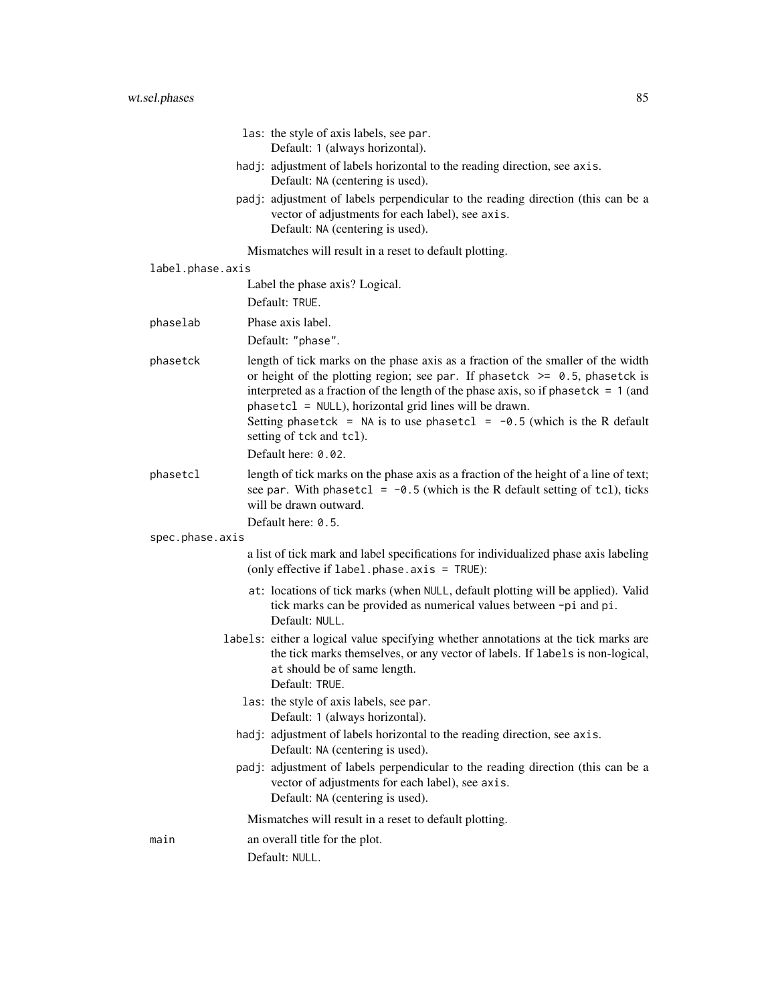|                  | las: the style of axis labels, see par.<br>Default: 1 (always horizontal).                                                                                                                                                                                                                                                                                                                                                    |
|------------------|-------------------------------------------------------------------------------------------------------------------------------------------------------------------------------------------------------------------------------------------------------------------------------------------------------------------------------------------------------------------------------------------------------------------------------|
|                  | hadj: adjustment of labels horizontal to the reading direction, see axis.<br>Default: NA (centering is used).                                                                                                                                                                                                                                                                                                                 |
|                  | padj: adjustment of labels perpendicular to the reading direction (this can be a<br>vector of adjustments for each label), see axis.<br>Default: NA (centering is used).                                                                                                                                                                                                                                                      |
|                  | Mismatches will result in a reset to default plotting.                                                                                                                                                                                                                                                                                                                                                                        |
| label.phase.axis |                                                                                                                                                                                                                                                                                                                                                                                                                               |
|                  | Label the phase axis? Logical.<br>Default: TRUE.                                                                                                                                                                                                                                                                                                                                                                              |
| phaselab         | Phase axis label.                                                                                                                                                                                                                                                                                                                                                                                                             |
|                  | Default: "phase".                                                                                                                                                                                                                                                                                                                                                                                                             |
| phasetck         | length of tick marks on the phase axis as a fraction of the smaller of the width<br>or height of the plotting region; see par. If phasetck $\ge$ 0.5, phasetck is<br>interpreted as a fraction of the length of the phase axis, so if phase tck = $1$ (and<br>phasetcl = NULL), horizontal grid lines will be drawn.<br>Setting phasetck = NA is to use phasetcl = $-0.5$ (which is the R default<br>setting of tck and tcl). |
|                  | Default here: 0.02.                                                                                                                                                                                                                                                                                                                                                                                                           |
| phasetcl         | length of tick marks on the phase axis as a fraction of the height of a line of text;<br>see par. With phasetcl = $-0.5$ (which is the R default setting of tcl), ticks<br>will be drawn outward.                                                                                                                                                                                                                             |
| spec.phase.axis  | Default here: 0.5.                                                                                                                                                                                                                                                                                                                                                                                                            |
|                  | a list of tick mark and label specifications for individualized phase axis labeling<br>(only effective if label.phase.axis = TRUE):                                                                                                                                                                                                                                                                                           |
|                  | at: locations of tick marks (when NULL, default plotting will be applied). Valid<br>tick marks can be provided as numerical values between -pi and pi.<br>Default: NULL.                                                                                                                                                                                                                                                      |
|                  | labels: either a logical value specifying whether annotations at the tick marks are<br>the tick marks themselves, or any vector of labels. If labels is non-logical,<br>at should be of same length.<br>Default: TRUE.                                                                                                                                                                                                        |
|                  | las: the style of axis labels, see par.<br>Default: 1 (always horizontal).                                                                                                                                                                                                                                                                                                                                                    |
|                  | hadj: adjustment of labels horizontal to the reading direction, see axis.<br>Default: NA (centering is used).                                                                                                                                                                                                                                                                                                                 |
|                  | padj: adjustment of labels perpendicular to the reading direction (this can be a<br>vector of adjustments for each label), see axis.<br>Default: NA (centering is used).                                                                                                                                                                                                                                                      |
|                  | Mismatches will result in a reset to default plotting.                                                                                                                                                                                                                                                                                                                                                                        |
| main             | an overall title for the plot.                                                                                                                                                                                                                                                                                                                                                                                                |
|                  | Default: NULL.                                                                                                                                                                                                                                                                                                                                                                                                                |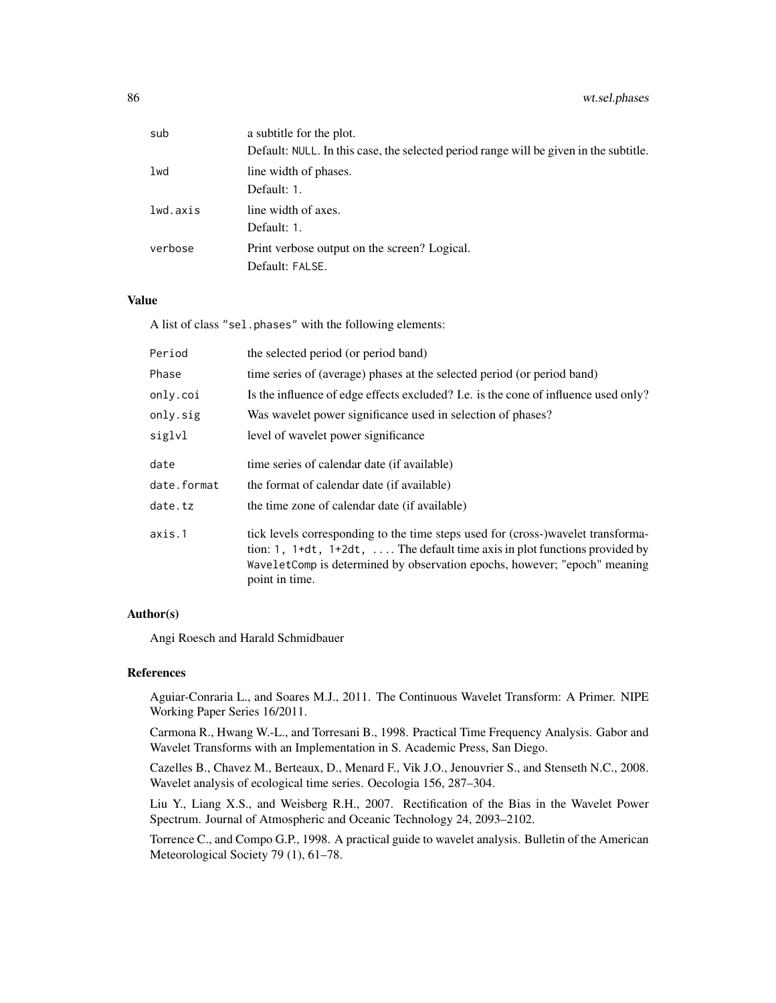86 wt.sel.phases

| sub      | a subtitle for the plot.                                                              |
|----------|---------------------------------------------------------------------------------------|
|          | Default: NULL. In this case, the selected period range will be given in the subtitle. |
| lwd      | line width of phases.                                                                 |
|          | Default: 1.                                                                           |
| lwd.axis | line width of axes.                                                                   |
|          | Default: 1.                                                                           |
| verbose  | Print verbose output on the screen? Logical.                                          |
|          | Default: FALSE.                                                                       |

# Value

A list of class "sel.phases" with the following elements:

| Period      | the selected period (or period band)                                                                                                                                                                                                                                |
|-------------|---------------------------------------------------------------------------------------------------------------------------------------------------------------------------------------------------------------------------------------------------------------------|
| Phase       | time series of (average) phases at the selected period (or period band)                                                                                                                                                                                             |
| only.coi    | Is the influence of edge effects excluded? I.e. is the cone of influence used only?                                                                                                                                                                                 |
| only.sig    | Was wavelet power significance used in selection of phases?                                                                                                                                                                                                         |
| siglvl      | level of wavelet power significance                                                                                                                                                                                                                                 |
| date        | time series of calendar date (if available)                                                                                                                                                                                                                         |
| date.format | the format of calendar date (if available)                                                                                                                                                                                                                          |
| date.tz     | the time zone of calendar date (if available)                                                                                                                                                                                                                       |
| axis.1      | tick levels corresponding to the time steps used for (cross-)wavelet transforma-<br>tion: 1, $1+dt$ , $1+2dt$ ,  The default time axis in plot functions provided by<br>WaveletComp is determined by observation epochs, however; "epoch" meaning<br>point in time. |

# Author(s)

Angi Roesch and Harald Schmidbauer

# References

Aguiar-Conraria L., and Soares M.J., 2011. The Continuous Wavelet Transform: A Primer. NIPE Working Paper Series 16/2011.

Carmona R., Hwang W.-L., and Torresani B., 1998. Practical Time Frequency Analysis. Gabor and Wavelet Transforms with an Implementation in S. Academic Press, San Diego.

Cazelles B., Chavez M., Berteaux, D., Menard F., Vik J.O., Jenouvrier S., and Stenseth N.C., 2008. Wavelet analysis of ecological time series. Oecologia 156, 287–304.

Liu Y., Liang X.S., and Weisberg R.H., 2007. Rectification of the Bias in the Wavelet Power Spectrum. Journal of Atmospheric and Oceanic Technology 24, 2093–2102.

Torrence C., and Compo G.P., 1998. A practical guide to wavelet analysis. Bulletin of the American Meteorological Society 79 (1), 61–78.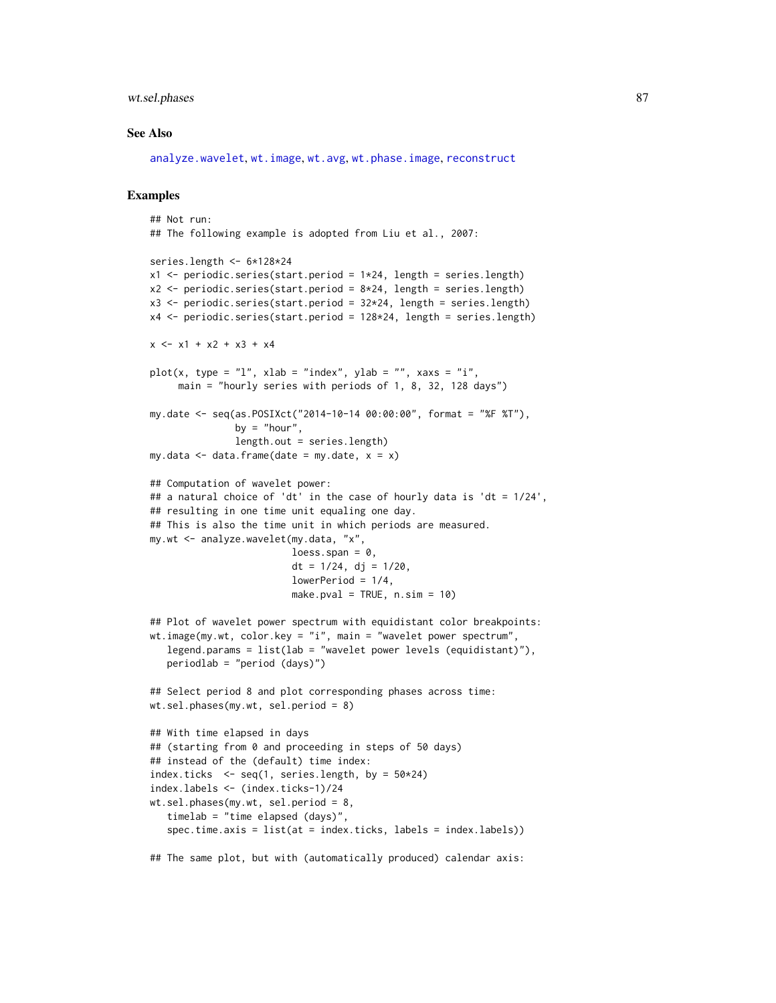# <span id="page-86-0"></span>wt.sel.phases 87

#### See Also

[analyze.wavelet](#page-11-0), [wt.image](#page-66-0), [wt.avg](#page-61-0), [wt.phase.image](#page-75-0), [reconstruct](#page-19-0)

#### Examples

```
## Not run:
## The following example is adopted from Liu et al., 2007:
series.length <- 6*128*24
x1 \leftarrow periodic.series(start.period = 1*24, length = series.length)
x2 \le periodic.series(start.period = 8*24, length = series.length)
x3 <- periodic.series(start.period = 32*24, length = series.length)
x4 <- periodic.series(start.period = 128*24, length = series.length)
x \le -x1 + x2 + x3 + x4plot(x, type = "l", xlab = "index", ylab = "", xaxs = "i",main = "hourly series with periods of 1, 8, 32, 128 days")
my.date <- seq(as.POSIXct("2014-10-14 00:00:00", format = "%F %T"),
               by = "hour",length.out = series.length)
my.data \leq data-frame(data = my.data, x = x)## Computation of wavelet power:
## a natural choice of 'dt' in the case of hourly data is 'dt = 1/24',
## resulting in one time unit equaling one day.
## This is also the time unit in which periods are measured.
my.wt <- analyze.wavelet(my.data, "x",
                         loess.span = 0,
                         dt = 1/24, dj = 1/20,
                         lowerPeriod = 1/4,
                         make.pval = TRUE, n \sin = 10)
## Plot of wavelet power spectrum with equidistant color breakpoints:
wt.image(my.wt, color.key = "i", main = "wavelet power spectrum",
   legend.params = list(lab = "wavelet power levels (equidistant)"),
   periodlab = "period (days)")
## Select period 8 and plot corresponding phases across time:
wt.sel.phases(my.wt, sel.period = 8)
## With time elapsed in days
## (starting from 0 and proceeding in steps of 50 days)
## instead of the (default) time index:
index.ticks \leq seq(1, series.length, by = 50*24)
index.labels <- (index.ticks-1)/24
wt.sel.phases(my.wt, sel.period = 8,
   timelab = "time elapsed (days)",
   spec.time.axis = list(at = index.ticks, labels = index.labels))
## The same plot, but with (automatically produced) calendar axis:
```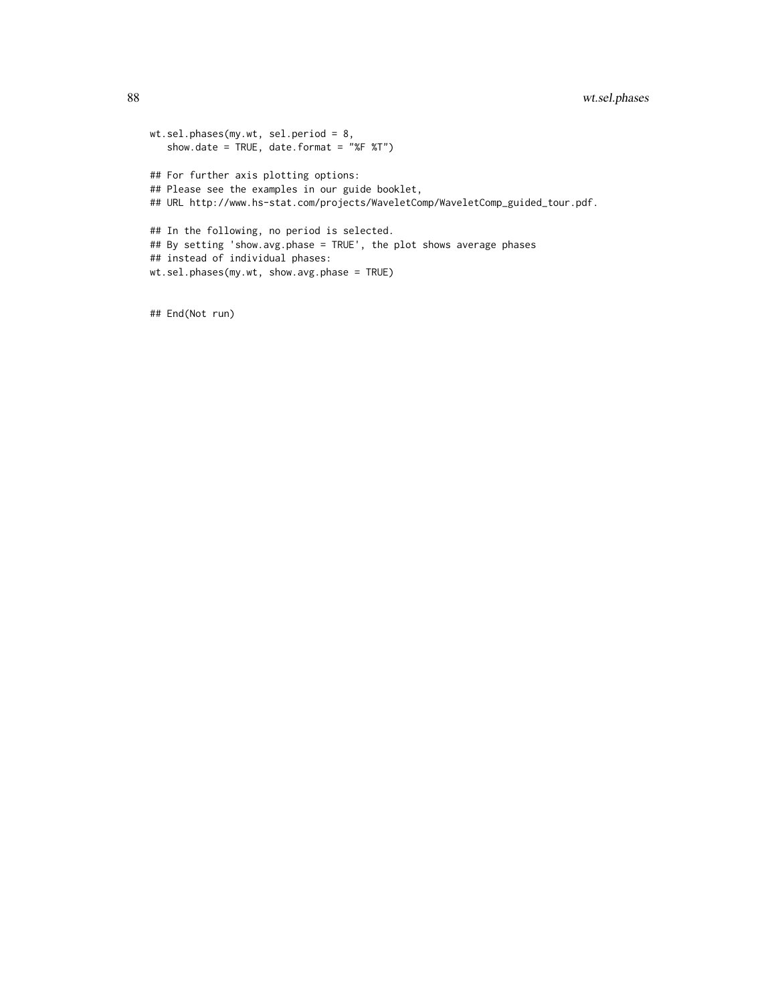```
wt.sel.phases(my.wt, sel.period = 8,
  show.date = TRUE, date.format = "%F %T")
## For further axis plotting options:
## Please see the examples in our guide booklet,
## URL http://www.hs-stat.com/projects/WaveletComp/WaveletComp_guided_tour.pdf.
## In the following, no period is selected.
## By setting 'show.avg.phase = TRUE', the plot shows average phases
## instead of individual phases:
wt.sel.phases(my.wt, show.avg.phase = TRUE)
```
## End(Not run)